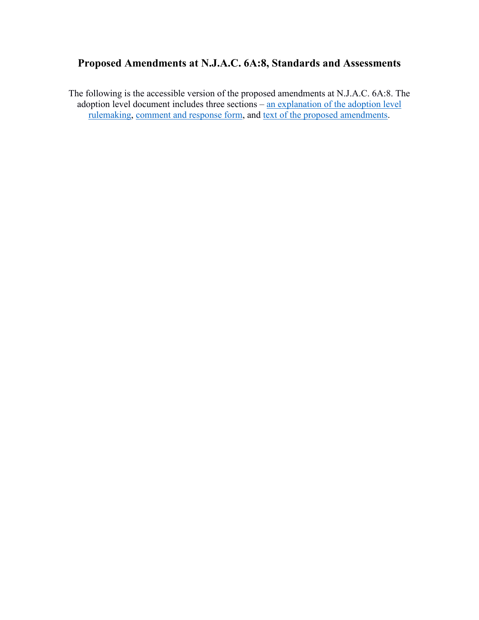## <span id="page-0-0"></span>**Proposed Amendments at N.J.A.C. 6A:8, Standards and Assessments**

The following is the accessible version of the proposed amendments at N.J.A.C. 6A:8. The adoption level document includes three sections – [an explanation of the adoption level](#page-0-0)  [rulemaking,](#page-0-0) [comment and response form,](#page-3-0) and [text of the proposed amendments.](#page-172-0)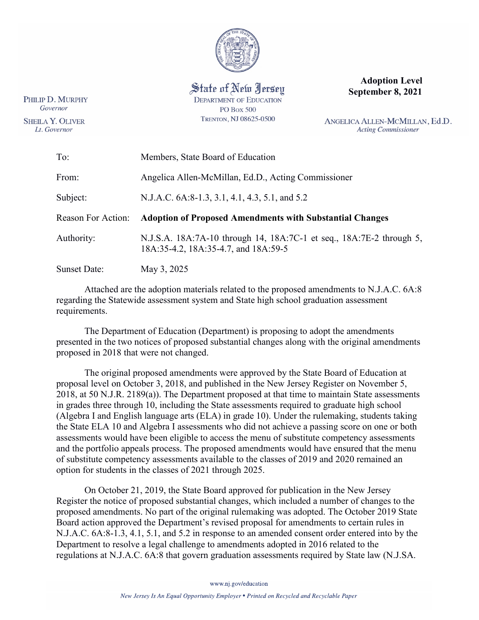

State of New Jersey **DEPARTMENT OF EDUCATION PO Box 500** TRENTON, NJ 08625-0500

**Adoption Level September 8, 2021**

ANGELICA ALLEN-MCMILLAN, Ed.D. **Acting Commissioner** 

| To:                 | Members, State Board of Education                                                                            |
|---------------------|--------------------------------------------------------------------------------------------------------------|
| From:               | Angelica Allen-McMillan, Ed.D., Acting Commissioner                                                          |
| Subject:            | N.J.A.C. 6A:8-1.3, 3.1, 4.1, 4.3, 5.1, and 5.2                                                               |
| Reason For Action:  | <b>Adoption of Proposed Amendments with Substantial Changes</b>                                              |
| Authority:          | N.J.S.A. 18A:7A-10 through 14, 18A:7C-1 et seq., 18A:7E-2 through 5,<br>18A:35-4.2, 18A:35-4.7, and 18A:59-5 |
| <b>Sunset Date:</b> | May 3, 2025                                                                                                  |

Attached are the adoption materials related to the proposed amendments to N.J.A.C. 6A:8 regarding the Statewide assessment system and State high school graduation assessment requirements.

The Department of Education (Department) is proposing to adopt the amendments presented in the two notices of proposed substantial changes along with the original amendments proposed in 2018 that were not changed.

The original proposed amendments were approved by the State Board of Education at proposal level on October 3, 2018, and published in the New Jersey Register on November 5, 2018, at 50 N.J.R. 2189(a)). The Department proposed at that time to maintain State assessments in grades three through 10, including the State assessments required to graduate high school (Algebra I and English language arts (ELA) in grade 10). Under the rulemaking, students taking the State ELA 10 and Algebra I assessments who did not achieve a passing score on one or both assessments would have been eligible to access the menu of substitute competency assessments and the portfolio appeals process. The proposed amendments would have ensured that the menu of substitute competency assessments available to the classes of 2019 and 2020 remained an option for students in the classes of 2021 through 2025.

On October 21, 2019, the State Board approved for publication in the New Jersey Register the notice of proposed substantial changes, which included a number of changes to the proposed amendments. No part of the original rulemaking was adopted. The October 2019 State Board action approved the Department's revised proposal for amendments to certain rules in N.J.A.C. 6A:8-1.3, 4.1, 5.1, and 5.2 in response to an amended consent order entered into by the Department to resolve a legal challenge to amendments adopted in 2016 related to the regulations at N.J.A.C. 6A:8 that govern graduation assessments required by State law (N.J.SA.

**SHEILA Y. OLIVER** Lt. Governor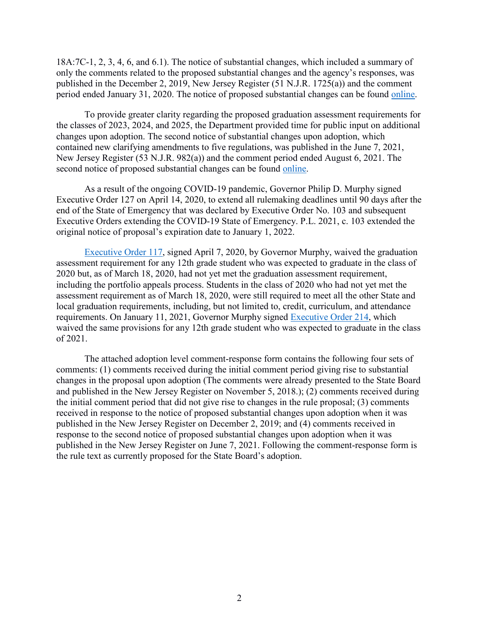18A:7C-1, 2, 3, 4, 6, and 6.1). The notice of substantial changes, which included a summary of only the comments related to the proposed substantial changes and the agency's responses, was published in the December 2, 2019, New Jersey Register (51 N.J.R. 1725(a)) and the comment period ended January 31, 2020. The notice of proposed substantial changes can be found [online.](https://www.state.nj.us/education/code/proposed/Notices/Notice%20of%20Proposed%20Substantial%20Changes%20to%20N.J.A.C.%206A_8.pdf)

To provide greater clarity regarding the proposed graduation assessment requirements for the classes of 2023, 2024, and 2025, the Department provided time for public input on additional changes upon adoption. The second notice of substantial changes upon adoption, which contained new clarifying amendments to five regulations, was published in the June 7, 2021, New Jersey Register (53 N.J.R. 982(a)) and the comment period ended August 6, 2021. The second notice of proposed substantial changes can be found [online.](https://www.nj.gov/education/code/proposed/Notices/Proposal%20level%20N.J.A.C.%206A_8%20notice.pdf)

As a result of the ongoing COVID-19 pandemic, Governor Philip D. Murphy signed Executive Order 127 on April 14, 2020, to extend all rulemaking deadlines until 90 days after the end of the State of Emergency that was declared by Executive Order No. 103 and subsequent Executive Orders extending the COVID-19 State of Emergency. P.L. 2021, c. 103 extended the original notice of proposal's expiration date to January 1, 2022.

[Executive Order 117,](https://nj.gov/infobank/eo/056murphy/pdf/EO-117.pdf) signed April 7, 2020, by Governor Murphy, waived the graduation assessment requirement for any 12th grade student who was expected to graduate in the class of 2020 but, as of March 18, 2020, had not yet met the graduation assessment requirement, including the portfolio appeals process. Students in the class of 2020 who had not yet met the assessment requirement as of March 18, 2020, were still required to meet all the other State and local graduation requirements, including, but not limited to, credit, curriculum, and attendance requirements. On January 11, 2021, Governor Murphy signed [Executive Order 214,](https://nj.gov/infobank/eo/056murphy/pdf/EO-214.pdf) which waived the same provisions for any 12th grade student who was expected to graduate in the class of 2021.

The attached adoption level comment-response form contains the following four sets of comments: (1) comments received during the initial comment period giving rise to substantial changes in the proposal upon adoption (The comments were already presented to the State Board and published in the New Jersey Register on November 5, 2018.); (2) comments received during the initial comment period that did not give rise to changes in the rule proposal; (3) comments received in response to the notice of proposed substantial changes upon adoption when it was published in the New Jersey Register on December 2, 2019; and (4) comments received in response to the second notice of proposed substantial changes upon adoption when it was published in the New Jersey Register on June 7, 2021. Following the comment-response form is the rule text as currently proposed for the State Board's adoption.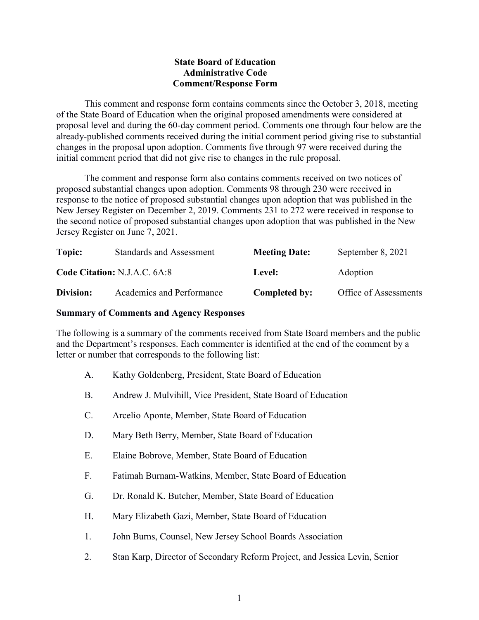## **State Board of Education Administrative Code Comment/Response Form**

<span id="page-3-0"></span>This comment and response form contains comments since the October 3, 2018, meeting of the State Board of Education when the original proposed amendments were considered at proposal level and during the 60-day comment period. Comments one through four below are the already-published comments received during the initial comment period giving rise to substantial changes in the proposal upon adoption. Comments five through 97 were received during the initial comment period that did not give rise to changes in the rule proposal.

The comment and response form also contains comments received on two notices of proposed substantial changes upon adoption. Comments 98 through 230 were received in response to the notice of proposed substantial changes upon adoption that was published in the New Jersey Register on December 2, 2019. Comments 231 to 272 were received in response to the second notice of proposed substantial changes upon adoption that was published in the New Jersey Register on June 7, 2021.

| Topic:    | <b>Standards and Assessment</b> | <b>Meeting Date:</b> | September 8, 2021     |
|-----------|---------------------------------|----------------------|-----------------------|
|           | Code Citation: N.J.A.C. 6A:8    | Level:               | Adoption              |
| Division: | Academics and Performance       | Completed by:        | Office of Assessments |

## **Summary of Comments and Agency Responses**

The following is a summary of the comments received from State Board members and the public and the Department's responses. Each commenter is identified at the end of the comment by a letter or number that corresponds to the following list:

- A. Kathy Goldenberg, President, State Board of Education
- B. Andrew J. Mulvihill, Vice President, State Board of Education
- C. Arcelio Aponte, Member, State Board of Education
- D. Mary Beth Berry, Member, State Board of Education
- E. Elaine Bobrove, Member, State Board of Education
- F. Fatimah Burnam-Watkins, Member, State Board of Education
- G. Dr. Ronald K. Butcher, Member, State Board of Education
- H. Mary Elizabeth Gazi, Member, State Board of Education
- 1. John Burns, Counsel, New Jersey School Boards Association
- 2. Stan Karp, Director of Secondary Reform Project, and Jessica Levin, Senior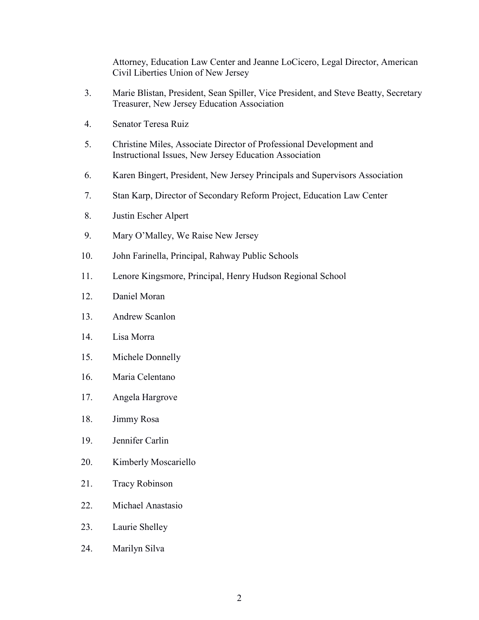Attorney, Education Law Center and Jeanne LoCicero, Legal Director, American Civil Liberties Union of New Jersey

- 3. Marie Blistan, President, Sean Spiller, Vice President, and Steve Beatty, Secretary Treasurer, New Jersey Education Association
- 4. Senator Teresa Ruiz
- 5. Christine Miles, Associate Director of Professional Development and Instructional Issues, New Jersey Education Association
- 6. Karen Bingert, President, New Jersey Principals and Supervisors Association
- 7. Stan Karp, Director of Secondary Reform Project, Education Law Center
- 8. Justin Escher Alpert
- 9. Mary O'Malley, We Raise New Jersey
- 10. John Farinella, Principal, Rahway Public Schools
- 11. Lenore Kingsmore, Principal, Henry Hudson Regional School
- 12. Daniel Moran
- 13. Andrew Scanlon
- 14. Lisa Morra
- 15. Michele Donnelly
- 16. Maria Celentano
- 17. Angela Hargrove
- 18. Jimmy Rosa
- 19. Jennifer Carlin
- 20. Kimberly Moscariello
- 21. Tracy Robinson
- 22. Michael Anastasio
- 23. Laurie Shelley
- 24. Marilyn Silva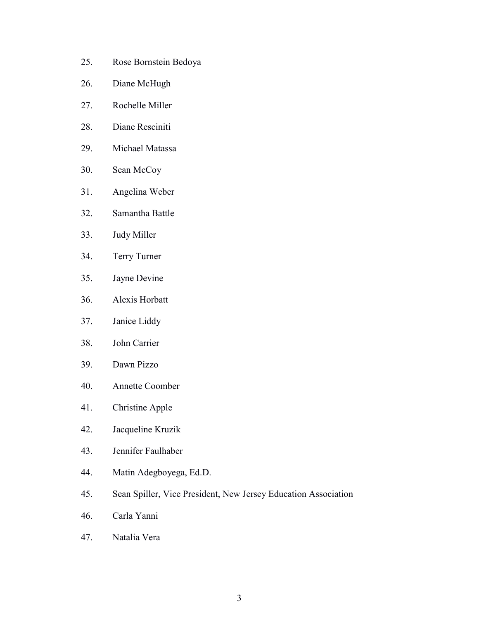- 25. Rose Bornstein Bedoya
- 26. Diane McHugh
- 27. Rochelle Miller
- 28. Diane Resciniti
- 29. Michael Matassa
- 30. Sean McCoy
- 31. Angelina Weber
- 32. Samantha Battle
- 33. Judy Miller
- 34. Terry Turner
- 35. Jayne Devine
- 36. Alexis Horbatt
- 37. Janice Liddy
- 38. John Carrier
- 39. Dawn Pizzo
- 40. Annette Coomber
- 41. Christine Apple
- 42. Jacqueline Kruzik
- 43. Jennifer Faulhaber
- 44. Matin Adegboyega, Ed.D.
- 45. Sean Spiller, Vice President, New Jersey Education Association
- 46. Carla Yanni
- 47. Natalia Vera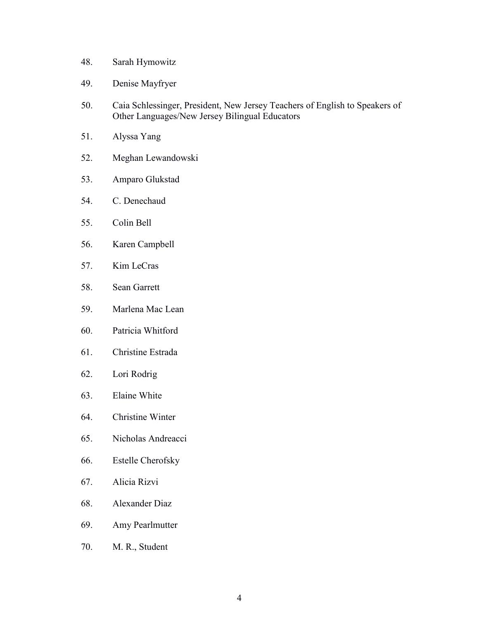- 48. Sarah Hymowitz
- 49. Denise Mayfryer
- 50. Caia Schlessinger, President, New Jersey Teachers of English to Speakers of Other Languages/New Jersey Bilingual Educators
- 51. Alyssa Yang
- 52. Meghan Lewandowski
- 53. Amparo Glukstad
- 54. C. Denechaud
- 55. Colin Bell
- 56. Karen Campbell
- 57. Kim LeCras
- 58. Sean Garrett
- 59. Marlena Mac Lean
- 60. Patricia Whitford
- 61. Christine Estrada
- 62. Lori Rodrig
- 63. Elaine White
- 64. Christine Winter
- 65. Nicholas Andreacci
- 66. Estelle Cherofsky
- 67. Alicia Rizvi
- 68. Alexander Diaz
- 69. Amy Pearlmutter
- 70. M. R., Student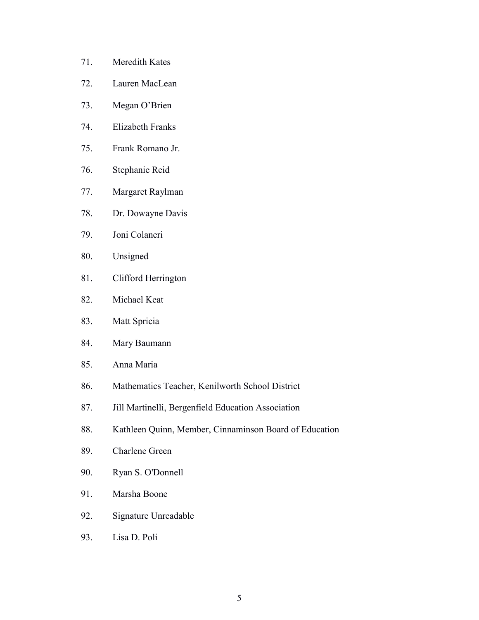- 71. Meredith Kates
- 72. Lauren MacLean
- 73. Megan O'Brien
- 74. Elizabeth Franks
- 75. Frank Romano Jr.
- 76. Stephanie Reid
- 77. Margaret Raylman
- 78. Dr. Dowayne Davis
- 79. Joni Colaneri
- 80. Unsigned
- 81. Clifford Herrington
- 82. Michael Keat
- 83. Matt Spricia
- 84. Mary Baumann
- 85. Anna Maria
- 86. Mathematics Teacher, Kenilworth School District
- 87. Jill Martinelli, Bergenfield Education Association
- 88. Kathleen Quinn, Member, Cinnaminson Board of Education
- 89. Charlene Green
- 90. Ryan S. O'Donnell
- 91. Marsha Boone
- 92. Signature Unreadable
- 93. Lisa D. Poli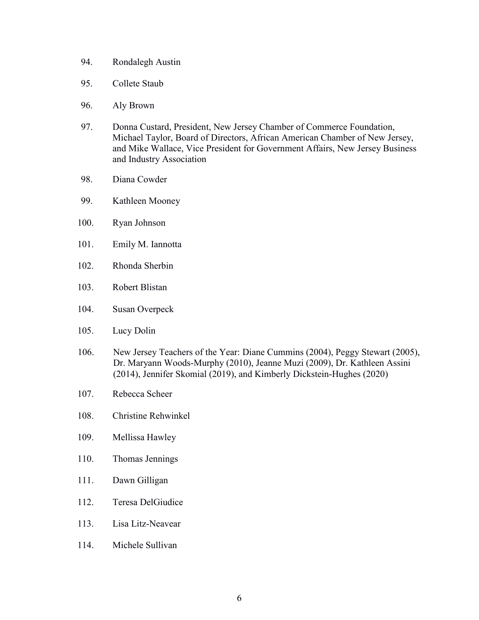- 94. Rondalegh Austin
- 95. Collete Staub
- 96. Aly Brown
- 97. Donna Custard, President, New Jersey Chamber of Commerce Foundation, Michael Taylor, Board of Directors, African American Chamber of New Jersey, and Mike Wallace, Vice President for Government Affairs, New Jersey Business and Industry Association
- 98. Diana Cowder
- 99. Kathleen Mooney
- 100. Ryan Johnson
- 101. Emily M. Iannotta
- 102. Rhonda Sherbin
- 103. Robert Blistan
- 104. Susan Overpeck
- 105. Lucy Dolin
- 106. New Jersey Teachers of the Year: Diane Cummins (2004), Peggy Stewart (2005), Dr. Maryann Woods-Murphy (2010), Jeanne Muzi (2009), Dr. Kathleen Assini (2014), Jennifer Skomial (2019), and Kimberly Dickstein-Hughes (2020)
- 107. Rebecca Scheer
- 108. Christine Rehwinkel
- 109. Mellissa Hawley
- 110. Thomas Jennings
- 111. Dawn Gilligan
- 112. Teresa DelGiudice
- 113. Lisa Litz-Neavear
- 114. Michele Sullivan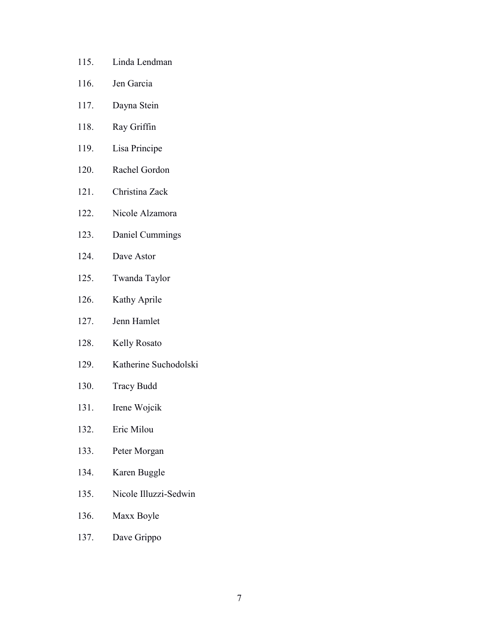- 115. Linda Lendman
- 116. Jen Garcia
- 117. Dayna Stein
- 118. Ray Griffin
- 119. Lisa Principe
- 120. Rachel Gordon
- 121. Christina Zack
- 122. Nicole Alzamora
- 123. Daniel Cummings
- 124. Dave Astor
- 125. Twanda Taylor
- 126. Kathy Aprile
- 127. Jenn Hamlet
- 128. Kelly Rosato
- 129. Katherine Suchodolski
- 130. Tracy Budd
- 131. Irene Wojcik
- 132. Eric Milou
- 133. Peter Morgan
- 134. Karen Buggle
- 135. Nicole Illuzzi-Sedwin
- 136. Maxx Boyle
- 137. Dave Grippo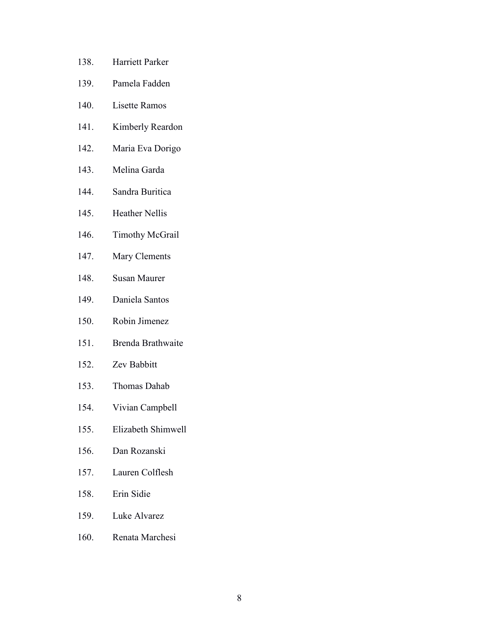- 138. Harriett Parker
- 139. Pamela Fadden
- 140. Lisette Ramos
- 141. Kimberly Reardon
- 142. Maria Eva Dorigo
- 143. Melina Garda
- 144. Sandra Buritica
- 145. Heather Nellis
- 146. Timothy McGrail
- 147. Mary Clements
- 148. Susan Maurer
- 149. Daniela Santos
- 150. Robin Jimenez
- 151. Brenda Brathwaite
- 152. Zev Babbitt
- 153. Thomas Dahab
- 154. Vivian Campbell
- 155. Elizabeth Shimwell
- 156. Dan Rozanski
- 157. Lauren Colflesh
- 158. Erin Sidie
- 159. Luke Alvarez
- 160. Renata Marchesi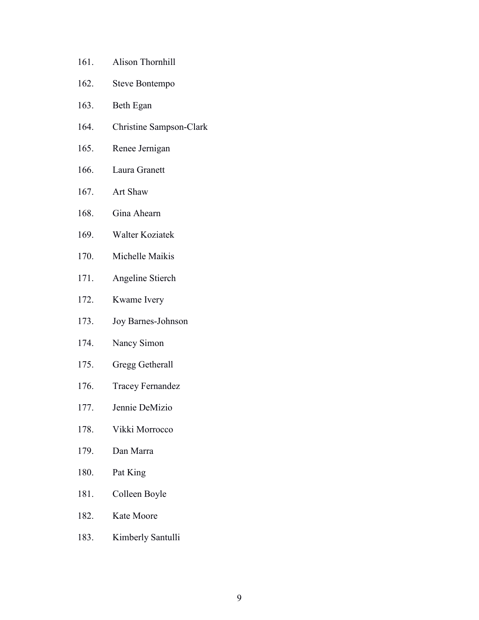| 161. | Alison Thornhill        |
|------|-------------------------|
| 162. | Steve Bontempo          |
| 163. | Beth Egan               |
| 164. | Christine Sampson-Clark |
| 165. | Renee Jernigan          |
| 166. | Laura Granett           |
| 167. | Art Shaw                |
| 168. | Gina Ahearn             |
| 169. | Walter Koziatek         |
| 170. | Michelle Maikis         |
| 171. | Angeline Stierch        |
| 172. | Kwame Ivery             |
| 173. | Joy Barnes-Johnson      |
| 174. | Nancy Simon             |
| 175. | Gregg Getherall         |
| 176. | <b>Tracey Fernandez</b> |
| 177. | Jennie DeMizio          |
| 178. | Vikki Morrocco          |
| 179. | Dan Marra               |
| 180. | Pat King                |
| 181. | Colleen Boyle           |
| 182. | Kate Moore              |
| 183. | Kimberly Santulli       |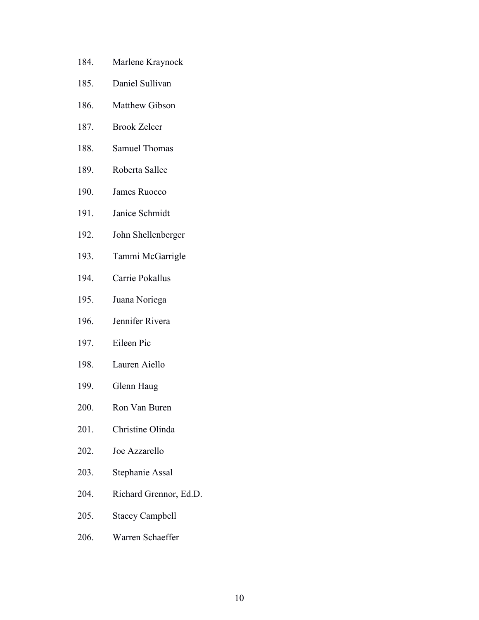- 184. Marlene Kraynock
- 185. Daniel Sullivan
- 186. Matthew Gibson
- 187. Brook Zelcer
- 188. Samuel Thomas
- 189. Roberta Sallee
- 190. James Ruocco
- 191. Janice Schmidt
- 192. John Shellenberger
- 193. Tammi McGarrigle
- 194. Carrie Pokallus
- 195. Juana Noriega
- 196. Jennifer Rivera
- 197. Eileen Pic
- 198. Lauren Aiello
- 199. Glenn Haug
- 200. Ron Van Buren
- 201. Christine Olinda
- 202. Joe Azzarello
- 203. Stephanie Assal
- 204. Richard Grennor, Ed.D.
- 205. Stacey Campbell
- 206. Warren Schaeffer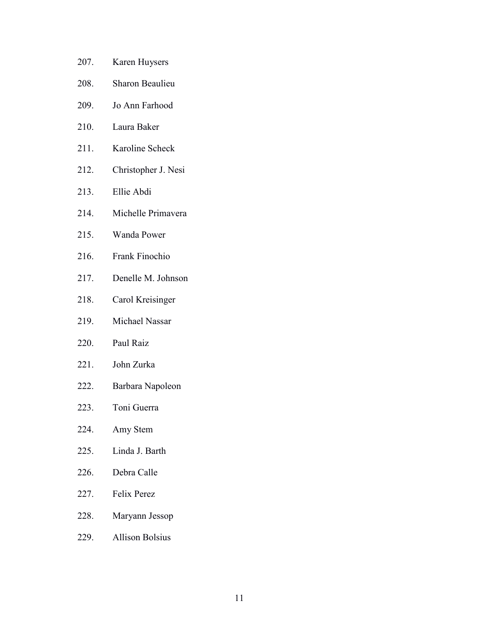207. Karen Huysers 208. Sharon Beaulieu 209. Jo Ann Farhood 210. Laura Baker 211. Karoline Scheck 212. Christopher J. Nesi 213. Ellie Abdi 214. Michelle Primavera 215. Wanda Power 216. Frank Finochio 217. Denelle M. Johnson 218. Carol Kreisinger 219. Michael Nassar 220. Paul Raiz 221. John Zurka 222. Barbara Napoleon 223. Toni Guerra 224. Amy Stem 225. Linda J. Barth 226. Debra Calle 227. Felix Perez 228. Maryann Jessop 229. Allison Bolsius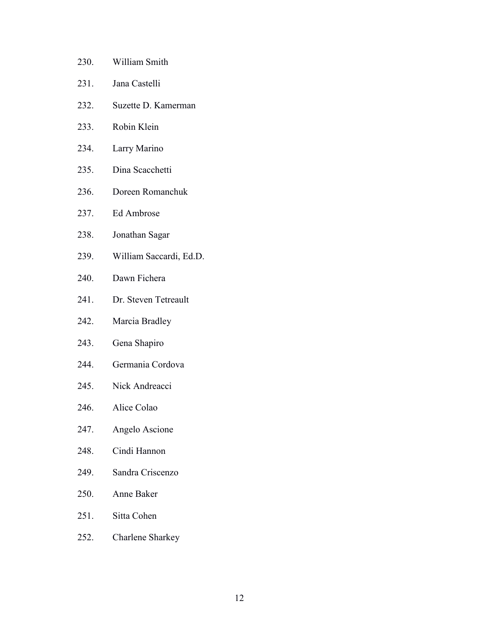230. William Smith 231. Jana Castelli 232. Suzette D. Kamerman 233. Robin Klein 234. Larry Marino 235. Dina Scacchetti 236. Doreen Romanchuk 237. Ed Ambrose 238. Jonathan Sagar 239. William Saccardi, Ed.D. 240. Dawn Fichera 241. Dr. Steven Tetreault 242. Marcia Bradley 243. Gena Shapiro 244. Germania Cordova 245. Nick Andreacci 246. Alice Colao 247. Angelo Ascione 248. Cindi Hannon 249. Sandra Criscenzo 250. Anne Baker 251. Sitta Cohen 252. Charlene Sharkey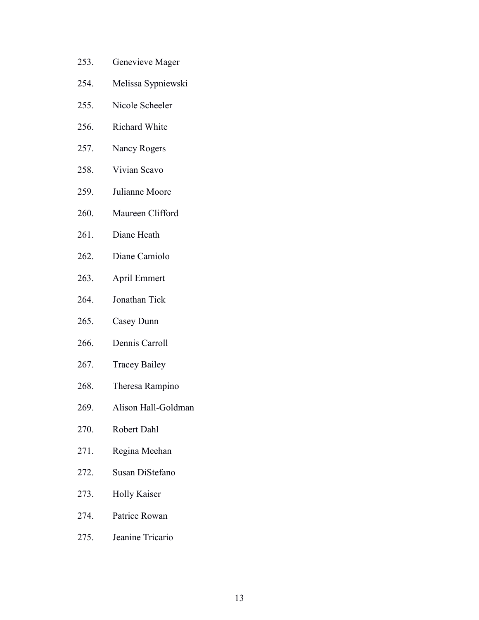- 253. Genevieve Mager
- 254. Melissa Sypniewski
- 255. Nicole Scheeler
- 256. Richard White
- 257. Nancy Rogers
- 258. Vivian Scavo
- 259. Julianne Moore
- 260. Maureen Clifford
- 261. Diane Heath
- 262. Diane Camiolo
- 263. April Emmert
- 264. Jonathan Tick
- 265. Casey Dunn
- 266. Dennis Carroll
- 267. Tracey Bailey
- 268. Theresa Rampino
- 269. Alison Hall-Goldman
- 270. Robert Dahl
- 271. Regina Meehan
- 272. Susan DiStefano
- 273. Holly Kaiser
- 274. Patrice Rowan
- 275. Jeanine Tricario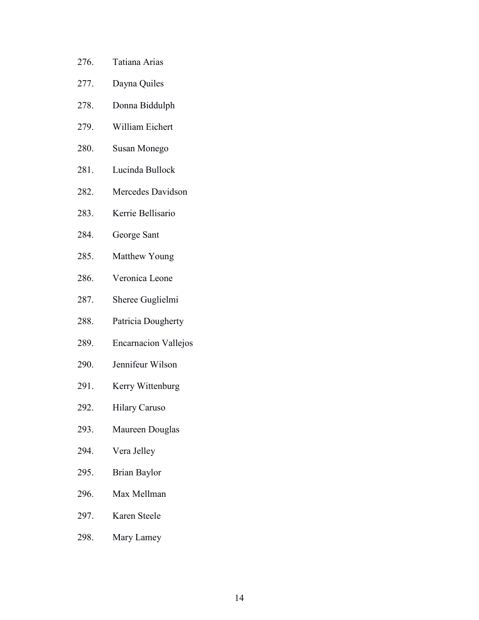- 276. Tatiana Arias
- 277. Dayna Quiles
- 278. Donna Biddulph
- 279. William Eichert
- 280. Susan Monego
- 281. Lucinda Bullock
- 282. Mercedes Davidson
- 283. Kerrie Bellisario
- 284. George Sant
- 285. Matthew Young
- 286. Veronica Leone
- 287. Sheree Guglielmi
- 288. Patricia Dougherty
- 289. Encarnacion Vallejos
- 290. Jennifeur Wilson
- 291. Kerry Wittenburg
- 292. Hilary Caruso
- 293. Maureen Douglas
- 294. Vera Jelley
- 295. Brian Baylor
- 296. Max Mellman
- 297. Karen Steele
- 298. Mary Lamey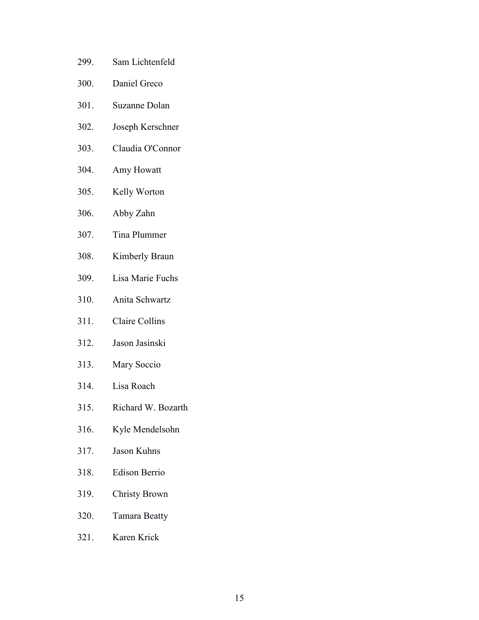- 299. Sam Lichtenfeld
- 300. Daniel Greco
- 301. Suzanne Dolan
- 302. Joseph Kerschner
- 303. Claudia O'Connor
- 304. Amy Howatt
- 305. Kelly Worton
- 306. Abby Zahn
- 307. Tina Plummer
- 308. Kimberly Braun
- 309. Lisa Marie Fuchs
- 310. Anita Schwartz
- 311. Claire Collins
- 312. Jason Jasinski
- 313. Mary Soccio
- 314. Lisa Roach
- 315. Richard W. Bozarth
- 316. Kyle Mendelsohn
- 317. Jason Kuhns
- 318. Edison Berrio
- 319. Christy Brown
- 320. Tamara Beatty
- 321. Karen Krick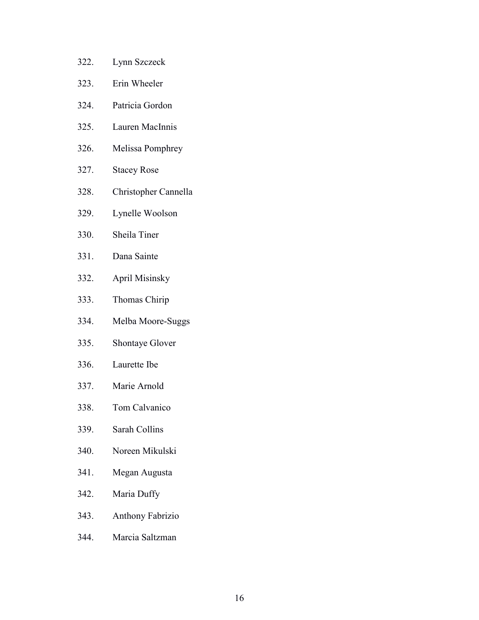- 322. Lynn Szczeck
- 323. Erin Wheeler
- 324. Patricia Gordon
- 325. Lauren MacInnis
- 326. Melissa Pomphrey
- 327. Stacey Rose
- 328. Christopher Cannella
- 329. Lynelle Woolson
- 330. Sheila Tiner
- 331. Dana Sainte
- 332. April Misinsky
- 333. Thomas Chirip
- 334. Melba Moore-Suggs
- 335. Shontaye Glover
- 336. Laurette Ibe
- 337. Marie Arnold
- 338. Tom Calvanico
- 339. Sarah Collins
- 340. Noreen Mikulski
- 341. Megan Augusta
- 342. Maria Duffy
- 343. Anthony Fabrizio
- 344. Marcia Saltzman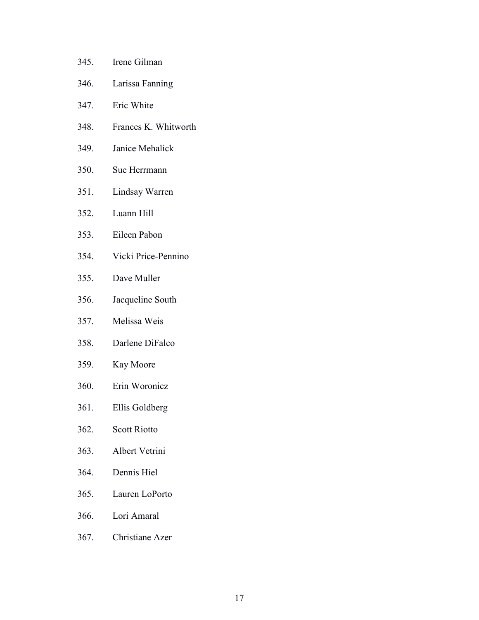| 345. | Irene Gilman         |
|------|----------------------|
| 346. | Larissa Fanning      |
| 347. | Eric White           |
| 348. | Frances K. Whitworth |
| 349. | Janice Mehalick      |
| 350. | Sue Herrmann         |
| 351. | Lindsay Warren       |
| 352. | Luann Hill           |
| 353. | Eileen Pabon         |
| 354. | Vicki Price-Pennino  |
| 355. | Dave Muller          |
| 356. | Jacqueline South     |
| 357. | Melissa Weis         |
| 358. | Darlene DiFalco      |
| 359. | Kay Moore            |
| 360. | Erin Woronicz        |
| 361. | Ellis Goldberg       |
| 362. | <b>Scott Riotto</b>  |
| 363. | Albert Vetrini       |
| 364. | Dennis Hiel          |
| 365. | Lauren LoPorto       |
| 366. | Lori Amaral          |
| 367. | Christiane Azer      |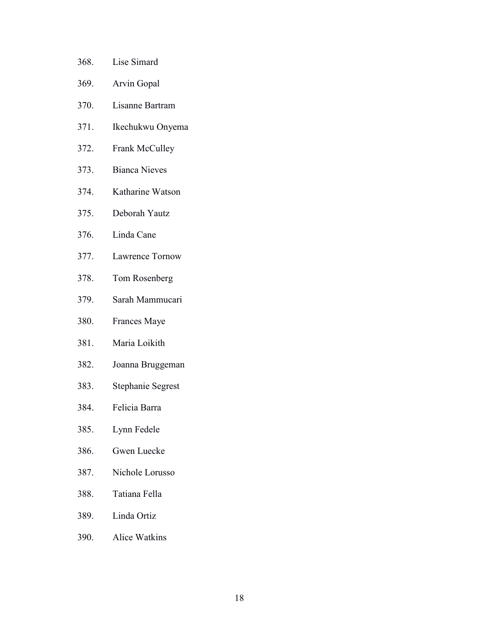- 368. Lise Simard
- 369. Arvin Gopal
- 370. Lisanne Bartram
- 371. Ikechukwu Onyema
- 372. Frank McCulley
- 373. Bianca Nieves
- 374. Katharine Watson
- 375. Deborah Yautz
- 376. Linda Cane
- 377. Lawrence Tornow
- 378. Tom Rosenberg
- 379. Sarah Mammucari
- 380. Frances Maye
- 381. Maria Loikith
- 382. Joanna Bruggeman
- 383. Stephanie Segrest
- 384. Felicia Barra
- 385. Lynn Fedele
- 386. Gwen Luecke
- 387. Nichole Lorusso
- 388. Tatiana Fella
- 389. Linda Ortiz
- 390. Alice Watkins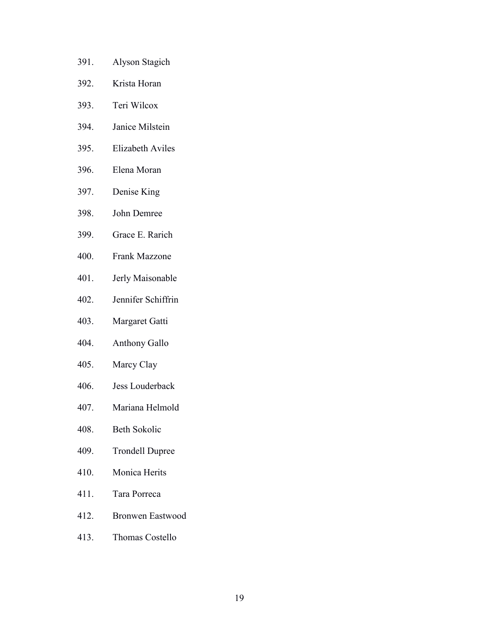- 391. Alyson Stagich
- 392. Krista Horan
- 393. Teri Wilcox
- 394. Janice Milstein
- 395. Elizabeth Aviles
- 396. Elena Moran
- 397. Denise King
- 398. John Demree
- 399. Grace E. Rarich
- 400. Frank Mazzone
- 401. Jerly Maisonable
- 402. Jennifer Schiffrin
- 403. Margaret Gatti
- 404. Anthony Gallo
- 405. Marcy Clay
- 406. Jess Louderback
- 407. Mariana Helmold
- 408. Beth Sokolic
- 409. Trondell Dupree
- 410. Monica Herits
- 411. Tara Porreca
- 412. Bronwen Eastwood
- 413. Thomas Costello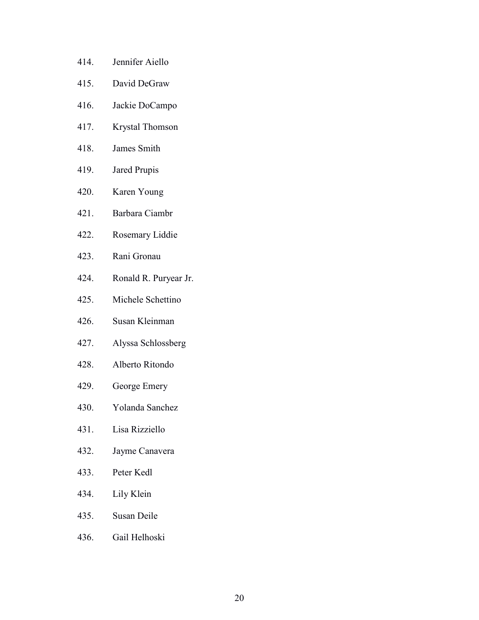- 414. Jennifer Aiello
- 415. David DeGraw
- 416. Jackie DoCampo
- 417. Krystal Thomson
- 418. James Smith
- 419. Jared Prupis
- 420. Karen Young
- 421. Barbara Ciambr
- 422. Rosemary Liddie
- 423. Rani Gronau
- 424. Ronald R. Puryear Jr.
- 425. Michele Schettino
- 426. Susan Kleinman
- 427. Alyssa Schlossberg
- 428. Alberto Ritondo
- 429. George Emery
- 430. Yolanda Sanchez
- 431. Lisa Rizziello
- 432. Jayme Canavera
- 433. Peter Kedl
- 434. Lily Klein
- 435. Susan Deile
- 436. Gail Helhoski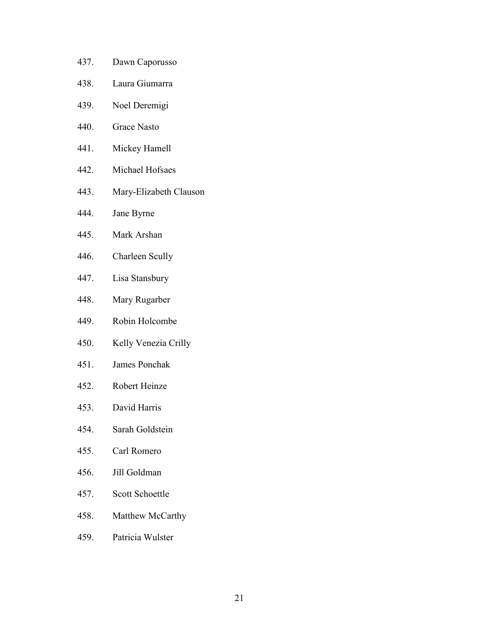- 437. Dawn Caporusso
- 438. Laura Giumarra
- 439. Noel Deremigi
- 440. Grace Nasto
- 441. Mickey Hamell
- 442. Michael Hofsaes
- 443. Mary-Elizabeth Clauson
- 444. Jane Byrne
- 445. Mark Arshan
- 446. Charleen Scully
- 447. Lisa Stansbury
- 448. Mary Rugarber
- 449. Robin Holcombe
- 450. Kelly Venezia Crilly
- 451. James Ponchak
- 452. Robert Heinze
- 453. David Harris
- 454. Sarah Goldstein
- 455. Carl Romero
- 456. Jill Goldman
- 457. Scott Schoettle
- 458. Matthew McCarthy
- 459. Patricia Wulster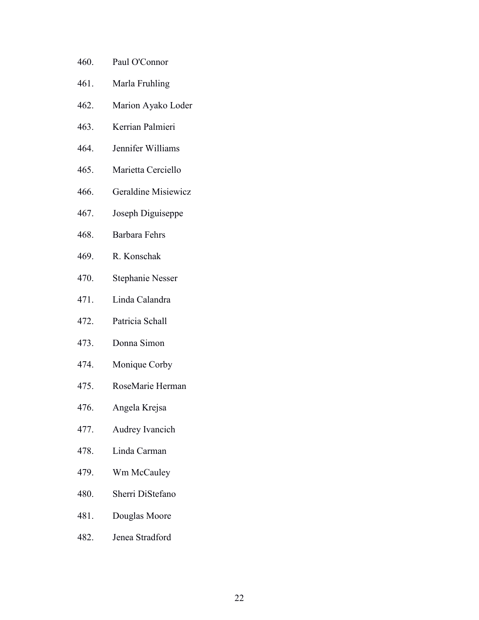- 460. Paul O'Connor
- 461. Marla Fruhling
- 462. Marion Ayako Loder
- 463. Kerrian Palmieri
- 464. Jennifer Williams
- 465. Marietta Cerciello
- 466. Geraldine Misiewicz
- 467. Joseph Diguiseppe
- 468. Barbara Fehrs
- 469. R. Konschak
- 470. Stephanie Nesser
- 471. Linda Calandra
- 472. Patricia Schall
- 473. Donna Simon
- 474. Monique Corby
- 475. RoseMarie Herman
- 476. Angela Krejsa
- 477. Audrey Ivancich
- 478. Linda Carman
- 479. Wm McCauley
- 480. Sherri DiStefano
- 481. Douglas Moore
- 482. Jenea Stradford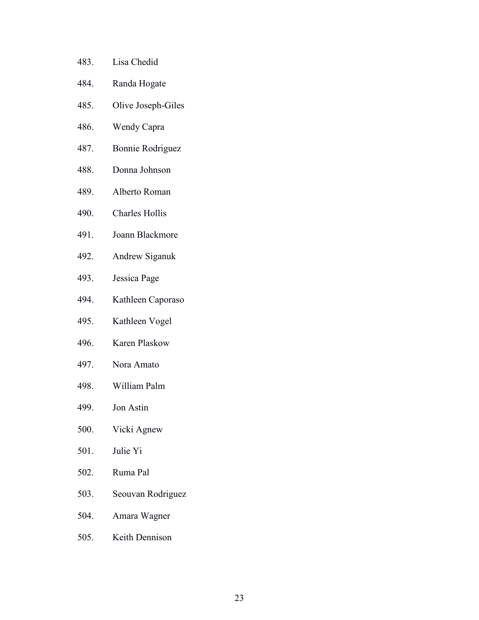- 483. Lisa Chedid
- 484. Randa Hogate
- 485. Olive Joseph-Giles
- 486. Wendy Capra
- 487. Bonnie Rodriguez
- 488. Donna Johnson
- 489. Alberto Roman
- 490. Charles Hollis
- 491. Joann Blackmore
- 492. Andrew Siganuk
- 493. Jessica Page
- 494. Kathleen Caporaso
- 495. Kathleen Vogel
- 496. Karen Plaskow
- 497. Nora Amato
- 498. William Palm
- 499. Jon Astin
- 500. Vicki Agnew
- 501. Julie Yi
- 502. Ruma Pal
- 503. Seouvan Rodriguez
- 504. Amara Wagner
- 505. Keith Dennison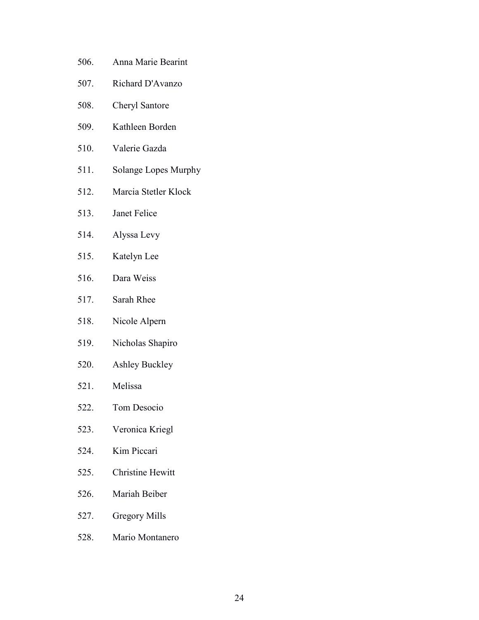- 506. Anna Marie Bearint
- 507. Richard D'Avanzo
- 508. Cheryl Santore
- 509. Kathleen Borden
- 510. Valerie Gazda
- 511. Solange Lopes Murphy
- 512. Marcia Stetler Klock
- 513. Janet Felice
- 514. Alyssa Levy
- 515. Katelyn Lee
- 516. Dara Weiss
- 517. Sarah Rhee
- 518. Nicole Alpern
- 519. Nicholas Shapiro
- 520. Ashley Buckley
- 521. Melissa
- 522. Tom Desocio
- 523. Veronica Kriegl
- 524. Kim Piccari
- 525. Christine Hewitt
- 526. Mariah Beiber
- 527. Gregory Mills
- 528. Mario Montanero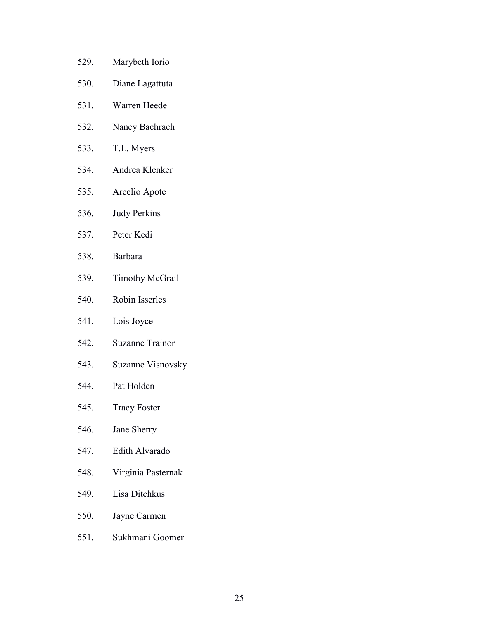- 529. Marybeth Iorio
- 530. Diane Lagattuta
- 531. Warren Heede
- 532. Nancy Bachrach
- 533. T.L. Myers
- 534. Andrea Klenker
- 535. Arcelio Apote
- 536. Judy Perkins
- 537. Peter Kedi
- 538. Barbara
- 539. Timothy McGrail
- 540. Robin Isserles
- 541. Lois Joyce
- 542. Suzanne Trainor
- 543. Suzanne Visnovsky
- 544. Pat Holden
- 545. Tracy Foster
- 546. Jane Sherry
- 547. Edith Alvarado
- 548. Virginia Pasternak
- 549. Lisa Ditchkus
- 550. Jayne Carmen
- 551. Sukhmani Goomer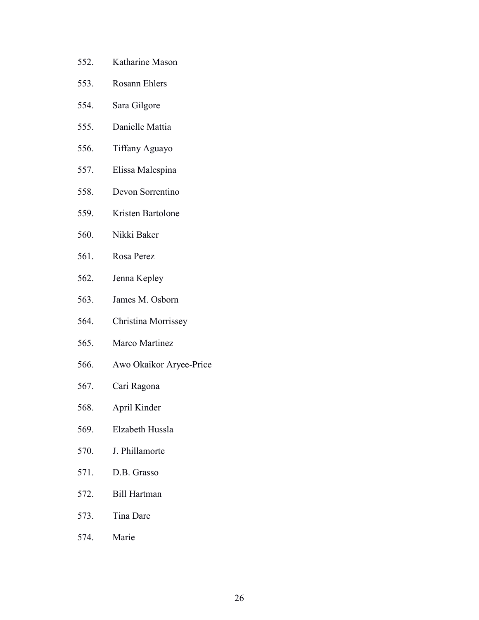- 552. Katharine Mason
- 553. Rosann Ehlers
- 554. Sara Gilgore
- 555. Danielle Mattia
- 556. Tiffany Aguayo
- 557. Elissa Malespina
- 558. Devon Sorrentino
- 559. Kristen Bartolone
- 560. Nikki Baker
- 561. Rosa Perez
- 562. Jenna Kepley
- 563. James M. Osborn
- 564. Christina Morrissey
- 565. Marco Martinez
- 566. Awo Okaikor Aryee-Price
- 567. Cari Ragona
- 568. April Kinder
- 569. Elzabeth Hussla
- 570. J. Phillamorte
- 571. D.B. Grasso
- 572. Bill Hartman
- 573. Tina Dare
- 574. Marie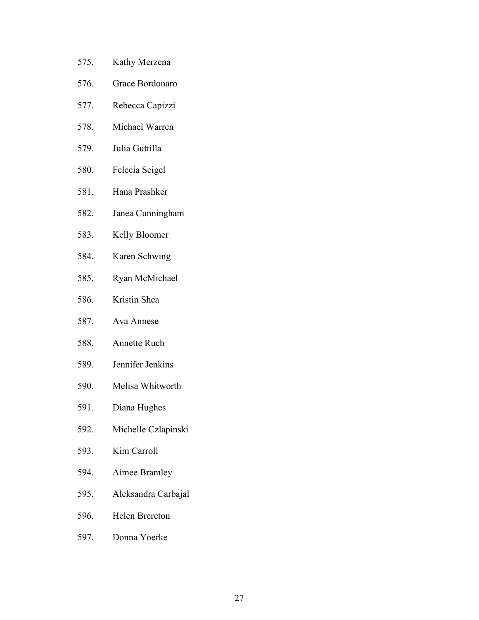- 575. Kathy Merzena
- 576. Grace Bordonaro
- 577. Rebecca Capizzi
- 578. Michael Warren
- 579. Julia Guttilla
- 580. Felecia Seigel
- 581. Hana Prashker
- 582. Janea Cunningham
- 583. Kelly Bloomer
- 584. Karen Schwing
- 585. Ryan McMichael
- 586. Kristin Shea
- 587. Ava Annese
- 588. Annette Ruch
- 589. Jennifer Jenkins
- 590. Melisa Whitworth
- 591. Diana Hughes
- 592. Michelle Czlapinski
- 593. Kim Carroll
- 594. Aimee Bramley
- 595. Aleksandra Carbajal
- 596. Helen Brereton
- 597. Donna Yoerke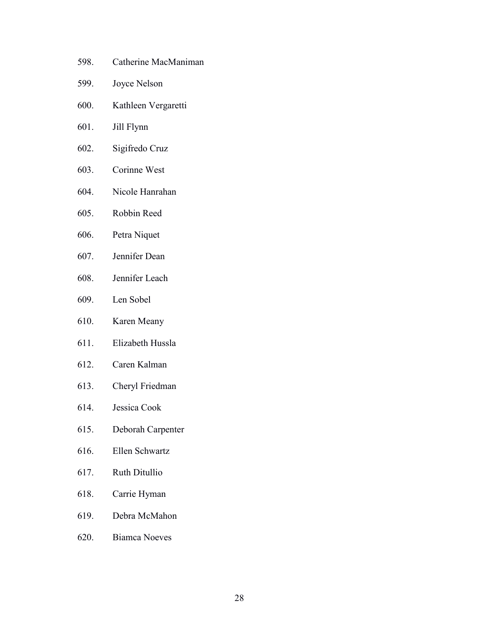- 598. Catherine MacManiman
- 599. Joyce Nelson
- 600. Kathleen Vergaretti
- 601. Jill Flynn
- 602. Sigifredo Cruz
- 603. Corinne West
- 604. Nicole Hanrahan
- 605. Robbin Reed
- 606. Petra Niquet
- 607. Jennifer Dean
- 608. Jennifer Leach
- 609. Len Sobel
- 610. Karen Meany
- 611. Elizabeth Hussla
- 612. Caren Kalman
- 613. Cheryl Friedman
- 614. Jessica Cook
- 615. Deborah Carpenter
- 616. Ellen Schwartz
- 617. Ruth Ditullio
- 618. Carrie Hyman
- 619. Debra McMahon
- 620. Biamca Noeves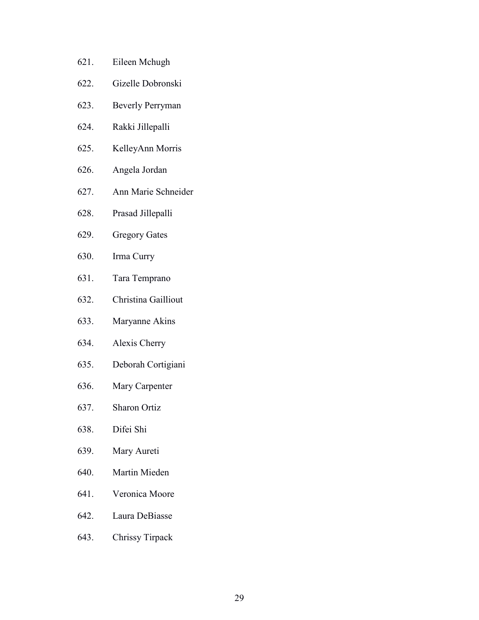- 621. Eileen Mchugh
- 622. Gizelle Dobronski
- 623. Beverly Perryman
- 624. Rakki Jillepalli
- 625. KelleyAnn Morris
- 626. Angela Jordan
- 627. Ann Marie Schneider
- 628. Prasad Jillepalli
- 629. Gregory Gates
- 630. Irma Curry
- 631. Tara Temprano
- 632. Christina Gailliout
- 633. Maryanne Akins
- 634. Alexis Cherry
- 635. Deborah Cortigiani
- 636. Mary Carpenter
- 637. Sharon Ortiz
- 638. Difei Shi
- 639. Mary Aureti
- 640. Martin Mieden
- 641. Veronica Moore
- 642. Laura DeBiasse
- 643. Chrissy Tirpack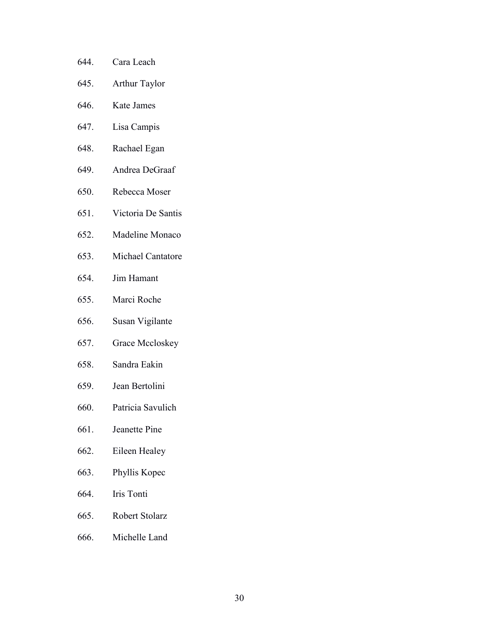- 644. Cara Leach
- 645. Arthur Taylor
- 646. Kate James
- 647. Lisa Campis
- 648. Rachael Egan
- 649. Andrea DeGraaf
- 650. Rebecca Moser
- 651. Victoria De Santis
- 652. Madeline Monaco
- 653. Michael Cantatore
- 654. Jim Hamant
- 655. Marci Roche
- 656. Susan Vigilante
- 657. Grace Mccloskey
- 658. Sandra Eakin
- 659. Jean Bertolini
- 660. Patricia Savulich
- 661. Jeanette Pine
- 662. Eileen Healey
- 663. Phyllis Kopec
- 664. Iris Tonti
- 665. Robert Stolarz
- 666. Michelle Land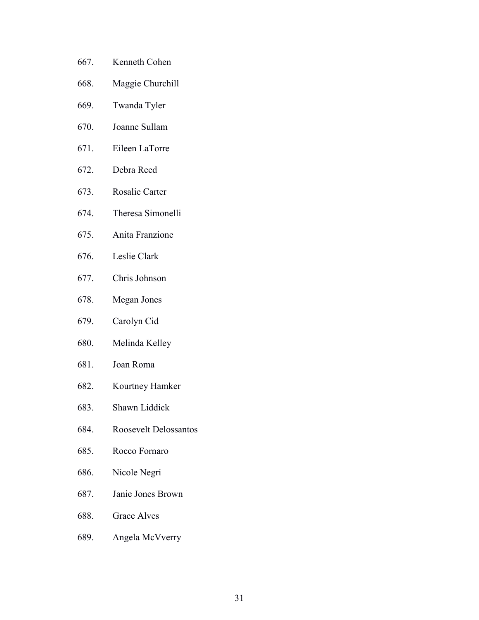- 667. Kenneth Cohen
- 668. Maggie Churchill
- 669. Twanda Tyler
- 670. Joanne Sullam
- 671. Eileen LaTorre
- 672. Debra Reed
- 673. Rosalie Carter
- 674. Theresa Simonelli
- 675. Anita Franzione
- 676. Leslie Clark
- 677. Chris Johnson
- 678. Megan Jones
- 679. Carolyn Cid
- 680. Melinda Kelley
- 681. Joan Roma
- 682. Kourtney Hamker
- 683. Shawn Liddick
- 684. Roosevelt Delossantos
- 685. Rocco Fornaro
- 686. Nicole Negri
- 687. Janie Jones Brown
- 688. Grace Alves
- 689. Angela McVverry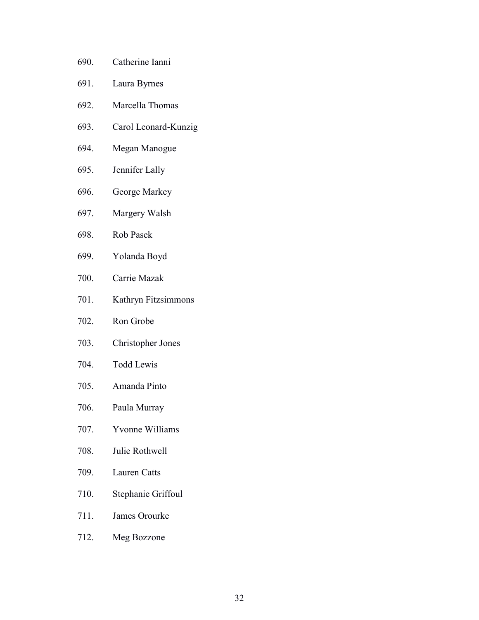- 690. Catherine Ianni
- 691. Laura Byrnes
- 692. Marcella Thomas
- 693. Carol Leonard-Kunzig
- 694. Megan Manogue
- 695. Jennifer Lally
- 696. George Markey
- 697. Margery Walsh
- 698. Rob Pasek
- 699. Yolanda Boyd
- 700. Carrie Mazak
- 701. Kathryn Fitzsimmons
- 702. Ron Grobe
- 703. Christopher Jones
- 704. Todd Lewis
- 705. Amanda Pinto
- 706. Paula Murray
- 707. Yvonne Williams
- 708. Julie Rothwell
- 709. Lauren Catts
- 710. Stephanie Griffoul
- 711. James Orourke
- 712. Meg Bozzone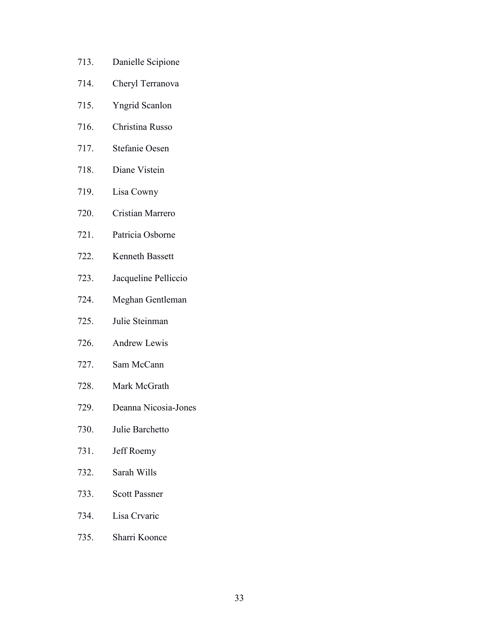- 713. Danielle Scipione
- 714. Cheryl Terranova
- 715. Yngrid Scanlon
- 716. Christina Russo
- 717. Stefanie Oesen
- 718. Diane Vistein
- 719. Lisa Cowny
- 720. Cristian Marrero
- 721. Patricia Osborne
- 722. Kenneth Bassett
- 723. Jacqueline Pelliccio
- 724. Meghan Gentleman
- 725. Julie Steinman
- 726. Andrew Lewis
- 727. Sam McCann
- 728. Mark McGrath
- 729. Deanna Nicosia-Jones
- 730. Julie Barchetto
- 731. Jeff Roemy
- 732. Sarah Wills
- 733. Scott Passner
- 734. Lisa Crvaric
- 735. Sharri Koonce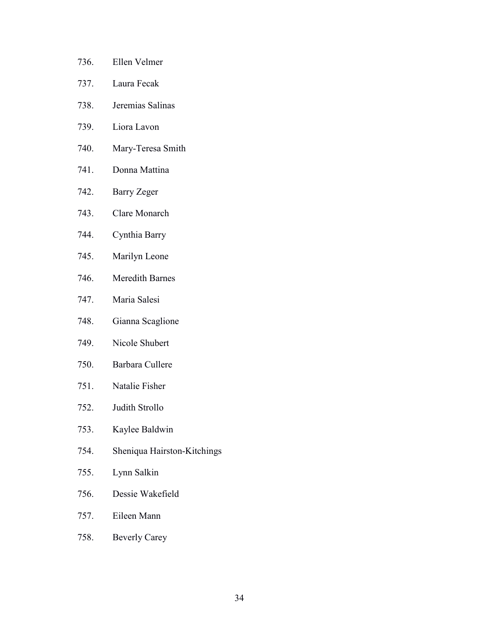- 736. Ellen Velmer
- 737. Laura Fecak
- 738. Jeremias Salinas
- 739. Liora Lavon
- 740. Mary-Teresa Smith
- 741. Donna Mattina
- 742. Barry Zeger
- 743. Clare Monarch
- 744. Cynthia Barry
- 745. Marilyn Leone
- 746. Meredith Barnes
- 747. Maria Salesi
- 748. Gianna Scaglione
- 749. Nicole Shubert
- 750. Barbara Cullere
- 751. Natalie Fisher
- 752. Judith Strollo
- 753. Kaylee Baldwin
- 754. Sheniqua Hairston-Kitchings
- 755. Lynn Salkin
- 756. Dessie Wakefield
- 757. Eileen Mann
- 758. Beverly Carey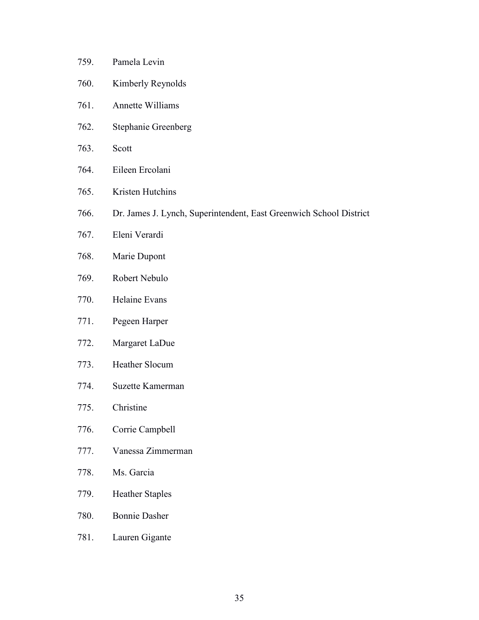- 759. Pamela Levin
- 760. Kimberly Reynolds
- 761. Annette Williams
- 762. Stephanie Greenberg
- 763. Scott
- 764. Eileen Ercolani
- 765. Kristen Hutchins
- 766. Dr. James J. Lynch, Superintendent, East Greenwich School District
- 767. Eleni Verardi
- 768. Marie Dupont
- 769. Robert Nebulo
- 770. Helaine Evans
- 771. Pegeen Harper
- 772. Margaret LaDue
- 773. Heather Slocum
- 774. Suzette Kamerman
- 775. Christine
- 776. Corrie Campbell
- 777. Vanessa Zimmerman
- 778. Ms. Garcia
- 779. Heather Staples
- 780. Bonnie Dasher
- 781. Lauren Gigante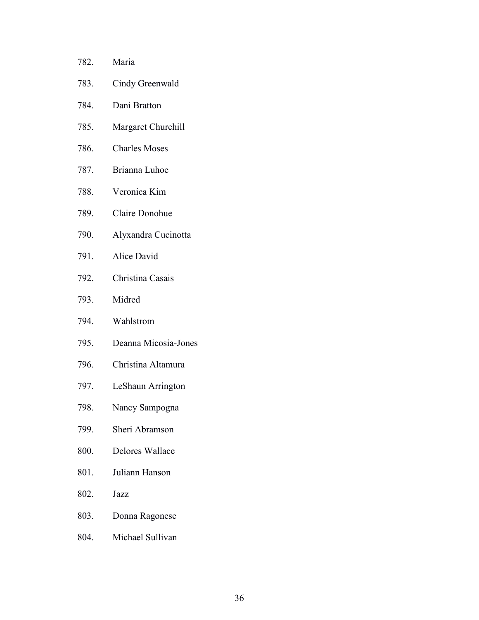| 782. | Maria                |
|------|----------------------|
| 783. | Cindy Greenwald      |
| 784. | Dani Bratton         |
| 785. | Margaret Churchill   |
| 786. | <b>Charles Moses</b> |
| 787. | Brianna Luhoe        |
| 788. | Veronica Kim         |
| 789. | Claire Donohue       |
| 790. | Alyxandra Cucinotta  |
| 791. | Alice David          |
| 792. | Christina Casais     |
| 793. | Midred               |
| 794. | Wahlstrom            |
| 795. | Deanna Micosia-Jones |
| 796. | Christina Altamura   |
| 797. | LeShaun Arrington    |
| 798. | Nancy Sampogna       |
| 799. | Sheri Abramson       |
| 800. | Delores Wallace      |
|      | 801. Juliann Hanson  |
| 802. | Jazz                 |
| 803. | Donna Ragonese       |
| 804. | Michael Sullivan     |
|      |                      |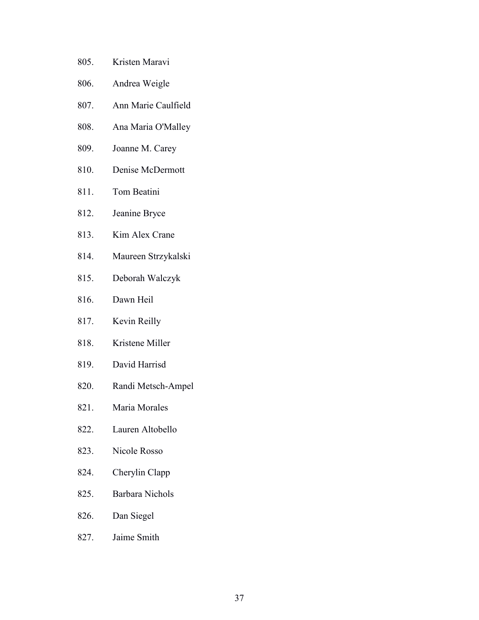- 805. Kristen Maravi
- 806. Andrea Weigle
- 807. Ann Marie Caulfield
- 808. Ana Maria O'Malley
- 809. Joanne M. Carey
- 810. Denise McDermott
- 811. Tom Beatini
- 812. Jeanine Bryce
- 813. Kim Alex Crane
- 814. Maureen Strzykalski
- 815. Deborah Walczyk
- 816. Dawn Heil
- 817. Kevin Reilly
- 818. Kristene Miller
- 819. David Harrisd
- 820. Randi Metsch-Ampel
- 821. Maria Morales
- 822. Lauren Altobello
- 823. Nicole Rosso
- 824. Cherylin Clapp
- 825. Barbara Nichols
- 826. Dan Siegel
- 827. Jaime Smith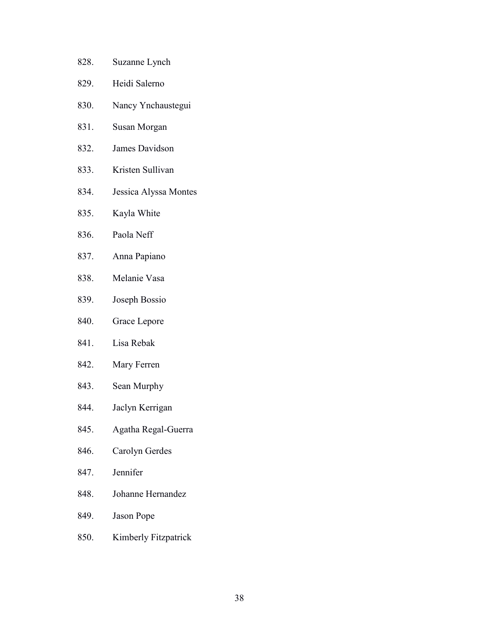- 828. Suzanne Lynch
- 829. Heidi Salerno
- 830. Nancy Ynchaustegui
- 831. Susan Morgan
- 832. James Davidson
- 833. Kristen Sullivan
- 834. Jessica Alyssa Montes
- 835. Kayla White
- 836. Paola Neff
- 837. Anna Papiano
- 838. Melanie Vasa
- 839. Joseph Bossio
- 840. Grace Lepore
- 841. Lisa Rebak
- 842. Mary Ferren
- 843. Sean Murphy
- 844. Jaclyn Kerrigan
- 845. Agatha Regal-Guerra
- 846. Carolyn Gerdes
- 847. Jennifer
- 848. Johanne Hernandez
- 849. Jason Pope
- 850. Kimberly Fitzpatrick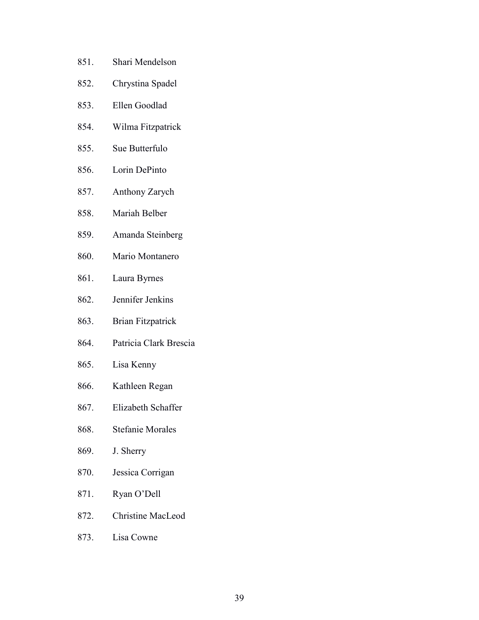- 851. Shari Mendelson
- 852. Chrystina Spadel
- 853. Ellen Goodlad
- 854. Wilma Fitzpatrick
- 855. Sue Butterfulo
- 856. Lorin DePinto
- 857. Anthony Zarych
- 858. Mariah Belber
- 859. Amanda Steinberg
- 860. Mario Montanero
- 861. Laura Byrnes
- 862. Jennifer Jenkins
- 863. Brian Fitzpatrick
- 864. Patricia Clark Brescia
- 865. Lisa Kenny
- 866. Kathleen Regan
- 867. Elizabeth Schaffer
- 868. Stefanie Morales
- 869. J. Sherry
- 870. Jessica Corrigan
- 871. Ryan O'Dell
- 872. Christine MacLeod
- 873. Lisa Cowne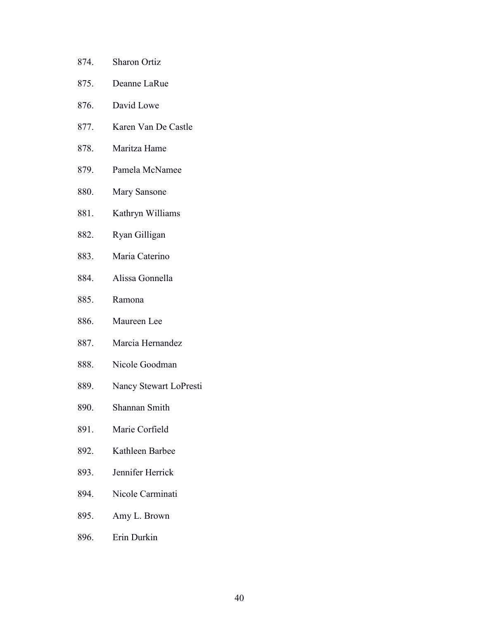- 875. Deanne LaRue
- 876. David Lowe
- 877. Karen Van De Castle
- 878. Maritza Hame
- 879. Pamela McNamee
- 880. Mary Sansone
- 881. Kathryn Williams
- 882. Ryan Gilligan
- 883. Maria Caterino
- 884. Alissa Gonnella
- 885. Ramona
- 886. Maureen Lee
- 887. Marcia Hernandez
- 888. Nicole Goodman
- 889. Nancy Stewart LoPresti
- 890. Shannan Smith
- 891. Marie Corfield
- 892. Kathleen Barbee
- 893. Jennifer Herrick
- 894. Nicole Carminati
- 895. Amy L. Brown
- 896. Erin Durkin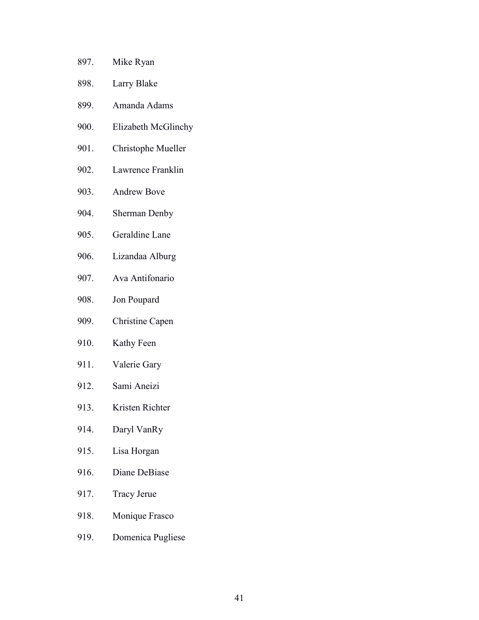- 897. Mike Ryan
- 898. Larry Blake
- 899. Amanda Adams
- 900. Elizabeth McGlinchy
- 901. Christophe Mueller
- 902. Lawrence Franklin
- 903. Andrew Bove
- 904. Sherman Denby
- 905. Geraldine Lane
- 906. Lizandaa Alburg
- 907. Ava Antifonario
- 908. Jon Poupard
- 909. Christine Capen
- 910. Kathy Feen
- 911. Valerie Gary
- 912. Sami Aneizi
- 913. Kristen Richter
- 914. Daryl VanRy
- 915. Lisa Horgan
- 916. Diane DeBiase
- 917. Tracy Jerue
- 918. Monique Frasco
- 919. Domenica Pugliese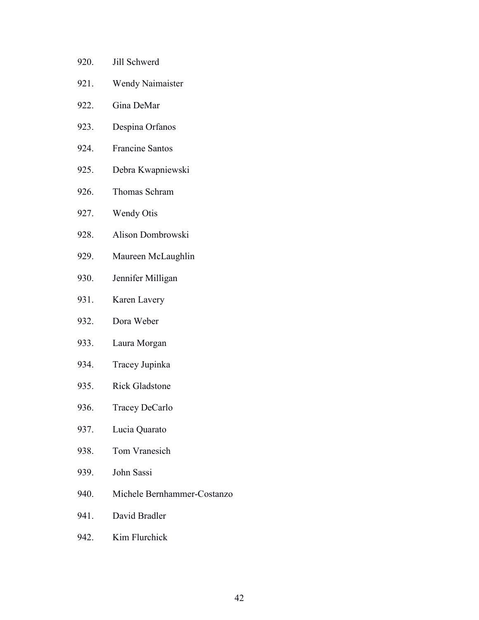| 920. | Jill Schwerd            |
|------|-------------------------|
| 921. | <b>Wendy Naimaister</b> |
| 922. | Gina DeMar              |
| 923. | Despina Orfanos         |
| 924. | <b>Francine Santos</b>  |
| 925. | Debra Kwapniewski       |
| 926. | Thomas Schram           |
| 927. | <b>Wendy Otis</b>       |
| 928. | Alison Dombrowski       |
| 929. | Maureen McLaughlin      |

- 930. Jennifer Milligan
- 931. Karen Lavery
- 932. Dora Weber
- 933. Laura Morgan
- 934. Tracey Jupinka
- 935. Rick Gladstone
- 936. Tracey DeCarlo
- 937. Lucia Quarato
- 938. Tom Vranesich
- 939. John Sassi
- 940. Michele Bernhammer-Costanzo
- 941. David Bradler
- 942. Kim Flurchick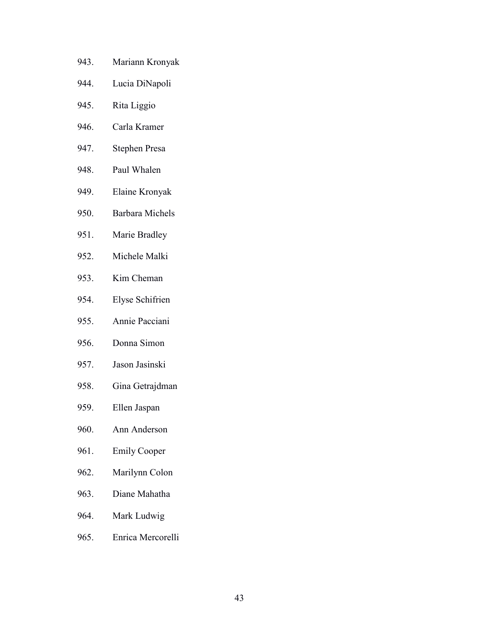- 943. Mariann Kronyak
- 944. Lucia DiNapoli
- 945. Rita Liggio
- 946. Carla Kramer
- 947. Stephen Presa
- 948. Paul Whalen
- 949. Elaine Kronyak
- 950. Barbara Michels
- 951. Marie Bradley
- 952. Michele Malki
- 953. Kim Cheman
- 954. Elyse Schifrien
- 955. Annie Pacciani
- 956. Donna Simon
- 957. Jason Jasinski
- 958. Gina Getrajdman
- 959. Ellen Jaspan
- 960. Ann Anderson
- 961. Emily Cooper
- 962. Marilynn Colon
- 963. Diane Mahatha
- 964. Mark Ludwig
- 965. Enrica Mercorelli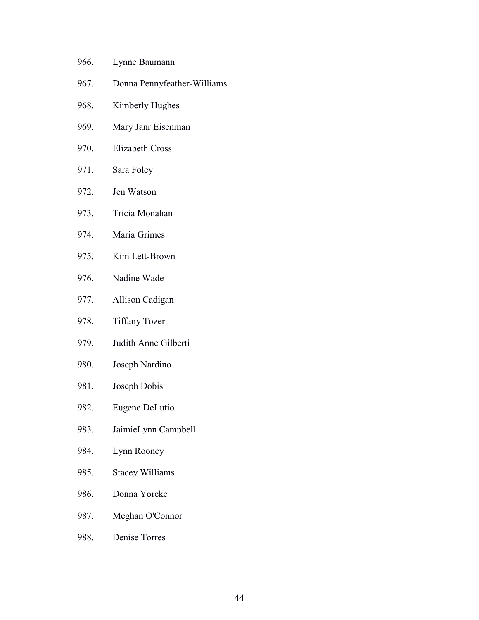- 966. Lynne Baumann
- 967. Donna Pennyfeather-Williams
- 968. Kimberly Hughes
- 969. Mary Janr Eisenman
- 970. Elizabeth Cross
- 971. Sara Foley
- 972. Jen Watson
- 973. Tricia Monahan
- 974. Maria Grimes
- 975. Kim Lett-Brown
- 976. Nadine Wade
- 977. Allison Cadigan
- 978. Tiffany Tozer
- 979. Judith Anne Gilberti
- 980. Joseph Nardino
- 981. Joseph Dobis
- 982. Eugene DeLutio
- 983. JaimieLynn Campbell
- 984. Lynn Rooney
- 985. Stacey Williams
- 986. Donna Yoreke
- 987. Meghan O'Connor
- 988. Denise Torres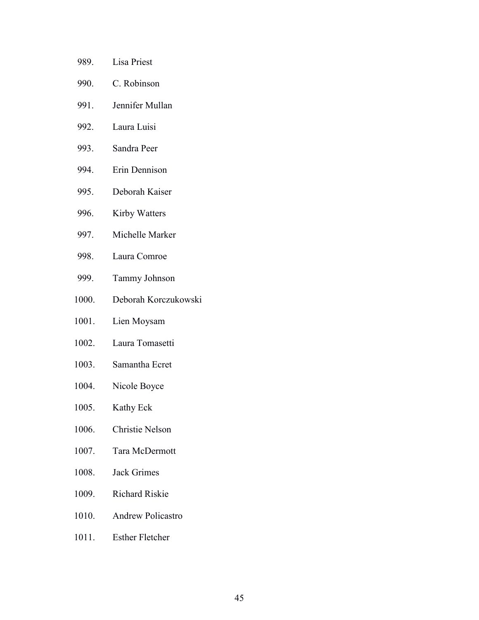- 989. Lisa Priest
- 990. C. Robinson
- 991. Jennifer Mullan
- 992. Laura Luisi
- 993. Sandra Peer
- 994. Erin Dennison
- 995. Deborah Kaiser
- 996. Kirby Watters
- 997. Michelle Marker
- 998. Laura Comroe
- 999. Tammy Johnson
- 1000. Deborah Korczukowski
- 1001. Lien Moysam
- 1002. Laura Tomasetti
- 1003. Samantha Ecret
- 1004. Nicole Boyce
- 1005. Kathy Eck
- 1006. Christie Nelson
- 1007. Tara McDermott
- 1008. Jack Grimes
- 1009. Richard Riskie
- 1010. Andrew Policastro
- 1011. Esther Fletcher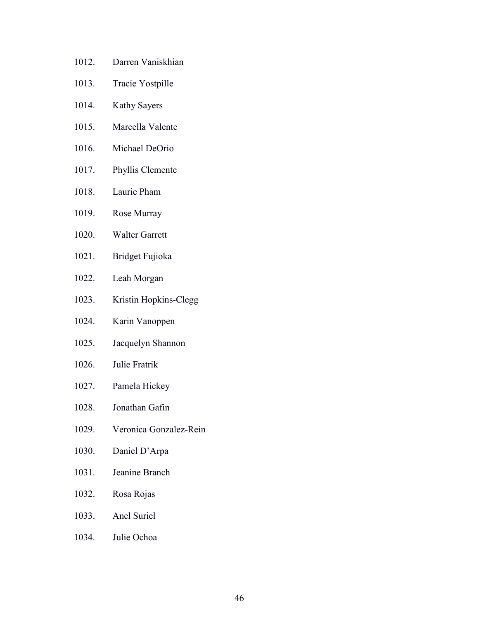- 1012. Darren Vaniskhian
- 1013. Tracie Yostpille
- 1014. Kathy Sayers
- 1015. Marcella Valente
- 1016. Michael DeOrio
- 1017. Phyllis Clemente
- 1018. Laurie Pham
- 1019. Rose Murray
- 1020. Walter Garrett
- 1021. Bridget Fujioka
- 1022. Leah Morgan
- 1023. Kristin Hopkins-Clegg
- 1024. Karin Vanoppen
- 1025. Jacquelyn Shannon
- 1026. Julie Fratrik
- 1027. Pamela Hickey
- 1028. Jonathan Gafin
- 1029. Veronica Gonzalez-Rein
- 1030. Daniel D'Arpa
- 1031. Jeanine Branch
- 1032. Rosa Rojas
- 1033. Anel Suriel
- 1034. Julie Ochoa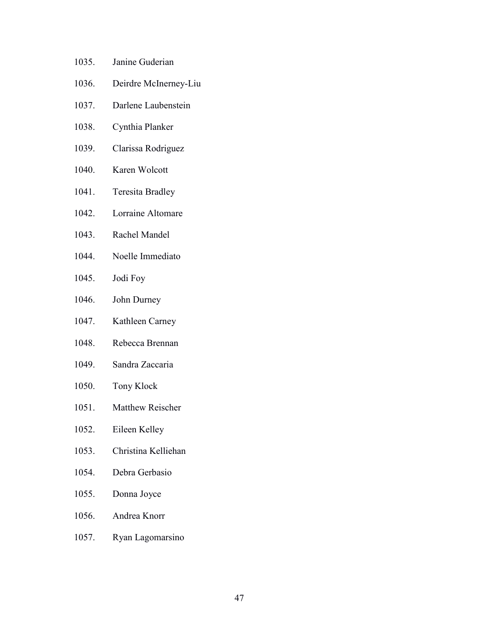- 1035. Janine Guderian
- 1036. Deirdre McInerney-Liu
- 1037. Darlene Laubenstein
- 1038. Cynthia Planker
- 1039. Clarissa Rodriguez
- 1040. Karen Wolcott
- 1041. Teresita Bradley
- 1042. Lorraine Altomare
- 1043. Rachel Mandel
- 1044. Noelle Immediato
- 1045. Jodi Foy
- 1046. John Durney
- 1047. Kathleen Carney
- 1048. Rebecca Brennan
- 1049. Sandra Zaccaria
- 1050. Tony Klock
- 1051. Matthew Reischer
- 1052. Eileen Kelley
- 1053. Christina Kelliehan
- 1054. Debra Gerbasio
- 1055. Donna Joyce
- 1056. Andrea Knorr
- 1057. Ryan Lagomarsino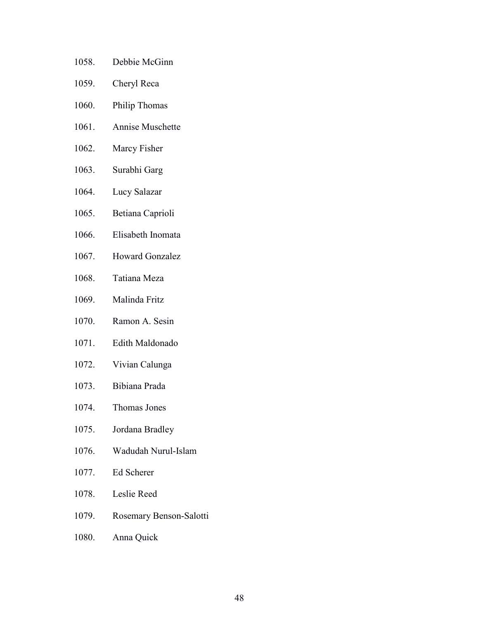- 1058. Debbie McGinn
- 1059. Cheryl Reca
- 1060. Philip Thomas
- 1061. Annise Muschette
- 1062. Marcy Fisher
- 1063. Surabhi Garg
- 1064. Lucy Salazar
- 1065. Betiana Caprioli
- 1066. Elisabeth Inomata
- 1067. Howard Gonzalez
- 1068. Tatiana Meza
- 1069. Malinda Fritz
- 1070. Ramon A. Sesin
- 1071. Edith Maldonado
- 1072. Vivian Calunga
- 1073. Bibiana Prada
- 1074. Thomas Jones
- 1075. Jordana Bradley
- 1076. Wadudah Nurul-Islam
- 1077. Ed Scherer
- 1078. Leslie Reed
- 1079. Rosemary Benson-Salotti
- 1080. Anna Quick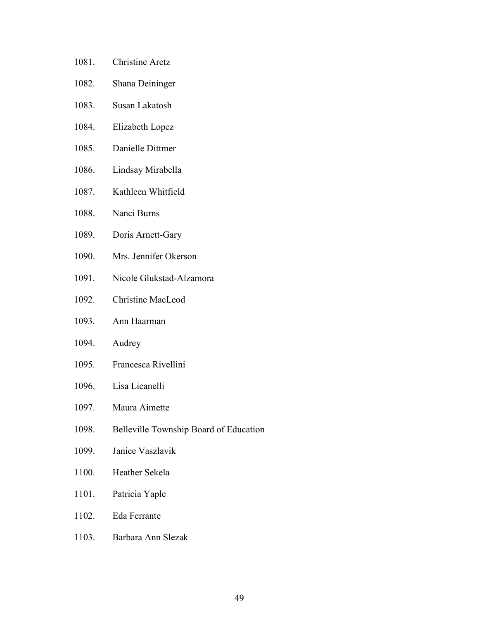- 1081. Christine Aretz
- 1082. Shana Deininger
- 1083. Susan Lakatosh
- 1084. Elizabeth Lopez
- 1085. Danielle Dittmer
- 1086. Lindsay Mirabella
- 1087. Kathleen Whitfield
- 1088. Nanci Burns
- 1089. Doris Arnett-Gary
- 1090. Mrs. Jennifer Okerson
- 1091. Nicole Glukstad-Alzamora
- 1092. Christine MacLeod
- 1093. Ann Haarman
- 1094. Audrey
- 1095. Francesca Rivellini
- 1096. Lisa Licanelli
- 1097. Maura Aimette
- 1098. Belleville Township Board of Education
- 1099. Janice Vaszlavik
- 1100. Heather Sekela
- 1101. Patricia Yaple
- 1102. Eda Ferrante
- 1103. Barbara Ann Slezak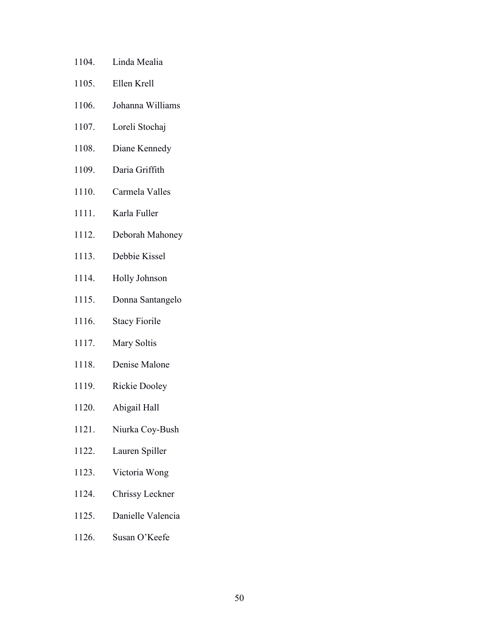- 1104. Linda Mealia
- 1105. Ellen Krell
- 1106. Johanna Williams
- 1107. Loreli Stochaj
- 1108. Diane Kennedy
- 1109. Daria Griffith
- 1110. Carmela Valles
- 1111. Karla Fuller
- 1112. Deborah Mahoney
- 1113. Debbie Kissel
- 1114. Holly Johnson
- 1115. Donna Santangelo
- 1116. Stacy Fiorile
- 1117. Mary Soltis
- 1118. Denise Malone
- 1119. Rickie Dooley
- 1120. Abigail Hall
- 1121. Niurka Coy-Bush
- 1122. Lauren Spiller
- 1123. Victoria Wong
- 1124. Chrissy Leckner
- 1125. Danielle Valencia
- 1126. Susan O'Keefe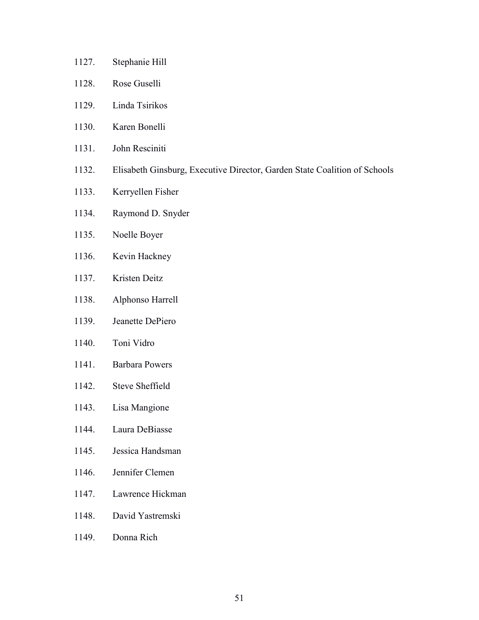- 1127. Stephanie Hill
- 1128. Rose Guselli
- 1129. Linda Tsirikos
- 1130. Karen Bonelli
- 1131. John Resciniti
- 1132. Elisabeth Ginsburg, Executive Director, Garden State Coalition of Schools
- 1133. Kerryellen Fisher
- 1134. Raymond D. Snyder
- 1135. Noelle Boyer
- 1136. Kevin Hackney
- 1137. Kristen Deitz
- 1138. Alphonso Harrell
- 1139. Jeanette DePiero
- 1140. Toni Vidro
- 1141. Barbara Powers
- 1142. Steve Sheffield
- 1143. Lisa Mangione
- 1144. Laura DeBiasse
- 1145. Jessica Handsman
- 1146. Jennifer Clemen
- 1147. Lawrence Hickman
- 1148. David Yastremski
- 1149. Donna Rich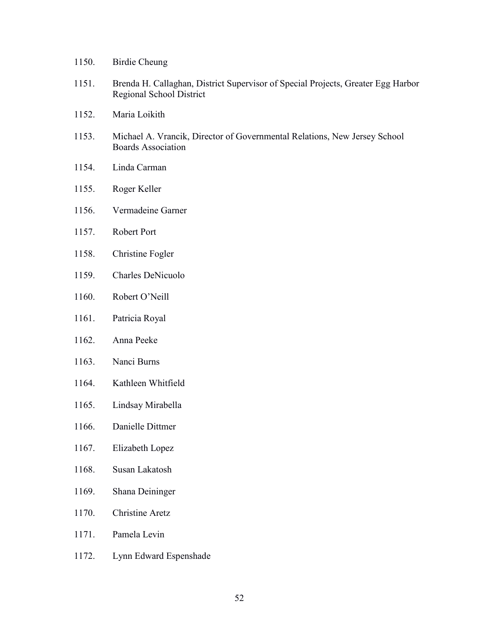- 1150. Birdie Cheung
- 1151. Brenda H. Callaghan, District Supervisor of Special Projects, Greater Egg Harbor Regional School District
- 1152. Maria Loikith
- 1153. Michael A. Vrancik, Director of Governmental Relations, New Jersey School Boards Association
- 1154. Linda Carman
- 1155. Roger Keller
- 1156. Vermadeine Garner
- 1157. Robert Port
- 1158. Christine Fogler
- 1159. Charles DeNicuolo
- 1160. Robert O'Neill
- 1161. Patricia Royal
- 1162. Anna Peeke
- 1163. Nanci Burns
- 1164. Kathleen Whitfield
- 1165. Lindsay Mirabella
- 1166. Danielle Dittmer
- 1167. Elizabeth Lopez
- 1168. Susan Lakatosh
- 1169. Shana Deininger
- 1170. Christine Aretz
- 1171. Pamela Levin
- 1172. Lynn Edward Espenshade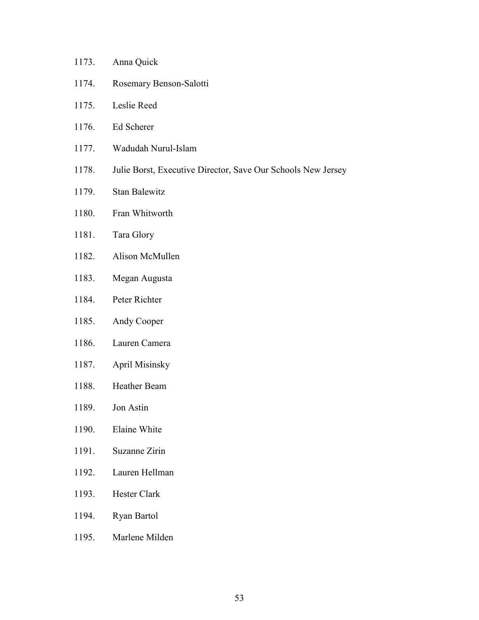| 1173. | Anna Quick                                                   |
|-------|--------------------------------------------------------------|
| 1174. | Rosemary Benson-Salotti                                      |
| 1175. | Leslie Reed                                                  |
| 1176. | Ed Scherer                                                   |
| 1177. | Wadudah Nurul-Islam                                          |
| 1178. | Julie Borst, Executive Director, Save Our Schools New Jersey |
| 1179. | <b>Stan Balewitz</b>                                         |
| 1180. | Fran Whitworth                                               |
| 1181. | Tara Glory                                                   |
| 1182. | Alison McMullen                                              |
| 1183. | Megan Augusta                                                |
| 1184. | Peter Richter                                                |
| 1185. | Andy Cooper                                                  |
| 1186. | Lauren Camera                                                |
| 1187. | <b>April Misinsky</b>                                        |
| 1188. | <b>Heather Beam</b>                                          |
| 1189. | Jon Astin                                                    |
| 1190. | Elaine White                                                 |
| 1191. | <b>Suzanne Zirin</b>                                         |
| 1192. | Lauren Hellman                                               |
| 1193. | Hester Clark                                                 |
| 1194. | Ryan Bartol                                                  |
| 1195. | Marlene Milden                                               |
|       |                                                              |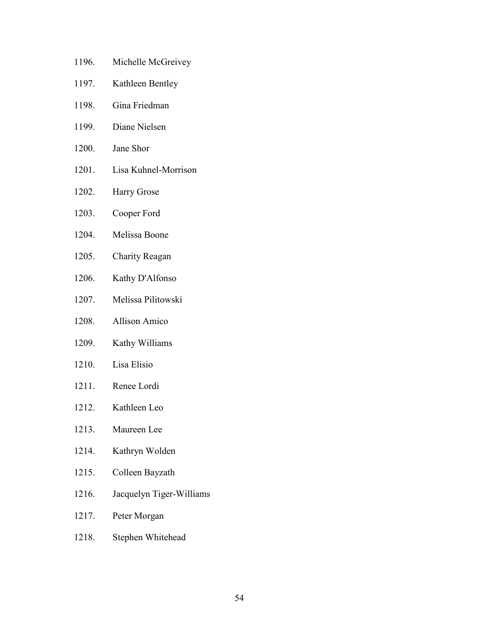- 1196. Michelle McGreivey
- 1197. Kathleen Bentley
- 1198. Gina Friedman
- 1199. Diane Nielsen
- 1200. Jane Shor
- 1201. Lisa Kuhnel-Morrison
- 1202. Harry Grose
- 1203. Cooper Ford
- 1204. Melissa Boone
- 1205. Charity Reagan
- 1206. Kathy D'Alfonso
- 1207. Melissa Pilitowski
- 1208. Allison Amico
- 1209. Kathy Williams
- 1210. Lisa Elisio
- 1211. Renee Lordi
- 1212. Kathleen Leo
- 1213. Maureen Lee
- 1214. Kathryn Wolden
- 1215. Colleen Bayzath
- 1216. Jacquelyn Tiger-Williams
- 1217. Peter Morgan
- 1218. Stephen Whitehead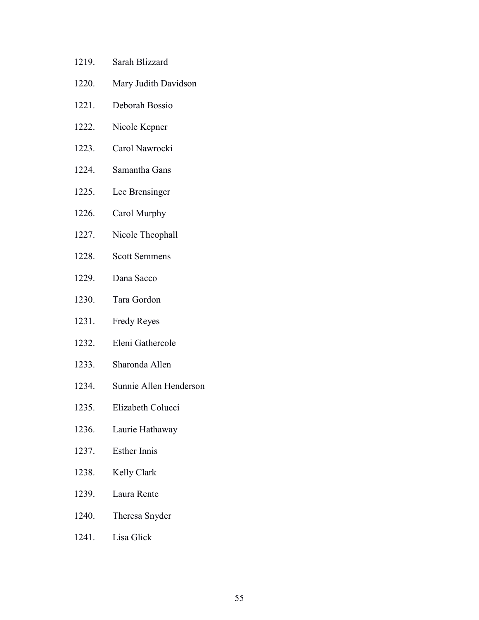- 1219. Sarah Blizzard
- 1220. Mary Judith Davidson
- 1221. Deborah Bossio
- 1222. Nicole Kepner
- 1223. Carol Nawrocki
- 1224. Samantha Gans
- 1225. Lee Brensinger
- 1226. Carol Murphy
- 1227. Nicole Theophall
- 1228. Scott Semmens
- 1229. Dana Sacco
- 1230. Tara Gordon
- 1231. Fredy Reyes
- 1232. Eleni Gathercole
- 1233. Sharonda Allen
- 1234. Sunnie Allen Henderson
- 1235. Elizabeth Colucci
- 1236. Laurie Hathaway
- 1237. Esther Innis
- 1238. Kelly Clark
- 1239. Laura Rente
- 1240. Theresa Snyder
- 1241. Lisa Glick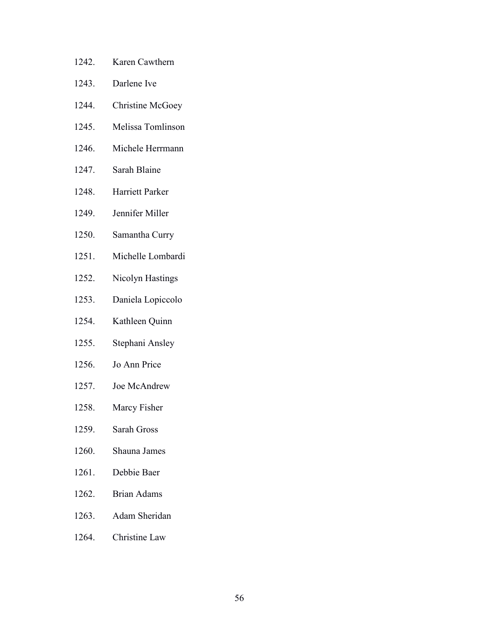- 1242. Karen Cawthern
- 1243. Darlene Ive
- 1244. Christine McGoey
- 1245. Melissa Tomlinson
- 1246. Michele Herrmann
- 1247. Sarah Blaine
- 1248. Harriett Parker
- 1249. Jennifer Miller
- 1250. Samantha Curry
- 1251. Michelle Lombardi
- 1252. Nicolyn Hastings
- 1253. Daniela Lopiccolo
- 1254. Kathleen Quinn
- 1255. Stephani Ansley
- 1256. Jo Ann Price
- 1257. Joe McAndrew
- 1258. Marcy Fisher
- 1259. Sarah Gross
- 1260. Shauna James
- 1261. Debbie Baer
- 1262. Brian Adams
- 1263. Adam Sheridan
- 1264. Christine Law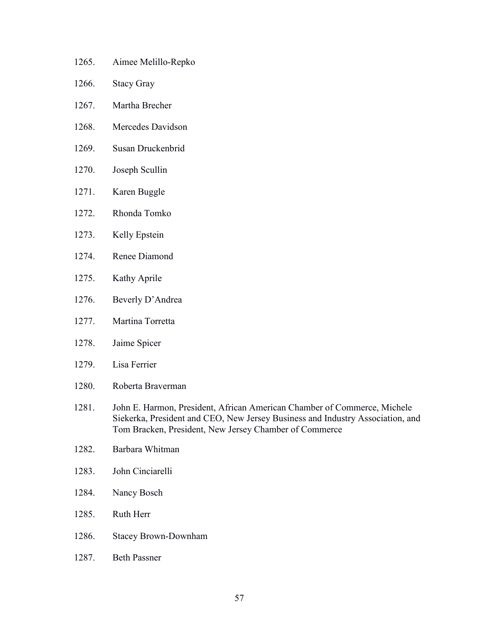- 1265. Aimee Melillo-Repko
- 1266. Stacy Gray
- 1267. Martha Brecher
- 1268. Mercedes Davidson
- 1269. Susan Druckenbrid
- 1270. Joseph Scullin
- 1271. Karen Buggle
- 1272. Rhonda Tomko
- 1273. Kelly Epstein
- 1274. Renee Diamond
- 1275. Kathy Aprile
- 1276. Beverly D'Andrea
- 1277. Martina Torretta
- 1278. Jaime Spicer
- 1279. Lisa Ferrier
- 1280. Roberta Braverman
- 1281. John E. Harmon, President, African American Chamber of Commerce, Michele Siekerka, President and CEO, New Jersey Business and Industry Association, and Tom Bracken, President, New Jersey Chamber of Commerce
- 1282. Barbara Whitman
- 1283. John Cinciarelli
- 1284. Nancy Bosch
- 1285. Ruth Herr
- 1286. Stacey Brown-Downham
- 1287. Beth Passner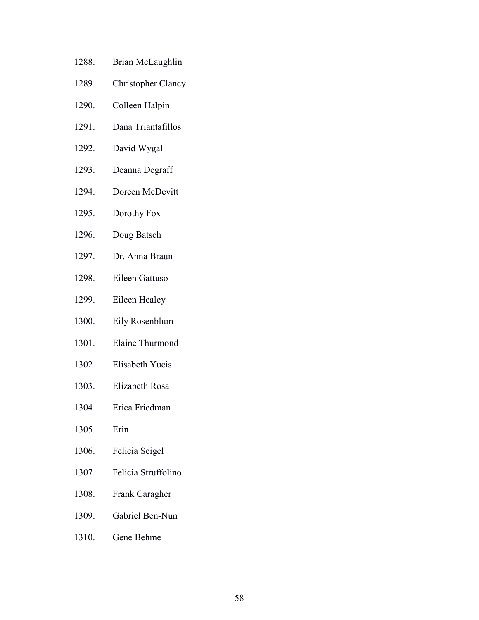- 1288. Brian McLaughlin
- 1289. Christopher Clancy
- 1290. Colleen Halpin
- 1291. Dana Triantafillos
- 1292. David Wygal
- 1293. Deanna Degraff
- 1294. Doreen McDevitt
- 1295. Dorothy Fox
- 1296. Doug Batsch
- 1297. Dr. Anna Braun
- 1298. Eileen Gattuso
- 1299. Eileen Healey
- 1300. Eily Rosenblum
- 1301. Elaine Thurmond
- 1302. Elisabeth Yucis
- 1303. Elizabeth Rosa
- 1304. Erica Friedman
- 1305. Erin
- 1306. Felicia Seigel
- 1307. Felicia Struffolino
- 1308. Frank Caragher
- 1309. Gabriel Ben-Nun
- 1310. Gene Behme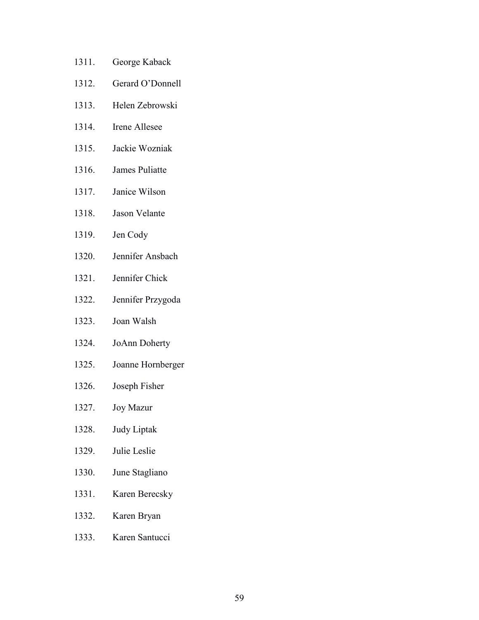- 1311. George Kaback
- 1312. Gerard O'Donnell
- 1313. Helen Zebrowski
- 1314. Irene Allesee
- 1315. Jackie Wozniak
- 1316. James Puliatte
- 1317. Janice Wilson
- 1318. Jason Velante
- 1319. Jen Cody
- 1320. Jennifer Ansbach
- 1321. Jennifer Chick
- 1322. Jennifer Przygoda
- 1323. Joan Walsh
- 1324. JoAnn Doherty
- 1325. Joanne Hornberger
- 1326. Joseph Fisher
- 1327. Joy Mazur
- 1328. Judy Liptak
- 1329. Julie Leslie
- 1330. June Stagliano
- 1331. Karen Berecsky
- 1332. Karen Bryan
- 1333. Karen Santucci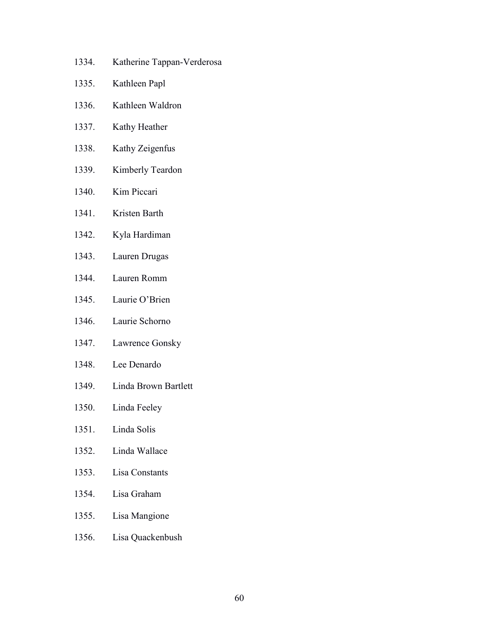- 1334. Katherine Tappan-Verderosa
- 1335. Kathleen Papl
- 1336. Kathleen Waldron
- 1337. Kathy Heather
- 1338. Kathy Zeigenfus
- 1339. Kimberly Teardon
- 1340. Kim Piccari
- 1341. Kristen Barth
- 1342. Kyla Hardiman
- 1343. Lauren Drugas
- 1344. Lauren Romm
- 1345. Laurie O'Brien
- 1346. Laurie Schorno
- 1347. Lawrence Gonsky
- 1348. Lee Denardo
- 1349. Linda Brown Bartlett
- 1350. Linda Feeley
- 1351. Linda Solis
- 1352. Linda Wallace
- 1353. Lisa Constants
- 1354. Lisa Graham
- 1355. Lisa Mangione
- 1356. Lisa Quackenbush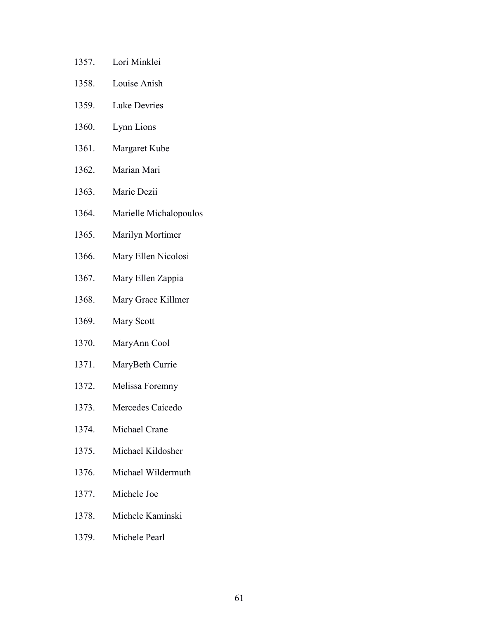- 1357. Lori Minklei
- 1358. Louise Anish
- 1359. Luke Devries
- 1360. Lynn Lions
- 1361. Margaret Kube
- 1362. Marian Mari
- 1363. Marie Dezii
- 1364. Marielle Michalopoulos
- 1365. Marilyn Mortimer
- 1366. Mary Ellen Nicolosi
- 1367. Mary Ellen Zappia
- 1368. Mary Grace Killmer
- 1369. Mary Scott
- 1370. MaryAnn Cool
- 1371. MaryBeth Currie
- 1372. Melissa Foremny
- 1373. Mercedes Caicedo
- 1374. Michael Crane
- 1375. Michael Kildosher
- 1376. Michael Wildermuth
- 1377. Michele Joe
- 1378. Michele Kaminski
- 1379. Michele Pearl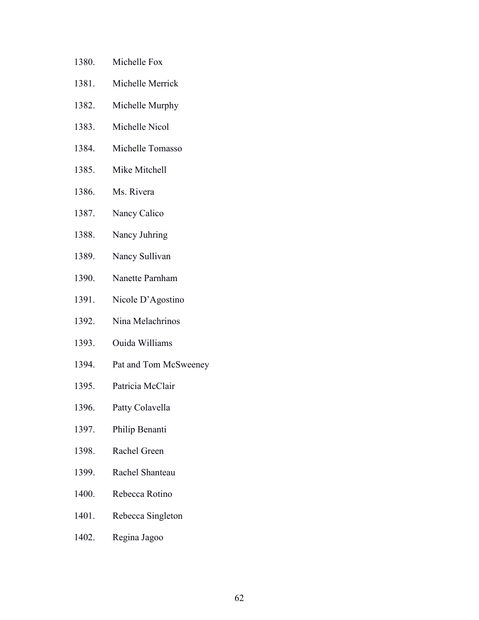- 1380. Michelle Fox
- 1381. Michelle Merrick
- 1382. Michelle Murphy
- 1383. Michelle Nicol
- 1384. Michelle Tomasso
- 1385. Mike Mitchell
- 1386. Ms. Rivera
- 1387. Nancy Calico
- 1388. Nancy Juhring
- 1389. Nancy Sullivan
- 1390. Nanette Parnham
- 1391. Nicole D'Agostino
- 1392. Nina Melachrinos
- 1393. Ouida Williams
- 1394. Pat and Tom McSweeney
- 1395. Patricia McClair
- 1396. Patty Colavella
- 1397. Philip Benanti
- 1398. Rachel Green
- 1399. Rachel Shanteau
- 1400. Rebecca Rotino
- 1401. Rebecca Singleton
- 1402. Regina Jagoo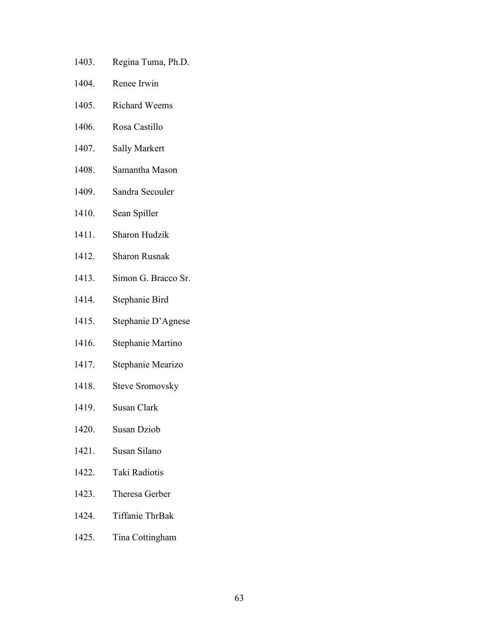- 1403. Regina Tuma, Ph.D.
- 1404. Renee Irwin
- 1405. Richard Weems
- 1406. Rosa Castillo
- 1407. Sally Markert
- 1408. Samantha Mason
- 1409. Sandra Secouler
- 1410. Sean Spiller
- 1411. Sharon Hudzik
- 1412. Sharon Rusnak
- 1413. Simon G. Bracco Sr.
- 1414. Stephanie Bird
- 1415. Stephanie D'Agnese
- 1416. Stephanie Martino
- 1417. Stephanie Mearizo
- 1418. Steve Sromovsky
- 1419. Susan Clark
- 1420. Susan Dziob
- 1421. Susan Silano
- 1422. Taki Radiotis
- 1423. Theresa Gerber
- 1424. Tiffanie ThrBak
- 1425. Tina Cottingham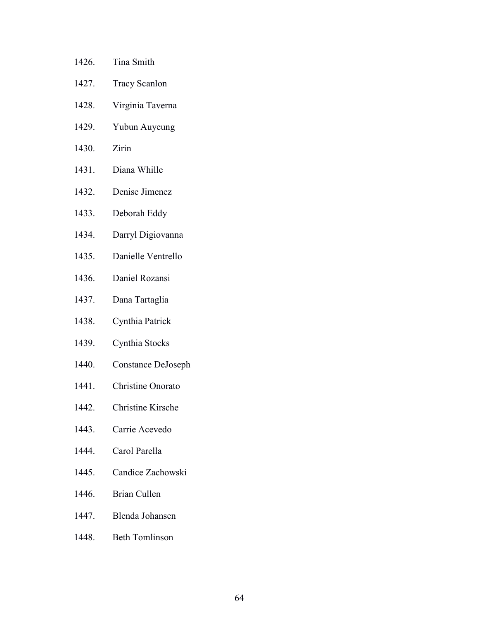- 1426. Tina Smith
- 1427. Tracy Scanlon
- 1428. Virginia Taverna
- 1429. Yubun Auyeung
- 1430. Zirin
- 1431. Diana Whille
- 1432. Denise Jimenez
- 1433. Deborah Eddy
- 1434. Darryl Digiovanna
- 1435. Danielle Ventrello
- 1436. Daniel Rozansi
- 1437. Dana Tartaglia
- 1438. Cynthia Patrick
- 1439. Cynthia Stocks
- 1440. Constance DeJoseph
- 1441. Christine Onorato
- 1442. Christine Kirsche
- 1443. Carrie Acevedo
- 1444. Carol Parella
- 1445. Candice Zachowski
- 1446. Brian Cullen
- 1447. Blenda Johansen
- 1448. Beth Tomlinson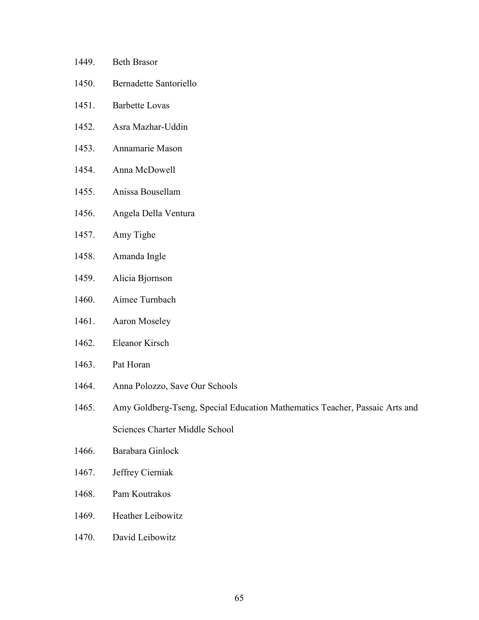- 1449. Beth Brasor
- 1450. Bernadette Santoriello
- 1451. Barbette Lovas
- 1452. Asra Mazhar-Uddin
- 1453. Annamarie Mason
- 1454. Anna McDowell
- 1455. Anissa Bousellam
- 1456. Angela Della Ventura
- 1457. Amy Tighe
- 1458. Amanda Ingle
- 1459. Alicia Bjornson
- 1460. Aimee Turnbach
- 1461. Aaron Moseley
- 1462. Eleanor Kirsch
- 1463. Pat Horan
- 1464. Anna Polozzo, Save Our Schools
- 1465. Amy Goldberg-Tseng, Special Education Mathematics Teacher, Passaic Arts and Sciences Charter Middle School
- 1466. Barabara Ginlock
- 1467. Jeffrey Cierniak
- 1468. Pam Koutrakos
- 1469. Heather Leibowitz
- 1470. David Leibowitz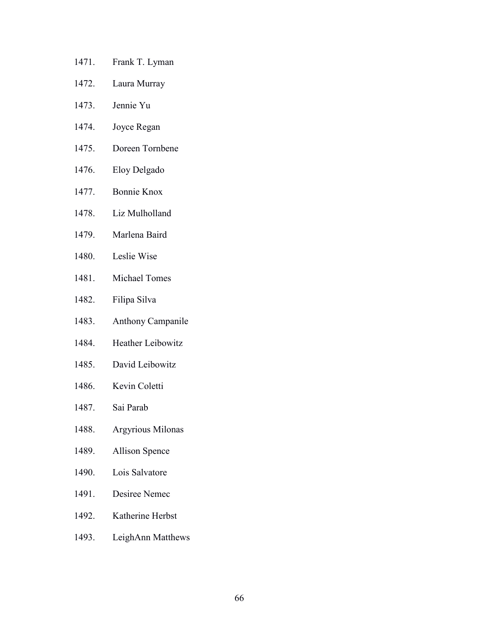- 1471. Frank T. Lyman
- 1472. Laura Murray
- 1473. Jennie Yu
- 1474. Joyce Regan
- 1475. Doreen Tornbene
- 1476. Eloy Delgado
- 1477. Bonnie Knox
- 1478. Liz Mulholland
- 1479. Marlena Baird
- 1480. Leslie Wise
- 1481. Michael Tomes
- 1482. Filipa Silva
- 1483. Anthony Campanile
- 1484. Heather Leibowitz
- 1485. David Leibowitz
- 1486. Kevin Coletti
- 1487. Sai Parab
- 1488. Argyrious Milonas
- 1489. Allison Spence
- 1490. Lois Salvatore
- 1491. Desiree Nemec
- 1492. Katherine Herbst
- 1493. LeighAnn Matthews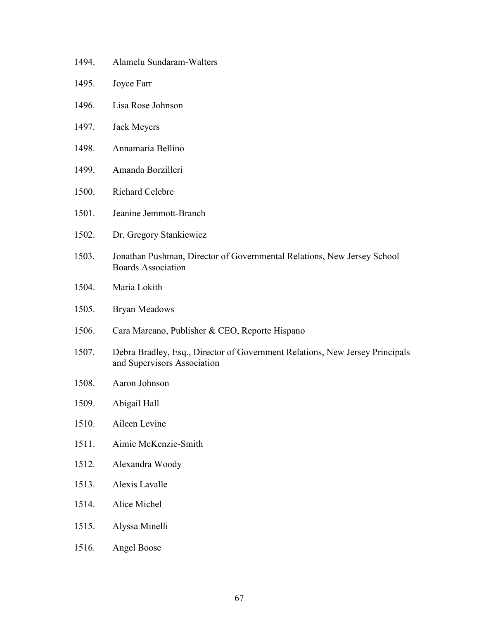- 1494. Alamelu Sundaram-Walters
- 1495. Joyce Farr
- 1496. Lisa Rose Johnson
- 1497. Jack Meyers
- 1498. Annamaria Bellino
- 1499. Amanda Borzilleri
- 1500. Richard Celebre
- 1501. Jeanine Jemmott-Branch
- 1502. Dr. Gregory Stankiewicz
- 1503. Jonathan Pushman, Director of Governmental Relations, New Jersey School Boards Association
- 1504. Maria Lokith
- 1505. Bryan Meadows
- 1506. Cara Marcano, Publisher & CEO, Reporte Hispano
- 1507. Debra Bradley, Esq., Director of Government Relations, New Jersey Principals and Supervisors Association
- 1508. Aaron Johnson
- 1509. Abigail Hall
- 1510. Aileen Levine
- 1511. Aimie McKenzie-Smith
- 1512. Alexandra Woody
- 1513. Alexis Lavalle
- 1514. Alice Michel
- 1515. Alyssa Minelli
- 1516. Angel Boose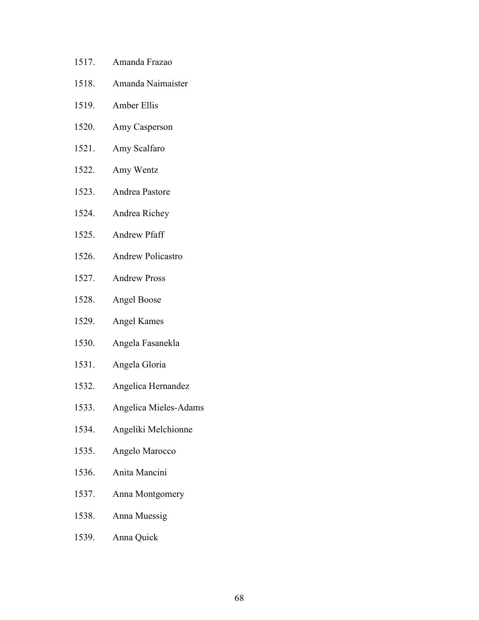- 1517. Amanda Frazao
- 1518. Amanda Naimaister
- 1519. Amber Ellis
- 1520. Amy Casperson
- 1521. Amy Scalfaro
- 1522. Amy Wentz
- 1523. Andrea Pastore
- 1524. Andrea Richey
- 1525. Andrew Pfaff
- 1526. Andrew Policastro
- 1527. Andrew Pross
- 1528. Angel Boose
- 1529. Angel Kames
- 1530. Angela Fasanekla
- 1531. Angela Gloria
- 1532. Angelica Hernandez
- 1533. Angelica Mieles-Adams
- 1534. Angeliki Melchionne
- 1535. Angelo Marocco
- 1536. Anita Mancini
- 1537. Anna Montgomery
- 1538. Anna Muessig
- 1539. Anna Quick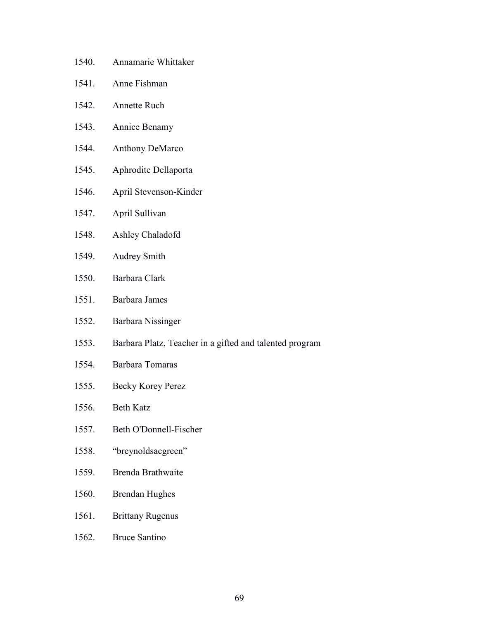- 1540. Annamarie Whittaker
- 1541. Anne Fishman
- 1542. Annette Ruch
- 1543. Annice Benamy
- 1544. Anthony DeMarco
- 1545. Aphrodite Dellaporta
- 1546. April Stevenson-Kinder
- 1547. April Sullivan
- 1548. Ashley Chaladofd
- 1549. Audrey Smith
- 1550. Barbara Clark
- 1551. Barbara James
- 1552. Barbara Nissinger
- 1553. Barbara Platz, Teacher in a gifted and talented program
- 1554. Barbara Tomaras
- 1555. Becky Korey Perez
- 1556. Beth Katz
- 1557. Beth O'Donnell-Fischer
- 1558. "breynoldsacgreen"
- 1559. Brenda Brathwaite
- 1560. Brendan Hughes
- 1561. Brittany Rugenus
- 1562. Bruce Santino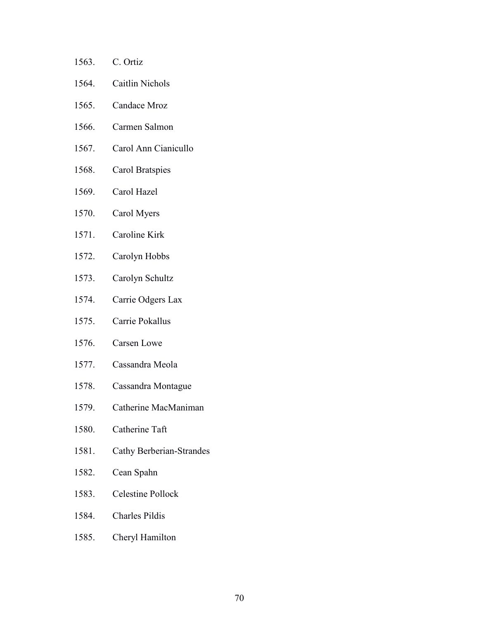| 1563. | C. Ortiz               |
|-------|------------------------|
| 1564. | <b>Caitlin Nichols</b> |
| 1565. | Candace Mroz           |
| 1566. | Carmen Salmon          |
| 1567. | Carol Ann Cianicullo   |
| 1568. | Carol Bratspies        |
| 1569. | Carol Hazel            |
| 1570. | Carol Myers            |
| 1571. | Caroline Kirk          |
| 1572. | Carolyn Hobbs          |
| 1573. | Carolyn Schultz        |
| 1574. | Carrie Odgers Lax      |
| 1575. | Carrie Pokallus        |
| 1576. | <b>Carsen Lowe</b>     |
| 1577. | Cassandra Meola        |
|       |                        |

- 1578. Cassandra Montague
- 1579. Catherine MacManiman
- 1580. Catherine Taft
- 1581. Cathy Berberian-Strandes
- 1582. Cean Spahn
- 1583. Celestine Pollock
- 1584. Charles Pildis
- 1585. Cheryl Hamilton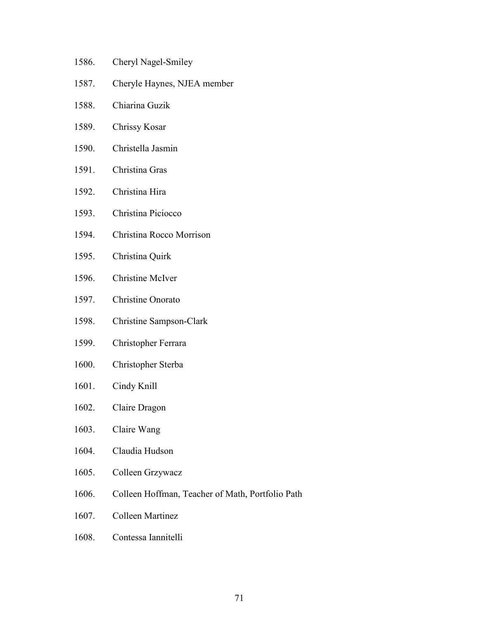- 1586. Cheryl Nagel-Smiley
- 1587. Cheryle Haynes, NJEA member
- 1588. Chiarina Guzik
- 1589. Chrissy Kosar
- 1590. Christella Jasmin
- 1591. Christina Gras
- 1592. Christina Hira
- 1593. Christina Piciocco
- 1594. Christina Rocco Morrison
- 1595. Christina Quirk
- 1596. Christine McIver
- 1597. Christine Onorato
- 1598. Christine Sampson-Clark
- 1599. Christopher Ferrara
- 1600. Christopher Sterba
- 1601. Cindy Knill
- 1602. Claire Dragon
- 1603. Claire Wang
- 1604. Claudia Hudson
- 1605. Colleen Grzywacz
- 1606. Colleen Hoffman, Teacher of Math, Portfolio Path
- 1607. Colleen Martinez
- 1608. Contessa Iannitelli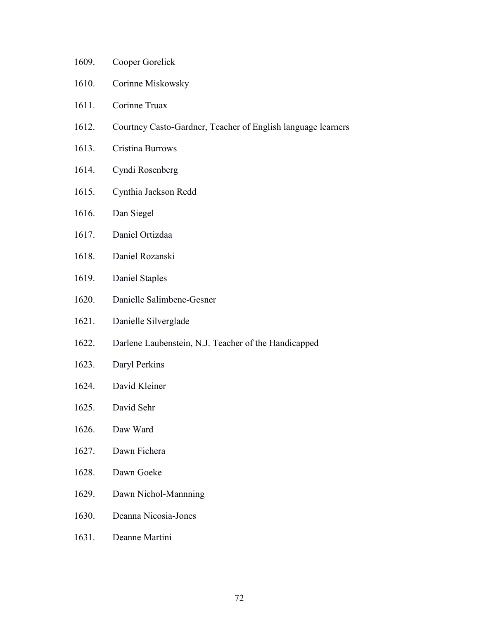- 1609. Cooper Gorelick
- 1610. Corinne Miskowsky
- 1611. Corinne Truax
- 1612. Courtney Casto-Gardner, Teacher of English language learners
- 1613. Cristina Burrows
- 1614. Cyndi Rosenberg
- 1615. Cynthia Jackson Redd
- 1616. Dan Siegel
- 1617. Daniel Ortizdaa
- 1618. Daniel Rozanski
- 1619. Daniel Staples
- 1620. Danielle Salimbene-Gesner
- 1621. Danielle Silverglade
- 1622. Darlene Laubenstein, N.J. Teacher of the Handicapped
- 1623. Daryl Perkins
- 1624. David Kleiner
- 1625. David Sehr
- 1626. Daw Ward
- 1627. Dawn Fichera
- 1628. Dawn Goeke
- 1629. Dawn Nichol-Mannning
- 1630. Deanna Nicosia-Jones
- 1631. Deanne Martini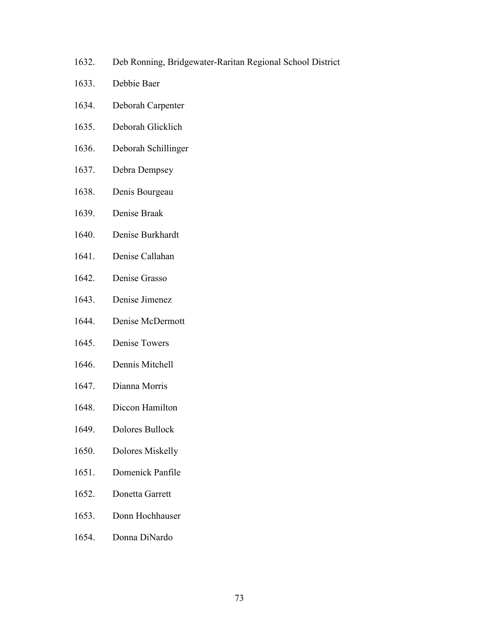- 1632. Deb Ronning, Bridgewater-Raritan Regional School District
- 1633. Debbie Baer
- 1634. Deborah Carpenter
- 1635. Deborah Glicklich
- 1636. Deborah Schillinger
- 1637. Debra Dempsey
- 1638. Denis Bourgeau
- 1639. Denise Braak
- 1640. Denise Burkhardt
- 1641. Denise Callahan
- 1642. Denise Grasso
- 1643. Denise Jimenez
- 1644. Denise McDermott
- 1645. Denise Towers
- 1646. Dennis Mitchell
- 1647. Dianna Morris
- 1648. Diccon Hamilton
- 1649. Dolores Bullock
- 1650. Dolores Miskelly
- 1651. Domenick Panfile
- 1652. Donetta Garrett
- 1653. Donn Hochhauser
- 1654. Donna DiNardo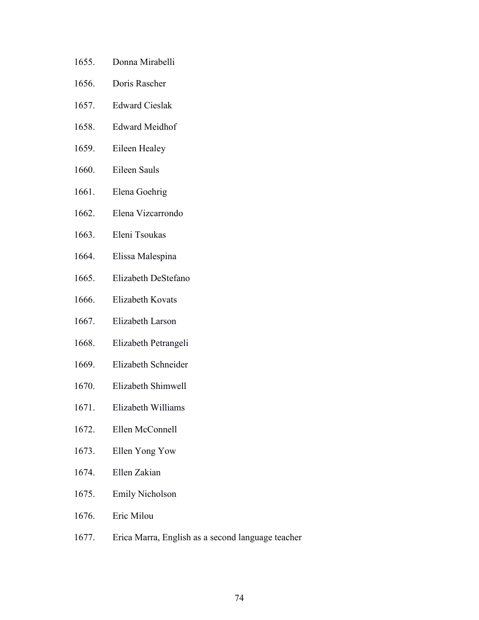- 1655. Donna Mirabelli
- 1656. Doris Rascher
- 1657. Edward Cieslak
- 1658. Edward Meidhof
- 1659. Eileen Healey
- 1660. Eileen Sauls
- 1661. Elena Goehrig
- 1662. Elena Vizcarrondo
- 1663. Eleni Tsoukas
- 1664. Elissa Malespina
- 1665. Elizabeth DeStefano
- 1666. Elizabeth Kovats
- 1667. Elizabeth Larson
- 1668. Elizabeth Petrangeli
- 1669. Elizabeth Schneider
- 1670. Elizabeth Shimwell
- 1671. Elizabeth Williams
- 1672. Ellen McConnell
- 1673. Ellen Yong Yow
- 1674. Ellen Zakian
- 1675. Emily Nicholson
- 1676. Eric Milou
- 1677. Erica Marra, English as a second language teacher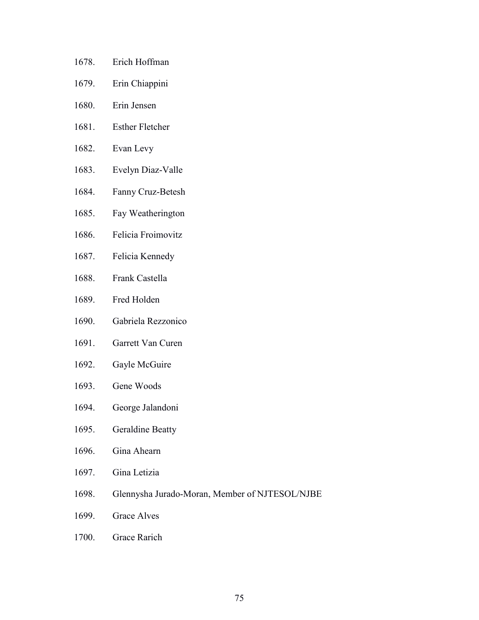- 1678. Erich Hoffman
- 1679. Erin Chiappini
- 1680. Erin Jensen
- 1681. Esther Fletcher
- 1682. Evan Levy
- 1683. Evelyn Diaz-Valle
- 1684. Fanny Cruz-Betesh
- 1685. Fay Weatherington
- 1686. Felicia Froimovitz
- 1687. Felicia Kennedy
- 1688. Frank Castella
- 1689. Fred Holden
- 1690. Gabriela Rezzonico
- 1691. Garrett Van Curen
- 1692. Gayle McGuire
- 1693. Gene Woods
- 1694. George Jalandoni
- 1695. Geraldine Beatty
- 1696. Gina Ahearn
- 1697. Gina Letizia
- 1698. Glennysha Jurado-Moran, Member of NJTESOL/NJBE
- 1699. Grace Alves
- 1700. Grace Rarich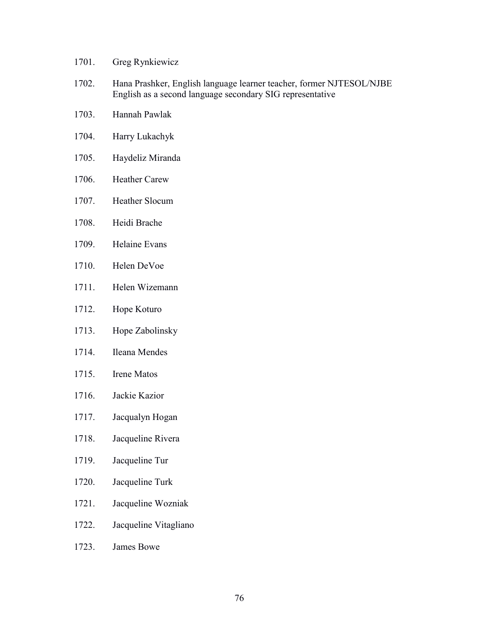- 1701. Greg Rynkiewicz
- 1702. Hana Prashker, English language learner teacher, former NJTESOL/NJBE English as a second language secondary SIG representative
- 1703. Hannah Pawlak
- 1704. Harry Lukachyk
- 1705. Haydeliz Miranda
- 1706. Heather Carew
- 1707. Heather Slocum
- 1708. Heidi Brache
- 1709. Helaine Evans
- 1710. Helen DeVoe
- 1711. Helen Wizemann
- 1712. Hope Koturo
- 1713. Hope Zabolinsky
- 1714. Ileana Mendes
- 1715. Irene Matos
- 1716. Jackie Kazior
- 1717. Jacqualyn Hogan
- 1718. Jacqueline Rivera
- 1719. Jacqueline Tur
- 1720. Jacqueline Turk
- 1721. Jacqueline Wozniak
- 1722. Jacqueline Vitagliano
- 1723. James Bowe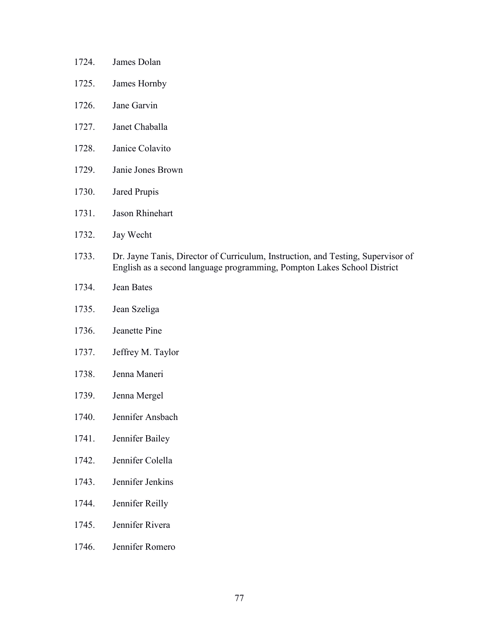- 1724. James Dolan
- 1725. James Hornby
- 1726. Jane Garvin
- 1727. Janet Chaballa
- 1728. Janice Colavito
- 1729. Janie Jones Brown
- 1730. Jared Prupis
- 1731. Jason Rhinehart
- 1732. Jay Wecht
- 1733. Dr. Jayne Tanis, Director of Curriculum, Instruction, and Testing, Supervisor of English as a second language programming, Pompton Lakes School District
- 1734. Jean Bates
- 1735. Jean Szeliga
- 1736. Jeanette Pine
- 1737. Jeffrey M. Taylor
- 1738. Jenna Maneri
- 1739. Jenna Mergel
- 1740. Jennifer Ansbach
- 1741. Jennifer Bailey
- 1742. Jennifer Colella
- 1743. Jennifer Jenkins
- 1744. Jennifer Reilly
- 1745. Jennifer Rivera
- 1746. Jennifer Romero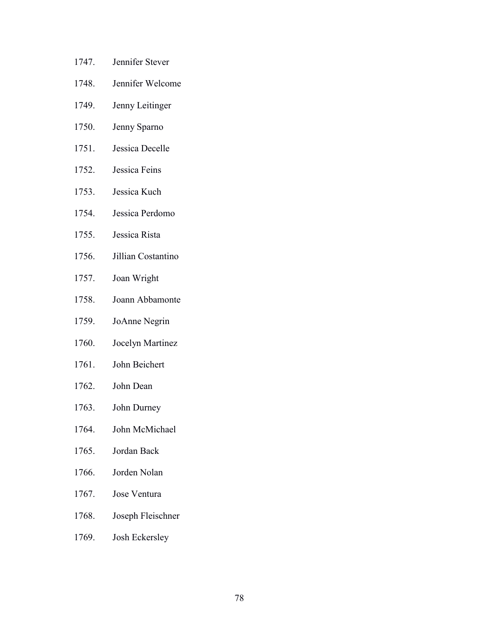- 1747. Jennifer Stever
- 1748. Jennifer Welcome
- 1749. Jenny Leitinger
- 1750. Jenny Sparno
- 1751. Jessica Decelle
- 1752. Jessica Feins
- 1753. Jessica Kuch
- 1754. Jessica Perdomo
- 1755. Jessica Rista
- 1756. Jillian Costantino
- 1757. Joan Wright
- 1758. Joann Abbamonte
- 1759. JoAnne Negrin
- 1760. Jocelyn Martinez
- 1761. John Beichert
- 1762. John Dean
- 1763. John Durney
- 1764. John McMichael
- 1765. Jordan Back
- 1766. Jorden Nolan
- 1767. Jose Ventura
- 1768. Joseph Fleischner
- 1769. Josh Eckersley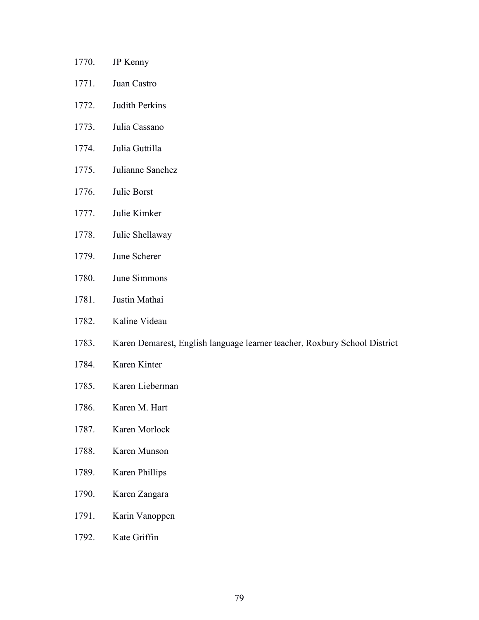- 1770. JP Kenny 1771. Juan Castro
- 1772. Judith Perkins
- 1773. Julia Cassano
- 1774. Julia Guttilla
- 1775. Julianne Sanchez
- 1776. Julie Borst
- 1777. Julie Kimker
- 1778. Julie Shellaway
- 1779. June Scherer
- 1780. June Simmons
- 1781. Justin Mathai
- 1782. Kaline Videau
- 1783. Karen Demarest, English language learner teacher, Roxbury School District
- 1784. Karen Kinter
- 1785. Karen Lieberman
- 1786. Karen M. Hart
- 1787. Karen Morlock
- 1788. Karen Munson
- 1789. Karen Phillips
- 1790. Karen Zangara
- 1791. Karin Vanoppen
- 1792. Kate Griffin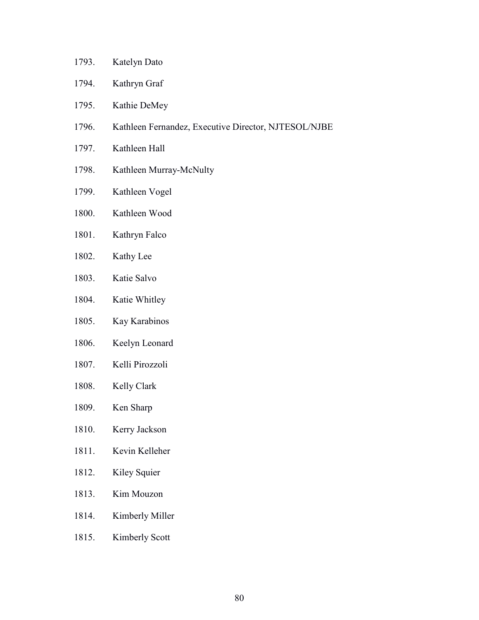- 1793. Katelyn Dato
- 1794. Kathryn Graf
- 1795. Kathie DeMey
- 1796. Kathleen Fernandez, Executive Director, NJTESOL/NJBE
- 1797. Kathleen Hall
- 1798. Kathleen Murray-McNulty
- 1799. Kathleen Vogel
- 1800. Kathleen Wood
- 1801. Kathryn Falco
- 1802. Kathy Lee
- 1803. Katie Salvo
- 1804. Katie Whitley
- 1805. Kay Karabinos
- 1806. Keelyn Leonard
- 1807. Kelli Pirozzoli
- 1808. Kelly Clark
- 1809. Ken Sharp
- 1810. Kerry Jackson
- 1811. Kevin Kelleher
- 1812. Kiley Squier
- 1813. Kim Mouzon
- 1814. Kimberly Miller
- 1815. Kimberly Scott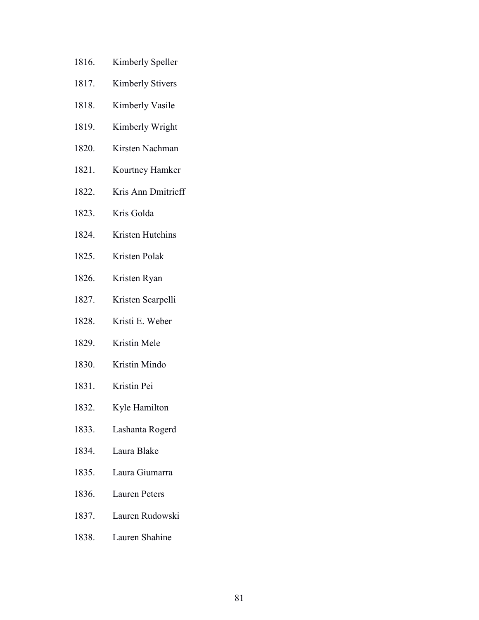- 1816. Kimberly Speller
- 1817. Kimberly Stivers
- 1818. Kimberly Vasile
- 1819. Kimberly Wright
- 1820. Kirsten Nachman
- 1821. Kourtney Hamker
- 1822. Kris Ann Dmitrieff
- 1823. Kris Golda
- 1824. Kristen Hutchins
- 1825. Kristen Polak
- 1826. Kristen Ryan
- 1827. Kristen Scarpelli
- 1828. Kristi E. Weber
- 1829. Kristin Mele
- 1830. Kristin Mindo
- 1831. Kristin Pei
- 1832. Kyle Hamilton
- 1833. Lashanta Rogerd
- 1834. Laura Blake
- 1835. Laura Giumarra
- 1836. Lauren Peters
- 1837. Lauren Rudowski
- 1838. Lauren Shahine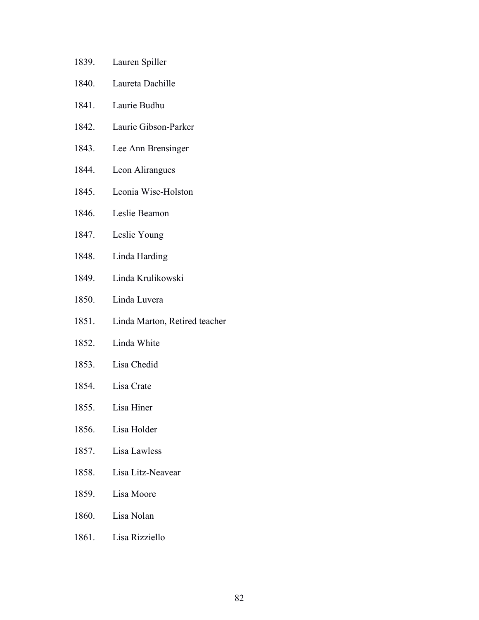- 1839. Lauren Spiller
- 1840. Laureta Dachille
- 1841. Laurie Budhu
- 1842. Laurie Gibson-Parker
- 1843. Lee Ann Brensinger
- 1844. Leon Alirangues
- 1845. Leonia Wise-Holston
- 1846. Leslie Beamon
- 1847. Leslie Young
- 1848. Linda Harding
- 1849. Linda Krulikowski
- 1850. Linda Luvera
- 1851. Linda Marton, Retired teacher
- 1852. Linda White
- 1853. Lisa Chedid
- 1854. Lisa Crate
- 1855. Lisa Hiner
- 1856. Lisa Holder
- 1857. Lisa Lawless
- 1858. Lisa Litz-Neavear
- 1859. Lisa Moore
- 1860. Lisa Nolan
- 1861. Lisa Rizziello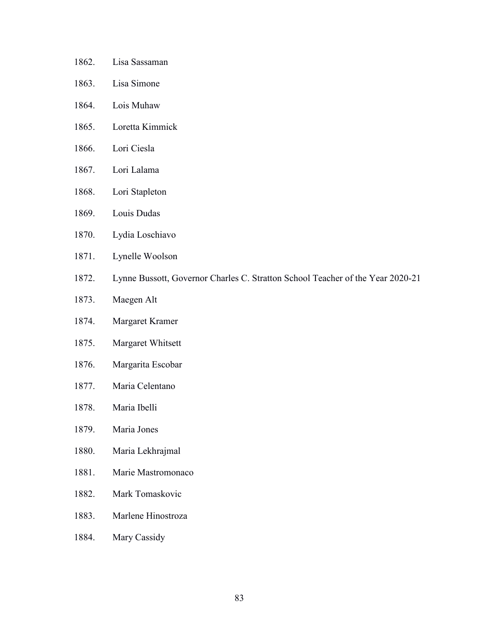- 1862. Lisa Sassaman
- 1863. Lisa Simone
- 1864. Lois Muhaw
- 1865. Loretta Kimmick
- 1866. Lori Ciesla
- 1867. Lori Lalama
- 1868. Lori Stapleton
- 1869. Louis Dudas
- 1870. Lydia Loschiavo
- 1871. Lynelle Woolson
- 1872. Lynne Bussott, Governor Charles C. Stratton School Teacher of the Year 2020-21
- 1873. Maegen Alt
- 1874. Margaret Kramer
- 1875. Margaret Whitsett
- 1876. Margarita Escobar
- 1877. Maria Celentano
- 1878. Maria Ibelli
- 1879. Maria Jones
- 1880. Maria Lekhrajmal
- 1881. Marie Mastromonaco
- 1882. Mark Tomaskovic
- 1883. Marlene Hinostroza
- 1884. Mary Cassidy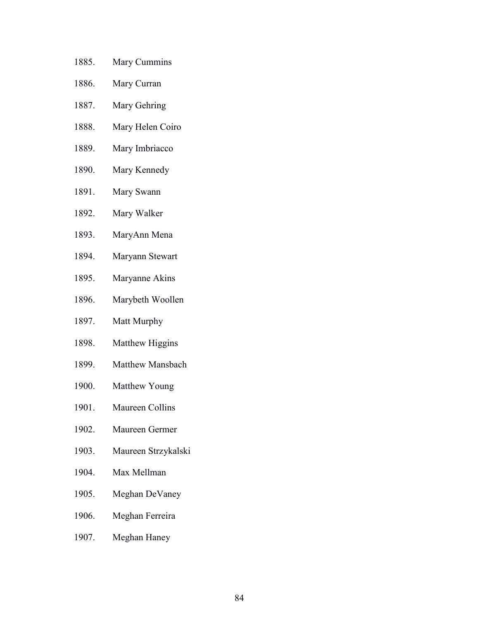- 1885. Mary Cummins
- 1886. Mary Curran
- 1887. Mary Gehring
- 1888. Mary Helen Coiro
- 1889. Mary Imbriacco
- 1890. Mary Kennedy
- 1891. Mary Swann
- 1892. Mary Walker
- 1893. MaryAnn Mena
- 1894. Maryann Stewart
- 1895. Maryanne Akins
- 1896. Marybeth Woollen
- 1897. Matt Murphy
- 1898. Matthew Higgins
- 1899. Matthew Mansbach
- 1900. Matthew Young
- 1901. Maureen Collins
- 1902. Maureen Germer
- 1903. Maureen Strzykalski
- 1904. Max Mellman
- 1905. Meghan DeVaney
- 1906. Meghan Ferreira
- 1907. Meghan Haney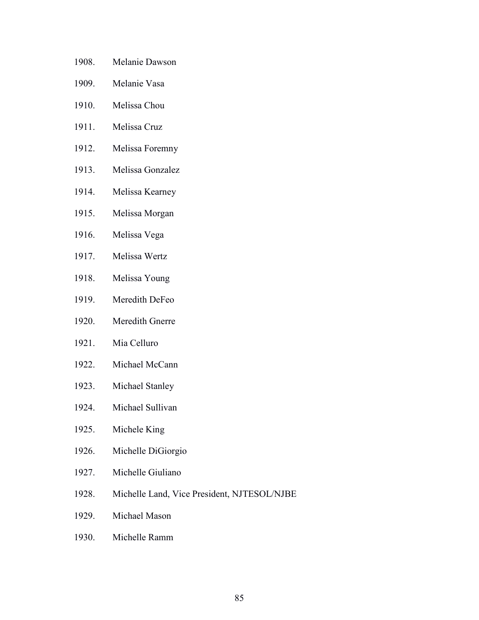- 1908. Melanie Dawson
- 1909. Melanie Vasa
- 1910. Melissa Chou
- 1911. Melissa Cruz
- 1912. Melissa Foremny
- 1913. Melissa Gonzalez
- 1914. Melissa Kearney
- 1915. Melissa Morgan
- 1916. Melissa Vega
- 1917. Melissa Wertz
- 1918. Melissa Young
- 1919. Meredith DeFeo
- 1920. Meredith Gnerre
- 1921. Mia Celluro
- 1922. Michael McCann
- 1923. Michael Stanley
- 1924. Michael Sullivan
- 1925. Michele King
- 1926. Michelle DiGiorgio
- 1927. Michelle Giuliano
- 1928. Michelle Land, Vice President, NJTESOL/NJBE
- 1929. Michael Mason
- 1930. Michelle Ramm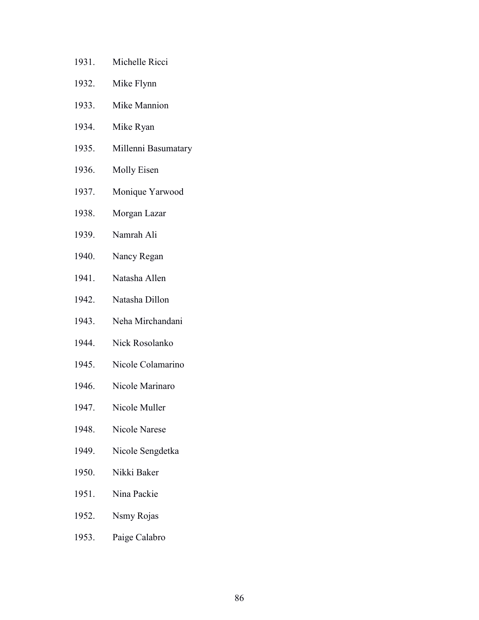- 1931. Michelle Ricci
- 1932. Mike Flynn
- 1933. Mike Mannion
- 1934. Mike Ryan
- 1935. Millenni Basumatary
- 1936. Molly Eisen
- 1937. Monique Yarwood
- 1938. Morgan Lazar
- 1939. Namrah Ali
- 1940. Nancy Regan
- 1941. Natasha Allen
- 1942. Natasha Dillon
- 1943. Neha Mirchandani
- 1944. Nick Rosolanko
- 1945. Nicole Colamarino
- 1946. Nicole Marinaro
- 1947. Nicole Muller
- 1948. Nicole Narese
- 1949. Nicole Sengdetka
- 1950. Nikki Baker
- 1951. Nina Packie
- 1952. Nsmy Rojas
- 1953. Paige Calabro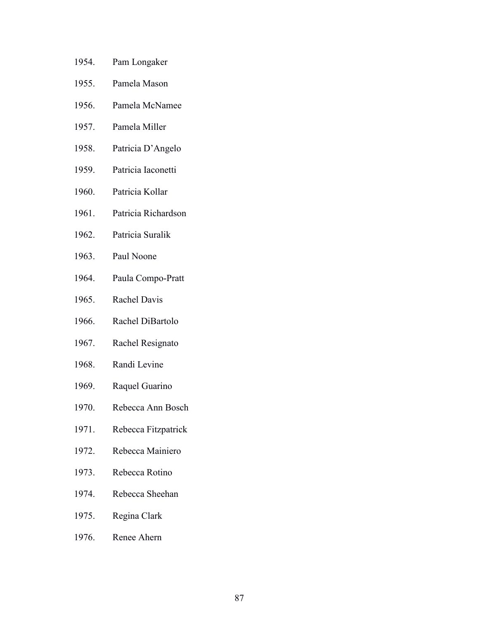- 1954. Pam Longaker
- 1955. Pamela Mason
- 1956. Pamela McNamee
- 1957. Pamela Miller
- 1958. Patricia D'Angelo
- 1959. Patricia Iaconetti
- 1960. Patricia Kollar
- 1961. Patricia Richardson
- 1962. Patricia Suralik
- 1963. Paul Noone
- 1964. Paula Compo-Pratt
- 1965. Rachel Davis
- 1966. Rachel DiBartolo
- 1967. Rachel Resignato
- 1968. Randi Levine
- 1969. Raquel Guarino
- 1970. Rebecca Ann Bosch
- 1971. Rebecca Fitzpatrick
- 1972. Rebecca Mainiero
- 1973. Rebecca Rotino
- 1974. Rebecca Sheehan
- 1975. Regina Clark
- 1976. Renee Ahern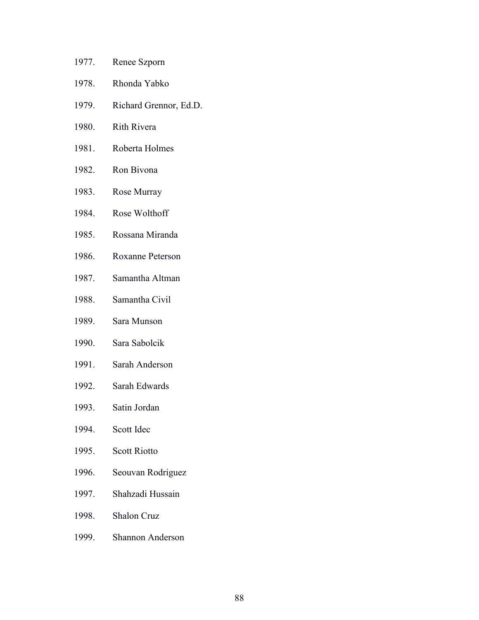- 1977. Renee Szporn
- 1978. Rhonda Yabko
- 1979. Richard Grennor, Ed.D.
- 1980. Rith Rivera
- 1981. Roberta Holmes
- 1982. Ron Bivona
- 1983. Rose Murray
- 1984. Rose Wolthoff
- 1985. Rossana Miranda
- 1986. Roxanne Peterson
- 1987. Samantha Altman
- 1988. Samantha Civil
- 1989. Sara Munson
- 1990. Sara Sabolcik
- 1991. Sarah Anderson
- 1992. Sarah Edwards
- 1993. Satin Jordan
- 1994. Scott Idec
- 1995. Scott Riotto
- 1996. Seouvan Rodriguez
- 1997. Shahzadi Hussain
- 1998. Shalon Cruz
- 1999. Shannon Anderson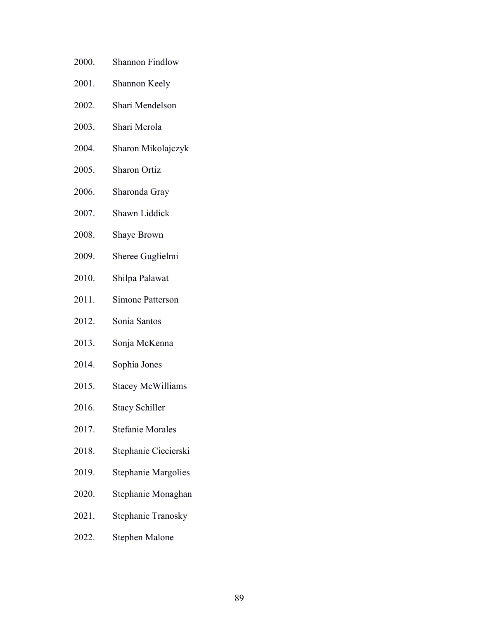- 2000. Shannon Findlow
- 2001. Shannon Keely
- 2002. Shari Mendelson
- 2003. Shari Merola
- 2004. Sharon Mikolajczyk
- 2005. Sharon Ortiz
- 2006. Sharonda Gray
- 2007. Shawn Liddick
- 2008. Shaye Brown
- 2009. Sheree Guglielmi
- 2010. Shilpa Palawat
- 2011. Simone Patterson
- 2012. Sonia Santos
- 2013. Sonja McKenna
- 2014. Sophia Jones
- 2015. Stacey McWilliams
- 2016. Stacy Schiller
- 2017. Stefanie Morales
- 2018. Stephanie Ciecierski
- 2019. Stephanie Margolies
- 2020. Stephanie Monaghan
- 2021. Stephanie Tranosky
- 2022. Stephen Malone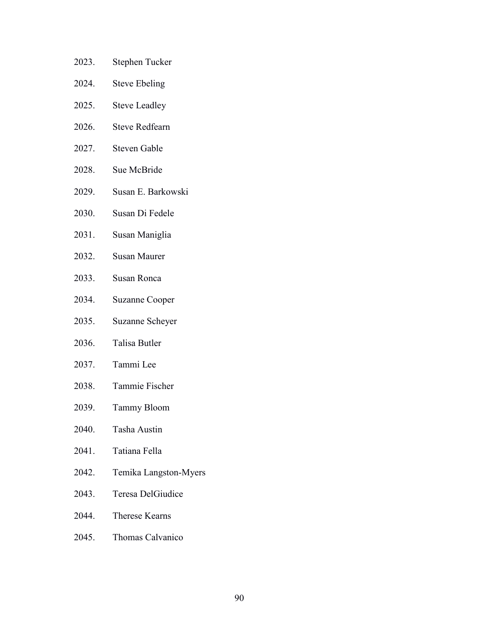- 2023. Stephen Tucker
- 2024. Steve Ebeling
- 2025. Steve Leadley
- 2026. Steve Redfearn
- 2027. Steven Gable
- 2028. Sue McBride
- 2029. Susan E. Barkowski
- 2030. Susan Di Fedele
- 2031. Susan Maniglia
- 2032. Susan Maurer
- 2033. Susan Ronca
- 2034. Suzanne Cooper
- 2035. Suzanne Scheyer
- 2036. Talisa Butler
- 2037. Tammi Lee
- 2038. Tammie Fischer
- 2039. Tammy Bloom
- 2040. Tasha Austin
- 2041. Tatiana Fella
- 2042. Temika Langston-Myers
- 2043. Teresa DelGiudice
- 2044. Therese Kearns
- 2045. Thomas Calvanico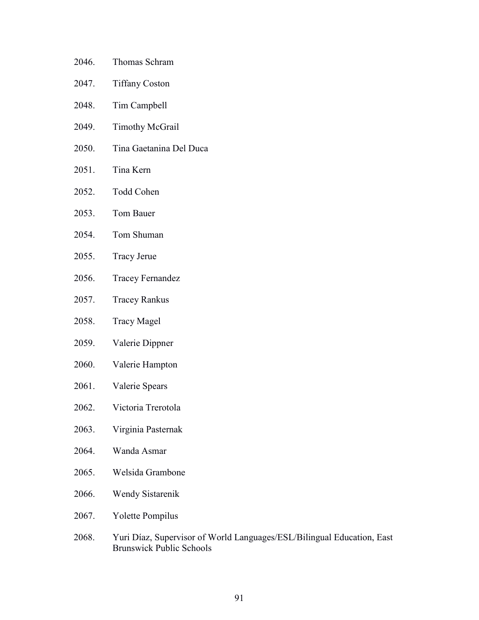| 2046. | Thomas Schram |
|-------|---------------|
|-------|---------------|

- 2047. Tiffany Coston
- 2048. Tim Campbell
- 2049. Timothy McGrail
- 2050. Tina Gaetanina Del Duca
- 2051. Tina Kern
- 2052. Todd Cohen
- 2053. Tom Bauer
- 2054. Tom Shuman
- 2055. Tracy Jerue
- 2056. Tracey Fernandez
- 2057. Tracey Rankus
- 2058. Tracy Magel
- 2059. Valerie Dippner
- 2060. Valerie Hampton
- 2061. Valerie Spears
- 2062. Victoria Trerotola
- 2063. Virginia Pasternak
- 2064. Wanda Asmar
- 2065. Welsida Grambone
- 2066. Wendy Sistarenik
- 2067. Yolette Pompilus
- 2068. Yuri Díaz, Supervisor of World Languages/ESL/Bilingual Education, East Brunswick Public Schools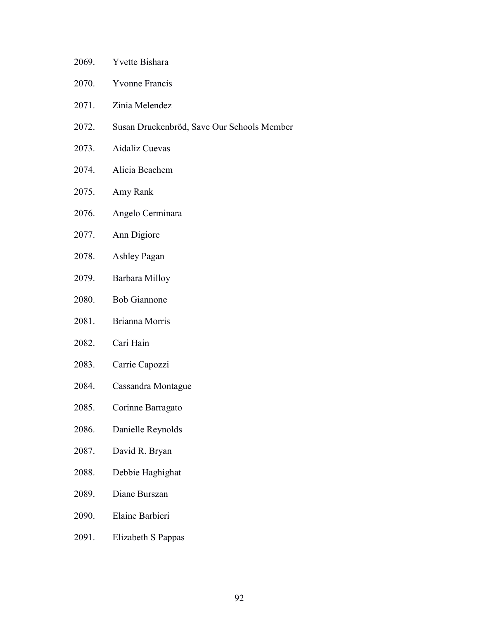- 2069. Yvette Bishara
- 2070. Yvonne Francis
- 2071. Zinia Melendez
- 2072. Susan Druckenbröd, Save Our Schools Member
- 2073. Aidaliz Cuevas
- 2074. Alicia Beachem
- 2075. Amy Rank
- 2076. Angelo Cerminara
- 2077. Ann Digiore
- 2078. Ashley Pagan
- 2079. Barbara Milloy
- 2080. Bob Giannone
- 2081. Brianna Morris
- 2082. Cari Hain
- 2083. Carrie Capozzi
- 2084. Cassandra Montague
- 2085. Corinne Barragato
- 2086. Danielle Reynolds
- 2087. David R. Bryan
- 2088. Debbie Haghighat
- 2089. Diane Burszan
- 2090. Elaine Barbieri
- 2091. Elizabeth S Pappas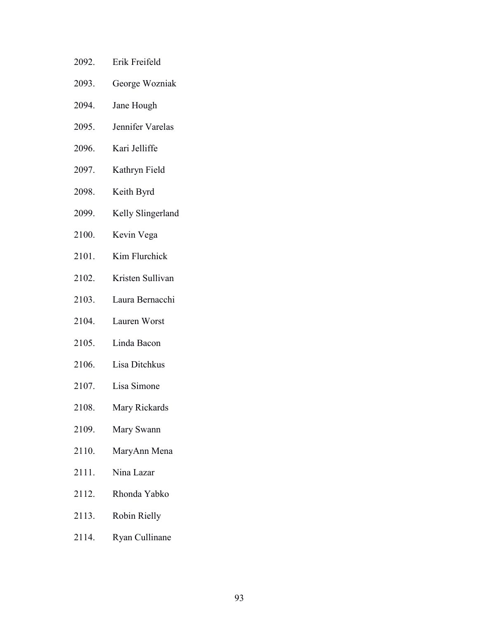- 2092. Erik Freifeld 2093. George Wozniak 2094. Jane Hough 2095. Jennifer Varelas 2096. Kari Jelliffe 2097. Kathryn Field 2098. Keith Byrd 2099. Kelly Slingerland 2100. Kevin Vega 2101. Kim Flurchick 2102. Kristen Sullivan 2103. Laura Bernacchi 2104. Lauren Worst 2105. Linda Bacon 2106. Lisa Ditchkus 2107. Lisa Simone 2108. Mary Rickards
- 2109. Mary Swann
- 2110. MaryAnn Mena
- 2111. Nina Lazar
- 2112. Rhonda Yabko
- 2113. Robin Rielly
- 2114. Ryan Cullinane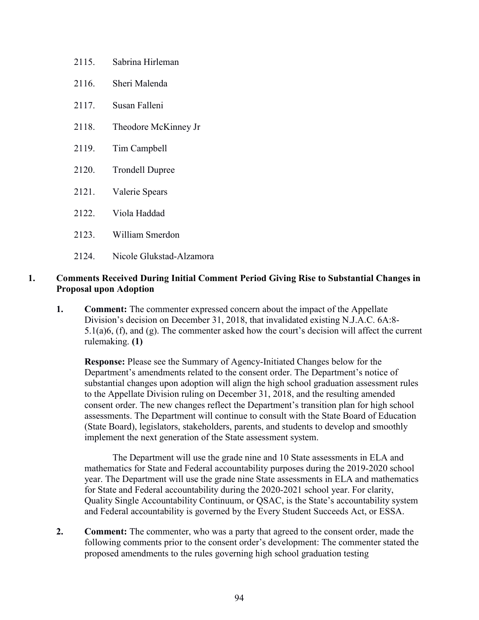- 2115. Sabrina Hirleman
- 2116. Sheri Malenda
- 2117. Susan Falleni
- 2118. Theodore McKinney Jr
- 2119. Tim Campbell
- 2120. Trondell Dupree
- 2121. Valerie Spears
- 2122. Viola Haddad
- 2123. William Smerdon
- 2124. Nicole Glukstad-Alzamora

## **1. Comments Received During Initial Comment Period Giving Rise to Substantial Changes in Proposal upon Adoption**

**1.** Comment: The commenter expressed concern about the impact of the Appellate Division's decision on December 31, 2018, that invalidated existing N.J.A.C. 6A:8- 5.1(a)6, (f), and (g). The commenter asked how the court's decision will affect the current rulemaking. **(1)**

**Response:** Please see the Summary of Agency-Initiated Changes below for the Department's amendments related to the consent order. The Department's notice of substantial changes upon adoption will align the high school graduation assessment rules to the Appellate Division ruling on December 31, 2018, and the resulting amended consent order. The new changes reflect the Department's transition plan for high school assessments. The Department will continue to consult with the State Board of Education (State Board), legislators, stakeholders, parents, and students to develop and smoothly implement the next generation of the State assessment system.

The Department will use the grade nine and 10 State assessments in ELA and mathematics for State and Federal accountability purposes during the 2019-2020 school year. The Department will use the grade nine State assessments in ELA and mathematics for State and Federal accountability during the 2020-2021 school year. For clarity, Quality Single Accountability Continuum, or QSAC, is the State's accountability system and Federal accountability is governed by the Every Student Succeeds Act, or ESSA.

**2. Comment:** The commenter, who was a party that agreed to the consent order, made the following comments prior to the consent order's development: The commenter stated the proposed amendments to the rules governing high school graduation testing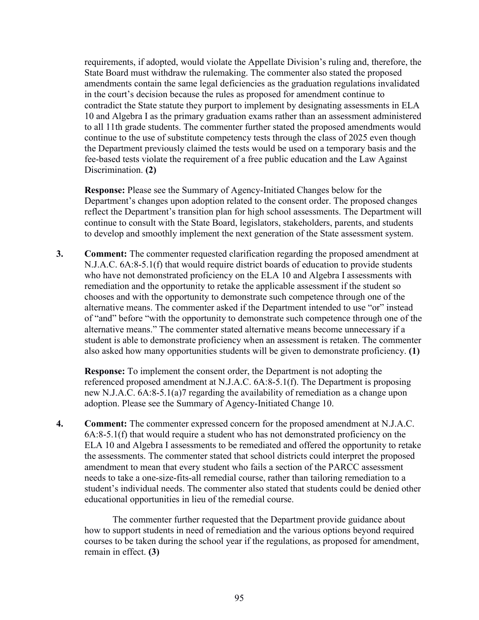requirements, if adopted, would violate the Appellate Division's ruling and, therefore, the State Board must withdraw the rulemaking. The commenter also stated the proposed amendments contain the same legal deficiencies as the graduation regulations invalidated in the court's decision because the rules as proposed for amendment continue to contradict the State statute they purport to implement by designating assessments in ELA 10 and Algebra I as the primary graduation exams rather than an assessment administered to all 11th grade students. The commenter further stated the proposed amendments would continue to the use of substitute competency tests through the class of 2025 even though the Department previously claimed the tests would be used on a temporary basis and the fee-based tests violate the requirement of a free public education and the Law Against Discrimination. **(2)**

**Response:** Please see the Summary of Agency-Initiated Changes below for the Department's changes upon adoption related to the consent order. The proposed changes reflect the Department's transition plan for high school assessments. The Department will continue to consult with the State Board, legislators, stakeholders, parents, and students to develop and smoothly implement the next generation of the State assessment system.

**3. Comment:** The commenter requested clarification regarding the proposed amendment at N.J.A.C. 6A:8-5.1(f) that would require district boards of education to provide students who have not demonstrated proficiency on the ELA 10 and Algebra I assessments with remediation and the opportunity to retake the applicable assessment if the student so chooses and with the opportunity to demonstrate such competence through one of the alternative means. The commenter asked if the Department intended to use "or" instead of "and" before "with the opportunity to demonstrate such competence through one of the alternative means." The commenter stated alternative means become unnecessary if a student is able to demonstrate proficiency when an assessment is retaken. The commenter also asked how many opportunities students will be given to demonstrate proficiency. **(1)**

**Response:** To implement the consent order, the Department is not adopting the referenced proposed amendment at N.J.A.C. 6A:8-5.1(f). The Department is proposing new N.J.A.C. 6A:8-5.1(a)7 regarding the availability of remediation as a change upon adoption. Please see the Summary of Agency-Initiated Change 10.

**4. Comment:** The commenter expressed concern for the proposed amendment at N.J.A.C. 6A:8-5.1(f) that would require a student who has not demonstrated proficiency on the ELA 10 and Algebra I assessments to be remediated and offered the opportunity to retake the assessments. The commenter stated that school districts could interpret the proposed amendment to mean that every student who fails a section of the PARCC assessment needs to take a one-size-fits-all remedial course, rather than tailoring remediation to a student's individual needs. The commenter also stated that students could be denied other educational opportunities in lieu of the remedial course.

The commenter further requested that the Department provide guidance about how to support students in need of remediation and the various options beyond required courses to be taken during the school year if the regulations, as proposed for amendment, remain in effect. **(3)**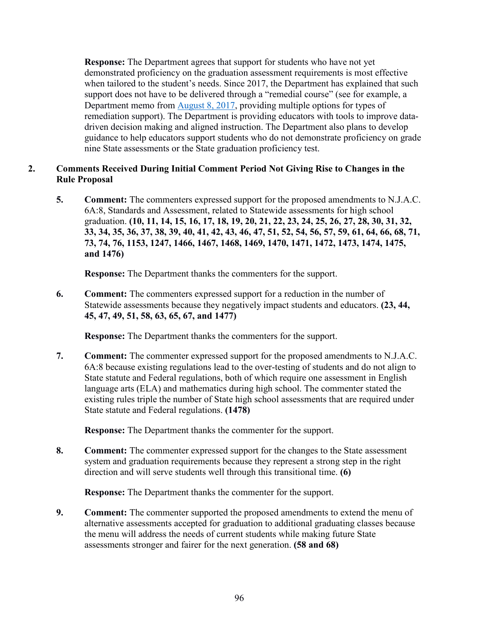**Response:** The Department agrees that support for students who have not yet demonstrated proficiency on the graduation assessment requirements is most effective when tailored to the student's needs. Since 2017, the Department has explained that such support does not have to be delivered through a "remedial course" (see for example, a Department memo from [August 8, 2017,](https://homeroom5.doe.state.nj.us/broadcasts/2017/AUG/08/16871/FAQ%20for%20Students%20Who%20Need%20to%20Retake%20the%20PARCC%20Algebra%20I%20Assessment.pdf) providing multiple options for types of remediation support). The Department is providing educators with tools to improve datadriven decision making and aligned instruction. The Department also plans to develop guidance to help educators support students who do not demonstrate proficiency on grade nine State assessments or the State graduation proficiency test.

## **2. Comments Received During Initial Comment Period Not Giving Rise to Changes in the Rule Proposal**

**5. Comment:** The commenters expressed support for the proposed amendments to N.J.A.C. 6A:8, Standards and Assessment, related to Statewide assessments for high school graduation. **(10, 11, 14, 15, 16, 17, 18, 19, 20, 21, 22, 23, 24, 25, 26, 27, 28, 30, 31, 32, 33, 34, 35, 36, 37, 38, 39, 40, 41, 42, 43, 46, 47, 51, 52, 54, 56, 57, 59, 61, 64, 66, 68, 71, 73, 74, 76, 1153, 1247, 1466, 1467, 1468, 1469, 1470, 1471, 1472, 1473, 1474, 1475, and 1476)**

**Response:** The Department thanks the commenters for the support.

**6. Comment:** The commenters expressed support for a reduction in the number of Statewide assessments because they negatively impact students and educators. **(23, 44, 45, 47, 49, 51, 58, 63, 65, 67, and 1477)**

**Response:** The Department thanks the commenters for the support.

**7. Comment:** The commenter expressed support for the proposed amendments to N.J.A.C. 6A:8 because existing regulations lead to the over-testing of students and do not align to State statute and Federal regulations, both of which require one assessment in English language arts (ELA) and mathematics during high school. The commenter stated the existing rules triple the number of State high school assessments that are required under State statute and Federal regulations. **(1478)**

**Response:** The Department thanks the commenter for the support.

**8. Comment:** The commenter expressed support for the changes to the State assessment system and graduation requirements because they represent a strong step in the right direction and will serve students well through this transitional time. **(6)**

**Response:** The Department thanks the commenter for the support.

**9. Comment:** The commenter supported the proposed amendments to extend the menu of alternative assessments accepted for graduation to additional graduating classes because the menu will address the needs of current students while making future State assessments stronger and fairer for the next generation. **(58 and 68)**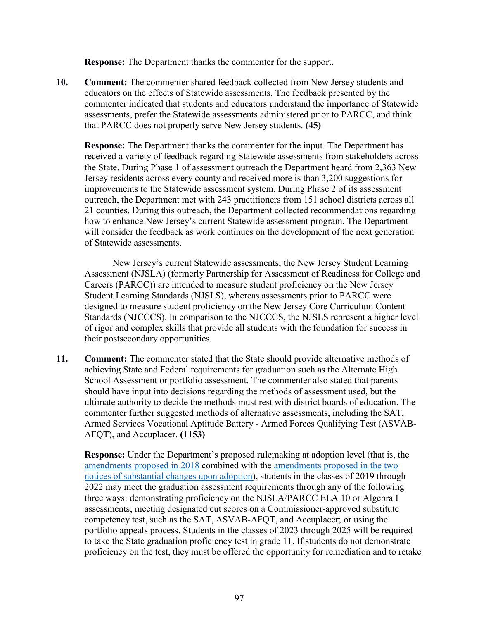**Response:** The Department thanks the commenter for the support.

**10. Comment:** The commenter shared feedback collected from New Jersey students and educators on the effects of Statewide assessments. The feedback presented by the commenter indicated that students and educators understand the importance of Statewide assessments, prefer the Statewide assessments administered prior to PARCC, and think that PARCC does not properly serve New Jersey students. **(45)**

**Response:** The Department thanks the commenter for the input. The Department has received a variety of feedback regarding Statewide assessments from stakeholders across the State. During Phase 1 of assessment outreach the Department heard from 2,363 New Jersey residents across every county and received more is than 3,200 suggestions for improvements to the Statewide assessment system. During Phase 2 of its assessment outreach, the Department met with 243 practitioners from 151 school districts across all 21 counties. During this outreach, the Department collected recommendations regarding how to enhance New Jersey's current Statewide assessment program. The Department will consider the feedback as work continues on the development of the next generation of Statewide assessments.

New Jersey's current Statewide assessments, the New Jersey Student Learning Assessment (NJSLA) (formerly Partnership for Assessment of Readiness for College and Careers (PARCC)) are intended to measure student proficiency on the New Jersey Student Learning Standards (NJSLS), whereas assessments prior to PARCC were designed to measure student proficiency on the New Jersey Core Curriculum Content Standards (NJCCCS). In comparison to the NJCCCS, the NJSLS represent a higher level of rigor and complex skills that provide all students with the foundation for success in their postsecondary opportunities.

**11. Comment:** The commenter stated that the State should provide alternative methods of achieving State and Federal requirements for graduation such as the Alternate High School Assessment or portfolio assessment. The commenter also stated that parents should have input into decisions regarding the methods of assessment used, but the ultimate authority to decide the methods must rest with district boards of education. The commenter further suggested methods of alternative assessments, including the SAT, Armed Services Vocational Aptitude Battery - Armed Forces Qualifying Test (ASVAB-AFQT), and Accuplacer. **(1153)**

**Response:** Under the Department's proposed rulemaking at adoption level (that is, the amendments proposed in 2018 combined with the amendments proposed in the two notices of substantial changes upon adoption), students in the classes of 2019 through 2022 may meet the graduation assessment requirements through any of the following three ways: demonstrating proficiency on the NJSLA/PARCC ELA 10 or Algebra I assessments; meeting designated cut scores on a Commissioner-approved substitute competency test, such as the SAT, ASVAB-AFQT, and Accuplacer; or using the portfolio appeals process. Students in the classes of 2023 through 2025 will be required to take the State graduation proficiency test in grade 11. If students do not demonstrate proficiency on the test, they must be offered the opportunity for remediation and to retake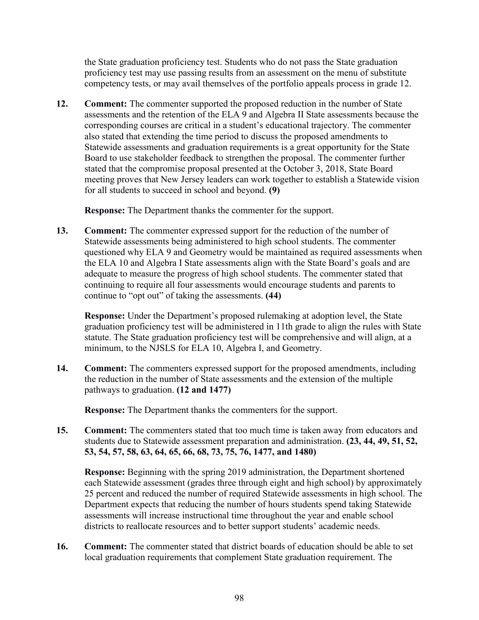the State graduation proficiency test. Students who do not pass the State graduation proficiency test may use passing results from an assessment on the menu of substitute competency tests, or may avail themselves of the portfolio appeals process in grade 12.

**12. Comment:** The commenter supported the proposed reduction in the number of State assessments and the retention of the ELA 9 and Algebra II State assessments because the corresponding courses are critical in a student's educational trajectory. The commenter also stated that extending the time period to discuss the proposed amendments to Statewide assessments and graduation requirements is a great opportunity for the State Board to use stakeholder feedback to strengthen the proposal. The commenter further stated that the compromise proposal presented at the October 3, 2018, State Board meeting proves that New Jersey leaders can work together to establish a Statewide vision for all students to succeed in school and beyond. **(9)**

**Response:** The Department thanks the commenter for the support.

**13. Comment:** The commenter expressed support for the reduction of the number of Statewide assessments being administered to high school students. The commenter questioned why ELA 9 and Geometry would be maintained as required assessments when the ELA 10 and Algebra I State assessments align with the State Board's goals and are adequate to measure the progress of high school students. The commenter stated that continuing to require all four assessments would encourage students and parents to continue to "opt out" of taking the assessments. **(44)**

**Response:** Under the Department's proposed rulemaking at adoption level, the State graduation proficiency test will be administered in 11th grade to align the rules with State statute. The State graduation proficiency test will be comprehensive and will align, at a minimum, to the NJSLS for ELA 10, Algebra I, and Geometry.

**14. Comment:** The commenters expressed support for the proposed amendments, including the reduction in the number of State assessments and the extension of the multiple pathways to graduation. **(12 and 1477)** 

**Response:** The Department thanks the commenters for the support.

**15. Comment:** The commenters stated that too much time is taken away from educators and students due to Statewide assessment preparation and administration. **(23, 44, 49, 51, 52, 53, 54, 57, 58, 63, 64, 65, 66, 68, 73, 75, 76, 1477, and 1480)**

**Response:** Beginning with the spring 2019 administration, the Department shortened each Statewide assessment (grades three through eight and high school) by approximately 25 percent and reduced the number of required Statewide assessments in high school. The Department expects that reducing the number of hours students spend taking Statewide assessments will increase instructional time throughout the year and enable school districts to reallocate resources and to better support students' academic needs.

**16. Comment:** The commenter stated that district boards of education should be able to set local graduation requirements that complement State graduation requirement. The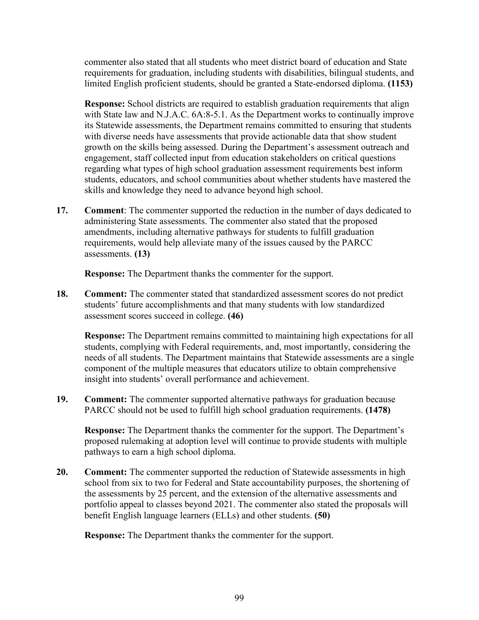commenter also stated that all students who meet district board of education and State requirements for graduation, including students with disabilities, bilingual students, and limited English proficient students, should be granted a State-endorsed diploma. **(1153)**

**Response:** School districts are required to establish graduation requirements that align with State law and N.J.A.C. 6A:8-5.1. As the Department works to continually improve its Statewide assessments, the Department remains committed to ensuring that students with diverse needs have assessments that provide actionable data that show student growth on the skills being assessed. During the Department's assessment outreach and engagement, staff collected input from education stakeholders on critical questions regarding what types of high school graduation assessment requirements best inform students, educators, and school communities about whether students have mastered the skills and knowledge they need to advance beyond high school.

**17. Comment**: The commenter supported the reduction in the number of days dedicated to administering State assessments. The commenter also stated that the proposed amendments, including alternative pathways for students to fulfill graduation requirements, would help alleviate many of the issues caused by the PARCC assessments. **(13)**

**Response:** The Department thanks the commenter for the support.

**18. Comment:** The commenter stated that standardized assessment scores do not predict students' future accomplishments and that many students with low standardized assessment scores succeed in college. **(46)**

**Response:** The Department remains committed to maintaining high expectations for all students, complying with Federal requirements, and, most importantly, considering the needs of all students. The Department maintains that Statewide assessments are a single component of the multiple measures that educators utilize to obtain comprehensive insight into students' overall performance and achievement.

**19. Comment:** The commenter supported alternative pathways for graduation because PARCC should not be used to fulfill high school graduation requirements. **(1478)**

**Response:** The Department thanks the commenter for the support. The Department's proposed rulemaking at adoption level will continue to provide students with multiple pathways to earn a high school diploma.

**20. Comment:** The commenter supported the reduction of Statewide assessments in high school from six to two for Federal and State accountability purposes, the shortening of the assessments by 25 percent, and the extension of the alternative assessments and portfolio appeal to classes beyond 2021. The commenter also stated the proposals will benefit English language learners (ELLs) and other students. **(50)**

**Response:** The Department thanks the commenter for the support.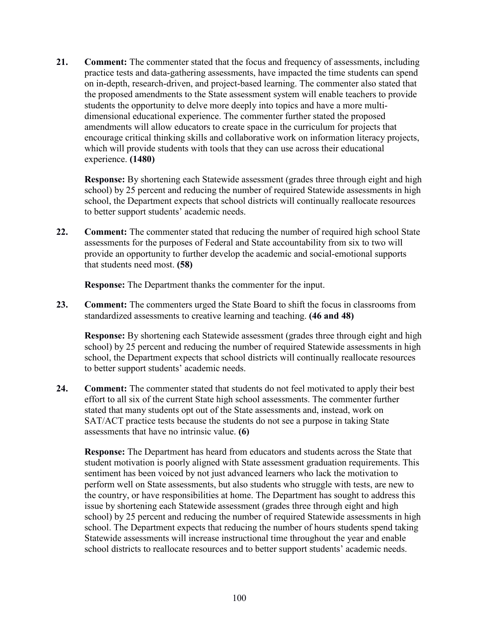**21. Comment:** The commenter stated that the focus and frequency of assessments, including practice tests and data-gathering assessments, have impacted the time students can spend on in-depth, research-driven, and project-based learning. The commenter also stated that the proposed amendments to the State assessment system will enable teachers to provide students the opportunity to delve more deeply into topics and have a more multidimensional educational experience. The commenter further stated the proposed amendments will allow educators to create space in the curriculum for projects that encourage critical thinking skills and collaborative work on information literacy projects, which will provide students with tools that they can use across their educational experience. **(1480)**

**Response:** By shortening each Statewide assessment (grades three through eight and high school) by 25 percent and reducing the number of required Statewide assessments in high school, the Department expects that school districts will continually reallocate resources to better support students' academic needs.

**22. Comment:** The commenter stated that reducing the number of required high school State assessments for the purposes of Federal and State accountability from six to two will provide an opportunity to further develop the academic and social-emotional supports that students need most. **(58)**

**Response:** The Department thanks the commenter for the input.

**23. Comment:** The commenters urged the State Board to shift the focus in classrooms from standardized assessments to creative learning and teaching. **(46 and 48)** 

**Response:** By shortening each Statewide assessment (grades three through eight and high school) by 25 percent and reducing the number of required Statewide assessments in high school, the Department expects that school districts will continually reallocate resources to better support students' academic needs.

**24. Comment:** The commenter stated that students do not feel motivated to apply their best effort to all six of the current State high school assessments. The commenter further stated that many students opt out of the State assessments and, instead, work on SAT/ACT practice tests because the students do not see a purpose in taking State assessments that have no intrinsic value. **(6)** 

**Response:** The Department has heard from educators and students across the State that student motivation is poorly aligned with State assessment graduation requirements. This sentiment has been voiced by not just advanced learners who lack the motivation to perform well on State assessments, but also students who struggle with tests, are new to the country, or have responsibilities at home. The Department has sought to address this issue by shortening each Statewide assessment (grades three through eight and high school) by 25 percent and reducing the number of required Statewide assessments in high school. The Department expects that reducing the number of hours students spend taking Statewide assessments will increase instructional time throughout the year and enable school districts to reallocate resources and to better support students' academic needs.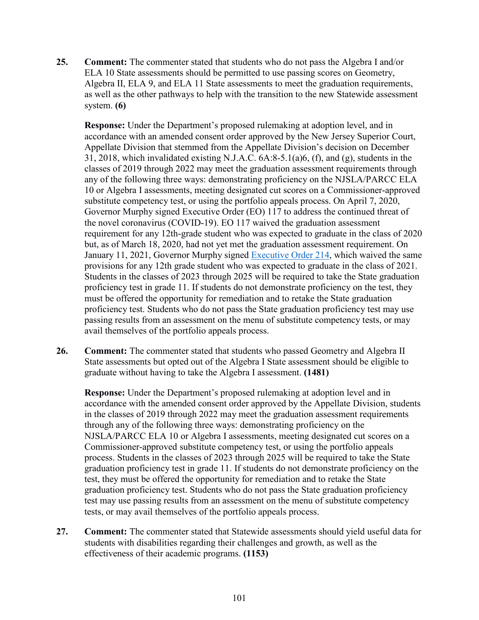**25. Comment:** The commenter stated that students who do not pass the Algebra I and/or ELA 10 State assessments should be permitted to use passing scores on Geometry, Algebra II, ELA 9, and ELA 11 State assessments to meet the graduation requirements, as well as the other pathways to help with the transition to the new Statewide assessment system. **(6)** 

**Response:** Under the Department's proposed rulemaking at adoption level, and in accordance with an amended consent order approved by the New Jersey Superior Court, Appellate Division that stemmed from the Appellate Division's decision on December 31, 2018, which invalidated existing N.J.A.C. 6A:8-5.1(a)6, (f), and (g), students in the classes of 2019 through 2022 may meet the graduation assessment requirements through any of the following three ways: demonstrating proficiency on the NJSLA/PARCC ELA 10 or Algebra I assessments, meeting designated cut scores on a Commissioner-approved substitute competency test, or using the portfolio appeals process. On April 7, 2020, Governor Murphy signed Executive Order (EO) 117 to address the continued threat of the novel coronavirus (COVID-19). EO 117 waived the graduation assessment requirement for any 12th-grade student who was expected to graduate in the class of 2020 but, as of March 18, 2020, had not yet met the graduation assessment requirement. On January 11, 2021, Governor Murphy signed [Executive Order 214,](https://nj.gov/infobank/eo/056murphy/pdf/EO-214.pdf) which waived the same provisions for any 12th grade student who was expected to graduate in the class of 2021. Students in the classes of 2023 through 2025 will be required to take the State graduation proficiency test in grade 11. If students do not demonstrate proficiency on the test, they must be offered the opportunity for remediation and to retake the State graduation proficiency test. Students who do not pass the State graduation proficiency test may use passing results from an assessment on the menu of substitute competency tests, or may avail themselves of the portfolio appeals process.

**26. Comment:** The commenter stated that students who passed Geometry and Algebra II State assessments but opted out of the Algebra I State assessment should be eligible to graduate without having to take the Algebra I assessment. **(1481)**

**Response:** Under the Department's proposed rulemaking at adoption level and in accordance with the amended consent order approved by the Appellate Division, students in the classes of 2019 through 2022 may meet the graduation assessment requirements through any of the following three ways: demonstrating proficiency on the NJSLA/PARCC ELA 10 or Algebra I assessments, meeting designated cut scores on a Commissioner-approved substitute competency test, or using the portfolio appeals process. Students in the classes of 2023 through 2025 will be required to take the State graduation proficiency test in grade 11. If students do not demonstrate proficiency on the test, they must be offered the opportunity for remediation and to retake the State graduation proficiency test. Students who do not pass the State graduation proficiency test may use passing results from an assessment on the menu of substitute competency tests, or may avail themselves of the portfolio appeals process.

**27. Comment:** The commenter stated that Statewide assessments should yield useful data for students with disabilities regarding their challenges and growth, as well as the effectiveness of their academic programs. **(1153)**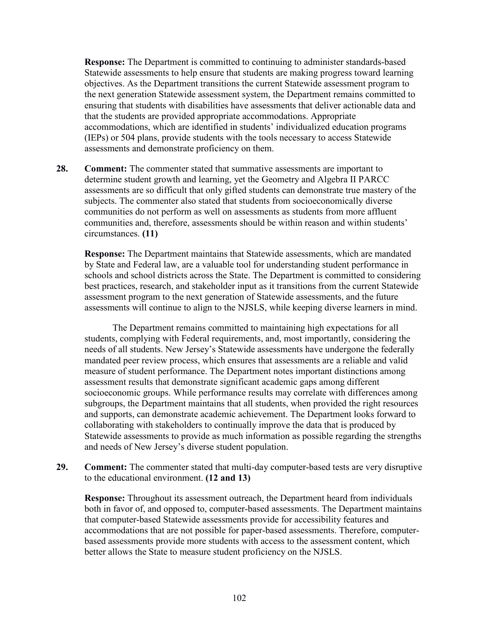**Response:** The Department is committed to continuing to administer standards-based Statewide assessments to help ensure that students are making progress toward learning objectives. As the Department transitions the current Statewide assessment program to the next generation Statewide assessment system, the Department remains committed to ensuring that students with disabilities have assessments that deliver actionable data and that the students are provided appropriate accommodations. Appropriate accommodations, which are identified in students' individualized education programs (IEPs) or 504 plans, provide students with the tools necessary to access Statewide assessments and demonstrate proficiency on them.

**28. Comment:** The commenter stated that summative assessments are important to determine student growth and learning, yet the Geometry and Algebra II PARCC assessments are so difficult that only gifted students can demonstrate true mastery of the subjects. The commenter also stated that students from socioeconomically diverse communities do not perform as well on assessments as students from more affluent communities and, therefore, assessments should be within reason and within students' circumstances. **(11)**

**Response:** The Department maintains that Statewide assessments, which are mandated by State and Federal law, are a valuable tool for understanding student performance in schools and school districts across the State. The Department is committed to considering best practices, research, and stakeholder input as it transitions from the current Statewide assessment program to the next generation of Statewide assessments, and the future assessments will continue to align to the NJSLS, while keeping diverse learners in mind.

The Department remains committed to maintaining high expectations for all students, complying with Federal requirements, and, most importantly, considering the needs of all students. New Jersey's Statewide assessments have undergone the federally mandated peer review process, which ensures that assessments are a reliable and valid measure of student performance. The Department notes important distinctions among assessment results that demonstrate significant academic gaps among different socioeconomic groups. While performance results may correlate with differences among subgroups, the Department maintains that all students, when provided the right resources and supports, can demonstrate academic achievement. The Department looks forward to collaborating with stakeholders to continually improve the data that is produced by Statewide assessments to provide as much information as possible regarding the strengths and needs of New Jersey's diverse student population.

**29. Comment:** The commenter stated that multi-day computer-based tests are very disruptive to the educational environment. **(12 and 13)**

**Response:** Throughout its assessment outreach, the Department heard from individuals both in favor of, and opposed to, computer-based assessments. The Department maintains that computer-based Statewide assessments provide for accessibility features and accommodations that are not possible for paper-based assessments. Therefore, computerbased assessments provide more students with access to the assessment content, which better allows the State to measure student proficiency on the NJSLS.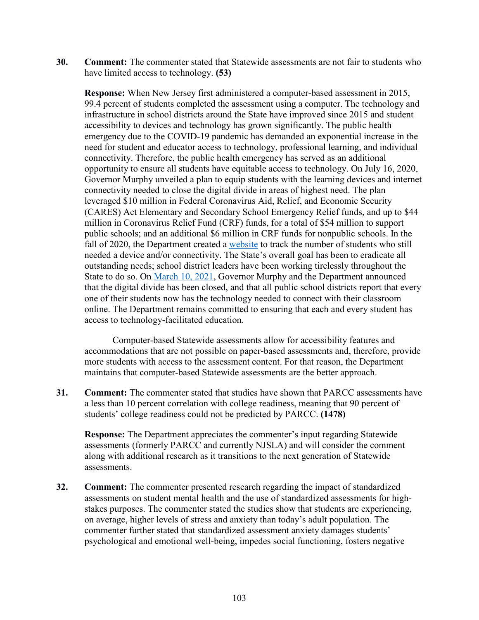**30. Comment:** The commenter stated that Statewide assessments are not fair to students who have limited access to technology. **(53)**

**Response:** When New Jersey first administered a computer-based assessment in 2015, 99.4 percent of students completed the assessment using a computer. The technology and infrastructure in school districts around the State have improved since 2015 and student accessibility to devices and technology has grown significantly. The public health emergency due to the COVID-19 pandemic has demanded an exponential increase in the need for student and educator access to technology, professional learning, and individual connectivity. Therefore, the public health emergency has served as an additional opportunity to ensure all students have equitable access to technology. On July 16, 2020, Governor Murphy unveiled a plan to equip students with the learning devices and internet connectivity needed to close the digital divide in areas of highest need. The plan leveraged \$10 million in Federal Coronavirus Aid, Relief, and Economic Security (CARES) Act Elementary and Secondary School Emergency Relief funds, and up to \$44 million in Coronavirus Relief Fund (CRF) funds, for a total of \$54 million to support public schools; and an additional \$6 million in CRF funds for nonpublic schools. In the fall of 2020, the Department created a [website](https://www.nj.gov/education/grants/digitaldivide/techsurveys.shtml) to track the number of students who still needed a device and/or connectivity. The State's overall goal has been to eradicate all outstanding needs; school district leaders have been working tirelessly throughout the State to do so. On [March 10, 2021,](https://nj.gov/governor/news/news/562021/approved/20210310c.shtml#:%7E:text=%E2%80%9CAs%20of%20today%2C%20New%20Jersey) Governor Murphy and the Department announced that the digital divide has been closed, and that all public school districts report that every one of their students now has the technology needed to connect with their classroom online. The Department remains committed to ensuring that each and every student has access to technology-facilitated education.

Computer-based Statewide assessments allow for accessibility features and accommodations that are not possible on paper-based assessments and, therefore, provide more students with access to the assessment content. For that reason, the Department maintains that computer-based Statewide assessments are the better approach.

**31. Comment:** The commenter stated that studies have shown that PARCC assessments have a less than 10 percent correlation with college readiness, meaning that 90 percent of students' college readiness could not be predicted by PARCC. **(1478)**

**Response:** The Department appreciates the commenter's input regarding Statewide assessments (formerly PARCC and currently NJSLA) and will consider the comment along with additional research as it transitions to the next generation of Statewide assessments.

**32. Comment:** The commenter presented research regarding the impact of standardized assessments on student mental health and the use of standardized assessments for highstakes purposes. The commenter stated the studies show that students are experiencing, on average, higher levels of stress and anxiety than today's adult population. The commenter further stated that standardized assessment anxiety damages students' psychological and emotional well-being, impedes social functioning, fosters negative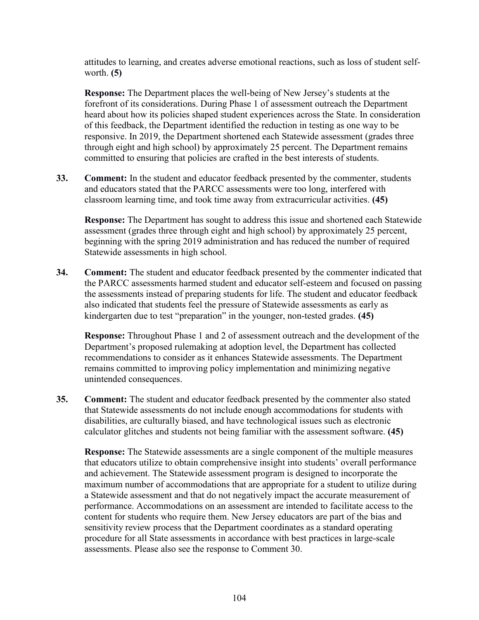attitudes to learning, and creates adverse emotional reactions, such as loss of student selfworth. **(5)** 

**Response:** The Department places the well-being of New Jersey's students at the forefront of its considerations. During Phase 1 of assessment outreach the Department heard about how its policies shaped student experiences across the State. In consideration of this feedback, the Department identified the reduction in testing as one way to be responsive. In 2019, the Department shortened each Statewide assessment (grades three through eight and high school) by approximately 25 percent. The Department remains committed to ensuring that policies are crafted in the best interests of students.

**33. Comment:** In the student and educator feedback presented by the commenter, students and educators stated that the PARCC assessments were too long, interfered with classroom learning time, and took time away from extracurricular activities. **(45)**

**Response:** The Department has sought to address this issue and shortened each Statewide assessment (grades three through eight and high school) by approximately 25 percent, beginning with the spring 2019 administration and has reduced the number of required Statewide assessments in high school.

**34. Comment:** The student and educator feedback presented by the commenter indicated that the PARCC assessments harmed student and educator self-esteem and focused on passing the assessments instead of preparing students for life. The student and educator feedback also indicated that students feel the pressure of Statewide assessments as early as kindergarten due to test "preparation" in the younger, non-tested grades. **(45)**

**Response:** Throughout Phase 1 and 2 of assessment outreach and the development of the Department's proposed rulemaking at adoption level, the Department has collected recommendations to consider as it enhances Statewide assessments. The Department remains committed to improving policy implementation and minimizing negative unintended consequences.

**35. Comment:** The student and educator feedback presented by the commenter also stated that Statewide assessments do not include enough accommodations for students with disabilities, are culturally biased, and have technological issues such as electronic calculator glitches and students not being familiar with the assessment software. **(45)**

**Response:** The Statewide assessments are a single component of the multiple measures that educators utilize to obtain comprehensive insight into students' overall performance and achievement. The Statewide assessment program is designed to incorporate the maximum number of accommodations that are appropriate for a student to utilize during a Statewide assessment and that do not negatively impact the accurate measurement of performance. Accommodations on an assessment are intended to facilitate access to the content for students who require them. New Jersey educators are part of the bias and sensitivity review process that the Department coordinates as a standard operating procedure for all State assessments in accordance with best practices in large-scale assessments. Please also see the response to Comment 30.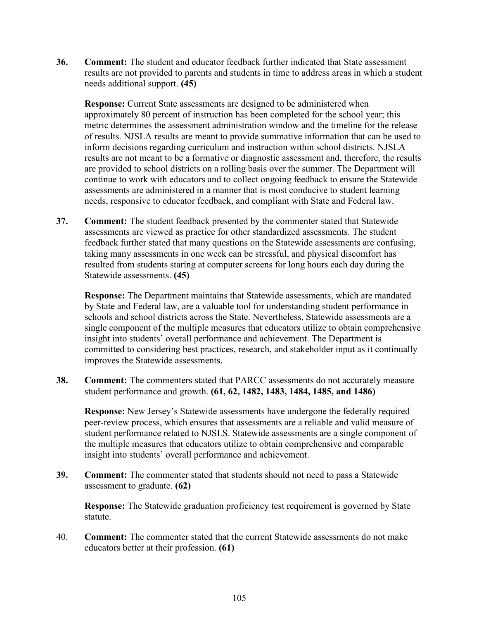**36. Comment:** The student and educator feedback further indicated that State assessment results are not provided to parents and students in time to address areas in which a student needs additional support. **(45)**

**Response:** Current State assessments are designed to be administered when approximately 80 percent of instruction has been completed for the school year; this metric determines the assessment administration window and the timeline for the release of results. NJSLA results are meant to provide summative information that can be used to inform decisions regarding curriculum and instruction within school districts. NJSLA results are not meant to be a formative or diagnostic assessment and, therefore, the results are provided to school districts on a rolling basis over the summer. The Department will continue to work with educators and to collect ongoing feedback to ensure the Statewide assessments are administered in a manner that is most conducive to student learning needs, responsive to educator feedback, and compliant with State and Federal law.

**37. Comment:** The student feedback presented by the commenter stated that Statewide assessments are viewed as practice for other standardized assessments. The student feedback further stated that many questions on the Statewide assessments are confusing, taking many assessments in one week can be stressful, and physical discomfort has resulted from students staring at computer screens for long hours each day during the Statewide assessments. **(45)**

**Response:** The Department maintains that Statewide assessments, which are mandated by State and Federal law, are a valuable tool for understanding student performance in schools and school districts across the State. Nevertheless, Statewide assessments are a single component of the multiple measures that educators utilize to obtain comprehensive insight into students' overall performance and achievement. The Department is committed to considering best practices, research, and stakeholder input as it continually improves the Statewide assessments.

**38. Comment:** The commenters stated that PARCC assessments do not accurately measure student performance and growth. **(61, 62, 1482, 1483, 1484, 1485, and 1486)**

**Response:** New Jersey's Statewide assessments have undergone the federally required peer-review process, which ensures that assessments are a reliable and valid measure of student performance related to NJSLS. Statewide assessments are a single component of the multiple measures that educators utilize to obtain comprehensive and comparable insight into students' overall performance and achievement.

**39. Comment:** The commenter stated that students should not need to pass a Statewide assessment to graduate. **(62)**

**Response:** The Statewide graduation proficiency test requirement is governed by State statute.

40. **Comment:** The commenter stated that the current Statewide assessments do not make educators better at their profession. **(61)**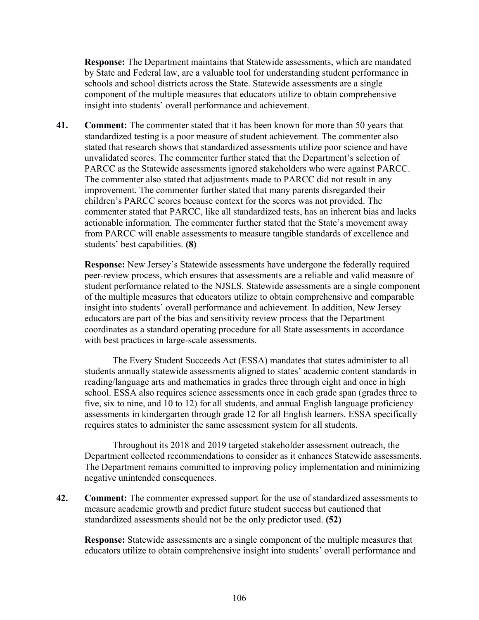**Response:** The Department maintains that Statewide assessments, which are mandated by State and Federal law, are a valuable tool for understanding student performance in schools and school districts across the State. Statewide assessments are a single component of the multiple measures that educators utilize to obtain comprehensive insight into students' overall performance and achievement.

**41. Comment:** The commenter stated that it has been known for more than 50 years that standardized testing is a poor measure of student achievement. The commenter also stated that research shows that standardized assessments utilize poor science and have unvalidated scores. The commenter further stated that the Department's selection of PARCC as the Statewide assessments ignored stakeholders who were against PARCC. The commenter also stated that adjustments made to PARCC did not result in any improvement. The commenter further stated that many parents disregarded their children's PARCC scores because context for the scores was not provided. The commenter stated that PARCC, like all standardized tests, has an inherent bias and lacks actionable information. The commenter further stated that the State's movement away from PARCC will enable assessments to measure tangible standards of excellence and students' best capabilities. **(8)**

**Response:** New Jersey's Statewide assessments have undergone the federally required peer-review process, which ensures that assessments are a reliable and valid measure of student performance related to the NJSLS. Statewide assessments are a single component of the multiple measures that educators utilize to obtain comprehensive and comparable insight into students' overall performance and achievement. In addition, New Jersey educators are part of the bias and sensitivity review process that the Department coordinates as a standard operating procedure for all State assessments in accordance with best practices in large-scale assessments.

The Every Student Succeeds Act (ESSA) mandates that states administer to all students annually statewide assessments aligned to states' academic content standards in reading/language arts and mathematics in grades three through eight and once in high school. ESSA also requires science assessments once in each grade span (grades three to five, six to nine, and 10 to 12) for all students, and annual English language proficiency assessments in kindergarten through grade 12 for all English learners. ESSA specifically requires states to administer the same assessment system for all students.

Throughout its 2018 and 2019 targeted stakeholder assessment outreach, the Department collected recommendations to consider as it enhances Statewide assessments. The Department remains committed to improving policy implementation and minimizing negative unintended consequences.

**42. Comment:** The commenter expressed support for the use of standardized assessments to measure academic growth and predict future student success but cautioned that standardized assessments should not be the only predictor used. **(52)**

**Response:** Statewide assessments are a single component of the multiple measures that educators utilize to obtain comprehensive insight into students' overall performance and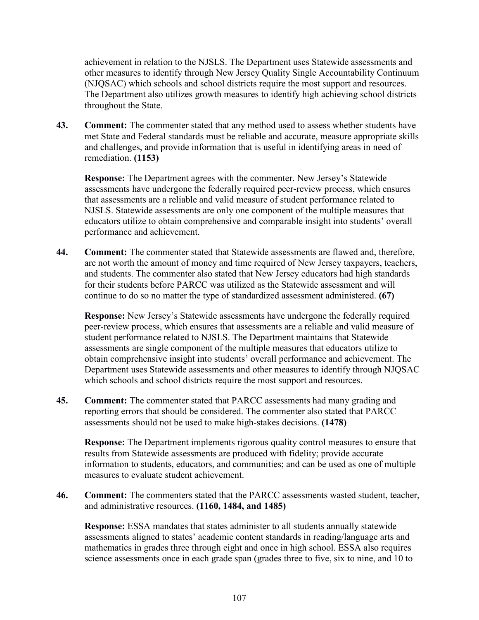achievement in relation to the NJSLS. The Department uses Statewide assessments and other measures to identify through New Jersey Quality Single Accountability Continuum (NJQSAC) which schools and school districts require the most support and resources. The Department also utilizes growth measures to identify high achieving school districts throughout the State.

**43. Comment:** The commenter stated that any method used to assess whether students have met State and Federal standards must be reliable and accurate, measure appropriate skills and challenges, and provide information that is useful in identifying areas in need of remediation. **(1153)**

**Response:** The Department agrees with the commenter. New Jersey's Statewide assessments have undergone the federally required peer-review process, which ensures that assessments are a reliable and valid measure of student performance related to NJSLS. Statewide assessments are only one component of the multiple measures that educators utilize to obtain comprehensive and comparable insight into students' overall performance and achievement.

**44. Comment:** The commenter stated that Statewide assessments are flawed and, therefore, are not worth the amount of money and time required of New Jersey taxpayers, teachers, and students. The commenter also stated that New Jersey educators had high standards for their students before PARCC was utilized as the Statewide assessment and will continue to do so no matter the type of standardized assessment administered. **(67)**

**Response:** New Jersey's Statewide assessments have undergone the federally required peer-review process, which ensures that assessments are a reliable and valid measure of student performance related to NJSLS. The Department maintains that Statewide assessments are single component of the multiple measures that educators utilize to obtain comprehensive insight into students' overall performance and achievement. The Department uses Statewide assessments and other measures to identify through NJQSAC which schools and school districts require the most support and resources.

**45. Comment:** The commenter stated that PARCC assessments had many grading and reporting errors that should be considered. The commenter also stated that PARCC assessments should not be used to make high-stakes decisions. **(1478)**

**Response:** The Department implements rigorous quality control measures to ensure that results from Statewide assessments are produced with fidelity; provide accurate information to students, educators, and communities; and can be used as one of multiple measures to evaluate student achievement.

**46. Comment:** The commenters stated that the PARCC assessments wasted student, teacher, and administrative resources. **(1160, 1484, and 1485)**

**Response:** ESSA mandates that states administer to all students annually statewide assessments aligned to states' academic content standards in reading/language arts and mathematics in grades three through eight and once in high school. ESSA also requires science assessments once in each grade span (grades three to five, six to nine, and 10 to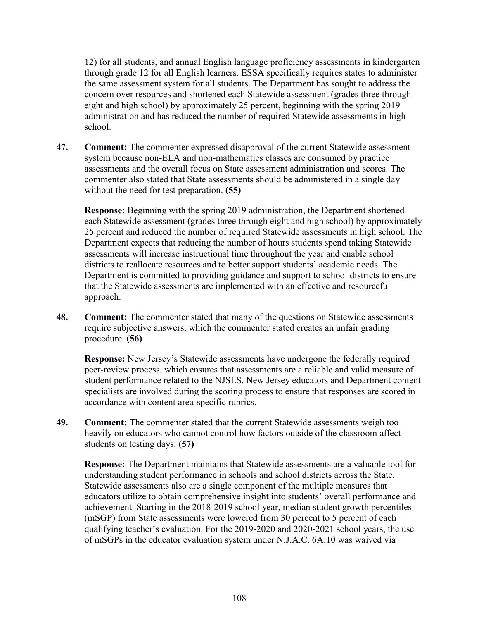12) for all students, and annual English language proficiency assessments in kindergarten through grade 12 for all English learners. ESSA specifically requires states to administer the same assessment system for all students. The Department has sought to address the concern over resources and shortened each Statewide assessment (grades three through eight and high school) by approximately 25 percent, beginning with the spring 2019 administration and has reduced the number of required Statewide assessments in high school.

**47. Comment:** The commenter expressed disapproval of the current Statewide assessment system because non-ELA and non-mathematics classes are consumed by practice assessments and the overall focus on State assessment administration and scores. The commenter also stated that State assessments should be administered in a single day without the need for test preparation. **(55)**

**Response:** Beginning with the spring 2019 administration, the Department shortened each Statewide assessment (grades three through eight and high school) by approximately 25 percent and reduced the number of required Statewide assessments in high school. The Department expects that reducing the number of hours students spend taking Statewide assessments will increase instructional time throughout the year and enable school districts to reallocate resources and to better support students' academic needs. The Department is committed to providing guidance and support to school districts to ensure that the Statewide assessments are implemented with an effective and resourceful approach.

**48. Comment:** The commenter stated that many of the questions on Statewide assessments require subjective answers, which the commenter stated creates an unfair grading procedure. **(56)**

**Response:** New Jersey's Statewide assessments have undergone the federally required peer-review process, which ensures that assessments are a reliable and valid measure of student performance related to the NJSLS. New Jersey educators and Department content specialists are involved during the scoring process to ensure that responses are scored in accordance with content area-specific rubrics.

**49. Comment:** The commenter stated that the current Statewide assessments weigh too heavily on educators who cannot control how factors outside of the classroom affect students on testing days. **(57)**

**Response:** The Department maintains that Statewide assessments are a valuable tool for understanding student performance in schools and school districts across the State. Statewide assessments also are a single component of the multiple measures that educators utilize to obtain comprehensive insight into students' overall performance and achievement. Starting in the 2018-2019 school year, median student growth percentiles (mSGP) from State assessments were lowered from 30 percent to 5 percent of each qualifying teacher's evaluation. For the 2019-2020 and 2020-2021 school years, the use of mSGPs in the educator evaluation system under N.J.A.C. 6A:10 was waived via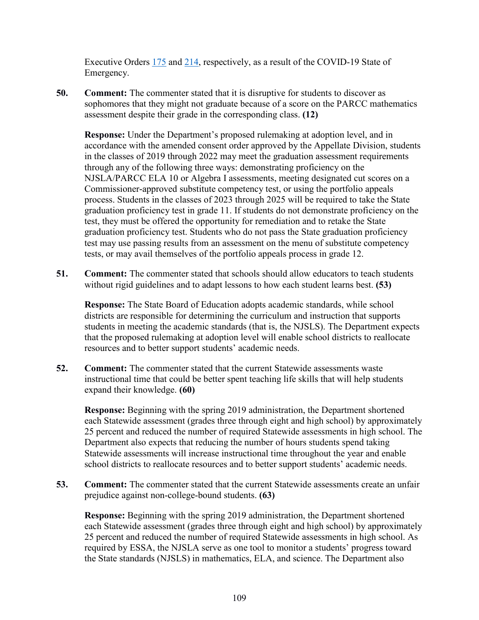Executive Orders [175](https://nj.gov/infobank/eo/056murphy/pdf/EO-175.pdf) and [214,](https://nj.gov/infobank/eo/056murphy/pdf/EO-214.pdf) respectively, as a result of the COVID-19 State of Emergency.

**50. Comment:** The commenter stated that it is disruptive for students to discover as sophomores that they might not graduate because of a score on the PARCC mathematics assessment despite their grade in the corresponding class. **(12)**

**Response:** Under the Department's proposed rulemaking at adoption level, and in accordance with the amended consent order approved by the Appellate Division, students in the classes of 2019 through 2022 may meet the graduation assessment requirements through any of the following three ways: demonstrating proficiency on the NJSLA/PARCC ELA 10 or Algebra I assessments, meeting designated cut scores on a Commissioner-approved substitute competency test, or using the portfolio appeals process. Students in the classes of 2023 through 2025 will be required to take the State graduation proficiency test in grade 11. If students do not demonstrate proficiency on the test, they must be offered the opportunity for remediation and to retake the State graduation proficiency test. Students who do not pass the State graduation proficiency test may use passing results from an assessment on the menu of substitute competency tests, or may avail themselves of the portfolio appeals process in grade 12.

**51. Comment:** The commenter stated that schools should allow educators to teach students without rigid guidelines and to adapt lessons to how each student learns best. **(53)** 

**Response:** The State Board of Education adopts academic standards, while school districts are responsible for determining the curriculum and instruction that supports students in meeting the academic standards (that is, the NJSLS). The Department expects that the proposed rulemaking at adoption level will enable school districts to reallocate resources and to better support students' academic needs.

**52. Comment:** The commenter stated that the current Statewide assessments waste instructional time that could be better spent teaching life skills that will help students expand their knowledge. **(60)**

**Response:** Beginning with the spring 2019 administration, the Department shortened each Statewide assessment (grades three through eight and high school) by approximately 25 percent and reduced the number of required Statewide assessments in high school. The Department also expects that reducing the number of hours students spend taking Statewide assessments will increase instructional time throughout the year and enable school districts to reallocate resources and to better support students' academic needs.

**53. Comment:** The commenter stated that the current Statewide assessments create an unfair prejudice against non-college-bound students. **(63)**

**Response:** Beginning with the spring 2019 administration, the Department shortened each Statewide assessment (grades three through eight and high school) by approximately 25 percent and reduced the number of required Statewide assessments in high school. As required by ESSA, the NJSLA serve as one tool to monitor a students' progress toward the State standards (NJSLS) in mathematics, ELA, and science. The Department also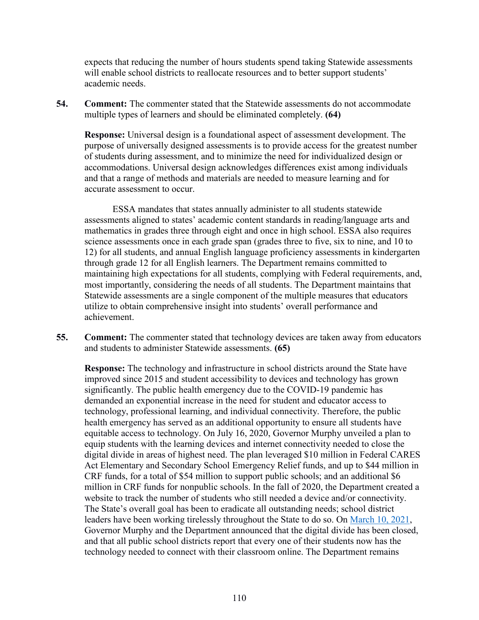expects that reducing the number of hours students spend taking Statewide assessments will enable school districts to reallocate resources and to better support students' academic needs.

**54. Comment:** The commenter stated that the Statewide assessments do not accommodate multiple types of learners and should be eliminated completely. **(64)**

**Response:** Universal design is a foundational aspect of assessment development. The purpose of universally designed assessments is to provide access for the greatest number of students during assessment, and to minimize the need for individualized design or accommodations. Universal design acknowledges differences exist among individuals and that a range of methods and materials are needed to measure learning and for accurate assessment to occur.

ESSA mandates that states annually administer to all students statewide assessments aligned to states' academic content standards in reading/language arts and mathematics in grades three through eight and once in high school. ESSA also requires science assessments once in each grade span (grades three to five, six to nine, and 10 to 12) for all students, and annual English language proficiency assessments in kindergarten through grade 12 for all English learners. The Department remains committed to maintaining high expectations for all students, complying with Federal requirements, and, most importantly, considering the needs of all students. The Department maintains that Statewide assessments are a single component of the multiple measures that educators utilize to obtain comprehensive insight into students' overall performance and achievement.

**55. Comment:** The commenter stated that technology devices are taken away from educators and students to administer Statewide assessments. **(65)**

**Response:** The technology and infrastructure in school districts around the State have improved since 2015 and student accessibility to devices and technology has grown significantly. The public health emergency due to the COVID-19 pandemic has demanded an exponential increase in the need for student and educator access to technology, professional learning, and individual connectivity. Therefore, the public health emergency has served as an additional opportunity to ensure all students have equitable access to technology. On July 16, 2020, Governor Murphy unveiled a plan to equip students with the learning devices and internet connectivity needed to close the digital divide in areas of highest need. The plan leveraged \$10 million in Federal CARES Act Elementary and Secondary School Emergency Relief funds, and up to \$44 million in CRF funds, for a total of \$54 million to support public schools; and an additional \$6 million in CRF funds for nonpublic schools. In the fall of 2020, the Department created a website to track the number of students who still needed a device and/or connectivity. The State's overall goal has been to eradicate all outstanding needs; school district leaders have been working tirelessly throughout the State to do so. On [March 10, 2021,](https://nj.gov/governor/news/news/562021/approved/20210310c.shtml#:%7E:text=%E2%80%9CAs%20of%20today%2C%20New%20Jersey) Governor Murphy and the Department announced that the digital divide has been closed, and that all public school districts report that every one of their students now has the technology needed to connect with their classroom online. The Department remains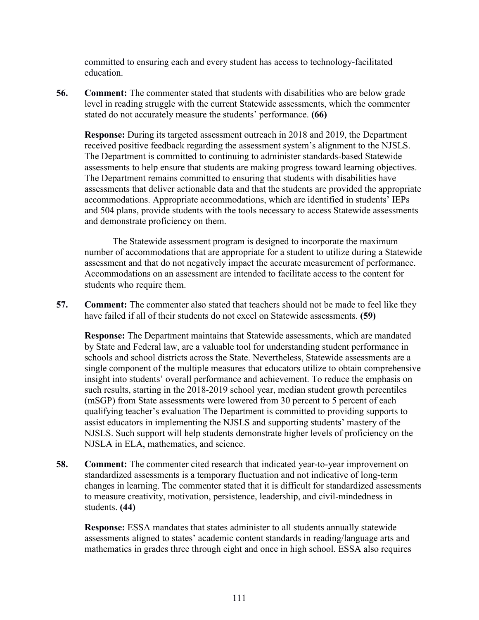committed to ensuring each and every student has access to technology-facilitated education.

**56. Comment:** The commenter stated that students with disabilities who are below grade level in reading struggle with the current Statewide assessments, which the commenter stated do not accurately measure the students' performance. **(66)**

**Response:** During its targeted assessment outreach in 2018 and 2019, the Department received positive feedback regarding the assessment system's alignment to the NJSLS. The Department is committed to continuing to administer standards-based Statewide assessments to help ensure that students are making progress toward learning objectives. The Department remains committed to ensuring that students with disabilities have assessments that deliver actionable data and that the students are provided the appropriate accommodations. Appropriate accommodations, which are identified in students' IEPs and 504 plans, provide students with the tools necessary to access Statewide assessments and demonstrate proficiency on them.

The Statewide assessment program is designed to incorporate the maximum number of accommodations that are appropriate for a student to utilize during a Statewide assessment and that do not negatively impact the accurate measurement of performance. Accommodations on an assessment are intended to facilitate access to the content for students who require them.

**57. Comment:** The commenter also stated that teachers should not be made to feel like they have failed if all of their students do not excel on Statewide assessments. **(59)**

**Response:** The Department maintains that Statewide assessments, which are mandated by State and Federal law, are a valuable tool for understanding student performance in schools and school districts across the State. Nevertheless, Statewide assessments are a single component of the multiple measures that educators utilize to obtain comprehensive insight into students' overall performance and achievement. To reduce the emphasis on such results, starting in the 2018-2019 school year, median student growth percentiles (mSGP) from State assessments were lowered from 30 percent to 5 percent of each qualifying teacher's evaluation The Department is committed to providing supports to assist educators in implementing the NJSLS and supporting students' mastery of the NJSLS. Such support will help students demonstrate higher levels of proficiency on the NJSLA in ELA, mathematics, and science.

**58. Comment:** The commenter cited research that indicated year-to-year improvement on standardized assessments is a temporary fluctuation and not indicative of long-term changes in learning. The commenter stated that it is difficult for standardized assessments to measure creativity, motivation, persistence, leadership, and civil-mindedness in students. **(44)**

**Response:** ESSA mandates that states administer to all students annually statewide assessments aligned to states' academic content standards in reading/language arts and mathematics in grades three through eight and once in high school. ESSA also requires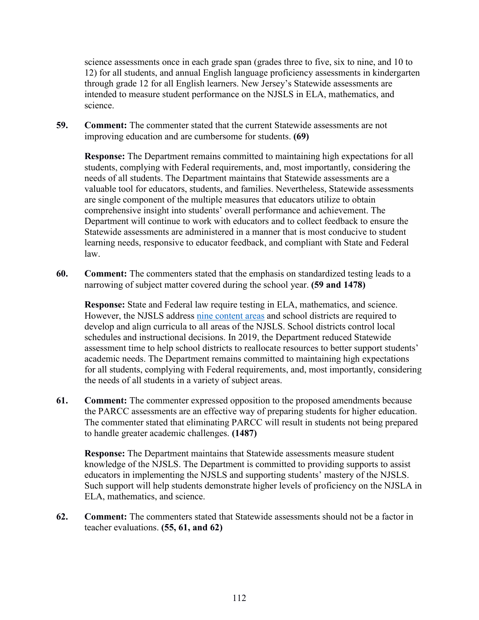science assessments once in each grade span (grades three to five, six to nine, and 10 to 12) for all students, and annual English language proficiency assessments in kindergarten through grade 12 for all English learners. New Jersey's Statewide assessments are intended to measure student performance on the NJSLS in ELA, mathematics, and science.

**59. Comment:** The commenter stated that the current Statewide assessments are not improving education and are cumbersome for students. **(69)**

**Response:** The Department remains committed to maintaining high expectations for all students, complying with Federal requirements, and, most importantly, considering the needs of all students. The Department maintains that Statewide assessments are a valuable tool for educators, students, and families. Nevertheless, Statewide assessments are single component of the multiple measures that educators utilize to obtain comprehensive insight into students' overall performance and achievement. The Department will continue to work with educators and to collect feedback to ensure the Statewide assessments are administered in a manner that is most conducive to student learning needs, responsive to educator feedback, and compliant with State and Federal law.

**60. Comment:** The commenters stated that the emphasis on standardized testing leads to a narrowing of subject matter covered during the school year. **(59 and 1478)** 

**Response:** State and Federal law require testing in ELA, mathematics, and science. However, the NJSLS address [nine content areas](https://www.nj.gov/education/cccs/) and school districts are required to develop and align curricula to all areas of the NJSLS. School districts control local schedules and instructional decisions. In 2019, the Department reduced Statewide assessment time to help school districts to reallocate resources to better support students' academic needs. The Department remains committed to maintaining high expectations for all students, complying with Federal requirements, and, most importantly, considering the needs of all students in a variety of subject areas.

**61. Comment:** The commenter expressed opposition to the proposed amendments because the PARCC assessments are an effective way of preparing students for higher education. The commenter stated that eliminating PARCC will result in students not being prepared to handle greater academic challenges. **(1487)**

**Response:** The Department maintains that Statewide assessments measure student knowledge of the NJSLS. The Department is committed to providing supports to assist educators in implementing the NJSLS and supporting students' mastery of the NJSLS. Such support will help students demonstrate higher levels of proficiency on the NJSLA in ELA, mathematics, and science.

**62. Comment:** The commenters stated that Statewide assessments should not be a factor in teacher evaluations. **(55, 61, and 62)**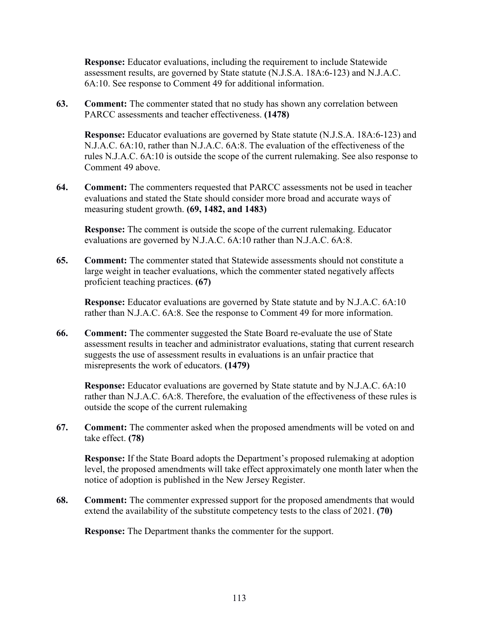**Response:** Educator evaluations, including the requirement to include Statewide assessment results, are governed by State statute (N.J.S.A. 18A:6-123) and N.J.A.C. 6A:10. See response to Comment 49 for additional information.

**63. Comment:** The commenter stated that no study has shown any correlation between PARCC assessments and teacher effectiveness. **(1478)**

**Response:** Educator evaluations are governed by State statute (N.J.S.A. 18A:6-123) and N.J.A.C. 6A:10, rather than N.J.A.C. 6A:8. The evaluation of the effectiveness of the rules N.J.A.C. 6A:10 is outside the scope of the current rulemaking. See also response to Comment 49 above.

**64. Comment:** The commenters requested that PARCC assessments not be used in teacher evaluations and stated the State should consider more broad and accurate ways of measuring student growth. **(69, 1482, and 1483)**

**Response:** The comment is outside the scope of the current rulemaking. Educator evaluations are governed by N.J.A.C. 6A:10 rather than N.J.A.C. 6A:8.

**65. Comment:** The commenter stated that Statewide assessments should not constitute a large weight in teacher evaluations, which the commenter stated negatively affects proficient teaching practices. **(67)**

**Response:** Educator evaluations are governed by State statute and by N.J.A.C. 6A:10 rather than N.J.A.C. 6A:8. See the response to Comment 49 for more information.

**66. Comment:** The commenter suggested the State Board re-evaluate the use of State assessment results in teacher and administrator evaluations, stating that current research suggests the use of assessment results in evaluations is an unfair practice that misrepresents the work of educators. **(1479)**

**Response:** Educator evaluations are governed by State statute and by N.J.A.C. 6A:10 rather than N.J.A.C. 6A:8. Therefore, the evaluation of the effectiveness of these rules is outside the scope of the current rulemaking

**67. Comment:** The commenter asked when the proposed amendments will be voted on and take effect. **(78)**

**Response:** If the State Board adopts the Department's proposed rulemaking at adoption level, the proposed amendments will take effect approximately one month later when the notice of adoption is published in the New Jersey Register.

**68. Comment:** The commenter expressed support for the proposed amendments that would extend the availability of the substitute competency tests to the class of 2021. **(70)**

**Response:** The Department thanks the commenter for the support.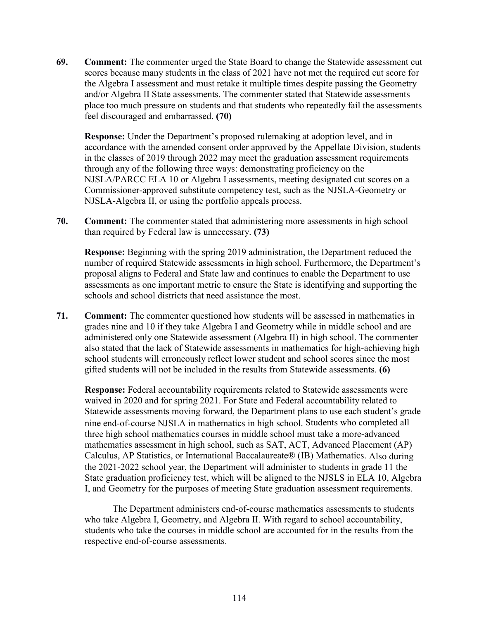**69. Comment:** The commenter urged the State Board to change the Statewide assessment cut scores because many students in the class of 2021 have not met the required cut score for the Algebra I assessment and must retake it multiple times despite passing the Geometry and/or Algebra II State assessments. The commenter stated that Statewide assessments place too much pressure on students and that students who repeatedly fail the assessments feel discouraged and embarrassed. **(70)**

**Response:** Under the Department's proposed rulemaking at adoption level, and in accordance with the amended consent order approved by the Appellate Division, students in the classes of 2019 through 2022 may meet the graduation assessment requirements through any of the following three ways: demonstrating proficiency on the NJSLA/PARCC ELA 10 or Algebra I assessments, meeting designated cut scores on a Commissioner-approved substitute competency test, such as the NJSLA-Geometry or NJSLA-Algebra II, or using the portfolio appeals process.

**70. Comment:** The commenter stated that administering more assessments in high school than required by Federal law is unnecessary. **(73)**

**Response:** Beginning with the spring 2019 administration, the Department reduced the number of required Statewide assessments in high school. Furthermore, the Department's proposal aligns to Federal and State law and continues to enable the Department to use assessments as one important metric to ensure the State is identifying and supporting the schools and school districts that need assistance the most.

**71. Comment:** The commenter questioned how students will be assessed in mathematics in grades nine and 10 if they take Algebra I and Geometry while in middle school and are administered only one Statewide assessment (Algebra II) in high school. The commenter also stated that the lack of Statewide assessments in mathematics for high-achieving high school students will erroneously reflect lower student and school scores since the most gifted students will not be included in the results from Statewide assessments. **(6)**

**Response:** Federal accountability requirements related to Statewide assessments were waived in 2020 and for spring 2021. For State and Federal accountability related to Statewide assessments moving forward, the Department plans to use each student's grade nine end-of-course NJSLA in mathematics in high school. Students who completed all three high school mathematics courses in middle school must take a more-advanced mathematics assessment in high school, such as SAT, ACT, Advanced Placement (AP) Calculus, AP Statistics, or International Baccalaureate® (IB) Mathematics. Also during the 2021-2022 school year, the Department will administer to students in grade 11 the State graduation proficiency test, which will be aligned to the NJSLS in ELA 10, Algebra I, and Geometry for the purposes of meeting State graduation assessment requirements.

The Department administers end-of-course mathematics assessments to students who take Algebra I, Geometry, and Algebra II. With regard to school accountability, students who take the courses in middle school are accounted for in the results from the respective end-of-course assessments.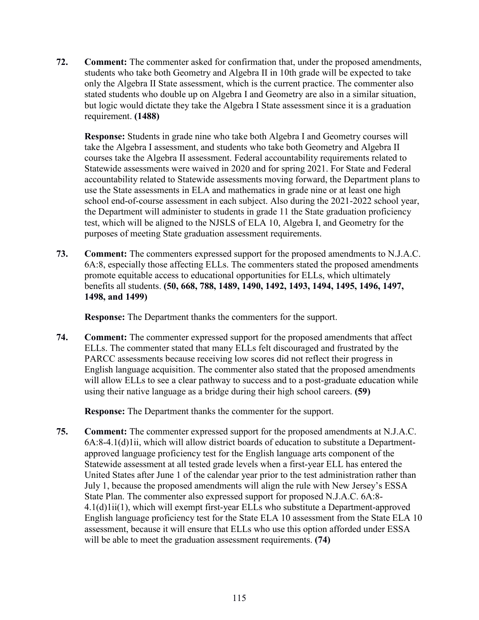**72. Comment:** The commenter asked for confirmation that, under the proposed amendments, students who take both Geometry and Algebra II in 10th grade will be expected to take only the Algebra II State assessment, which is the current practice. The commenter also stated students who double up on Algebra I and Geometry are also in a similar situation, but logic would dictate they take the Algebra I State assessment since it is a graduation requirement. **(1488)**

**Response:** Students in grade nine who take both Algebra I and Geometry courses will take the Algebra I assessment, and students who take both Geometry and Algebra II courses take the Algebra II assessment. Federal accountability requirements related to Statewide assessments were waived in 2020 and for spring 2021. For State and Federal accountability related to Statewide assessments moving forward, the Department plans to use the State assessments in ELA and mathematics in grade nine or at least one high school end-of-course assessment in each subject. Also during the 2021-2022 school year, the Department will administer to students in grade 11 the State graduation proficiency test, which will be aligned to the NJSLS of ELA 10, Algebra I, and Geometry for the purposes of meeting State graduation assessment requirements.

**73. Comment:** The commenters expressed support for the proposed amendments to N.J.A.C. 6A:8, especially those affecting ELLs. The commenters stated the proposed amendments promote equitable access to educational opportunities for ELLs, which ultimately benefits all students. **(50, 668, 788, 1489, 1490, 1492, 1493, 1494, 1495, 1496, 1497, 1498, and 1499)**

**Response:** The Department thanks the commenters for the support.

**74. Comment:** The commenter expressed support for the proposed amendments that affect ELLs. The commenter stated that many ELLs felt discouraged and frustrated by the PARCC assessments because receiving low scores did not reflect their progress in English language acquisition. The commenter also stated that the proposed amendments will allow ELLs to see a clear pathway to success and to a post-graduate education while using their native language as a bridge during their high school careers. **(59)**

**Response:** The Department thanks the commenter for the support.

**75. Comment:** The commenter expressed support for the proposed amendments at N.J.A.C. 6A:8-4.1(d)1ii, which will allow district boards of education to substitute a Departmentapproved language proficiency test for the English language arts component of the Statewide assessment at all tested grade levels when a first-year ELL has entered the United States after June 1 of the calendar year prior to the test administration rather than July 1, because the proposed amendments will align the rule with New Jersey's ESSA State Plan. The commenter also expressed support for proposed N.J.A.C. 6A:8- 4.1(d)1ii(1), which will exempt first-year ELLs who substitute a Department-approved English language proficiency test for the State ELA 10 assessment from the State ELA 10 assessment, because it will ensure that ELLs who use this option afforded under ESSA will be able to meet the graduation assessment requirements. **(74)**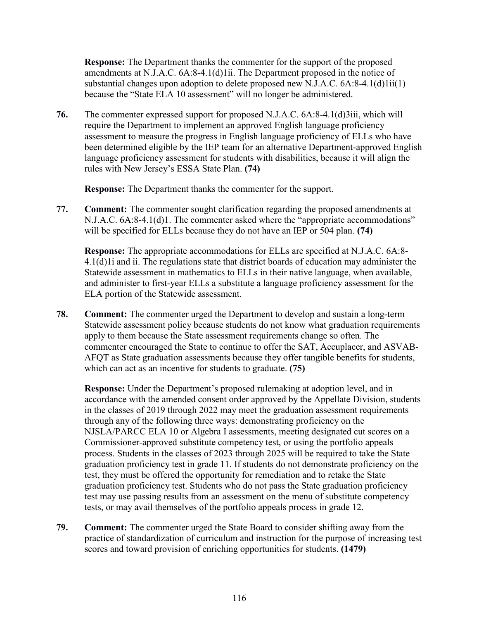**Response:** The Department thanks the commenter for the support of the proposed amendments at N.J.A.C. 6A:8-4.1(d)1ii. The Department proposed in the notice of substantial changes upon adoption to delete proposed new N.J.A.C. 6A:8-4.1(d)1ii(1) because the "State ELA 10 assessment" will no longer be administered.

**76.** The commenter expressed support for proposed N.J.A.C. 6A:8-4.1(d)3iii, which will require the Department to implement an approved English language proficiency assessment to measure the progress in English language proficiency of ELLs who have been determined eligible by the IEP team for an alternative Department-approved English language proficiency assessment for students with disabilities, because it will align the rules with New Jersey's ESSA State Plan. **(74)**

**Response:** The Department thanks the commenter for the support.

**77. Comment:** The commenter sought clarification regarding the proposed amendments at N.J.A.C. 6A:8-4.1(d)1. The commenter asked where the "appropriate accommodations" will be specified for ELLs because they do not have an IEP or 504 plan. **(74)**

**Response:** The appropriate accommodations for ELLs are specified at N.J.A.C. 6A:8- 4.1(d)1i and ii. The regulations state that district boards of education may administer the Statewide assessment in mathematics to ELLs in their native language, when available, and administer to first-year ELLs a substitute a language proficiency assessment for the ELA portion of the Statewide assessment.

**78. Comment:** The commenter urged the Department to develop and sustain a long-term Statewide assessment policy because students do not know what graduation requirements apply to them because the State assessment requirements change so often. The commenter encouraged the State to continue to offer the SAT, Accuplacer, and ASVAB-AFQT as State graduation assessments because they offer tangible benefits for students, which can act as an incentive for students to graduate. **(75)**

**Response:** Under the Department's proposed rulemaking at adoption level, and in accordance with the amended consent order approved by the Appellate Division, students in the classes of 2019 through 2022 may meet the graduation assessment requirements through any of the following three ways: demonstrating proficiency on the NJSLA/PARCC ELA 10 or Algebra I assessments, meeting designated cut scores on a Commissioner-approved substitute competency test, or using the portfolio appeals process. Students in the classes of 2023 through 2025 will be required to take the State graduation proficiency test in grade 11. If students do not demonstrate proficiency on the test, they must be offered the opportunity for remediation and to retake the State graduation proficiency test. Students who do not pass the State graduation proficiency test may use passing results from an assessment on the menu of substitute competency tests, or may avail themselves of the portfolio appeals process in grade 12.

**79. Comment:** The commenter urged the State Board to consider shifting away from the practice of standardization of curriculum and instruction for the purpose of increasing test scores and toward provision of enriching opportunities for students. **(1479)**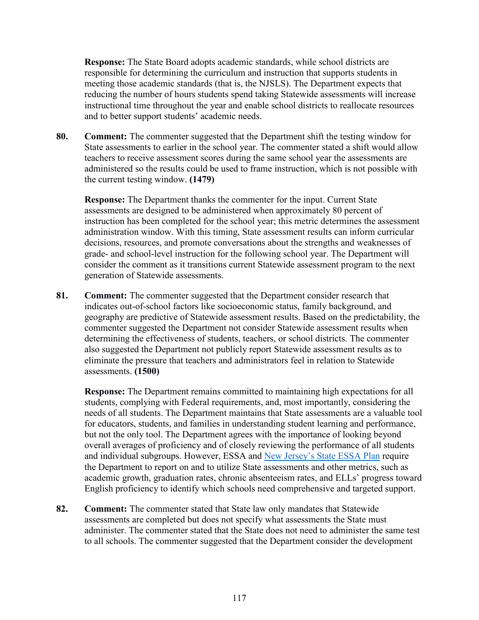**Response:** The State Board adopts academic standards, while school districts are responsible for determining the curriculum and instruction that supports students in meeting those academic standards (that is, the NJSLS). The Department expects that reducing the number of hours students spend taking Statewide assessments will increase instructional time throughout the year and enable school districts to reallocate resources and to better support students' academic needs.

**80. Comment:** The commenter suggested that the Department shift the testing window for State assessments to earlier in the school year. The commenter stated a shift would allow teachers to receive assessment scores during the same school year the assessments are administered so the results could be used to frame instruction, which is not possible with the current testing window. **(1479)**

**Response:** The Department thanks the commenter for the input. Current State assessments are designed to be administered when approximately 80 percent of instruction has been completed for the school year; this metric determines the assessment administration window. With this timing, State assessment results can inform curricular decisions, resources, and promote conversations about the strengths and weaknesses of grade- and school-level instruction for the following school year. The Department will consider the comment as it transitions current Statewide assessment program to the next generation of Statewide assessments.

**81. Comment:** The commenter suggested that the Department consider research that indicates out-of-school factors like socioeconomic status, family background, and geography are predictive of Statewide assessment results. Based on the predictability, the commenter suggested the Department not consider Statewide assessment results when determining the effectiveness of students, teachers, or school districts. The commenter also suggested the Department not publicly report Statewide assessment results as to eliminate the pressure that teachers and administrators feel in relation to Statewide assessments. **(1500)**

**Response:** The Department remains committed to maintaining high expectations for all students, complying with Federal requirements, and, most importantly, considering the needs of all students. The Department maintains that State assessments are a valuable tool for educators, students, and families in understanding student learning and performance, but not the only tool. The Department agrees with the importance of looking beyond overall averages of proficiency and of closely reviewing the performance of all students and individual subgroups. However, ESSA and [New Jersey's State ESSA Plan](https://www.state.nj.us/education/ESSA/plan/) require the Department to report on and to utilize State assessments and other metrics, such as academic growth, graduation rates, chronic absenteeism rates, and ELLs' progress toward English proficiency to identify which schools need comprehensive and targeted support.

**82. Comment:** The commenter stated that State law only mandates that Statewide assessments are completed but does not specify what assessments the State must administer. The commenter stated that the State does not need to administer the same test to all schools. The commenter suggested that the Department consider the development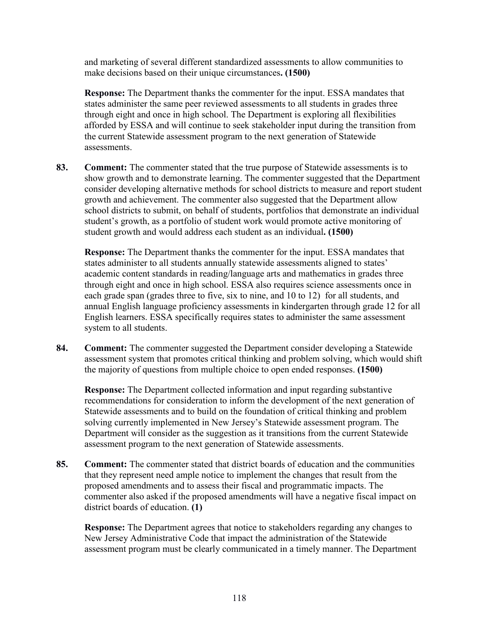and marketing of several different standardized assessments to allow communities to make decisions based on their unique circumstances**. (1500)**

**Response:** The Department thanks the commenter for the input. ESSA mandates that states administer the same peer reviewed assessments to all students in grades three through eight and once in high school. The Department is exploring all flexibilities afforded by ESSA and will continue to seek stakeholder input during the transition from the current Statewide assessment program to the next generation of Statewide assessments.

**83. Comment:** The commenter stated that the true purpose of Statewide assessments is to show growth and to demonstrate learning. The commenter suggested that the Department consider developing alternative methods for school districts to measure and report student growth and achievement. The commenter also suggested that the Department allow school districts to submit, on behalf of students, portfolios that demonstrate an individual student's growth, as a portfolio of student work would promote active monitoring of student growth and would address each student as an individual**. (1500)**

**Response:** The Department thanks the commenter for the input. ESSA mandates that states administer to all students annually statewide assessments aligned to states' academic content standards in reading/language arts and mathematics in grades three through eight and once in high school. ESSA also requires science assessments once in each grade span (grades three to five, six to nine, and 10 to 12) for all students, and annual English language proficiency assessments in kindergarten through grade 12 for all English learners. ESSA specifically requires states to administer the same assessment system to all students.

**84. Comment:** The commenter suggested the Department consider developing a Statewide assessment system that promotes critical thinking and problem solving, which would shift the majority of questions from multiple choice to open ended responses. **(1500)**

**Response:** The Department collected information and input regarding substantive recommendations for consideration to inform the development of the next generation of Statewide assessments and to build on the foundation of critical thinking and problem solving currently implemented in New Jersey's Statewide assessment program. The Department will consider as the suggestion as it transitions from the current Statewide assessment program to the next generation of Statewide assessments.

**85. Comment:** The commenter stated that district boards of education and the communities that they represent need ample notice to implement the changes that result from the proposed amendments and to assess their fiscal and programmatic impacts. The commenter also asked if the proposed amendments will have a negative fiscal impact on district boards of education. **(1)**

**Response:** The Department agrees that notice to stakeholders regarding any changes to New Jersey Administrative Code that impact the administration of the Statewide assessment program must be clearly communicated in a timely manner. The Department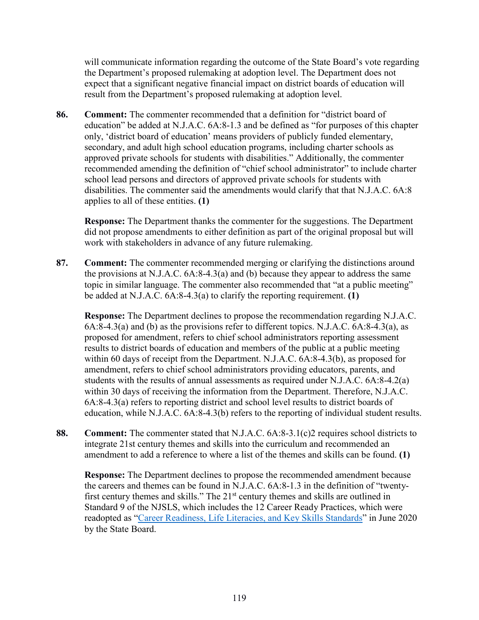will communicate information regarding the outcome of the State Board's vote regarding the Department's proposed rulemaking at adoption level. The Department does not expect that a significant negative financial impact on district boards of education will result from the Department's proposed rulemaking at adoption level.

**86. Comment:** The commenter recommended that a definition for "district board of education" be added at N.J.A.C. 6A:8-1.3 and be defined as "for purposes of this chapter only, 'district board of education' means providers of publicly funded elementary, secondary, and adult high school education programs, including charter schools as approved private schools for students with disabilities." Additionally, the commenter recommended amending the definition of "chief school administrator" to include charter school lead persons and directors of approved private schools for students with disabilities. The commenter said the amendments would clarify that that N.J.A.C. 6A:8 applies to all of these entities. **(1)**

**Response:** The Department thanks the commenter for the suggestions. The Department did not propose amendments to either definition as part of the original proposal but will work with stakeholders in advance of any future rulemaking.

**87. Comment:** The commenter recommended merging or clarifying the distinctions around the provisions at N.J.A.C. 6A:8-4.3(a) and (b) because they appear to address the same topic in similar language. The commenter also recommended that "at a public meeting" be added at N.J.A.C. 6A:8-4.3(a) to clarify the reporting requirement. **(1)**

**Response:** The Department declines to propose the recommendation regarding N.J.A.C. 6A:8-4.3(a) and (b) as the provisions refer to different topics. N.J.A.C. 6A:8-4.3(a), as proposed for amendment, refers to chief school administrators reporting assessment results to district boards of education and members of the public at a public meeting within 60 days of receipt from the Department. N.J.A.C. 6A:8-4.3(b), as proposed for amendment, refers to chief school administrators providing educators, parents, and students with the results of annual assessments as required under N.J.A.C. 6A:8-4.2(a) within 30 days of receiving the information from the Department. Therefore, N.J.A.C. 6A:8-4.3(a) refers to reporting district and school level results to district boards of education, while N.J.A.C. 6A:8-4.3(b) refers to the reporting of individual student results.

**88. Comment:** The commenter stated that N.J.A.C. 6A:8-3.1(c)2 requires school districts to integrate 21st century themes and skills into the curriculum and recommended an amendment to add a reference to where a list of the themes and skills can be found. **(1)**

**Response:** The Department declines to propose the recommended amendment because the careers and themes can be found in N.J.A.C. 6A:8-1.3 in the definition of "twentyfirst century themes and skills." The  $21<sup>st</sup>$  century themes and skills are outlined in Standard 9 of the NJSLS, which includes the 12 Career Ready Practices, which were readopted as ["Career Readiness, Life Literacies, and Key Skills Standards"](https://www.nj.gov/education/cccs/2020/2020%20NJSLS-CLKS.pdf) in June 2020 by the State Board.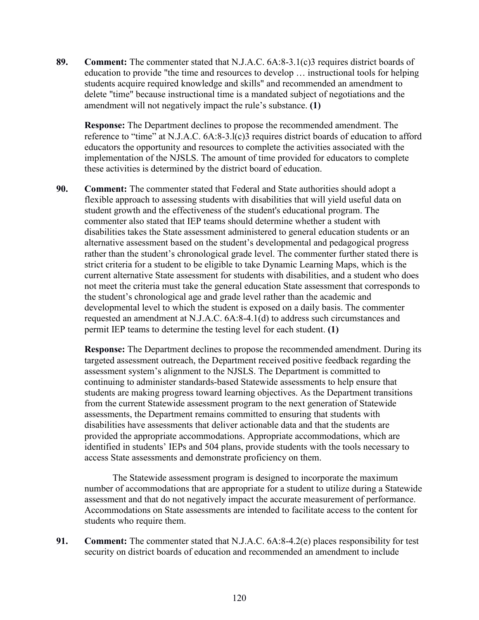**89. Comment:** The commenter stated that N.J.A.C. 6A:8-3.1(c)3 requires district boards of education to provide "the time and resources to develop … instructional tools for helping students acquire required knowledge and skills" and recommended an amendment to delete "time" because instructional time is a mandated subject of negotiations and the amendment will not negatively impact the rule's substance. **(1)**

**Response:** The Department declines to propose the recommended amendment. The reference to "time" at N.J.A.C. 6A:8-3.l(c)3 requires district boards of education to afford educators the opportunity and resources to complete the activities associated with the implementation of the NJSLS. The amount of time provided for educators to complete these activities is determined by the district board of education.

**90. Comment:** The commenter stated that Federal and State authorities should adopt a flexible approach to assessing students with disabilities that will yield useful data on student growth and the effectiveness of the student's educational program. The commenter also stated that IEP teams should determine whether a student with disabilities takes the State assessment administered to general education students or an alternative assessment based on the student's developmental and pedagogical progress rather than the student's chronological grade level. The commenter further stated there is strict criteria for a student to be eligible to take Dynamic Learning Maps, which is the current alternative State assessment for students with disabilities, and a student who does not meet the criteria must take the general education State assessment that corresponds to the student's chronological age and grade level rather than the academic and developmental level to which the student is exposed on a daily basis. The commenter requested an amendment at N.J.A.C. 6A:8-4.1(d) to address such circumstances and permit IEP teams to determine the testing level for each student. **(1)**

**Response:** The Department declines to propose the recommended amendment. During its targeted assessment outreach, the Department received positive feedback regarding the assessment system's alignment to the NJSLS. The Department is committed to continuing to administer standards-based Statewide assessments to help ensure that students are making progress toward learning objectives. As the Department transitions from the current Statewide assessment program to the next generation of Statewide assessments, the Department remains committed to ensuring that students with disabilities have assessments that deliver actionable data and that the students are provided the appropriate accommodations. Appropriate accommodations, which are identified in students' IEPs and 504 plans, provide students with the tools necessary to access State assessments and demonstrate proficiency on them.

The Statewide assessment program is designed to incorporate the maximum number of accommodations that are appropriate for a student to utilize during a Statewide assessment and that do not negatively impact the accurate measurement of performance. Accommodations on State assessments are intended to facilitate access to the content for students who require them.

**91. Comment:** The commenter stated that N.J.A.C. 6A:8-4.2(e) places responsibility for test security on district boards of education and recommended an amendment to include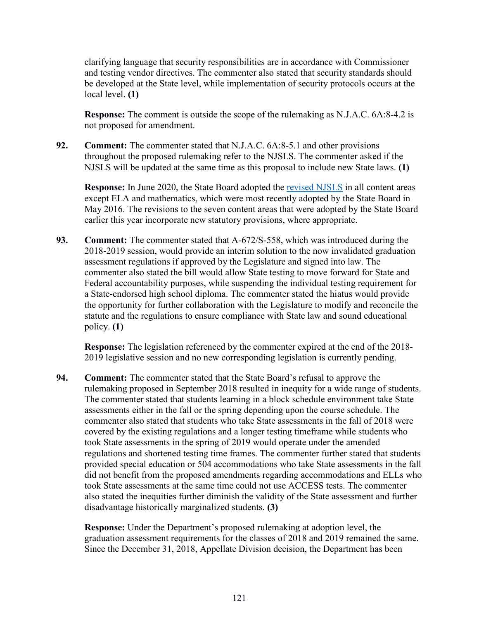clarifying language that security responsibilities are in accordance with Commissioner and testing vendor directives. The commenter also stated that security standards should be developed at the State level, while implementation of security protocols occurs at the local level. **(1)**

**Response:** The comment is outside the scope of the rulemaking as N.J.A.C. 6A:8-4.2 is not proposed for amendment.

**92. Comment:** The commenter stated that N.J.A.C. 6A:8-5.1 and other provisions throughout the proposed rulemaking refer to the NJSLS. The commenter asked if the NJSLS will be updated at the same time as this proposal to include new State laws. **(1)**

**Response:** In June 2020, the State Board adopted the [revised NJSLS](https://www.nj.gov/education/cccs/2020/) in all content areas except ELA and mathematics, which were most recently adopted by the State Board in May 2016. The revisions to the seven content areas that were adopted by the State Board earlier this year incorporate new statutory provisions, where appropriate.

**93. Comment:** The commenter stated that A-672/S-558, which was introduced during the 2018-2019 session, would provide an interim solution to the now invalidated graduation assessment regulations if approved by the Legislature and signed into law. The commenter also stated the bill would allow State testing to move forward for State and Federal accountability purposes, while suspending the individual testing requirement for a State-endorsed high school diploma. The commenter stated the hiatus would provide the opportunity for further collaboration with the Legislature to modify and reconcile the statute and the regulations to ensure compliance with State law and sound educational policy. **(1)**

**Response:** The legislation referenced by the commenter expired at the end of the 2018- 2019 legislative session and no new corresponding legislation is currently pending.

**94. Comment:** The commenter stated that the State Board's refusal to approve the rulemaking proposed in September 2018 resulted in inequity for a wide range of students. The commenter stated that students learning in a block schedule environment take State assessments either in the fall or the spring depending upon the course schedule. The commenter also stated that students who take State assessments in the fall of 2018 were covered by the existing regulations and a longer testing timeframe while students who took State assessments in the spring of 2019 would operate under the amended regulations and shortened testing time frames. The commenter further stated that students provided special education or 504 accommodations who take State assessments in the fall did not benefit from the proposed amendments regarding accommodations and ELLs who took State assessments at the same time could not use ACCESS tests. The commenter also stated the inequities further diminish the validity of the State assessment and further disadvantage historically marginalized students. **(3)**

**Response:** Under the Department's proposed rulemaking at adoption level, the graduation assessment requirements for the classes of 2018 and 2019 remained the same. Since the December 31, 2018, Appellate Division decision, the Department has been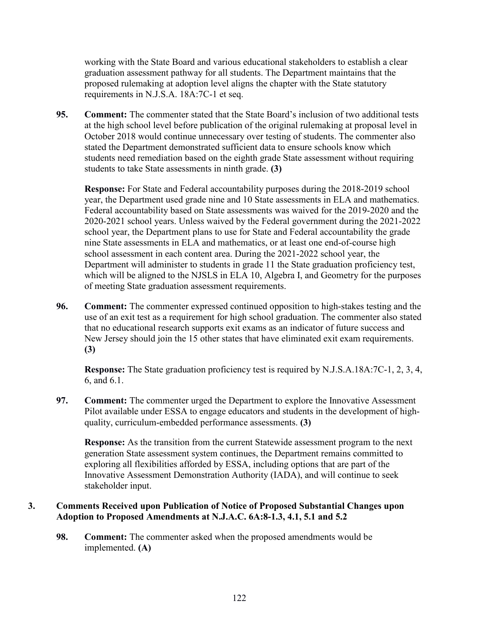working with the State Board and various educational stakeholders to establish a clear graduation assessment pathway for all students. The Department maintains that the proposed rulemaking at adoption level aligns the chapter with the State statutory requirements in N.J.S.A. 18A:7C-1 et seq.

**95. Comment:** The commenter stated that the State Board's inclusion of two additional tests at the high school level before publication of the original rulemaking at proposal level in October 2018 would continue unnecessary over testing of students. The commenter also stated the Department demonstrated sufficient data to ensure schools know which students need remediation based on the eighth grade State assessment without requiring students to take State assessments in ninth grade. **(3)**

**Response:** For State and Federal accountability purposes during the 2018-2019 school year, the Department used grade nine and 10 State assessments in ELA and mathematics. Federal accountability based on State assessments was waived for the 2019-2020 and the 2020-2021 school years. Unless waived by the Federal government during the 2021-2022 school year, the Department plans to use for State and Federal accountability the grade nine State assessments in ELA and mathematics, or at least one end-of-course high school assessment in each content area. During the 2021-2022 school year, the Department will administer to students in grade 11 the State graduation proficiency test, which will be aligned to the NJSLS in ELA 10, Algebra I, and Geometry for the purposes of meeting State graduation assessment requirements.

**96. Comment:** The commenter expressed continued opposition to high-stakes testing and the use of an exit test as a requirement for high school graduation. The commenter also stated that no educational research supports exit exams as an indicator of future success and New Jersey should join the 15 other states that have eliminated exit exam requirements. **(3)**

**Response:** The State graduation proficiency test is required by N.J.S.A.18A:7C-1, 2, 3, 4, 6, and 6.1.

**97. Comment:** The commenter urged the Department to explore the Innovative Assessment Pilot available under ESSA to engage educators and students in the development of highquality, curriculum-embedded performance assessments. **(3)**

**Response:** As the transition from the current Statewide assessment program to the next generation State assessment system continues, the Department remains committed to exploring all flexibilities afforded by ESSA, including options that are part of the Innovative Assessment Demonstration Authority (IADA), and will continue to seek stakeholder input.

## **3. Comments Received upon Publication of Notice of Proposed Substantial Changes upon Adoption to Proposed Amendments at N.J.A.C. 6A:8-1.3, 4.1, 5.1 and 5.2**

**98. Comment:** The commenter asked when the proposed amendments would be implemented. **(A)**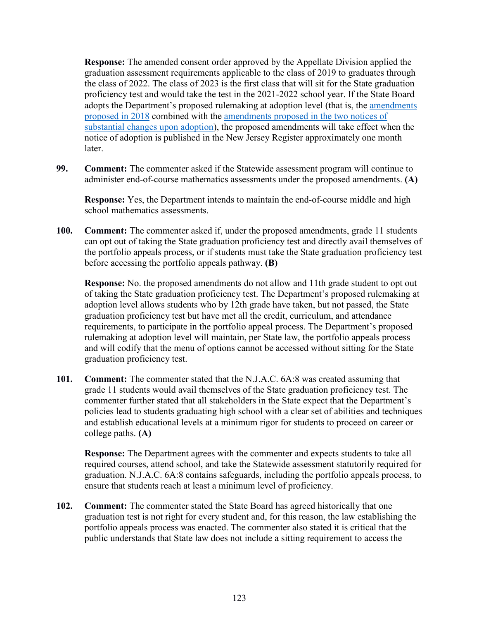**Response:** The amended consent order approved by the Appellate Division applied the graduation assessment requirements applicable to the class of 2019 to graduates through the class of 2022. The class of 2023 is the first class that will sit for the State graduation proficiency test and would take the test in the 2021-2022 school year. If the State Board adopts the Department's proposed rulemaking at adoption level (that is, the amendments proposed in 2018 combined with the amendments proposed in the two notices of substantial changes upon adoption), the proposed amendments will take effect when the notice of adoption is published in the New Jersey Register approximately one month later.

**99. Comment:** The commenter asked if the Statewide assessment program will continue to administer end-of-course mathematics assessments under the proposed amendments. **(A)**

**Response:** Yes, the Department intends to maintain the end-of-course middle and high school mathematics assessments.

**100. Comment:** The commenter asked if, under the proposed amendments, grade 11 students can opt out of taking the State graduation proficiency test and directly avail themselves of the portfolio appeals process, or if students must take the State graduation proficiency test before accessing the portfolio appeals pathway. **(B)**

**Response:** No. the proposed amendments do not allow and 11th grade student to opt out of taking the State graduation proficiency test. The Department's proposed rulemaking at adoption level allows students who by 12th grade have taken, but not passed, the State graduation proficiency test but have met all the credit, curriculum, and attendance requirements, to participate in the portfolio appeal process. The Department's proposed rulemaking at adoption level will maintain, per State law, the portfolio appeals process and will codify that the menu of options cannot be accessed without sitting for the State graduation proficiency test.

**101. Comment:** The commenter stated that the N.J.A.C. 6A:8 was created assuming that grade 11 students would avail themselves of the State graduation proficiency test. The commenter further stated that all stakeholders in the State expect that the Department's policies lead to students graduating high school with a clear set of abilities and techniques and establish educational levels at a minimum rigor for students to proceed on career or college paths. **(A)**

**Response:** The Department agrees with the commenter and expects students to take all required courses, attend school, and take the Statewide assessment statutorily required for graduation. N.J.A.C. 6A:8 contains safeguards, including the portfolio appeals process, to ensure that students reach at least a minimum level of proficiency.

**102. Comment:** The commenter stated the State Board has agreed historically that one graduation test is not right for every student and, for this reason, the law establishing the portfolio appeals process was enacted. The commenter also stated it is critical that the public understands that State law does not include a sitting requirement to access the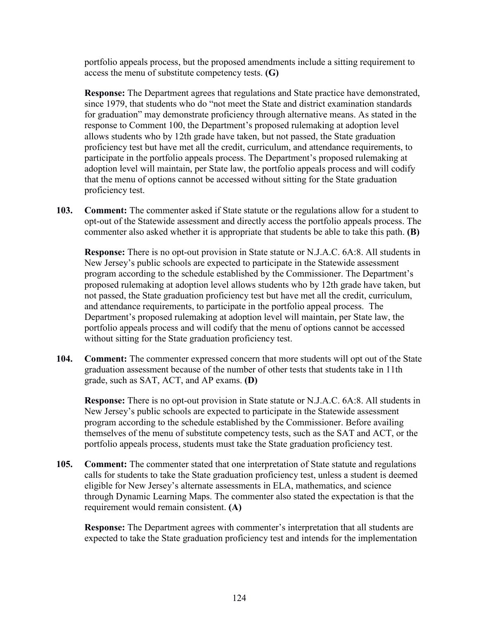portfolio appeals process, but the proposed amendments include a sitting requirement to access the menu of substitute competency tests. **(G)**

**Response:** The Department agrees that regulations and State practice have demonstrated, since 1979, that students who do "not meet the State and district examination standards for graduation" may demonstrate proficiency through alternative means. As stated in the response to Comment 100, the Department's proposed rulemaking at adoption level allows students who by 12th grade have taken, but not passed, the State graduation proficiency test but have met all the credit, curriculum, and attendance requirements, to participate in the portfolio appeals process. The Department's proposed rulemaking at adoption level will maintain, per State law, the portfolio appeals process and will codify that the menu of options cannot be accessed without sitting for the State graduation proficiency test.

**103. Comment:** The commenter asked if State statute or the regulations allow for a student to opt-out of the Statewide assessment and directly access the portfolio appeals process. The commenter also asked whether it is appropriate that students be able to take this path. **(B)**

**Response:** There is no opt-out provision in State statute or N.J.A.C. 6A:8. All students in New Jersey's public schools are expected to participate in the Statewide assessment program according to the schedule established by the Commissioner. The Department's proposed rulemaking at adoption level allows students who by 12th grade have taken, but not passed, the State graduation proficiency test but have met all the credit, curriculum, and attendance requirements, to participate in the portfolio appeal process. The Department's proposed rulemaking at adoption level will maintain, per State law, the portfolio appeals process and will codify that the menu of options cannot be accessed without sitting for the State graduation proficiency test.

**104. Comment:** The commenter expressed concern that more students will opt out of the State graduation assessment because of the number of other tests that students take in 11th grade, such as SAT, ACT, and AP exams. **(D)**

**Response:** There is no opt-out provision in State statute or N.J.A.C. 6A:8. All students in New Jersey's public schools are expected to participate in the Statewide assessment program according to the schedule established by the Commissioner. Before availing themselves of the menu of substitute competency tests, such as the SAT and ACT, or the portfolio appeals process, students must take the State graduation proficiency test.

**105. Comment:** The commenter stated that one interpretation of State statute and regulations calls for students to take the State graduation proficiency test, unless a student is deemed eligible for New Jersey's alternate assessments in ELA, mathematics, and science through Dynamic Learning Maps. The commenter also stated the expectation is that the requirement would remain consistent. **(A)**

**Response:** The Department agrees with commenter's interpretation that all students are expected to take the State graduation proficiency test and intends for the implementation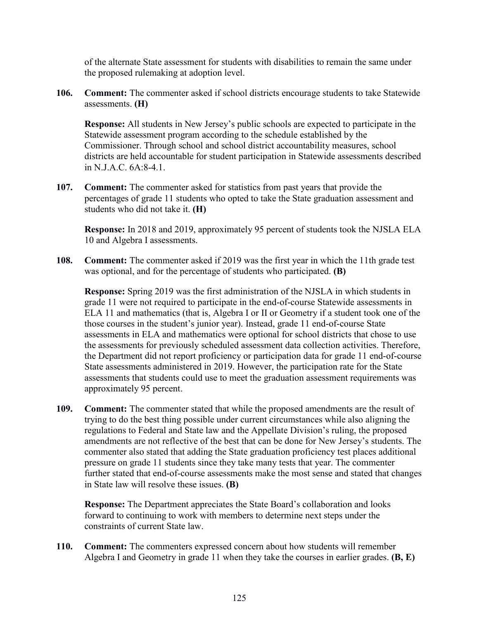of the alternate State assessment for students with disabilities to remain the same under the proposed rulemaking at adoption level.

**106. Comment:** The commenter asked if school districts encourage students to take Statewide assessments. **(H)**

**Response:** All students in New Jersey's public schools are expected to participate in the Statewide assessment program according to the schedule established by the Commissioner. Through school and school district accountability measures, school districts are held accountable for student participation in Statewide assessments described in N.J.A.C. 6A:8-4.1.

**107. Comment:** The commenter asked for statistics from past years that provide the percentages of grade 11 students who opted to take the State graduation assessment and students who did not take it. **(H)**

**Response:** In 2018 and 2019, approximately 95 percent of students took the NJSLA ELA 10 and Algebra I assessments.

**108. Comment:** The commenter asked if 2019 was the first year in which the 11th grade test was optional, and for the percentage of students who participated. **(B)**

**Response:** Spring 2019 was the first administration of the NJSLA in which students in grade 11 were not required to participate in the end-of-course Statewide assessments in ELA 11 and mathematics (that is, Algebra I or II or Geometry if a student took one of the those courses in the student's junior year). Instead, grade 11 end-of-course State assessments in ELA and mathematics were optional for school districts that chose to use the assessments for previously scheduled assessment data collection activities. Therefore, the Department did not report proficiency or participation data for grade 11 end-of-course State assessments administered in 2019. However, the participation rate for the State assessments that students could use to meet the graduation assessment requirements was approximately 95 percent.

**109. Comment:** The commenter stated that while the proposed amendments are the result of trying to do the best thing possible under current circumstances while also aligning the regulations to Federal and State law and the Appellate Division's ruling, the proposed amendments are not reflective of the best that can be done for New Jersey's students. The commenter also stated that adding the State graduation proficiency test places additional pressure on grade 11 students since they take many tests that year. The commenter further stated that end-of-course assessments make the most sense and stated that changes in State law will resolve these issues. **(B)**

**Response:** The Department appreciates the State Board's collaboration and looks forward to continuing to work with members to determine next steps under the constraints of current State law.

**110. Comment:** The commenters expressed concern about how students will remember Algebra I and Geometry in grade 11 when they take the courses in earlier grades. **(B, E)**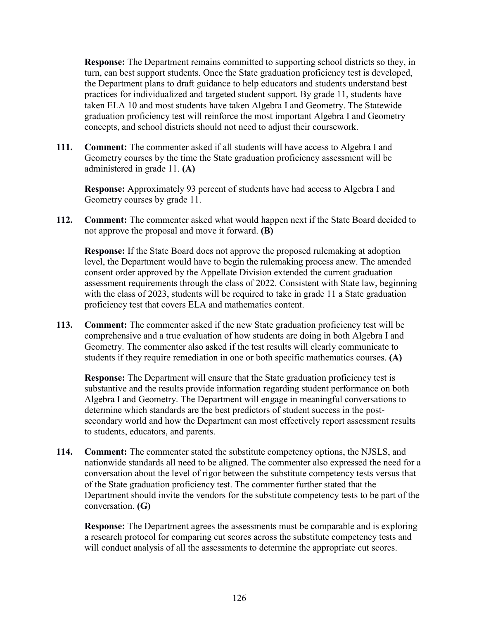**Response:** The Department remains committed to supporting school districts so they, in turn, can best support students. Once the State graduation proficiency test is developed, the Department plans to draft guidance to help educators and students understand best practices for individualized and targeted student support. By grade 11, students have taken ELA 10 and most students have taken Algebra I and Geometry. The Statewide graduation proficiency test will reinforce the most important Algebra I and Geometry concepts, and school districts should not need to adjust their coursework.

**111. Comment:** The commenter asked if all students will have access to Algebra I and Geometry courses by the time the State graduation proficiency assessment will be administered in grade 11. **(A)**

**Response:** Approximately 93 percent of students have had access to Algebra I and Geometry courses by grade 11.

**112. Comment:** The commenter asked what would happen next if the State Board decided to not approve the proposal and move it forward. **(B)**

**Response:** If the State Board does not approve the proposed rulemaking at adoption level, the Department would have to begin the rulemaking process anew. The amended consent order approved by the Appellate Division extended the current graduation assessment requirements through the class of 2022. Consistent with State law, beginning with the class of 2023, students will be required to take in grade 11 a State graduation proficiency test that covers ELA and mathematics content.

**113. Comment:** The commenter asked if the new State graduation proficiency test will be comprehensive and a true evaluation of how students are doing in both Algebra I and Geometry. The commenter also asked if the test results will clearly communicate to students if they require remediation in one or both specific mathematics courses. **(A)**

**Response:** The Department will ensure that the State graduation proficiency test is substantive and the results provide information regarding student performance on both Algebra I and Geometry. The Department will engage in meaningful conversations to determine which standards are the best predictors of student success in the postsecondary world and how the Department can most effectively report assessment results to students, educators, and parents.

**114. Comment:** The commenter stated the substitute competency options, the NJSLS, and nationwide standards all need to be aligned. The commenter also expressed the need for a conversation about the level of rigor between the substitute competency tests versus that of the State graduation proficiency test. The commenter further stated that the Department should invite the vendors for the substitute competency tests to be part of the conversation. **(G)**

**Response:** The Department agrees the assessments must be comparable and is exploring a research protocol for comparing cut scores across the substitute competency tests and will conduct analysis of all the assessments to determine the appropriate cut scores.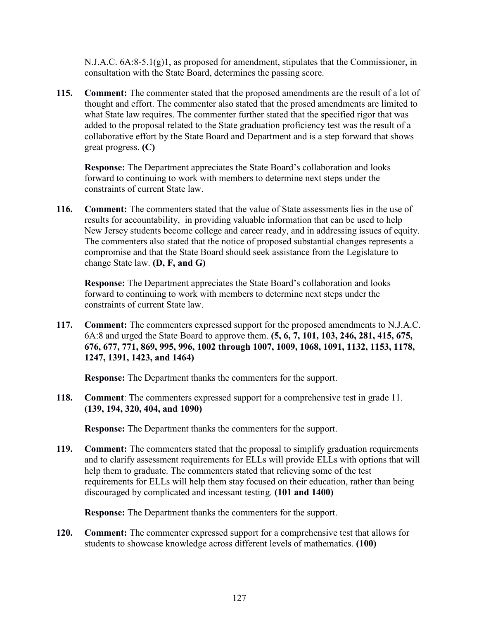$N.J.A.C. 6A:8-5.1(g)1$ , as proposed for amendment, stipulates that the Commissioner, in consultation with the State Board, determines the passing score.

**115. Comment:** The commenter stated that the proposed amendments are the result of a lot of thought and effort. The commenter also stated that the prosed amendments are limited to what State law requires. The commenter further stated that the specified rigor that was added to the proposal related to the State graduation proficiency test was the result of a collaborative effort by the State Board and Department and is a step forward that shows great progress. **(C)**

**Response:** The Department appreciates the State Board's collaboration and looks forward to continuing to work with members to determine next steps under the constraints of current State law.

**116. Comment:** The commenters stated that the value of State assessments lies in the use of results for accountability, in providing valuable information that can be used to help New Jersey students become college and career ready, and in addressing issues of equity. The commenters also stated that the notice of proposed substantial changes represents a compromise and that the State Board should seek assistance from the Legislature to change State law. **(D, F, and G)**

**Response:** The Department appreciates the State Board's collaboration and looks forward to continuing to work with members to determine next steps under the constraints of current State law.

**117. Comment:** The commenters expressed support for the proposed amendments to N.J.A.C. 6A:8 and urged the State Board to approve them. **(5, 6, 7, 101, 103, 246, 281, 415, 675, 676, 677, 771, 869, 995, 996, 1002 through 1007, 1009, 1068, 1091, 1132, 1153, 1178, 1247, 1391, 1423, and 1464)** 

**Response:** The Department thanks the commenters for the support.

**118. Comment**: The commenters expressed support for a comprehensive test in grade 11. **(139, 194, 320, 404, and 1090)**

**Response:** The Department thanks the commenters for the support.

**119. Comment:** The commenters stated that the proposal to simplify graduation requirements and to clarify assessment requirements for ELLs will provide ELLs with options that will help them to graduate. The commenters stated that relieving some of the test requirements for ELLs will help them stay focused on their education, rather than being discouraged by complicated and incessant testing. **(101 and 1400)**

**Response:** The Department thanks the commenters for the support.

**120. Comment:** The commenter expressed support for a comprehensive test that allows for students to showcase knowledge across different levels of mathematics. **(100)**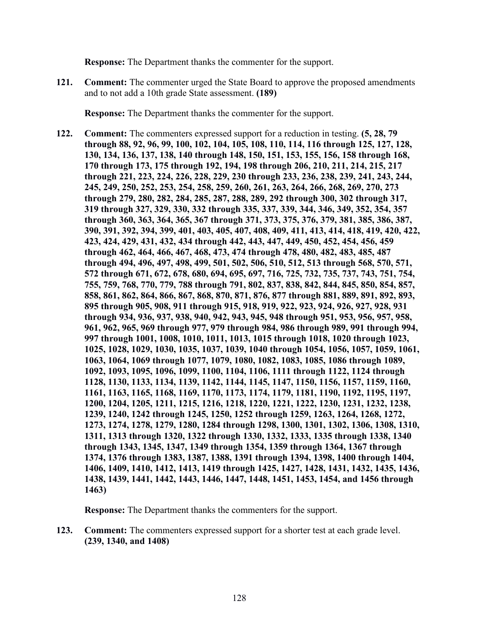**Response:** The Department thanks the commenter for the support.

**121. Comment:** The commenter urged the State Board to approve the proposed amendments and to not add a 10th grade State assessment. **(189)**

**Response:** The Department thanks the commenter for the support.

**122. Comment:** The commenters expressed support for a reduction in testing. **(5, 28, 79 through 88, 92, 96, 99, 100, 102, 104, 105, 108, 110, 114, 116 through 125, 127, 128, 130, 134, 136, 137, 138, 140 through 148, 150, 151, 153, 155, 156, 158 through 168, 170 through 173, 175 through 192, 194, 198 through 206, 210, 211, 214, 215, 217 through 221, 223, 224, 226, 228, 229, 230 through 233, 236, 238, 239, 241, 243, 244, 245, 249, 250, 252, 253, 254, 258, 259, 260, 261, 263, 264, 266, 268, 269, 270, 273 through 279, 280, 282, 284, 285, 287, 288, 289, 292 through 300, 302 through 317, 319 through 327, 329, 330, 332 through 335, 337, 339, 344, 346, 349, 352, 354, 357 through 360, 363, 364, 365, 367 through 371, 373, 375, 376, 379, 381, 385, 386, 387, 390, 391, 392, 394, 399, 401, 403, 405, 407, 408, 409, 411, 413, 414, 418, 419, 420, 422, 423, 424, 429, 431, 432, 434 through 442, 443, 447, 449, 450, 452, 454, 456, 459 through 462, 464, 466, 467, 468, 473, 474 through 478, 480, 482, 483, 485, 487 through 494, 496, 497, 498, 499, 501, 502, 506, 510, 512, 513 through 568, 570, 571, 572 through 671, 672, 678, 680, 694, 695, 697, 716, 725, 732, 735, 737, 743, 751, 754, 755, 759, 768, 770, 779, 788 through 791, 802, 837, 838, 842, 844, 845, 850, 854, 857, 858, 861, 862, 864, 866, 867, 868, 870, 871, 876, 877 through 881, 889, 891, 892, 893, 895 through 905, 908, 911 through 915, 918, 919, 922, 923, 924, 926, 927, 928, 931 through 934, 936, 937, 938, 940, 942, 943, 945, 948 through 951, 953, 956, 957, 958, 961, 962, 965, 969 through 977, 979 through 984, 986 through 989, 991 through 994, 997 through 1001, 1008, 1010, 1011, 1013, 1015 through 1018, 1020 through 1023, 1025, 1028, 1029, 1030, 1035, 1037, 1039, 1040 through 1054, 1056, 1057, 1059, 1061, 1063, 1064, 1069 through 1077, 1079, 1080, 1082, 1083, 1085, 1086 through 1089, 1092, 1093, 1095, 1096, 1099, 1100, 1104, 1106, 1111 through 1122, 1124 through 1128, 1130, 1133, 1134, 1139, 1142, 1144, 1145, 1147, 1150, 1156, 1157, 1159, 1160, 1161, 1163, 1165, 1168, 1169, 1170, 1173, 1174, 1179, 1181, 1190, 1192, 1195, 1197, 1200, 1204, 1205, 1211, 1215, 1216, 1218, 1220, 1221, 1222, 1230, 1231, 1232, 1238, 1239, 1240, 1242 through 1245, 1250, 1252 through 1259, 1263, 1264, 1268, 1272, 1273, 1274, 1278, 1279, 1280, 1284 through 1298, 1300, 1301, 1302, 1306, 1308, 1310, 1311, 1313 through 1320, 1322 through 1330, 1332, 1333, 1335 through 1338, 1340 through 1343, 1345, 1347, 1349 through 1354, 1359 through 1364, 1367 through 1374, 1376 through 1383, 1387, 1388, 1391 through 1394, 1398, 1400 through 1404, 1406, 1409, 1410, 1412, 1413, 1419 through 1425, 1427, 1428, 1431, 1432, 1435, 1436, 1438, 1439, 1441, 1442, 1443, 1446, 1447, 1448, 1451, 1453, 1454, and 1456 through 1463)**

**Response:** The Department thanks the commenters for the support.

**123. Comment:** The commenters expressed support for a shorter test at each grade level. **(239, 1340, and 1408)**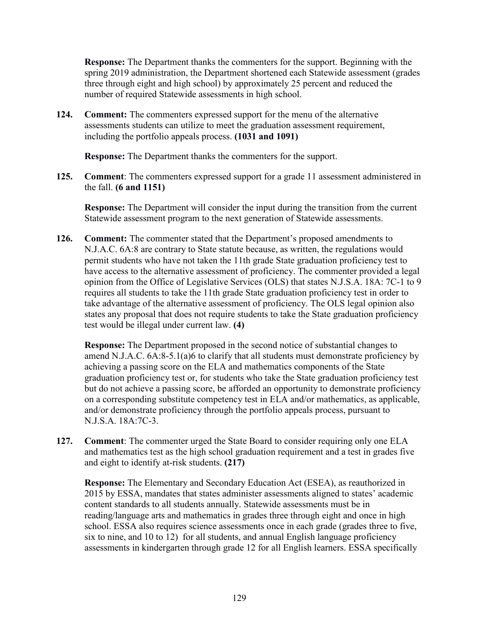**Response:** The Department thanks the commenters for the support. Beginning with the spring 2019 administration, the Department shortened each Statewide assessment (grades three through eight and high school) by approximately 25 percent and reduced the number of required Statewide assessments in high school.

**124. Comment:** The commenters expressed support for the menu of the alternative assessments students can utilize to meet the graduation assessment requirement, including the portfolio appeals process. **(1031 and 1091)**

**Response:** The Department thanks the commenters for the support.

**125. Comment**: The commenters expressed support for a grade 11 assessment administered in the fall. **(6 and 1151)**

**Response:** The Department will consider the input during the transition from the current Statewide assessment program to the next generation of Statewide assessments.

**126. Comment:** The commenter stated that the Department's proposed amendments to N.J.A.C. 6A:8 are contrary to State statute because, as written, the regulations would permit students who have not taken the 11th grade State graduation proficiency test to have access to the alternative assessment of proficiency. The commenter provided a legal opinion from the Office of Legislative Services (OLS) that states N.J.S.A. 18A: 7C-1 to 9 requires all students to take the 11th grade State graduation proficiency test in order to take advantage of the alternative assessment of proficiency. The OLS legal opinion also states any proposal that does not require students to take the State graduation proficiency test would be illegal under current law. **(4)**

**Response:** The Department proposed in the second notice of substantial changes to amend N.J.A.C. 6A:8-5.1(a)6 to clarify that all students must demonstrate proficiency by achieving a passing score on the ELA and mathematics components of the State graduation proficiency test or, for students who take the State graduation proficiency test but do not achieve a passing score, be afforded an opportunity to demonstrate proficiency on a corresponding substitute competency test in ELA and/or mathematics, as applicable, and/or demonstrate proficiency through the portfolio appeals process, pursuant to N.J.S.A. 18A:7C-3.

**127. Comment**: The commenter urged the State Board to consider requiring only one ELA and mathematics test as the high school graduation requirement and a test in grades five and eight to identify at-risk students. **(217)**

**Response:** The Elementary and Secondary Education Act (ESEA), as reauthorized in 2015 by ESSA, mandates that states administer assessments aligned to states' academic content standards to all students annually. Statewide assessments must be in reading/language arts and mathematics in grades three through eight and once in high school. ESSA also requires science assessments once in each grade (grades three to five, six to nine, and 10 to 12) for all students, and annual English language proficiency assessments in kindergarten through grade 12 for all English learners. ESSA specifically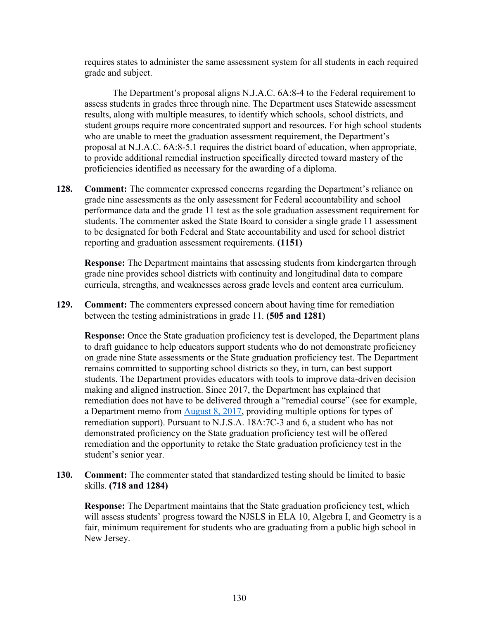requires states to administer the same assessment system for all students in each required grade and subject.

The Department's proposal aligns N.J.A.C. 6A:8-4 to the Federal requirement to assess students in grades three through nine. The Department uses Statewide assessment results, along with multiple measures, to identify which schools, school districts, and student groups require more concentrated support and resources. For high school students who are unable to meet the graduation assessment requirement, the Department's proposal at N.J.A.C. 6A:8-5.1 requires the district board of education, when appropriate, to provide additional remedial instruction specifically directed toward mastery of the proficiencies identified as necessary for the awarding of a diploma.

**128. Comment:** The commenter expressed concerns regarding the Department's reliance on grade nine assessments as the only assessment for Federal accountability and school performance data and the grade 11 test as the sole graduation assessment requirement for students. The commenter asked the State Board to consider a single grade 11 assessment to be designated for both Federal and State accountability and used for school district reporting and graduation assessment requirements. **(1151)**

**Response:** The Department maintains that assessing students from kindergarten through grade nine provides school districts with continuity and longitudinal data to compare curricula, strengths, and weaknesses across grade levels and content area curriculum.

**129. Comment:** The commenters expressed concern about having time for remediation between the testing administrations in grade 11. **(505 and 1281)**

**Response:** Once the State graduation proficiency test is developed, the Department plans to draft guidance to help educators support students who do not demonstrate proficiency on grade nine State assessments or the State graduation proficiency test. The Department remains committed to supporting school districts so they, in turn, can best support students. The Department provides educators with tools to improve data-driven decision making and aligned instruction. Since 2017, the Department has explained that remediation does not have to be delivered through a "remedial course" (see for example, a Department memo from [August 8, 2017,](https://www.nj.gov/education/broadcasts/2017/AUG/08/16871/FAQ%20for%20Students%20Who%20Need%20to%20Retake%20the%20PARCC%20Algebra%20I%20Assessment.pdf) providing multiple options for types of remediation support). Pursuant to N.J.S.A. 18A:7C-3 and 6, a student who has not demonstrated proficiency on the State graduation proficiency test will be offered remediation and the opportunity to retake the State graduation proficiency test in the student's senior year.

**130. Comment:** The commenter stated that standardized testing should be limited to basic skills. **(718 and 1284)**

**Response:** The Department maintains that the State graduation proficiency test, which will assess students' progress toward the NJSLS in ELA 10, Algebra I, and Geometry is a fair, minimum requirement for students who are graduating from a public high school in New Jersey.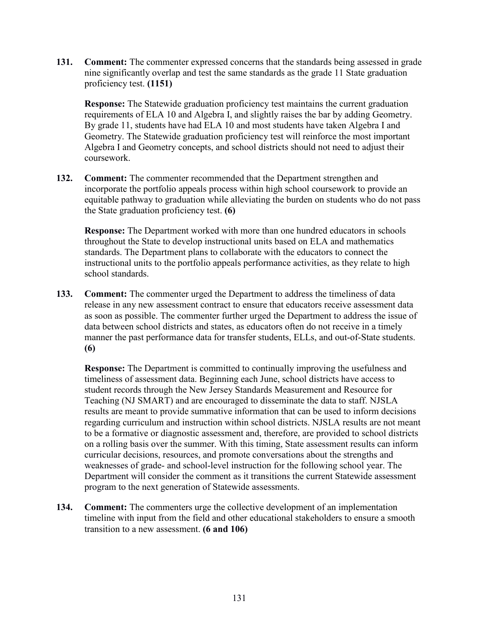**131. Comment:** The commenter expressed concerns that the standards being assessed in grade nine significantly overlap and test the same standards as the grade 11 State graduation proficiency test. **(1151)**

**Response:** The Statewide graduation proficiency test maintains the current graduation requirements of ELA 10 and Algebra I, and slightly raises the bar by adding Geometry. By grade 11, students have had ELA 10 and most students have taken Algebra I and Geometry. The Statewide graduation proficiency test will reinforce the most important Algebra I and Geometry concepts, and school districts should not need to adjust their coursework.

**132. Comment:** The commenter recommended that the Department strengthen and incorporate the portfolio appeals process within high school coursework to provide an equitable pathway to graduation while alleviating the burden on students who do not pass the State graduation proficiency test. **(6)**

**Response:** The Department worked with more than one hundred educators in schools throughout the State to develop instructional units based on ELA and mathematics standards. The Department plans to collaborate with the educators to connect the instructional units to the portfolio appeals performance activities, as they relate to high school standards.

**133. Comment:** The commenter urged the Department to address the timeliness of data release in any new assessment contract to ensure that educators receive assessment data as soon as possible. The commenter further urged the Department to address the issue of data between school districts and states, as educators often do not receive in a timely manner the past performance data for transfer students, ELLs, and out-of-State students. **(6)**

**Response:** The Department is committed to continually improving the usefulness and timeliness of assessment data. Beginning each June, school districts have access to student records through the New Jersey Standards Measurement and Resource for Teaching (NJ SMART) and are encouraged to disseminate the data to staff. NJSLA results are meant to provide summative information that can be used to inform decisions regarding curriculum and instruction within school districts. NJSLA results are not meant to be a formative or diagnostic assessment and, therefore, are provided to school districts on a rolling basis over the summer. With this timing, State assessment results can inform curricular decisions, resources, and promote conversations about the strengths and weaknesses of grade- and school-level instruction for the following school year. The Department will consider the comment as it transitions the current Statewide assessment program to the next generation of Statewide assessments.

**134. Comment:** The commenters urge the collective development of an implementation timeline with input from the field and other educational stakeholders to ensure a smooth transition to a new assessment. **(6 and 106)**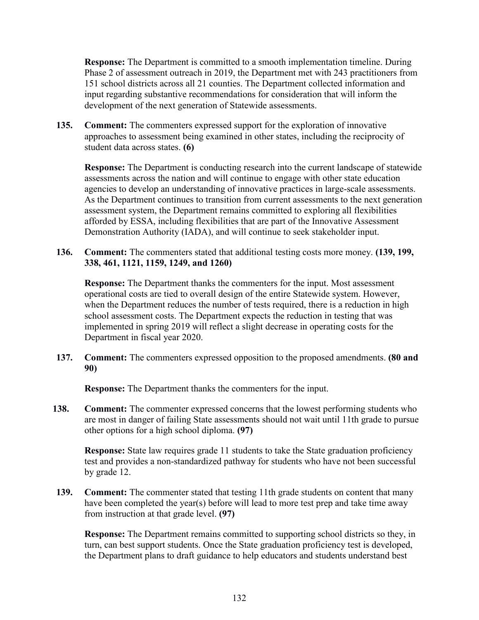**Response:** The Department is committed to a smooth implementation timeline. During Phase 2 of assessment outreach in 2019, the Department met with 243 practitioners from 151 school districts across all 21 counties. The Department collected information and input regarding substantive recommendations for consideration that will inform the development of the next generation of Statewide assessments.

**135. Comment:** The commenters expressed support for the exploration of innovative approaches to assessment being examined in other states, including the reciprocity of student data across states. **(6)**

**Response:** The Department is conducting research into the current landscape of statewide assessments across the nation and will continue to engage with other state education agencies to develop an understanding of innovative practices in large-scale assessments. As the Department continues to transition from current assessments to the next generation assessment system, the Department remains committed to exploring all flexibilities afforded by ESSA, including flexibilities that are part of the Innovative Assessment Demonstration Authority (IADA), and will continue to seek stakeholder input.

**136. Comment:** The commenters stated that additional testing costs more money. **(139, 199, 338, 461, 1121, 1159, 1249, and 1260)**

**Response:** The Department thanks the commenters for the input. Most assessment operational costs are tied to overall design of the entire Statewide system. However, when the Department reduces the number of tests required, there is a reduction in high school assessment costs. The Department expects the reduction in testing that was implemented in spring 2019 will reflect a slight decrease in operating costs for the Department in fiscal year 2020.

**137. Comment:** The commenters expressed opposition to the proposed amendments. **(80 and 90)**

**Response:** The Department thanks the commenters for the input.

**138. Comment:** The commenter expressed concerns that the lowest performing students who are most in danger of failing State assessments should not wait until 11th grade to pursue other options for a high school diploma. **(97)**

**Response:** State law requires grade 11 students to take the State graduation proficiency test and provides a non-standardized pathway for students who have not been successful by grade 12.

**139. Comment:** The commenter stated that testing 11th grade students on content that many have been completed the year(s) before will lead to more test prep and take time away from instruction at that grade level. **(97)**

**Response:** The Department remains committed to supporting school districts so they, in turn, can best support students. Once the State graduation proficiency test is developed, the Department plans to draft guidance to help educators and students understand best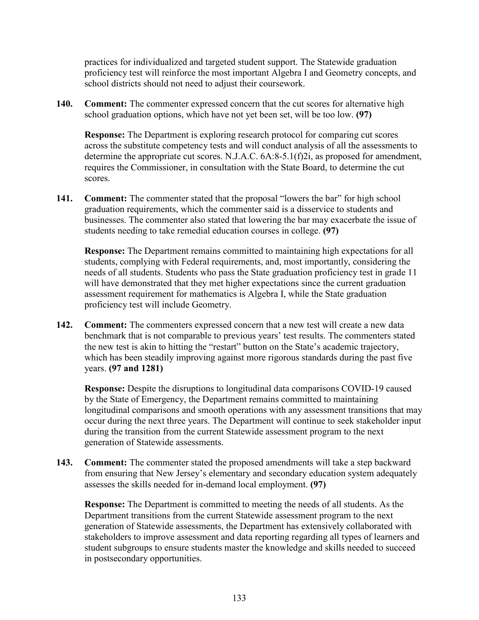practices for individualized and targeted student support. The Statewide graduation proficiency test will reinforce the most important Algebra I and Geometry concepts, and school districts should not need to adjust their coursework.

**140. Comment:** The commenter expressed concern that the cut scores for alternative high school graduation options, which have not yet been set, will be too low. **(97)**

**Response:** The Department is exploring research protocol for comparing cut scores across the substitute competency tests and will conduct analysis of all the assessments to determine the appropriate cut scores. N.J.A.C. 6A:8-5.1(f)2i, as proposed for amendment, requires the Commissioner, in consultation with the State Board, to determine the cut scores.

**141. Comment:** The commenter stated that the proposal "lowers the bar" for high school graduation requirements, which the commenter said is a disservice to students and businesses. The commenter also stated that lowering the bar may exacerbate the issue of students needing to take remedial education courses in college. **(97)**

**Response:** The Department remains committed to maintaining high expectations for all students, complying with Federal requirements, and, most importantly, considering the needs of all students. Students who pass the State graduation proficiency test in grade 11 will have demonstrated that they met higher expectations since the current graduation assessment requirement for mathematics is Algebra I, while the State graduation proficiency test will include Geometry.

**142. Comment:** The commenters expressed concern that a new test will create a new data benchmark that is not comparable to previous years' test results. The commenters stated the new test is akin to hitting the "restart" button on the State's academic trajectory, which has been steadily improving against more rigorous standards during the past five years. **(97 and 1281)**

**Response:** Despite the disruptions to longitudinal data comparisons COVID-19 caused by the State of Emergency, the Department remains committed to maintaining longitudinal comparisons and smooth operations with any assessment transitions that may occur during the next three years. The Department will continue to seek stakeholder input during the transition from the current Statewide assessment program to the next generation of Statewide assessments.

**143. Comment:** The commenter stated the proposed amendments will take a step backward from ensuring that New Jersey's elementary and secondary education system adequately assesses the skills needed for in-demand local employment. **(97)**

**Response:** The Department is committed to meeting the needs of all students. As the Department transitions from the current Statewide assessment program to the next generation of Statewide assessments, the Department has extensively collaborated with stakeholders to improve assessment and data reporting regarding all types of learners and student subgroups to ensure students master the knowledge and skills needed to succeed in postsecondary opportunities.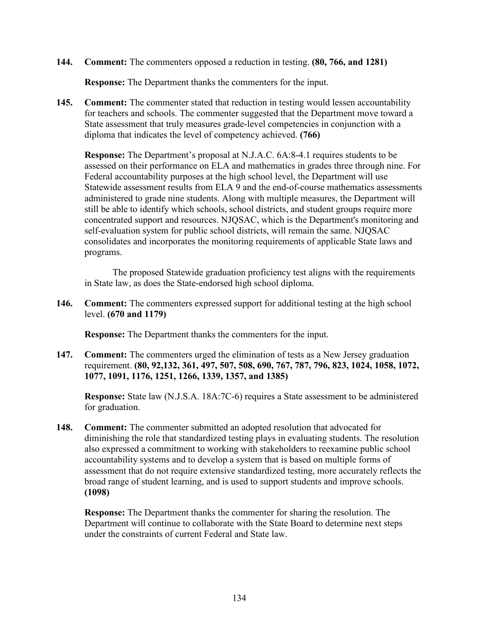**144. Comment:** The commenters opposed a reduction in testing. **(80, 766, and 1281)**

**Response:** The Department thanks the commenters for the input.

**145. Comment:** The commenter stated that reduction in testing would lessen accountability for teachers and schools. The commenter suggested that the Department move toward a State assessment that truly measures grade-level competencies in conjunction with a diploma that indicates the level of competency achieved. **(766)**

**Response:** The Department's proposal at N.J.A.C. 6A:8-4.1 requires students to be assessed on their performance on ELA and mathematics in grades three through nine. For Federal accountability purposes at the high school level, the Department will use Statewide assessment results from ELA 9 and the end-of-course mathematics assessments administered to grade nine students. Along with multiple measures, the Department will still be able to identify which schools, school districts, and student groups require more concentrated support and resources. NJQSAC, which is the Department's monitoring and self-evaluation system for public school districts, will remain the same. NJQSAC consolidates and incorporates the monitoring requirements of applicable State laws and programs.

The proposed Statewide graduation proficiency test aligns with the requirements in State law, as does the State-endorsed high school diploma.

**146. Comment:** The commenters expressed support for additional testing at the high school level. **(670 and 1179)**

**Response:** The Department thanks the commenters for the input.

**147. Comment:** The commenters urged the elimination of tests as a New Jersey graduation requirement. **(80, 92,132, 361, 497, 507, 508, 690, 767, 787, 796, 823, 1024, 1058, 1072, 1077, 1091, 1176, 1251, 1266, 1339, 1357, and 1385)**

**Response:** State law (N.J.S.A. 18A:7C-6) requires a State assessment to be administered for graduation.

**148. Comment:** The commenter submitted an adopted resolution that advocated for diminishing the role that standardized testing plays in evaluating students. The resolution also expressed a commitment to working with stakeholders to reexamine public school accountability systems and to develop a system that is based on multiple forms of assessment that do not require extensive standardized testing, more accurately reflects the broad range of student learning, and is used to support students and improve schools. **(1098)**

**Response:** The Department thanks the commenter for sharing the resolution. The Department will continue to collaborate with the State Board to determine next steps under the constraints of current Federal and State law.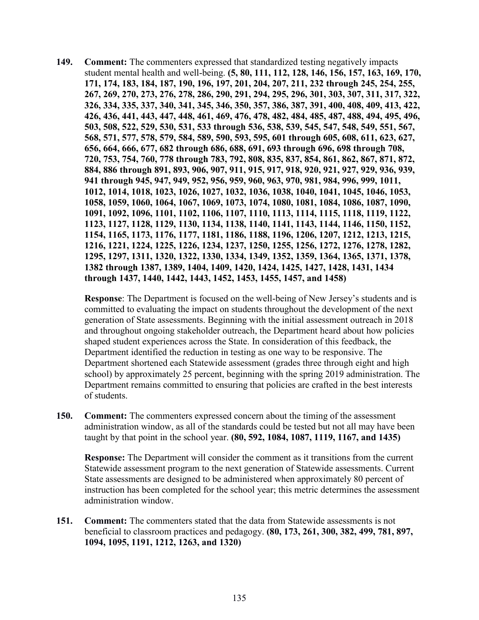**149. Comment:** The commenters expressed that standardized testing negatively impacts student mental health and well-being. **(5, 80, 111, 112, 128, 146, 156, 157, 163, 169, 170, 171, 174, 183, 184, 187, 190, 196, 197, 201, 204, 207, 211, 232 through 245, 254, 255, 267, 269, 270, 273, 276, 278, 286, 290, 291, 294, 295, 296, 301, 303, 307, 311, 317, 322, 326, 334, 335, 337, 340, 341, 345, 346, 350, 357, 386, 387, 391, 400, 408, 409, 413, 422, 426, 436, 441, 443, 447, 448, 461, 469, 476, 478, 482, 484, 485, 487, 488, 494, 495, 496, 503, 508, 522, 529, 530, 531, 533 through 536, 538, 539, 545, 547, 548, 549, 551, 567, 568, 571, 577, 578, 579, 584, 589, 590, 593, 595, 601 through 605, 608, 611, 623, 627, 656, 664, 666, 677, 682 through 686, 688, 691, 693 through 696, 698 through 708, 720, 753, 754, 760, 778 through 783, 792, 808, 835, 837, 854, 861, 862, 867, 871, 872, 884, 886 through 891, 893, 906, 907, 911, 915, 917, 918, 920, 921, 927, 929, 936, 939, 941 through 945, 947, 949, 952, 956, 959, 960, 963, 970, 981, 984, 996, 999, 1011, 1012, 1014, 1018, 1023, 1026, 1027, 1032, 1036, 1038, 1040, 1041, 1045, 1046, 1053, 1058, 1059, 1060, 1064, 1067, 1069, 1073, 1074, 1080, 1081, 1084, 1086, 1087, 1090, 1091, 1092, 1096, 1101, 1102, 1106, 1107, 1110, 1113, 1114, 1115, 1118, 1119, 1122, 1123, 1127, 1128, 1129, 1130, 1134, 1138, 1140, 1141, 1143, 1144, 1146, 1150, 1152, 1154, 1165, 1173, 1176, 1177, 1181, 1186, 1188, 1196, 1206, 1207, 1212, 1213, 1215, 1216, 1221, 1224, 1225, 1226, 1234, 1237, 1250, 1255, 1256, 1272, 1276, 1278, 1282, 1295, 1297, 1311, 1320, 1322, 1330, 1334, 1349, 1352, 1359, 1364, 1365, 1371, 1378, 1382 through 1387, 1389, 1404, 1409, 1420, 1424, 1425, 1427, 1428, 1431, 1434 through 1437, 1440, 1442, 1443, 1452, 1453, 1455, 1457, and 1458)**

**Response**: The Department is focused on the well-being of New Jersey's students and is committed to evaluating the impact on students throughout the development of the next generation of State assessments. Beginning with the initial assessment outreach in 2018 and throughout ongoing stakeholder outreach, the Department heard about how policies shaped student experiences across the State. In consideration of this feedback, the Department identified the reduction in testing as one way to be responsive. The Department shortened each Statewide assessment (grades three through eight and high school) by approximately 25 percent, beginning with the spring 2019 administration. The Department remains committed to ensuring that policies are crafted in the best interests of students.

**150. Comment:** The commenters expressed concern about the timing of the assessment administration window, as all of the standards could be tested but not all may have been taught by that point in the school year. **(80, 592, 1084, 1087, 1119, 1167, and 1435)**

**Response:** The Department will consider the comment as it transitions from the current Statewide assessment program to the next generation of Statewide assessments. Current State assessments are designed to be administered when approximately 80 percent of instruction has been completed for the school year; this metric determines the assessment administration window.

**151. Comment:** The commenters stated that the data from Statewide assessments is not beneficial to classroom practices and pedagogy. **(80, 173, 261, 300, 382, 499, 781, 897, 1094, 1095, 1191, 1212, 1263, and 1320)**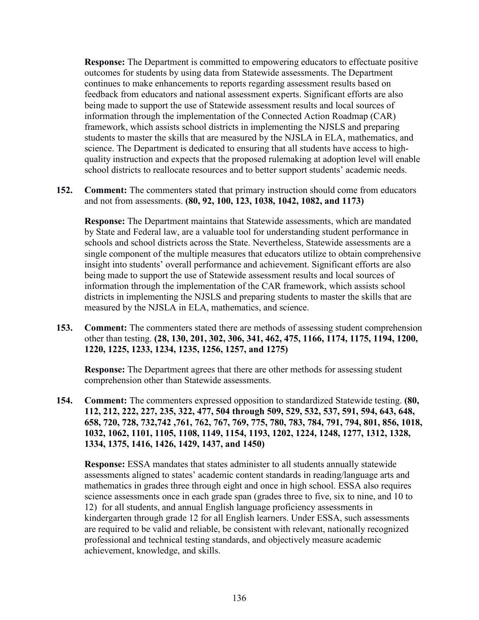**Response:** The Department is committed to empowering educators to effectuate positive outcomes for students by using data from Statewide assessments. The Department continues to make enhancements to reports regarding assessment results based on feedback from educators and national assessment experts. Significant efforts are also being made to support the use of Statewide assessment results and local sources of information through the implementation of the Connected Action Roadmap (CAR) framework, which assists school districts in implementing the NJSLS and preparing students to master the skills that are measured by the NJSLA in ELA, mathematics, and science. The Department is dedicated to ensuring that all students have access to highquality instruction and expects that the proposed rulemaking at adoption level will enable school districts to reallocate resources and to better support students' academic needs.

**152. Comment:** The commenters stated that primary instruction should come from educators and not from assessments. **(80, 92, 100, 123, 1038, 1042, 1082, and 1173)** 

**Response:** The Department maintains that Statewide assessments, which are mandated by State and Federal law, are a valuable tool for understanding student performance in schools and school districts across the State. Nevertheless, Statewide assessments are a single component of the multiple measures that educators utilize to obtain comprehensive insight into students' overall performance and achievement. Significant efforts are also being made to support the use of Statewide assessment results and local sources of information through the implementation of the CAR framework, which assists school districts in implementing the NJSLS and preparing students to master the skills that are measured by the NJSLA in ELA, mathematics, and science.

**153. Comment:** The commenters stated there are methods of assessing student comprehension other than testing. **(28, 130, 201, 302, 306, 341, 462, 475, 1166, 1174, 1175, 1194, 1200, 1220, 1225, 1233, 1234, 1235, 1256, 1257, and 1275)**

**Response:** The Department agrees that there are other methods for assessing student comprehension other than Statewide assessments.

**154. Comment:** The commenters expressed opposition to standardized Statewide testing. **(80, 112, 212, 222, 227, 235, 322, 477, 504 through 509, 529, 532, 537, 591, 594, 643, 648, 658, 720, 728, 732,742 ,761, 762, 767, 769, 775, 780, 783, 784, 791, 794, 801, 856, 1018, 1032, 1062, 1101, 1105, 1108, 1149, 1154, 1193, 1202, 1224, 1248, 1277, 1312, 1328, 1334, 1375, 1416, 1426, 1429, 1437, and 1450)**

**Response:** ESSA mandates that states administer to all students annually statewide assessments aligned to states' academic content standards in reading/language arts and mathematics in grades three through eight and once in high school. ESSA also requires science assessments once in each grade span (grades three to five, six to nine, and 10 to 12) for all students, and annual English language proficiency assessments in kindergarten through grade 12 for all English learners. Under ESSA, such assessments are required to be valid and reliable, be consistent with relevant, nationally recognized professional and technical testing standards, and objectively measure academic achievement, knowledge, and skills.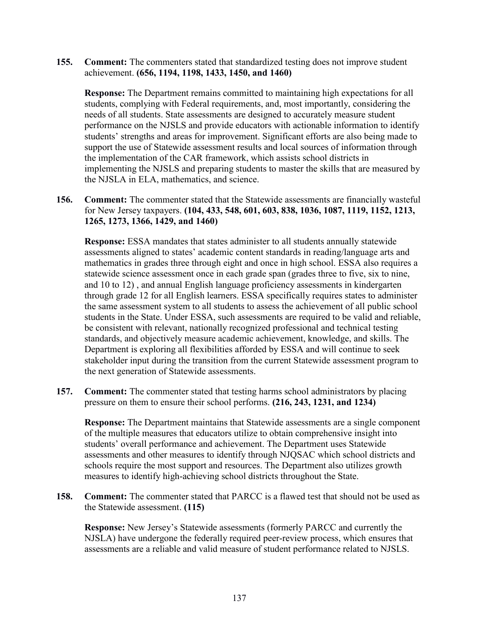**155. Comment:** The commenters stated that standardized testing does not improve student achievement. **(656, 1194, 1198, 1433, 1450, and 1460)**

**Response:** The Department remains committed to maintaining high expectations for all students, complying with Federal requirements, and, most importantly, considering the needs of all students. State assessments are designed to accurately measure student performance on the NJSLS and provide educators with actionable information to identify students' strengths and areas for improvement. Significant efforts are also being made to support the use of Statewide assessment results and local sources of information through the implementation of the CAR framework, which assists school districts in implementing the NJSLS and preparing students to master the skills that are measured by the NJSLA in ELA, mathematics, and science.

**156. Comment:** The commenter stated that the Statewide assessments are financially wasteful for New Jersey taxpayers. **(104, 433, 548, 601, 603, 838, 1036, 1087, 1119, 1152, 1213, 1265, 1273, 1366, 1429, and 1460)**

**Response:** ESSA mandates that states administer to all students annually statewide assessments aligned to states' academic content standards in reading/language arts and mathematics in grades three through eight and once in high school. ESSA also requires a statewide science assessment once in each grade span (grades three to five, six to nine, and 10 to 12) , and annual English language proficiency assessments in kindergarten through grade 12 for all English learners. ESSA specifically requires states to administer the same assessment system to all students to assess the achievement of all public school students in the State. Under ESSA, such assessments are required to be valid and reliable, be consistent with relevant, nationally recognized professional and technical testing standards, and objectively measure academic achievement, knowledge, and skills. The Department is exploring all flexibilities afforded by ESSA and will continue to seek stakeholder input during the transition from the current Statewide assessment program to the next generation of Statewide assessments.

**157. Comment:** The commenter stated that testing harms school administrators by placing pressure on them to ensure their school performs. **(216, 243, 1231, and 1234)**

**Response:** The Department maintains that Statewide assessments are a single component of the multiple measures that educators utilize to obtain comprehensive insight into students' overall performance and achievement. The Department uses Statewide assessments and other measures to identify through NJQSAC which school districts and schools require the most support and resources. The Department also utilizes growth measures to identify high-achieving school districts throughout the State.

**158. Comment:** The commenter stated that PARCC is a flawed test that should not be used as the Statewide assessment. **(115)**

**Response:** New Jersey's Statewide assessments (formerly PARCC and currently the NJSLA) have undergone the federally required peer-review process, which ensures that assessments are a reliable and valid measure of student performance related to NJSLS.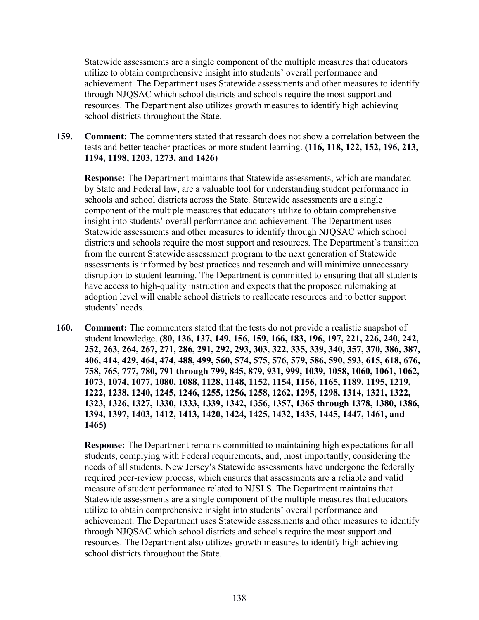Statewide assessments are a single component of the multiple measures that educators utilize to obtain comprehensive insight into students' overall performance and achievement. The Department uses Statewide assessments and other measures to identify through NJQSAC which school districts and schools require the most support and resources. The Department also utilizes growth measures to identify high achieving school districts throughout the State.

**159. Comment:** The commenters stated that research does not show a correlation between the tests and better teacher practices or more student learning. **(116, 118, 122, 152, 196, 213, 1194, 1198, 1203, 1273, and 1426)**

**Response:** The Department maintains that Statewide assessments, which are mandated by State and Federal law, are a valuable tool for understanding student performance in schools and school districts across the State. Statewide assessments are a single component of the multiple measures that educators utilize to obtain comprehensive insight into students' overall performance and achievement. The Department uses Statewide assessments and other measures to identify through NJQSAC which school districts and schools require the most support and resources. The Department's transition from the current Statewide assessment program to the next generation of Statewide assessments is informed by best practices and research and will minimize unnecessary disruption to student learning. The Department is committed to ensuring that all students have access to high-quality instruction and expects that the proposed rulemaking at adoption level will enable school districts to reallocate resources and to better support students' needs.

**160. Comment:** The commenters stated that the tests do not provide a realistic snapshot of student knowledge. **(80, 136, 137, 149, 156, 159, 166, 183, 196, 197, 221, 226, 240, 242, 252, 263, 264, 267, 271, 286, 291, 292, 293, 303, 322, 335, 339, 340, 357, 370, 386, 387, 406, 414, 429, 464, 474, 488, 499, 560, 574, 575, 576, 579, 586, 590, 593, 615, 618, 676, 758, 765, 777, 780, 791 through 799, 845, 879, 931, 999, 1039, 1058, 1060, 1061, 1062, 1073, 1074, 1077, 1080, 1088, 1128, 1148, 1152, 1154, 1156, 1165, 1189, 1195, 1219, 1222, 1238, 1240, 1245, 1246, 1255, 1256, 1258, 1262, 1295, 1298, 1314, 1321, 1322, 1323, 1326, 1327, 1330, 1333, 1339, 1342, 1356, 1357, 1365 through 1378, 1380, 1386, 1394, 1397, 1403, 1412, 1413, 1420, 1424, 1425, 1432, 1435, 1445, 1447, 1461, and 1465)**

**Response:** The Department remains committed to maintaining high expectations for all students, complying with Federal requirements, and, most importantly, considering the needs of all students. New Jersey's Statewide assessments have undergone the federally required peer-review process, which ensures that assessments are a reliable and valid measure of student performance related to NJSLS. The Department maintains that Statewide assessments are a single component of the multiple measures that educators utilize to obtain comprehensive insight into students' overall performance and achievement. The Department uses Statewide assessments and other measures to identify through NJQSAC which school districts and schools require the most support and resources. The Department also utilizes growth measures to identify high achieving school districts throughout the State.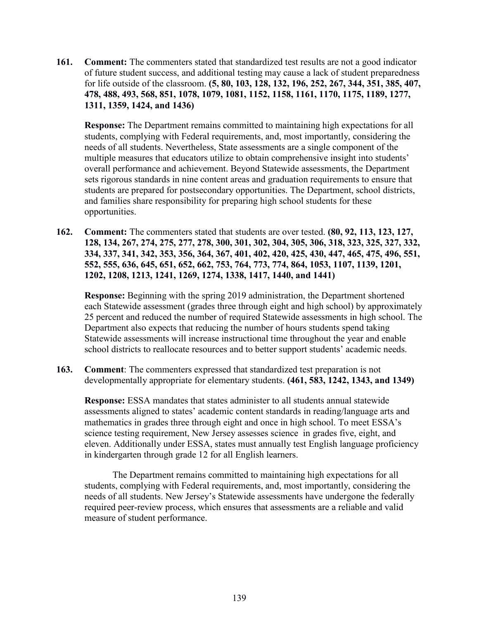**161. Comment:** The commenters stated that standardized test results are not a good indicator of future student success, and additional testing may cause a lack of student preparedness for life outside of the classroom. **(5, 80, 103, 128, 132, 196, 252, 267, 344, 351, 385, 407, 478, 488, 493, 568, 851, 1078, 1079, 1081, 1152, 1158, 1161, 1170, 1175, 1189, 1277, 1311, 1359, 1424, and 1436)**

**Response:** The Department remains committed to maintaining high expectations for all students, complying with Federal requirements, and, most importantly, considering the needs of all students. Nevertheless, State assessments are a single component of the multiple measures that educators utilize to obtain comprehensive insight into students' overall performance and achievement. Beyond Statewide assessments, the Department sets rigorous standards in nine content areas and graduation requirements to ensure that students are prepared for postsecondary opportunities. The Department, school districts, and families share responsibility for preparing high school students for these opportunities.

**162. Comment:** The commenters stated that students are over tested. **(80, 92, 113, 123, 127, 128, 134, 267, 274, 275, 277, 278, 300, 301, 302, 304, 305, 306, 318, 323, 325, 327, 332, 334, 337, 341, 342, 353, 356, 364, 367, 401, 402, 420, 425, 430, 447, 465, 475, 496, 551, 552, 555, 636, 645, 651, 652, 662, 753, 764, 773, 774, 864, 1053, 1107, 1139, 1201, 1202, 1208, 1213, 1241, 1269, 1274, 1338, 1417, 1440, and 1441)**

**Response:** Beginning with the spring 2019 administration, the Department shortened each Statewide assessment (grades three through eight and high school) by approximately 25 percent and reduced the number of required Statewide assessments in high school. The Department also expects that reducing the number of hours students spend taking Statewide assessments will increase instructional time throughout the year and enable school districts to reallocate resources and to better support students' academic needs.

**163. Comment**: The commenters expressed that standardized test preparation is not developmentally appropriate for elementary students. **(461, 583, 1242, 1343, and 1349)**

**Response:** ESSA mandates that states administer to all students annual statewide assessments aligned to states' academic content standards in reading/language arts and mathematics in grades three through eight and once in high school. To meet ESSA's science testing requirement, New Jersey assesses science in grades five, eight, and eleven. Additionally under ESSA, states must annually test English language proficiency in kindergarten through grade 12 for all English learners.

The Department remains committed to maintaining high expectations for all students, complying with Federal requirements, and, most importantly, considering the needs of all students. New Jersey's Statewide assessments have undergone the federally required peer-review process, which ensures that assessments are a reliable and valid measure of student performance.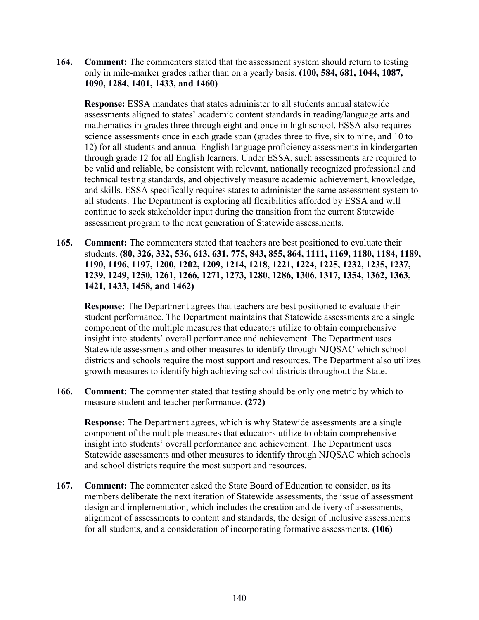**164. Comment:** The commenters stated that the assessment system should return to testing only in mile-marker grades rather than on a yearly basis. **(100, 584, 681, 1044, 1087, 1090, 1284, 1401, 1433, and 1460)**

**Response:** ESSA mandates that states administer to all students annual statewide assessments aligned to states' academic content standards in reading/language arts and mathematics in grades three through eight and once in high school. ESSA also requires science assessments once in each grade span (grades three to five, six to nine, and 10 to 12) for all students and annual English language proficiency assessments in kindergarten through grade 12 for all English learners. Under ESSA, such assessments are required to be valid and reliable, be consistent with relevant, nationally recognized professional and technical testing standards, and objectively measure academic achievement, knowledge, and skills. ESSA specifically requires states to administer the same assessment system to all students. The Department is exploring all flexibilities afforded by ESSA and will continue to seek stakeholder input during the transition from the current Statewide assessment program to the next generation of Statewide assessments.

**165. Comment:** The commenters stated that teachers are best positioned to evaluate their students. **(80, 326, 332, 536, 613, 631, 775, 843, 855, 864, 1111, 1169, 1180, 1184, 1189, 1190, 1196, 1197, 1200, 1202, 1209, 1214, 1218, 1221, 1224, 1225, 1232, 1235, 1237, 1239, 1249, 1250, 1261, 1266, 1271, 1273, 1280, 1286, 1306, 1317, 1354, 1362, 1363, 1421, 1433, 1458, and 1462)**

**Response:** The Department agrees that teachers are best positioned to evaluate their student performance. The Department maintains that Statewide assessments are a single component of the multiple measures that educators utilize to obtain comprehensive insight into students' overall performance and achievement. The Department uses Statewide assessments and other measures to identify through NJQSAC which school districts and schools require the most support and resources. The Department also utilizes growth measures to identify high achieving school districts throughout the State.

**166. Comment:** The commenter stated that testing should be only one metric by which to measure student and teacher performance. **(272)**

**Response:** The Department agrees, which is why Statewide assessments are a single component of the multiple measures that educators utilize to obtain comprehensive insight into students' overall performance and achievement. The Department uses Statewide assessments and other measures to identify through NJQSAC which schools and school districts require the most support and resources.

**167. Comment:** The commenter asked the State Board of Education to consider, as its members deliberate the next iteration of Statewide assessments, the issue of assessment design and implementation, which includes the creation and delivery of assessments, alignment of assessments to content and standards, the design of inclusive assessments for all students, and a consideration of incorporating formative assessments. **(106)**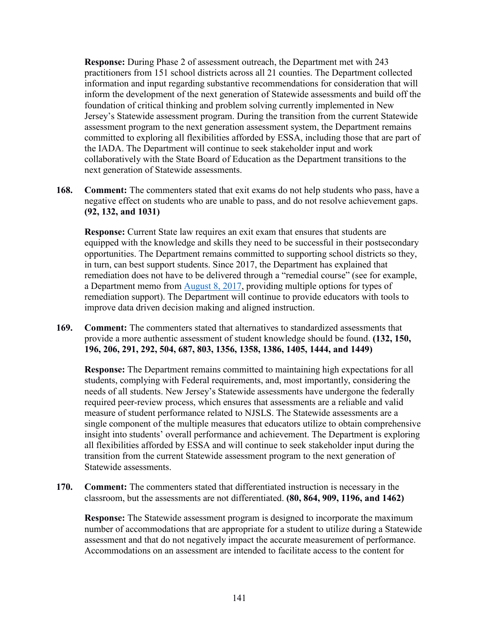**Response:** During Phase 2 of assessment outreach, the Department met with 243 practitioners from 151 school districts across all 21 counties. The Department collected information and input regarding substantive recommendations for consideration that will inform the development of the next generation of Statewide assessments and build off the foundation of critical thinking and problem solving currently implemented in New Jersey's Statewide assessment program. During the transition from the current Statewide assessment program to the next generation assessment system, the Department remains committed to exploring all flexibilities afforded by ESSA, including those that are part of the IADA. The Department will continue to seek stakeholder input and work collaboratively with the State Board of Education as the Department transitions to the next generation of Statewide assessments.

**168. Comment:** The commenters stated that exit exams do not help students who pass, have a negative effect on students who are unable to pass, and do not resolve achievement gaps. **(92, 132, and 1031)**

**Response:** Current State law requires an exit exam that ensures that students are equipped with the knowledge and skills they need to be successful in their postsecondary opportunities. The Department remains committed to supporting school districts so they, in turn, can best support students. Since 2017, the Department has explained that remediation does not have to be delivered through a "remedial course" (see for example, a Department memo from [August 8, 2017,](https://www.nj.gov/education/broadcasts/2017/AUG/08/16871/FAQ%20for%20Students%20Who%20Need%20to%20Retake%20the%20PARCC%20Algebra%20I%20Assessment.pdf) providing multiple options for types of remediation support). The Department will continue to provide educators with tools to improve data driven decision making and aligned instruction.

**169. Comment:** The commenters stated that alternatives to standardized assessments that provide a more authentic assessment of student knowledge should be found. **(132, 150, 196, 206, 291, 292, 504, 687, 803, 1356, 1358, 1386, 1405, 1444, and 1449)**

**Response:** The Department remains committed to maintaining high expectations for all students, complying with Federal requirements, and, most importantly, considering the needs of all students. New Jersey's Statewide assessments have undergone the federally required peer-review process, which ensures that assessments are a reliable and valid measure of student performance related to NJSLS. The Statewide assessments are a single component of the multiple measures that educators utilize to obtain comprehensive insight into students' overall performance and achievement. The Department is exploring all flexibilities afforded by ESSA and will continue to seek stakeholder input during the transition from the current Statewide assessment program to the next generation of Statewide assessments.

**170. Comment:** The commenters stated that differentiated instruction is necessary in the classroom, but the assessments are not differentiated. **(80, 864, 909, 1196, and 1462)**

**Response:** The Statewide assessment program is designed to incorporate the maximum number of accommodations that are appropriate for a student to utilize during a Statewide assessment and that do not negatively impact the accurate measurement of performance. Accommodations on an assessment are intended to facilitate access to the content for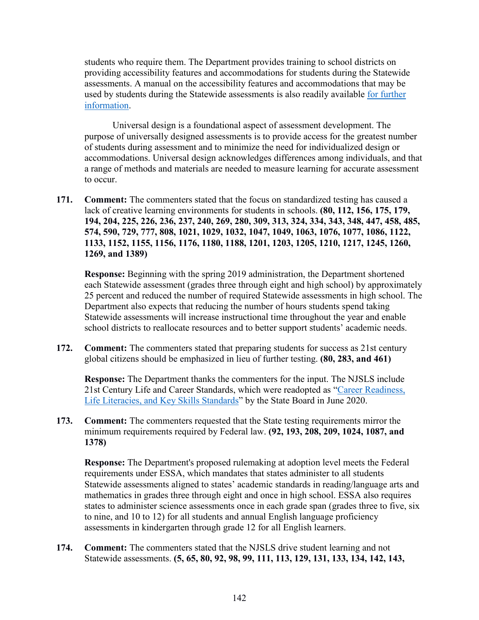students who require them. The Department provides training to school districts on providing accessibility features and accommodations for students during the Statewide assessments. A manual on the accessibility features and accommodations that may be used by students during the Statewide assessments is also readily available for further [information.](https://nj.mypearsonsupport.com/resources/manuals/NJSLA_Spring_2020_AF&A.pdf)

Universal design is a foundational aspect of assessment development. The purpose of universally designed assessments is to provide access for the greatest number of students during assessment and to minimize the need for individualized design or accommodations. Universal design acknowledges differences among individuals, and that a range of methods and materials are needed to measure learning for accurate assessment to occur.

**171. Comment:** The commenters stated that the focus on standardized testing has caused a lack of creative learning environments for students in schools. **(80, 112, 156, 175, 179, 194, 204, 225, 226, 236, 237, 240, 269, 280, 309, 313, 324, 334, 343, 348, 447, 458, 485, 574, 590, 729, 777, 808, 1021, 1029, 1032, 1047, 1049, 1063, 1076, 1077, 1086, 1122, 1133, 1152, 1155, 1156, 1176, 1180, 1188, 1201, 1203, 1205, 1210, 1217, 1245, 1260, 1269, and 1389)**

**Response:** Beginning with the spring 2019 administration, the Department shortened each Statewide assessment (grades three through eight and high school) by approximately 25 percent and reduced the number of required Statewide assessments in high school. The Department also expects that reducing the number of hours students spend taking Statewide assessments will increase instructional time throughout the year and enable school districts to reallocate resources and to better support students' academic needs.

**172. Comment:** The commenters stated that preparing students for success as 21st century global citizens should be emphasized in lieu of further testing. **(80, 283, and 461)**

**Response:** The Department thanks the commenters for the input. The NJSLS include 21st Century Life and Career Standards, which were readopted as ["Career Readiness,](https://www.nj.gov/education/cccs/2020/2020%20NJSLS-CLKS.pdf)  [Life Literacies, and Key Skills Standards"](https://www.nj.gov/education/cccs/2020/2020%20NJSLS-CLKS.pdf) by the State Board in June 2020.

**173. Comment:** The commenters requested that the State testing requirements mirror the minimum requirements required by Federal law. **(92, 193, 208, 209, 1024, 1087, and 1378)**

**Response:** The Department's proposed rulemaking at adoption level meets the Federal requirements under ESSA, which mandates that states administer to all students Statewide assessments aligned to states' academic standards in reading/language arts and mathematics in grades three through eight and once in high school. ESSA also requires states to administer science assessments once in each grade span (grades three to five, six to nine, and 10 to 12) for all students and annual English language proficiency assessments in kindergarten through grade 12 for all English learners.

**174. Comment:** The commenters stated that the NJSLS drive student learning and not Statewide assessments. **(5, 65, 80, 92, 98, 99, 111, 113, 129, 131, 133, 134, 142, 143,**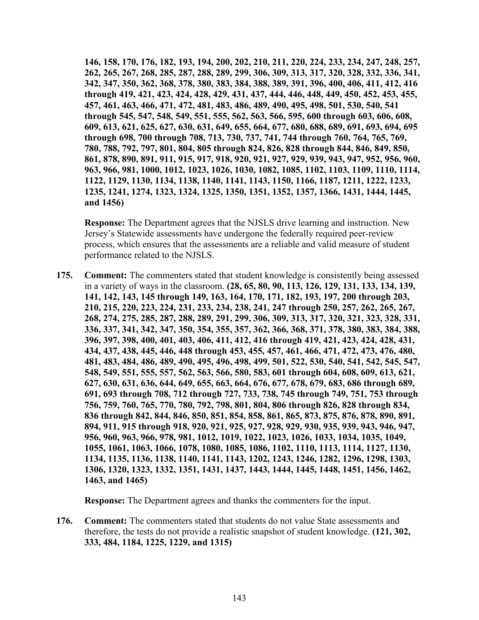**146, 158, 170, 176, 182, 193, 194, 200, 202, 210, 211, 220, 224, 233, 234, 247, 248, 257, 262, 265, 267, 268, 285, 287, 288, 289, 299, 306, 309, 313, 317, 320, 328, 332, 336, 341, 342, 347, 350, 362, 368, 378, 380, 383, 384, 388, 389, 391, 396, 400, 406, 411, 412, 416 through 419, 421, 423, 424, 428, 429, 431, 437, 444, 446, 448, 449, 450, 452, 453, 455, 457, 461, 463, 466, 471, 472, 481, 483, 486, 489, 490, 495, 498, 501, 530, 540, 541 through 545, 547, 548, 549, 551, 555, 562, 563, 566, 595, 600 through 603, 606, 608, 609, 613, 621, 625, 627, 630, 631, 649, 655, 664, 677, 680, 688, 689, 691, 693, 694, 695 through 698, 700 through 708, 713, 730, 737, 741, 744 through 760, 764, 765, 769, 780, 788, 792, 797, 801, 804, 805 through 824, 826, 828 through 844, 846, 849, 850, 861, 878, 890, 891, 911, 915, 917, 918, 920, 921, 927, 929, 939, 943, 947, 952, 956, 960, 963, 966, 981, 1000, 1012, 1023, 1026, 1030, 1082, 1085, 1102, 1103, 1109, 1110, 1114, 1122, 1129, 1130, 1134, 1138, 1140, 1141, 1143, 1150, 1166, 1187, 1211, 1222, 1233, 1235, 1241, 1274, 1323, 1324, 1325, 1350, 1351, 1352, 1357, 1366, 1431, 1444, 1445, and 1456)**

**Response:** The Department agrees that the NJSLS drive learning and instruction. New Jersey's Statewide assessments have undergone the federally required peer-review process, which ensures that the assessments are a reliable and valid measure of student performance related to the NJSLS.

**175. Comment:** The commenters stated that student knowledge is consistently being assessed in a variety of ways in the classroom. **(28, 65, 80, 90, 113, 126, 129, 131, 133, 134, 139, 141, 142, 143, 145 through 149, 163, 164, 170, 171, 182, 193, 197, 200 through 203, 210, 215, 220, 223, 224, 231, 233, 234, 238, 241, 247 through 250, 257, 262, 265, 267, 268, 274, 275, 285, 287, 288, 289, 291, 299, 306, 309, 313, 317, 320, 321, 323, 328, 331, 336, 337, 341, 342, 347, 350, 354, 355, 357, 362, 366, 368, 371, 378, 380, 383, 384, 388, 396, 397, 398, 400, 401, 403, 406, 411, 412, 416 through 419, 421, 423, 424, 428, 431, 434, 437, 438, 445, 446, 448 through 453, 455, 457, 461, 466, 471, 472, 473, 476, 480, 481, 483, 484, 486, 489, 490, 495, 496, 498, 499, 501, 522, 530, 540, 541, 542, 545, 547, 548, 549, 551, 555, 557, 562, 563, 566, 580, 583, 601 through 604, 608, 609, 613, 621, 627, 630, 631, 636, 644, 649, 655, 663, 664, 676, 677, 678, 679, 683, 686 through 689, 691, 693 through 708, 712 through 727, 733, 738, 745 through 749, 751, 753 through 756, 759, 760, 765, 770, 780, 792, 798, 801, 804, 806 through 826, 828 through 834, 836 through 842, 844, 846, 850, 851, 854, 858, 861, 865, 873, 875, 876, 878, 890, 891, 894, 911, 915 through 918, 920, 921, 925, 927, 928, 929, 930, 935, 939, 943, 946, 947, 956, 960, 963, 966, 978, 981, 1012, 1019, 1022, 1023, 1026, 1033, 1034, 1035, 1049, 1055, 1061, 1063, 1066, 1078, 1080, 1085, 1086, 1102, 1110, 1113, 1114, 1127, 1130, 1134, 1135, 1136, 1138, 1140, 1141, 1143, 1202, 1243, 1246, 1282, 1296, 1298, 1303, 1306, 1320, 1323, 1332, 1351, 1431, 1437, 1443, 1444, 1445, 1448, 1451, 1456, 1462, 1463, and 1465)**

**Response:** The Department agrees and thanks the commenters for the input.

**176. Comment:** The commenters stated that students do not value State assessments and therefore, the tests do not provide a realistic snapshot of student knowledge. **(121, 302, 333, 484, 1184, 1225, 1229, and 1315)**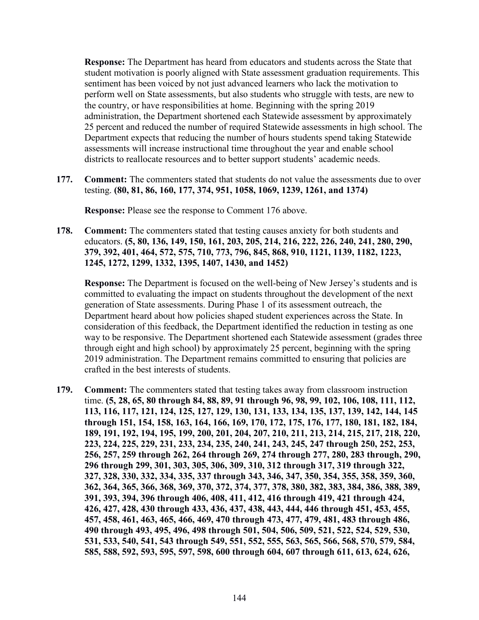**Response:** The Department has heard from educators and students across the State that student motivation is poorly aligned with State assessment graduation requirements. This sentiment has been voiced by not just advanced learners who lack the motivation to perform well on State assessments, but also students who struggle with tests, are new to the country, or have responsibilities at home. Beginning with the spring 2019 administration, the Department shortened each Statewide assessment by approximately 25 percent and reduced the number of required Statewide assessments in high school. The Department expects that reducing the number of hours students spend taking Statewide assessments will increase instructional time throughout the year and enable school districts to reallocate resources and to better support students' academic needs.

**177. Comment:** The commenters stated that students do not value the assessments due to over testing. **(80, 81, 86, 160, 177, 374, 951, 1058, 1069, 1239, 1261, and 1374)**

**Response:** Please see the response to Comment 176 above.

**178. Comment:** The commenters stated that testing causes anxiety for both students and educators. **(5, 80, 136, 149, 150, 161, 203, 205, 214, 216, 222, 226, 240, 241, 280, 290, 379, 392, 401, 464, 572, 575, 710, 773, 796, 845, 868, 910, 1121, 1139, 1182, 1223, 1245, 1272, 1299, 1332, 1395, 1407, 1430, and 1452)**

**Response:** The Department is focused on the well-being of New Jersey's students and is committed to evaluating the impact on students throughout the development of the next generation of State assessments. During Phase 1 of its assessment outreach, the Department heard about how policies shaped student experiences across the State. In consideration of this feedback, the Department identified the reduction in testing as one way to be responsive. The Department shortened each Statewide assessment (grades three through eight and high school) by approximately 25 percent, beginning with the spring 2019 administration. The Department remains committed to ensuring that policies are crafted in the best interests of students.

**179. Comment:** The commenters stated that testing takes away from classroom instruction time. **(5, 28, 65, 80 through 84, 88, 89, 91 through 96, 98, 99, 102, 106, 108, 111, 112, 113, 116, 117, 121, 124, 125, 127, 129, 130, 131, 133, 134, 135, 137, 139, 142, 144, 145 through 151, 154, 158, 163, 164, 166, 169, 170, 172, 175, 176, 177, 180, 181, 182, 184, 189, 191, 192, 194, 195, 199, 200, 201, 204, 207, 210, 211, 213, 214, 215, 217, 218, 220, 223, 224, 225, 229, 231, 233, 234, 235, 240, 241, 243, 245, 247 through 250, 252, 253, 256, 257, 259 through 262, 264 through 269, 274 through 277, 280, 283 through, 290, 296 through 299, 301, 303, 305, 306, 309, 310, 312 through 317, 319 through 322, 327, 328, 330, 332, 334, 335, 337 through 343, 346, 347, 350, 354, 355, 358, 359, 360, 362, 364, 365, 366, 368, 369, 370, 372, 374, 377, 378, 380, 382, 383, 384, 386, 388, 389, 391, 393, 394, 396 through 406, 408, 411, 412, 416 through 419, 421 through 424, 426, 427, 428, 430 through 433, 436, 437, 438, 443, 444, 446 through 451, 453, 455, 457, 458, 461, 463, 465, 466, 469, 470 through 473, 477, 479, 481, 483 through 486, 490 through 493, 495, 496, 498 through 501, 504, 506, 509, 521, 522, 524, 529, 530, 531, 533, 540, 541, 543 through 549, 551, 552, 555, 563, 565, 566, 568, 570, 579, 584, 585, 588, 592, 593, 595, 597, 598, 600 through 604, 607 through 611, 613, 624, 626,**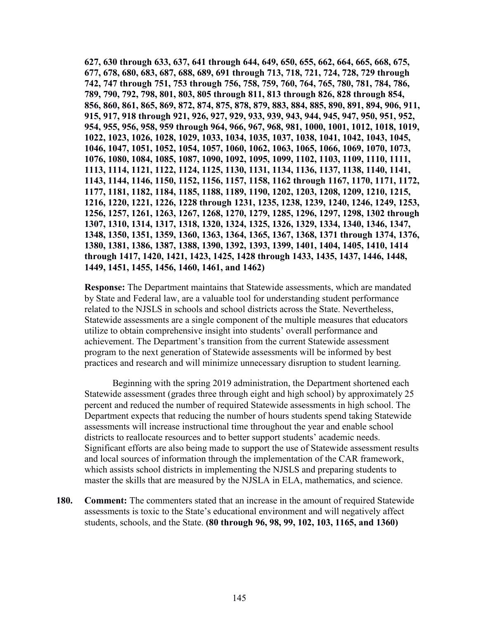**627, 630 through 633, 637, 641 through 644, 649, 650, 655, 662, 664, 665, 668, 675, 677, 678, 680, 683, 687, 688, 689, 691 through 713, 718, 721, 724, 728, 729 through 742, 747 through 751, 753 through 756, 758, 759, 760, 764, 765, 780, 781, 784, 786, 789, 790, 792, 798, 801, 803, 805 through 811, 813 through 826, 828 through 854, 856, 860, 861, 865, 869, 872, 874, 875, 878, 879, 883, 884, 885, 890, 891, 894, 906, 911, 915, 917, 918 through 921, 926, 927, 929, 933, 939, 943, 944, 945, 947, 950, 951, 952, 954, 955, 956, 958, 959 through 964, 966, 967, 968, 981, 1000, 1001, 1012, 1018, 1019, 1022, 1023, 1026, 1028, 1029, 1033, 1034, 1035, 1037, 1038, 1041, 1042, 1043, 1045, 1046, 1047, 1051, 1052, 1054, 1057, 1060, 1062, 1063, 1065, 1066, 1069, 1070, 1073, 1076, 1080, 1084, 1085, 1087, 1090, 1092, 1095, 1099, 1102, 1103, 1109, 1110, 1111, 1113, 1114, 1121, 1122, 1124, 1125, 1130, 1131, 1134, 1136, 1137, 1138, 1140, 1141, 1143, 1144, 1146, 1150, 1152, 1156, 1157, 1158, 1162 through 1167, 1170, 1171, 1172, 1177, 1181, 1182, 1184, 1185, 1188, 1189, 1190, 1202, 1203, 1208, 1209, 1210, 1215, 1216, 1220, 1221, 1226, 1228 through 1231, 1235, 1238, 1239, 1240, 1246, 1249, 1253, 1256, 1257, 1261, 1263, 1267, 1268, 1270, 1279, 1285, 1296, 1297, 1298, 1302 through 1307, 1310, 1314, 1317, 1318, 1320, 1324, 1325, 1326, 1329, 1334, 1340, 1346, 1347, 1348, 1350, 1351, 1359, 1360, 1363, 1364, 1365, 1367, 1368, 1371 through 1374, 1376, 1380, 1381, 1386, 1387, 1388, 1390, 1392, 1393, 1399, 1401, 1404, 1405, 1410, 1414 through 1417, 1420, 1421, 1423, 1425, 1428 through 1433, 1435, 1437, 1446, 1448, 1449, 1451, 1455, 1456, 1460, 1461, and 1462)**

**Response:** The Department maintains that Statewide assessments, which are mandated by State and Federal law, are a valuable tool for understanding student performance related to the NJSLS in schools and school districts across the State. Nevertheless, Statewide assessments are a single component of the multiple measures that educators utilize to obtain comprehensive insight into students' overall performance and achievement. The Department's transition from the current Statewide assessment program to the next generation of Statewide assessments will be informed by best practices and research and will minimize unnecessary disruption to student learning.

Beginning with the spring 2019 administration, the Department shortened each Statewide assessment (grades three through eight and high school) by approximately 25 percent and reduced the number of required Statewide assessments in high school. The Department expects that reducing the number of hours students spend taking Statewide assessments will increase instructional time throughout the year and enable school districts to reallocate resources and to better support students' academic needs. Significant efforts are also being made to support the use of Statewide assessment results and local sources of information through the implementation of the CAR framework, which assists school districts in implementing the NJSLS and preparing students to master the skills that are measured by the NJSLA in ELA, mathematics, and science.

**180. Comment:** The commenters stated that an increase in the amount of required Statewide assessments is toxic to the State's educational environment and will negatively affect students, schools, and the State. **(80 through 96, 98, 99, 102, 103, 1165, and 1360)**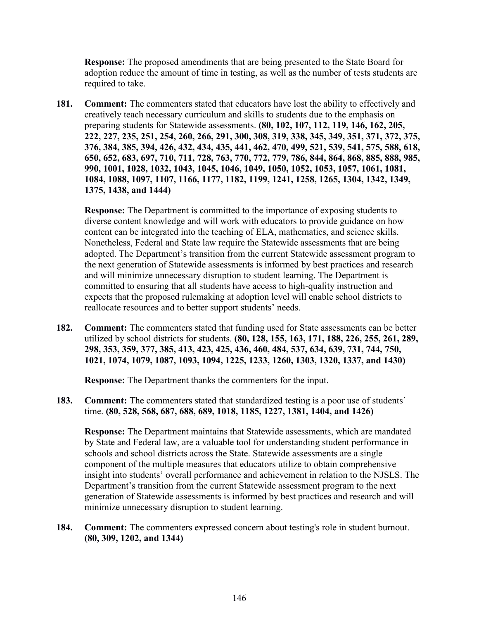**Response:** The proposed amendments that are being presented to the State Board for adoption reduce the amount of time in testing, as well as the number of tests students are required to take.

**181. Comment:** The commenters stated that educators have lost the ability to effectively and creatively teach necessary curriculum and skills to students due to the emphasis on preparing students for Statewide assessments. **(80, 102, 107, 112, 119, 146, 162, 205, 222, 227, 235, 251, 254, 260, 266, 291, 300, 308, 319, 338, 345, 349, 351, 371, 372, 375, 376, 384, 385, 394, 426, 432, 434, 435, 441, 462, 470, 499, 521, 539, 541, 575, 588, 618, 650, 652, 683, 697, 710, 711, 728, 763, 770, 772, 779, 786, 844, 864, 868, 885, 888, 985, 990, 1001, 1028, 1032, 1043, 1045, 1046, 1049, 1050, 1052, 1053, 1057, 1061, 1081, 1084, 1088, 1097, 1107, 1166, 1177, 1182, 1199, 1241, 1258, 1265, 1304, 1342, 1349, 1375, 1438, and 1444)**

**Response:** The Department is committed to the importance of exposing students to diverse content knowledge and will work with educators to provide guidance on how content can be integrated into the teaching of ELA, mathematics, and science skills. Nonetheless, Federal and State law require the Statewide assessments that are being adopted. The Department's transition from the current Statewide assessment program to the next generation of Statewide assessments is informed by best practices and research and will minimize unnecessary disruption to student learning. The Department is committed to ensuring that all students have access to high-quality instruction and expects that the proposed rulemaking at adoption level will enable school districts to reallocate resources and to better support students' needs.

**182. Comment:** The commenters stated that funding used for State assessments can be better utilized by school districts for students. **(80, 128, 155, 163, 171, 188, 226, 255, 261, 289, 298, 353, 359, 377, 385, 413, 423, 425, 436, 460, 484, 537, 634, 639, 731, 744, 750, 1021, 1074, 1079, 1087, 1093, 1094, 1225, 1233, 1260, 1303, 1320, 1337, and 1430)**

**Response:** The Department thanks the commenters for the input.

**183. Comment:** The commenters stated that standardized testing is a poor use of students' time. **(80, 528, 568, 687, 688, 689, 1018, 1185, 1227, 1381, 1404, and 1426)** 

**Response:** The Department maintains that Statewide assessments, which are mandated by State and Federal law, are a valuable tool for understanding student performance in schools and school districts across the State. Statewide assessments are a single component of the multiple measures that educators utilize to obtain comprehensive insight into students' overall performance and achievement in relation to the NJSLS. The Department's transition from the current Statewide assessment program to the next generation of Statewide assessments is informed by best practices and research and will minimize unnecessary disruption to student learning.

**184. Comment:** The commenters expressed concern about testing's role in student burnout. **(80, 309, 1202, and 1344)**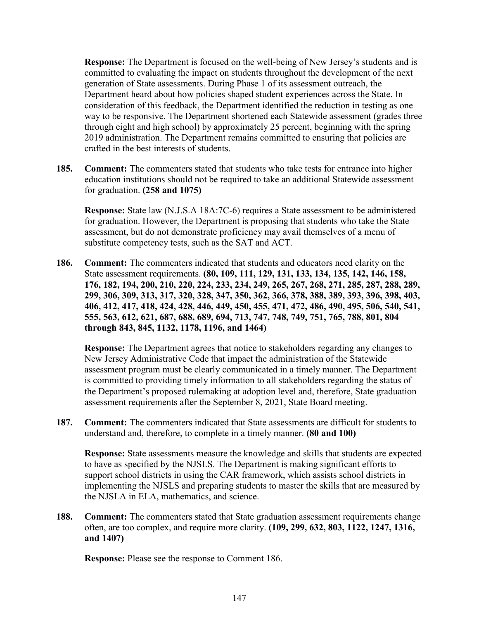**Response:** The Department is focused on the well-being of New Jersey's students and is committed to evaluating the impact on students throughout the development of the next generation of State assessments. During Phase 1 of its assessment outreach, the Department heard about how policies shaped student experiences across the State. In consideration of this feedback, the Department identified the reduction in testing as one way to be responsive. The Department shortened each Statewide assessment (grades three through eight and high school) by approximately 25 percent, beginning with the spring 2019 administration. The Department remains committed to ensuring that policies are crafted in the best interests of students.

**185. Comment:** The commenters stated that students who take tests for entrance into higher education institutions should not be required to take an additional Statewide assessment for graduation. **(258 and 1075)**

**Response:** State law (N.J.S.A 18A:7C-6) requires a State assessment to be administered for graduation. However, the Department is proposing that students who take the State assessment, but do not demonstrate proficiency may avail themselves of a menu of substitute competency tests, such as the SAT and ACT.

**186. Comment:** The commenters indicated that students and educators need clarity on the State assessment requirements. **(80, 109, 111, 129, 131, 133, 134, 135, 142, 146, 158, 176, 182, 194, 200, 210, 220, 224, 233, 234, 249, 265, 267, 268, 271, 285, 287, 288, 289, 299, 306, 309, 313, 317, 320, 328, 347, 350, 362, 366, 378, 388, 389, 393, 396, 398, 403, 406, 412, 417, 418, 424, 428, 446, 449, 450, 455, 471, 472, 486, 490, 495, 506, 540, 541, 555, 563, 612, 621, 687, 688, 689, 694, 713, 747, 748, 749, 751, 765, 788, 801, 804 through 843, 845, 1132, 1178, 1196, and 1464)**

**Response:** The Department agrees that notice to stakeholders regarding any changes to New Jersey Administrative Code that impact the administration of the Statewide assessment program must be clearly communicated in a timely manner. The Department is committed to providing timely information to all stakeholders regarding the status of the Department's proposed rulemaking at adoption level and, therefore, State graduation assessment requirements after the September 8, 2021, State Board meeting.

**187. Comment:** The commenters indicated that State assessments are difficult for students to understand and, therefore, to complete in a timely manner. **(80 and 100)**

**Response:** State assessments measure the knowledge and skills that students are expected to have as specified by the NJSLS. The Department is making significant efforts to support school districts in using the CAR framework, which assists school districts in implementing the NJSLS and preparing students to master the skills that are measured by the NJSLA in ELA, mathematics, and science.

**188. Comment:** The commenters stated that State graduation assessment requirements change often, are too complex, and require more clarity. **(109, 299, 632, 803, 1122, 1247, 1316, and 1407)**

**Response:** Please see the response to Comment 186.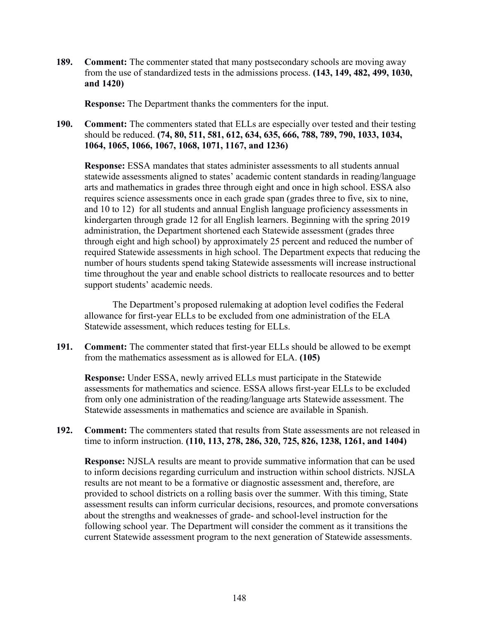**189. Comment:** The commenter stated that many postsecondary schools are moving away from the use of standardized tests in the admissions process. **(143, 149, 482, 499, 1030, and 1420)**

**Response:** The Department thanks the commenters for the input.

**190. Comment:** The commenters stated that ELLs are especially over tested and their testing should be reduced. **(74, 80, 511, 581, 612, 634, 635, 666, 788, 789, 790, 1033, 1034, 1064, 1065, 1066, 1067, 1068, 1071, 1167, and 1236)**

**Response:** ESSA mandates that states administer assessments to all students annual statewide assessments aligned to states' academic content standards in reading/language arts and mathematics in grades three through eight and once in high school. ESSA also requires science assessments once in each grade span (grades three to five, six to nine, and 10 to 12) for all students and annual English language proficiency assessments in kindergarten through grade 12 for all English learners. Beginning with the spring 2019 administration, the Department shortened each Statewide assessment (grades three through eight and high school) by approximately 25 percent and reduced the number of required Statewide assessments in high school. The Department expects that reducing the number of hours students spend taking Statewide assessments will increase instructional time throughout the year and enable school districts to reallocate resources and to better support students' academic needs.

The Department's proposed rulemaking at adoption level codifies the Federal allowance for first-year ELLs to be excluded from one administration of the ELA Statewide assessment, which reduces testing for ELLs.

**191. Comment:** The commenter stated that first-year ELLs should be allowed to be exempt from the mathematics assessment as is allowed for ELA. **(105)**

**Response:** Under ESSA, newly arrived ELLs must participate in the Statewide assessments for mathematics and science. ESSA allows first-year ELLs to be excluded from only one administration of the reading/language arts Statewide assessment. The Statewide assessments in mathematics and science are available in Spanish.

**192. Comment:** The commenters stated that results from State assessments are not released in time to inform instruction. **(110, 113, 278, 286, 320, 725, 826, 1238, 1261, and 1404)**

**Response:** NJSLA results are meant to provide summative information that can be used to inform decisions regarding curriculum and instruction within school districts. NJSLA results are not meant to be a formative or diagnostic assessment and, therefore, are provided to school districts on a rolling basis over the summer. With this timing, State assessment results can inform curricular decisions, resources, and promote conversations about the strengths and weaknesses of grade- and school-level instruction for the following school year. The Department will consider the comment as it transitions the current Statewide assessment program to the next generation of Statewide assessments.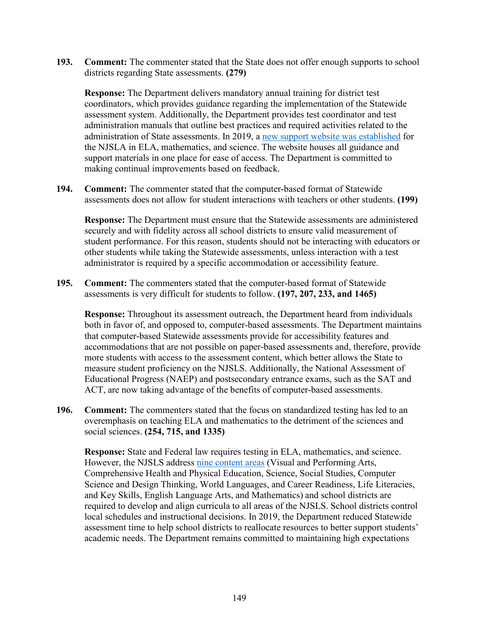**193. Comment:** The commenter stated that the State does not offer enough supports to school districts regarding State assessments. **(279)**

**Response:** The Department delivers mandatory annual training for district test coordinators, which provides guidance regarding the implementation of the Statewide assessment system. Additionally, the Department provides test coordinator and test administration manuals that outline best practices and required activities related to the administration of State assessments. In 2019, a [new support website was](https://nj.mypearsonsupport.com/) established for the NJSLA in ELA, mathematics, and science. The website houses all guidance and support materials in one place for ease of access. The Department is committed to making continual improvements based on feedback.

**194. Comment:** The commenter stated that the computer-based format of Statewide assessments does not allow for student interactions with teachers or other students. **(199)**

**Response:** The Department must ensure that the Statewide assessments are administered securely and with fidelity across all school districts to ensure valid measurement of student performance. For this reason, students should not be interacting with educators or other students while taking the Statewide assessments, unless interaction with a test administrator is required by a specific accommodation or accessibility feature.

**195. Comment:** The commenters stated that the computer-based format of Statewide assessments is very difficult for students to follow. **(197, 207, 233, and 1465)**

**Response:** Throughout its assessment outreach, the Department heard from individuals both in favor of, and opposed to, computer-based assessments. The Department maintains that computer-based Statewide assessments provide for accessibility features and accommodations that are not possible on paper-based assessments and, therefore, provide more students with access to the assessment content, which better allows the State to measure student proficiency on the NJSLS. Additionally, the National Assessment of Educational Progress (NAEP) and postsecondary entrance exams, such as the SAT and ACT, are now taking advantage of the benefits of computer-based assessments.

**196. Comment:** The commenters stated that the focus on standardized testing has led to an overemphasis on teaching ELA and mathematics to the detriment of the sciences and social sciences. **(254, 715, and 1335)**

**Response:** State and Federal law requires testing in ELA, mathematics, and science. However, the NJSLS address [nine content areas](https://www.nj.gov/education/cccs/) (Visual and Performing Arts, Comprehensive Health and Physical Education, Science, Social Studies, Computer Science and Design Thinking, World Languages, and Career Readiness, Life Literacies, and Key Skills, English Language Arts, and Mathematics) and school districts are required to develop and align curricula to all areas of the NJSLS. School districts control local schedules and instructional decisions. In 2019, the Department reduced Statewide assessment time to help school districts to reallocate resources to better support students' academic needs. The Department remains committed to maintaining high expectations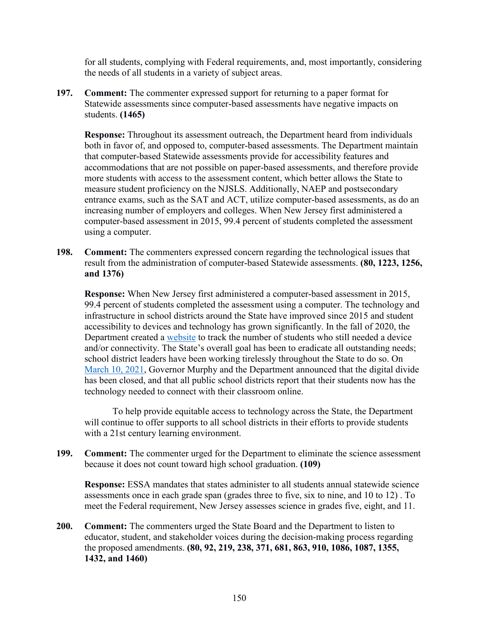for all students, complying with Federal requirements, and, most importantly, considering the needs of all students in a variety of subject areas.

**197. Comment:** The commenter expressed support for returning to a paper format for Statewide assessments since computer-based assessments have negative impacts on students. **(1465)**

**Response:** Throughout its assessment outreach, the Department heard from individuals both in favor of, and opposed to, computer-based assessments. The Department maintain that computer-based Statewide assessments provide for accessibility features and accommodations that are not possible on paper-based assessments, and therefore provide more students with access to the assessment content, which better allows the State to measure student proficiency on the NJSLS. Additionally, NAEP and postsecondary entrance exams, such as the SAT and ACT, utilize computer-based assessments, as do an increasing number of employers and colleges. When New Jersey first administered a computer-based assessment in 2015, 99.4 percent of students completed the assessment using a computer.

**198. Comment:** The commenters expressed concern regarding the technological issues that result from the administration of computer-based Statewide assessments. **(80, 1223, 1256, and 1376)**

**Response:** When New Jersey first administered a computer-based assessment in 2015, 99.4 percent of students completed the assessment using a computer. The technology and infrastructure in school districts around the State have improved since 2015 and student accessibility to devices and technology has grown significantly. In the fall of 2020, the Department created a [website](https://www.nj.gov/education/grants/digitaldivide/techsurveys.shtml) to track the number of students who still needed a device and/or connectivity. The State's overall goal has been to eradicate all outstanding needs; school district leaders have been working tirelessly throughout the State to do so. On [March 10, 2021,](https://nj.gov/governor/news/news/562021/approved/20210310c.shtml#:%7E:text=%E2%80%9CAs%20of%20today%2C%20New%20Jersey) Governor Murphy and the Department announced that the digital divide has been closed, and that all public school districts report that their students now has the technology needed to connect with their classroom online.

To help provide equitable access to technology across the State, the Department will continue to offer supports to all school districts in their efforts to provide students with a 21st century learning environment.

**199. Comment:** The commenter urged for the Department to eliminate the science assessment because it does not count toward high school graduation. **(109)**

**Response:** ESSA mandates that states administer to all students annual statewide science assessments once in each grade span (grades three to five, six to nine, and 10 to 12) . To meet the Federal requirement, New Jersey assesses science in grades five, eight, and 11.

**200. Comment:** The commenters urged the State Board and the Department to listen to educator, student, and stakeholder voices during the decision-making process regarding the proposed amendments. **(80, 92, 219, 238, 371, 681, 863, 910, 1086, 1087, 1355, 1432, and 1460)**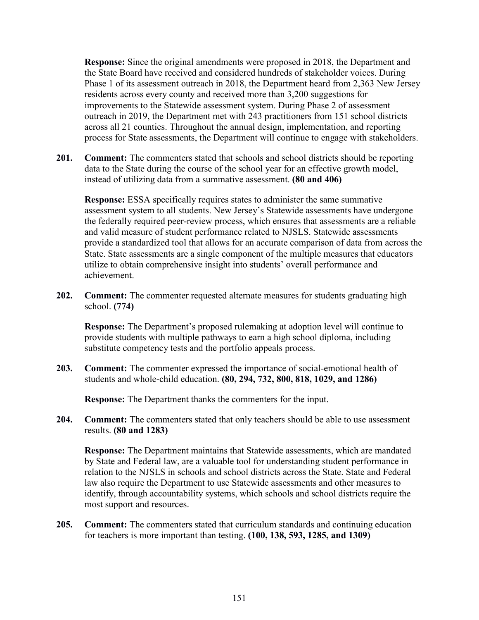**Response:** Since the original amendments were proposed in 2018, the Department and the State Board have received and considered hundreds of stakeholder voices. During Phase 1 of its assessment outreach in 2018, the Department heard from 2,363 New Jersey residents across every county and received more than 3,200 suggestions for improvements to the Statewide assessment system. During Phase 2 of assessment outreach in 2019, the Department met with 243 practitioners from 151 school districts across all 21 counties. Throughout the annual design, implementation, and reporting process for State assessments, the Department will continue to engage with stakeholders.

**201. Comment:** The commenters stated that schools and school districts should be reporting data to the State during the course of the school year for an effective growth model, instead of utilizing data from a summative assessment. **(80 and 406)**

**Response:** ESSA specifically requires states to administer the same summative assessment system to all students. New Jersey's Statewide assessments have undergone the federally required peer-review process, which ensures that assessments are a reliable and valid measure of student performance related to NJSLS. Statewide assessments provide a standardized tool that allows for an accurate comparison of data from across the State. State assessments are a single component of the multiple measures that educators utilize to obtain comprehensive insight into students' overall performance and achievement.

**202. Comment:** The commenter requested alternate measures for students graduating high school. **(774)**

**Response:** The Department's proposed rulemaking at adoption level will continue to provide students with multiple pathways to earn a high school diploma, including substitute competency tests and the portfolio appeals process.

**203. Comment:** The commenter expressed the importance of social-emotional health of students and whole-child education. **(80, 294, 732, 800, 818, 1029, and 1286)**

**Response:** The Department thanks the commenters for the input.

**204. Comment:** The commenters stated that only teachers should be able to use assessment results. **(80 and 1283)**

**Response:** The Department maintains that Statewide assessments, which are mandated by State and Federal law, are a valuable tool for understanding student performance in relation to the NJSLS in schools and school districts across the State. State and Federal law also require the Department to use Statewide assessments and other measures to identify, through accountability systems, which schools and school districts require the most support and resources.

**205. Comment:** The commenters stated that curriculum standards and continuing education for teachers is more important than testing. **(100, 138, 593, 1285, and 1309)**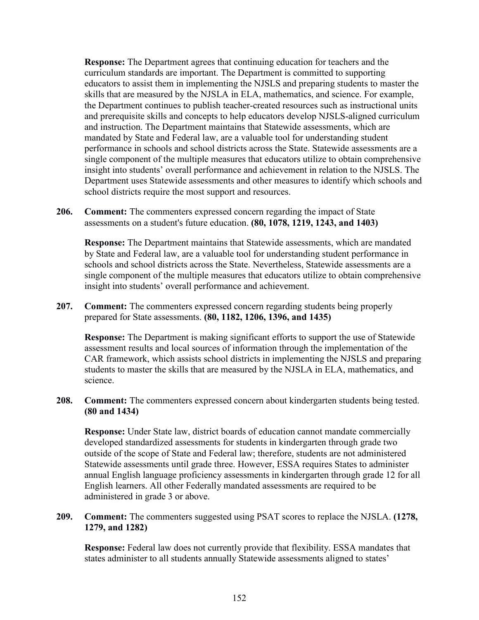**Response:** The Department agrees that continuing education for teachers and the curriculum standards are important. The Department is committed to supporting educators to assist them in implementing the NJSLS and preparing students to master the skills that are measured by the NJSLA in ELA, mathematics, and science. For example, the Department continues to publish teacher-created resources such as instructional units and prerequisite skills and concepts to help educators develop NJSLS-aligned curriculum and instruction. The Department maintains that Statewide assessments, which are mandated by State and Federal law, are a valuable tool for understanding student performance in schools and school districts across the State. Statewide assessments are a single component of the multiple measures that educators utilize to obtain comprehensive insight into students' overall performance and achievement in relation to the NJSLS. The Department uses Statewide assessments and other measures to identify which schools and school districts require the most support and resources.

**206. Comment:** The commenters expressed concern regarding the impact of State assessments on a student's future education. **(80, 1078, 1219, 1243, and 1403)**

**Response:** The Department maintains that Statewide assessments, which are mandated by State and Federal law, are a valuable tool for understanding student performance in schools and school districts across the State. Nevertheless, Statewide assessments are a single component of the multiple measures that educators utilize to obtain comprehensive insight into students' overall performance and achievement.

**207. Comment:** The commenters expressed concern regarding students being properly prepared for State assessments. **(80, 1182, 1206, 1396, and 1435)**

**Response:** The Department is making significant efforts to support the use of Statewide assessment results and local sources of information through the implementation of the CAR framework, which assists school districts in implementing the NJSLS and preparing students to master the skills that are measured by the NJSLA in ELA, mathematics, and science.

**208. Comment:** The commenters expressed concern about kindergarten students being tested. **(80 and 1434)**

**Response:** Under State law, district boards of education cannot mandate commercially developed standardized assessments for students in kindergarten through grade two outside of the scope of State and Federal law; therefore, students are not administered Statewide assessments until grade three. However, ESSA requires States to administer annual English language proficiency assessments in kindergarten through grade 12 for all English learners. All other Federally mandated assessments are required to be administered in grade 3 or above.

**209. Comment:** The commenters suggested using PSAT scores to replace the NJSLA. **(1278, 1279, and 1282)**

**Response:** Federal law does not currently provide that flexibility. ESSA mandates that states administer to all students annually Statewide assessments aligned to states'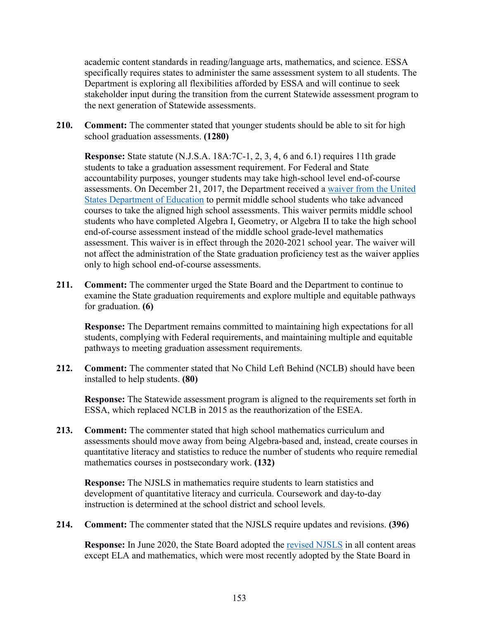academic content standards in reading/language arts, mathematics, and science. ESSA specifically requires states to administer the same assessment system to all students. The Department is exploring all flexibilities afforded by ESSA and will continue to seek stakeholder input during the transition from the current Statewide assessment program to the next generation of Statewide assessments.

**210. Comment:** The commenter stated that younger students should be able to sit for high school graduation assessments. **(1280)**

**Response:** State statute (N.J.S.A. 18A:7C-1, 2, 3, 4, 6 and 6.1) requires 11th grade students to take a graduation assessment requirement. For Federal and State accountability purposes, younger students may take high-school level end-of-course assessments. On December 21, 2017, the Department received a [waiver from the United](https://www2.ed.gov/admins/lead/account/stateplan17/waivers/njwaiverresponse2017.pdf)  [States Department of Education](https://www2.ed.gov/admins/lead/account/stateplan17/waivers/njwaiverresponse2017.pdf) to permit middle school students who take advanced courses to take the aligned high school assessments. This waiver permits middle school students who have completed Algebra I, Geometry, or Algebra II to take the high school end-of-course assessment instead of the middle school grade-level mathematics assessment. This waiver is in effect through the 2020-2021 school year. The waiver will not affect the administration of the State graduation proficiency test as the waiver applies only to high school end-of-course assessments.

**211. Comment:** The commenter urged the State Board and the Department to continue to examine the State graduation requirements and explore multiple and equitable pathways for graduation. **(6)**

**Response:** The Department remains committed to maintaining high expectations for all students, complying with Federal requirements, and maintaining multiple and equitable pathways to meeting graduation assessment requirements.

**212. Comment:** The commenter stated that No Child Left Behind (NCLB) should have been installed to help students. **(80)**

**Response:** The Statewide assessment program is aligned to the requirements set forth in ESSA, which replaced NCLB in 2015 as the reauthorization of the ESEA.

**213. Comment:** The commenter stated that high school mathematics curriculum and assessments should move away from being Algebra-based and, instead, create courses in quantitative literacy and statistics to reduce the number of students who require remedial mathematics courses in postsecondary work. **(132)**

**Response:** The NJSLS in mathematics require students to learn statistics and development of quantitative literacy and curricula. Coursework and day-to-day instruction is determined at the school district and school levels.

**214. Comment:** The commenter stated that the NJSLS require updates and revisions. **(396)**

**Response:** In June 2020, the State Board adopted the [revised NJSLS](https://www.nj.gov/education/cccs/2020/) in all content areas except ELA and mathematics, which were most recently adopted by the State Board in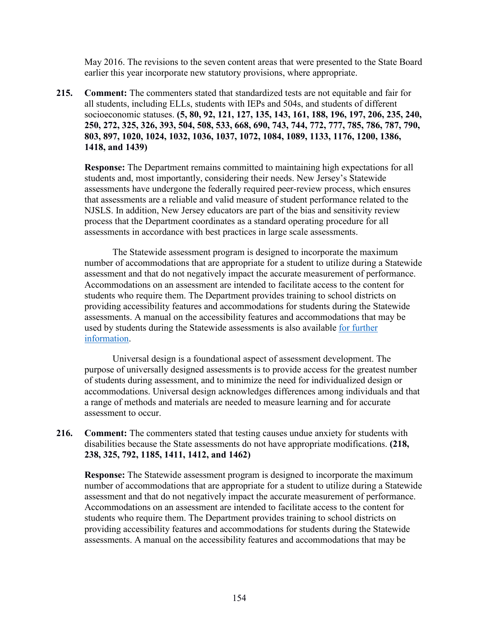May 2016. The revisions to the seven content areas that were presented to the State Board earlier this year incorporate new statutory provisions, where appropriate.

**215. Comment:** The commenters stated that standardized tests are not equitable and fair for all students, including ELLs, students with IEPs and 504s, and students of different socioeconomic statuses. **(5, 80, 92, 121, 127, 135, 143, 161, 188, 196, 197, 206, 235, 240, 250, 272, 325, 326, 393, 504, 508, 533, 668, 690, 743, 744, 772, 777, 785, 786, 787, 790, 803, 897, 1020, 1024, 1032, 1036, 1037, 1072, 1084, 1089, 1133, 1176, 1200, 1386, 1418, and 1439)**

**Response:** The Department remains committed to maintaining high expectations for all students and, most importantly, considering their needs. New Jersey's Statewide assessments have undergone the federally required peer-review process, which ensures that assessments are a reliable and valid measure of student performance related to the NJSLS. In addition, New Jersey educators are part of the bias and sensitivity review process that the Department coordinates as a standard operating procedure for all assessments in accordance with best practices in large scale assessments.

The Statewide assessment program is designed to incorporate the maximum number of accommodations that are appropriate for a student to utilize during a Statewide assessment and that do not negatively impact the accurate measurement of performance. Accommodations on an assessment are intended to facilitate access to the content for students who require them. The Department provides training to school districts on providing accessibility features and accommodations for students during the Statewide assessments. A manual on the accessibility features and accommodations that may be used by students during the Statewide assessments is also available [for further](https://nj.mypearsonsupport.com/resources/test-administration-resource/NJSLA_Accessibility_Features_and_Accommodations_9th_Edition.pdf)  [information.](https://nj.mypearsonsupport.com/resources/test-administration-resource/NJSLA_Accessibility_Features_and_Accommodations_9th_Edition.pdf)

Universal design is a foundational aspect of assessment development. The purpose of universally designed assessments is to provide access for the greatest number of students during assessment, and to minimize the need for individualized design or accommodations. Universal design acknowledges differences among individuals and that a range of methods and materials are needed to measure learning and for accurate assessment to occur.

**216. Comment:** The commenters stated that testing causes undue anxiety for students with disabilities because the State assessments do not have appropriate modifications. **(218, 238, 325, 792, 1185, 1411, 1412, and 1462)**

**Response:** The Statewide assessment program is designed to incorporate the maximum number of accommodations that are appropriate for a student to utilize during a Statewide assessment and that do not negatively impact the accurate measurement of performance. Accommodations on an assessment are intended to facilitate access to the content for students who require them. The Department provides training to school districts on providing accessibility features and accommodations for students during the Statewide assessments. A manual on the accessibility features and accommodations that may be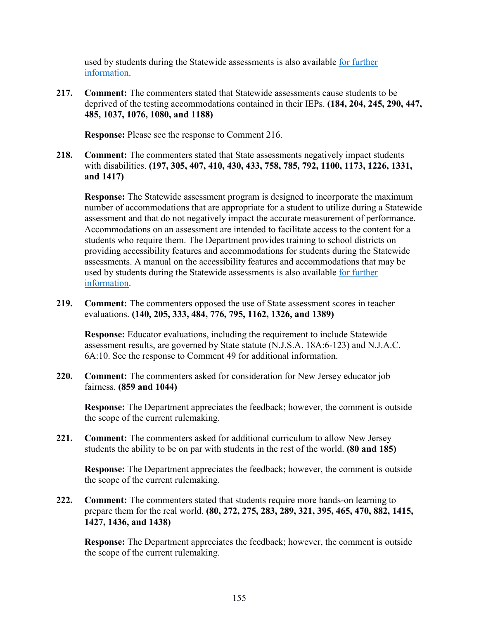used by students during the Statewide assessments is also available [for further](https://nj.mypearsonsupport.com/resources/test-administration-resource/NJSLA_Accessibility_Features_and_Accommodations_9th_Edition.pdf)  [information.](https://nj.mypearsonsupport.com/resources/test-administration-resource/NJSLA_Accessibility_Features_and_Accommodations_9th_Edition.pdf)

**217. Comment:** The commenters stated that Statewide assessments cause students to be deprived of the testing accommodations contained in their IEPs. **(184, 204, 245, 290, 447, 485, 1037, 1076, 1080, and 1188)**

**Response:** Please see the response to Comment 216.

**218. Comment:** The commenters stated that State assessments negatively impact students with disabilities. **(197, 305, 407, 410, 430, 433, 758, 785, 792, 1100, 1173, 1226, 1331, and 1417)**

**Response:** The Statewide assessment program is designed to incorporate the maximum number of accommodations that are appropriate for a student to utilize during a Statewide assessment and that do not negatively impact the accurate measurement of performance. Accommodations on an assessment are intended to facilitate access to the content for a students who require them. The Department provides training to school districts on providing accessibility features and accommodations for students during the Statewide assessments. A manual on the accessibility features and accommodations that may be used by students during the Statewide assessments is also available [for further](https://nj.mypearsonsupport.com/resources/test-administration-resource/NJSLA_Accessibility_Features_and_Accommodations_9th_Edition.pdf)  [information.](https://nj.mypearsonsupport.com/resources/test-administration-resource/NJSLA_Accessibility_Features_and_Accommodations_9th_Edition.pdf)

**219. Comment:** The commenters opposed the use of State assessment scores in teacher evaluations. **(140, 205, 333, 484, 776, 795, 1162, 1326, and 1389)**

**Response:** Educator evaluations, including the requirement to include Statewide assessment results, are governed by State statute (N.J.S.A. 18A:6-123) and N.J.A.C. 6A:10. See the response to Comment 49 for additional information.

**220. Comment:** The commenters asked for consideration for New Jersey educator job fairness. **(859 and 1044)**

**Response:** The Department appreciates the feedback; however, the comment is outside the scope of the current rulemaking.

**221. Comment:** The commenters asked for additional curriculum to allow New Jersey students the ability to be on par with students in the rest of the world. **(80 and 185)**

**Response:** The Department appreciates the feedback; however, the comment is outside the scope of the current rulemaking.

**222. Comment:** The commenters stated that students require more hands-on learning to prepare them for the real world. **(80, 272, 275, 283, 289, 321, 395, 465, 470, 882, 1415, 1427, 1436, and 1438)**

**Response:** The Department appreciates the feedback; however, the comment is outside the scope of the current rulemaking.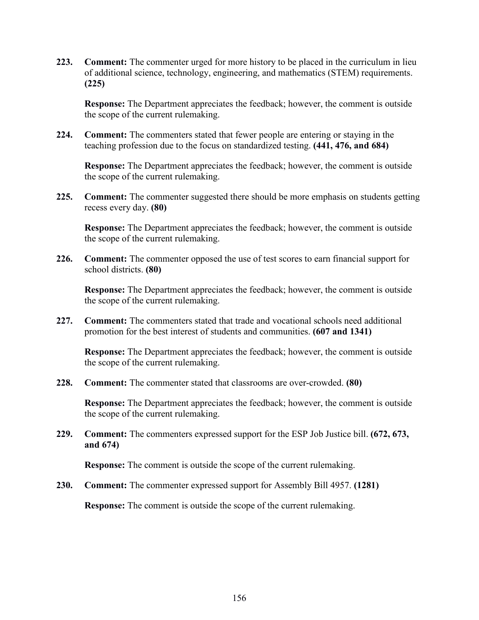**223. Comment:** The commenter urged for more history to be placed in the curriculum in lieu of additional science, technology, engineering, and mathematics (STEM) requirements. **(225)**

**Response:** The Department appreciates the feedback; however, the comment is outside the scope of the current rulemaking.

**224. Comment:** The commenters stated that fewer people are entering or staying in the teaching profession due to the focus on standardized testing. **(441, 476, and 684)**

**Response:** The Department appreciates the feedback; however, the comment is outside the scope of the current rulemaking.

**225. Comment:** The commenter suggested there should be more emphasis on students getting recess every day. **(80)**

**Response:** The Department appreciates the feedback; however, the comment is outside the scope of the current rulemaking.

**226. Comment:** The commenter opposed the use of test scores to earn financial support for school districts. **(80)**

**Response:** The Department appreciates the feedback; however, the comment is outside the scope of the current rulemaking.

**227. Comment:** The commenters stated that trade and vocational schools need additional promotion for the best interest of students and communities. **(607 and 1341)**

**Response:** The Department appreciates the feedback; however, the comment is outside the scope of the current rulemaking.

**228. Comment:** The commenter stated that classrooms are over-crowded. **(80)**

**Response:** The Department appreciates the feedback; however, the comment is outside the scope of the current rulemaking.

**229. Comment:** The commenters expressed support for the ESP Job Justice bill. **(672, 673, and 674)**

**Response:** The comment is outside the scope of the current rulemaking.

**230. Comment:** The commenter expressed support for Assembly Bill 4957. **(1281)**

**Response:** The comment is outside the scope of the current rulemaking.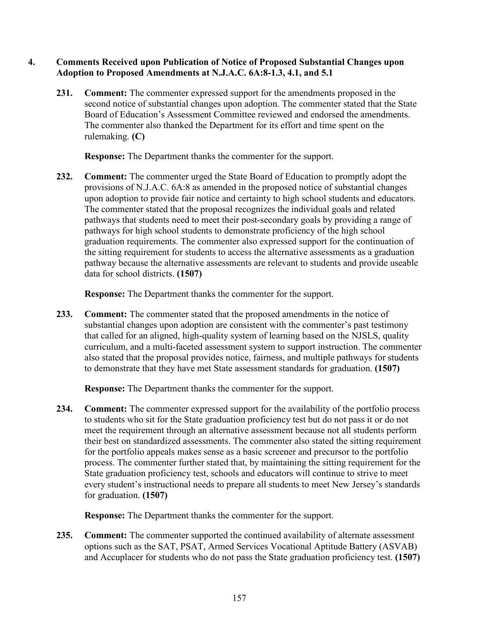## **4. Comments Received upon Publication of Notice of Proposed Substantial Changes upon Adoption to Proposed Amendments at N.J.A.C. 6A:8-1.3, 4.1, and 5.1**

**231. Comment:** The commenter expressed support for the amendments proposed in the second notice of substantial changes upon adoption. The commenter stated that the State Board of Education's Assessment Committee reviewed and endorsed the amendments. The commenter also thanked the Department for its effort and time spent on the rulemaking. **(C)**

**Response:** The Department thanks the commenter for the support.

**232. Comment:** The commenter urged the State Board of Education to promptly adopt the provisions of N.J.A.C. 6A:8 as amended in the proposed notice of substantial changes upon adoption to provide fair notice and certainty to high school students and educators. The commenter stated that the proposal recognizes the individual goals and related pathways that students need to meet their post-secondary goals by providing a range of pathways for high school students to demonstrate proficiency of the high school graduation requirements. The commenter also expressed support for the continuation of the sitting requirement for students to access the alternative assessments as a graduation pathway because the alternative assessments are relevant to students and provide useable data for school districts. **(1507)**

**Response:** The Department thanks the commenter for the support.

**233. Comment:** The commenter stated that the proposed amendments in the notice of substantial changes upon adoption are consistent with the commenter's past testimony that called for an aligned, high-quality system of learning based on the NJSLS, quality curriculum, and a multi-faceted assessment system to support instruction. The commenter also stated that the proposal provides notice, fairness, and multiple pathways for students to demonstrate that they have met State assessment standards for graduation. **(1507)**

**Response:** The Department thanks the commenter for the support.

**234. Comment:** The commenter expressed support for the availability of the portfolio process to students who sit for the State graduation proficiency test but do not pass it or do not meet the requirement through an alternative assessment because not all students perform their best on standardized assessments. The commenter also stated the sitting requirement for the portfolio appeals makes sense as a basic screener and precursor to the portfolio process. The commenter further stated that, by maintaining the sitting requirement for the State graduation proficiency test, schools and educators will continue to strive to meet every student's instructional needs to prepare all students to meet New Jersey's standards for graduation. **(1507)**

**Response:** The Department thanks the commenter for the support.

**235. Comment:** The commenter supported the continued availability of alternate assessment options such as the SAT, PSAT, Armed Services Vocational Aptitude Battery (ASVAB) and Accuplacer for students who do not pass the State graduation proficiency test. **(1507)**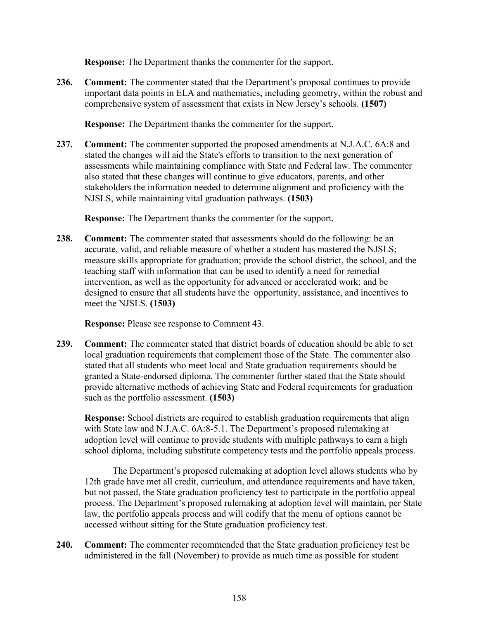**Response:** The Department thanks the commenter for the support.

**236. Comment:** The commenter stated that the Department's proposal continues to provide important data points in ELA and mathematics, including geometry, within the robust and comprehensive system of assessment that exists in New Jersey's schools. **(1507)**

**Response:** The Department thanks the commenter for the support.

**237. Comment:** The commenter supported the proposed amendments at N.J.A.C. 6A:8 and stated the changes will aid the State's efforts to transition to the next generation of assessments while maintaining compliance with State and Federal law. The commenter also stated that these changes will continue to give educators, parents, and other stakeholders the information needed to determine alignment and proficiency with the NJSLS, while maintaining vital graduation pathways. **(1503)**

**Response:** The Department thanks the commenter for the support.

**238. Comment:** The commenter stated that assessments should do the following: be an accurate, valid, and reliable measure of whether a student has mastered the NJSLS; measure skills appropriate for graduation; provide the school district, the school, and the teaching staff with information that can be used to identify a need for remedial intervention, as well as the opportunity for advanced or accelerated work; and be designed to ensure that all students have the opportunity, assistance, and incentives to meet the NJSLS. **(1503)**

**Response:** Please see response to Comment 43.

**239. Comment:** The commenter stated that district boards of education should be able to set local graduation requirements that complement those of the State. The commenter also stated that all students who meet local and State graduation requirements should be granted a State-endorsed diploma. The commenter further stated that the State should provide alternative methods of achieving State and Federal requirements for graduation such as the portfolio assessment. **(1503)**

**Response:** School districts are required to establish graduation requirements that align with State law and N.J.A.C. 6A:8-5.1. The Department's proposed rulemaking at adoption level will continue to provide students with multiple pathways to earn a high school diploma, including substitute competency tests and the portfolio appeals process.

The Department's proposed rulemaking at adoption level allows students who by 12th grade have met all credit, curriculum, and attendance requirements and have taken, but not passed, the State graduation proficiency test to participate in the portfolio appeal process. The Department's proposed rulemaking at adoption level will maintain, per State law, the portfolio appeals process and will codify that the menu of options cannot be accessed without sitting for the State graduation proficiency test.

**240. Comment:** The commenter recommended that the State graduation proficiency test be administered in the fall (November) to provide as much time as possible for student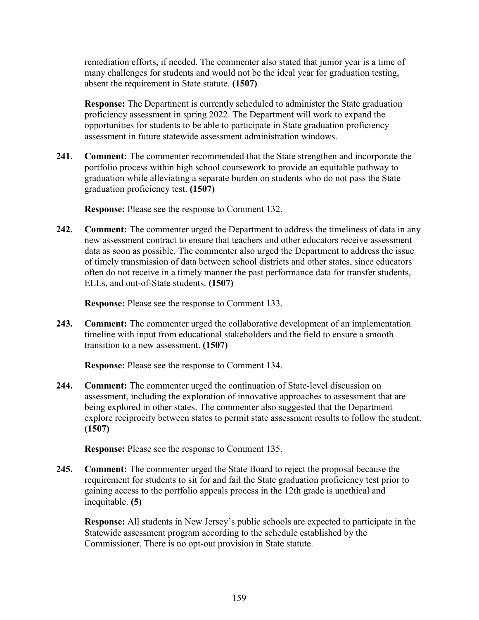remediation efforts, if needed. The commenter also stated that junior year is a time of many challenges for students and would not be the ideal year for graduation testing, absent the requirement in State statute. **(1507)**

**Response:** The Department is currently scheduled to administer the State graduation proficiency assessment in spring 2022. The Department will work to expand the opportunities for students to be able to participate in State graduation proficiency assessment in future statewide assessment administration windows.

**241. Comment:** The commenter recommended that the State strengthen and incorporate the portfolio process within high school coursework to provide an equitable pathway to graduation while alleviating a separate burden on students who do not pass the State graduation proficiency test. **(1507)**

**Response:** Please see the response to Comment 132.

**242. Comment:** The commenter urged the Department to address the timeliness of data in any new assessment contract to ensure that teachers and other educators receive assessment data as soon as possible. The commenter also urged the Department to address the issue of timely transmission of data between school districts and other states, since educators often do not receive in a timely manner the past performance data for transfer students, ELLs, and out-of-State students. **(1507)**

**Response:** Please see the response to Comment 133.

**243. Comment:** The commenter urged the collaborative development of an implementation timeline with input from educational stakeholders and the field to ensure a smooth transition to a new assessment. **(1507)**

**Response:** Please see the response to Comment 134.

**244. Comment:** The commenter urged the continuation of State-level discussion on assessment, including the exploration of innovative approaches to assessment that are being explored in other states. The commenter also suggested that the Department explore reciprocity between states to permit state assessment results to follow the student. **(1507)**

**Response:** Please see the response to Comment 135.

**245. Comment:** The commenter urged the State Board to reject the proposal because the requirement for students to sit for and fail the State graduation proficiency test prior to gaining access to the portfolio appeals process in the 12th grade is unethical and inequitable. **(5)**

**Response:** All students in New Jersey's public schools are expected to participate in the Statewide assessment program according to the schedule established by the Commissioner. There is no opt-out provision in State statute.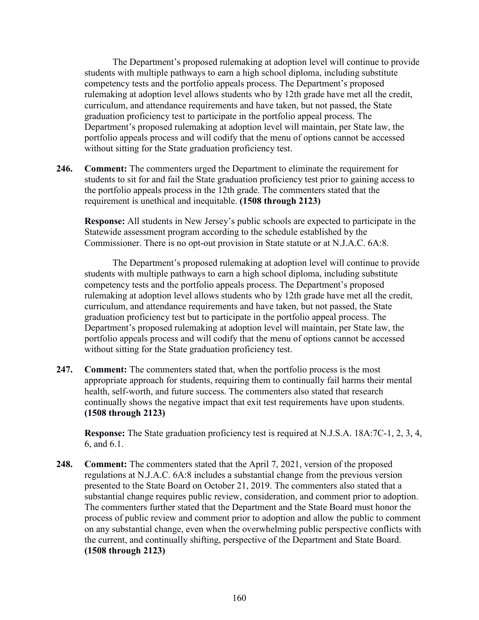The Department's proposed rulemaking at adoption level will continue to provide students with multiple pathways to earn a high school diploma, including substitute competency tests and the portfolio appeals process. The Department's proposed rulemaking at adoption level allows students who by 12th grade have met all the credit, curriculum, and attendance requirements and have taken, but not passed, the State graduation proficiency test to participate in the portfolio appeal process. The Department's proposed rulemaking at adoption level will maintain, per State law, the portfolio appeals process and will codify that the menu of options cannot be accessed without sitting for the State graduation proficiency test.

**246. Comment:** The commenters urged the Department to eliminate the requirement for students to sit for and fail the State graduation proficiency test prior to gaining access to the portfolio appeals process in the 12th grade. The commenters stated that the requirement is unethical and inequitable. **(1508 through 2123)**

**Response:** All students in New Jersey's public schools are expected to participate in the Statewide assessment program according to the schedule established by the Commissioner. There is no opt-out provision in State statute or at N.J.A.C. 6A:8.

The Department's proposed rulemaking at adoption level will continue to provide students with multiple pathways to earn a high school diploma, including substitute competency tests and the portfolio appeals process. The Department's proposed rulemaking at adoption level allows students who by 12th grade have met all the credit, curriculum, and attendance requirements and have taken, but not passed, the State graduation proficiency test but to participate in the portfolio appeal process. The Department's proposed rulemaking at adoption level will maintain, per State law, the portfolio appeals process and will codify that the menu of options cannot be accessed without sitting for the State graduation proficiency test.

**247. Comment:** The commenters stated that, when the portfolio process is the most appropriate approach for students, requiring them to continually fail harms their mental health, self-worth, and future success. The commenters also stated that research continually shows the negative impact that exit test requirements have upon students. **(1508 through 2123)**

**Response:** The State graduation proficiency test is required at N.J.S.A. 18A:7C-1, 2, 3, 4, 6, and 6.1.

**248. Comment:** The commenters stated that the April 7, 2021, version of the proposed regulations at N.J.A.C. 6A:8 includes a substantial change from the previous version presented to the State Board on October 21, 2019. The commenters also stated that a substantial change requires public review, consideration, and comment prior to adoption. The commenters further stated that the Department and the State Board must honor the process of public review and comment prior to adoption and allow the public to comment on any substantial change, even when the overwhelming public perspective conflicts with the current, and continually shifting, perspective of the Department and State Board. **(1508 through 2123)**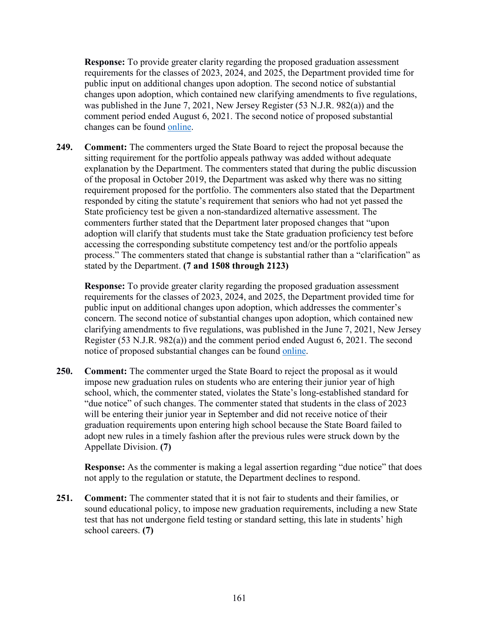**Response:** To provide greater clarity regarding the proposed graduation assessment requirements for the classes of 2023, 2024, and 2025, the Department provided time for public input on additional changes upon adoption. The second notice of substantial changes upon adoption, which contained new clarifying amendments to five regulations, was published in the June 7, 2021, New Jersey Register (53 N.J.R. 982(a)) and the comment period ended August 6, 2021. The second notice of proposed substantial changes can be found [online.](https://www.nj.gov/education/code/proposed/Notices/Proposal%20level%20N.J.A.C.%206A_8%20notice.pdf)

**249. Comment:** The commenters urged the State Board to reject the proposal because the sitting requirement for the portfolio appeals pathway was added without adequate explanation by the Department. The commenters stated that during the public discussion of the proposal in October 2019, the Department was asked why there was no sitting requirement proposed for the portfolio. The commenters also stated that the Department responded by citing the statute's requirement that seniors who had not yet passed the State proficiency test be given a non-standardized alternative assessment. The commenters further stated that the Department later proposed changes that "upon adoption will clarify that students must take the State graduation proficiency test before accessing the corresponding substitute competency test and/or the portfolio appeals process." The commenters stated that change is substantial rather than a "clarification" as stated by the Department. **(7 and 1508 through 2123)**

**Response:** To provide greater clarity regarding the proposed graduation assessment requirements for the classes of 2023, 2024, and 2025, the Department provided time for public input on additional changes upon adoption, which addresses the commenter's concern. The second notice of substantial changes upon adoption, which contained new clarifying amendments to five regulations, was published in the June 7, 2021, New Jersey Register (53 N.J.R. 982(a)) and the comment period ended August 6, 2021. The second notice of proposed substantial changes can be found [online.](https://www.nj.gov/education/code/proposed/Notices/Proposal%20level%20N.J.A.C.%206A_8%20notice.pdf)

**250. Comment:** The commenter urged the State Board to reject the proposal as it would impose new graduation rules on students who are entering their junior year of high school, which, the commenter stated, violates the State's long-established standard for "due notice" of such changes. The commenter stated that students in the class of 2023 will be entering their junior year in September and did not receive notice of their graduation requirements upon entering high school because the State Board failed to adopt new rules in a timely fashion after the previous rules were struck down by the Appellate Division. **(7)**

**Response:** As the commenter is making a legal assertion regarding "due notice" that does not apply to the regulation or statute, the Department declines to respond.

**251. Comment:** The commenter stated that it is not fair to students and their families, or sound educational policy, to impose new graduation requirements, including a new State test that has not undergone field testing or standard setting, this late in students' high school careers. **(7)**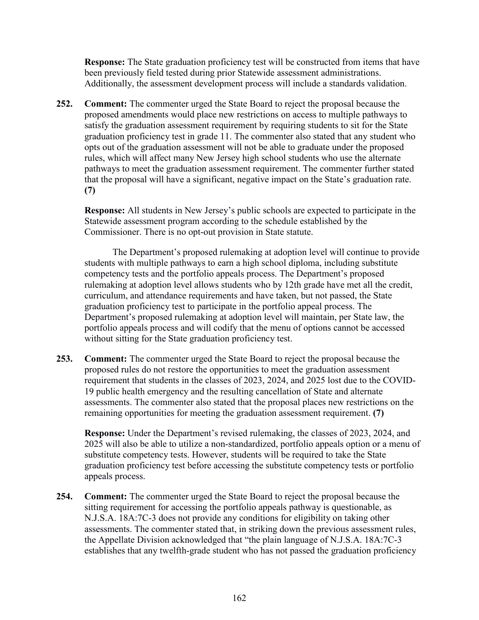**Response:** The State graduation proficiency test will be constructed from items that have been previously field tested during prior Statewide assessment administrations. Additionally, the assessment development process will include a standards validation.

**252. Comment:** The commenter urged the State Board to reject the proposal because the proposed amendments would place new restrictions on access to multiple pathways to satisfy the graduation assessment requirement by requiring students to sit for the State graduation proficiency test in grade 11. The commenter also stated that any student who opts out of the graduation assessment will not be able to graduate under the proposed rules, which will affect many New Jersey high school students who use the alternate pathways to meet the graduation assessment requirement. The commenter further stated that the proposal will have a significant, negative impact on the State's graduation rate. **(7)**

**Response:** All students in New Jersey's public schools are expected to participate in the Statewide assessment program according to the schedule established by the Commissioner. There is no opt-out provision in State statute.

The Department's proposed rulemaking at adoption level will continue to provide students with multiple pathways to earn a high school diploma, including substitute competency tests and the portfolio appeals process. The Department's proposed rulemaking at adoption level allows students who by 12th grade have met all the credit, curriculum, and attendance requirements and have taken, but not passed, the State graduation proficiency test to participate in the portfolio appeal process. The Department's proposed rulemaking at adoption level will maintain, per State law, the portfolio appeals process and will codify that the menu of options cannot be accessed without sitting for the State graduation proficiency test.

**253. Comment:** The commenter urged the State Board to reject the proposal because the proposed rules do not restore the opportunities to meet the graduation assessment requirement that students in the classes of 2023, 2024, and 2025 lost due to the COVID-19 public health emergency and the resulting cancellation of State and alternate assessments. The commenter also stated that the proposal places new restrictions on the remaining opportunities for meeting the graduation assessment requirement. **(7)**

**Response:** Under the Department's revised rulemaking, the classes of 2023, 2024, and 2025 will also be able to utilize a non-standardized, portfolio appeals option or a menu of substitute competency tests. However, students will be required to take the State graduation proficiency test before accessing the substitute competency tests or portfolio appeals process.

**254. Comment:** The commenter urged the State Board to reject the proposal because the sitting requirement for accessing the portfolio appeals pathway is questionable, as N.J.S.A. 18A:7C-3 does not provide any conditions for eligibility on taking other assessments. The commenter stated that, in striking down the previous assessment rules, the Appellate Division acknowledged that "the plain language of N.J.S.A. 18A:7C-3 establishes that any twelfth-grade student who has not passed the graduation proficiency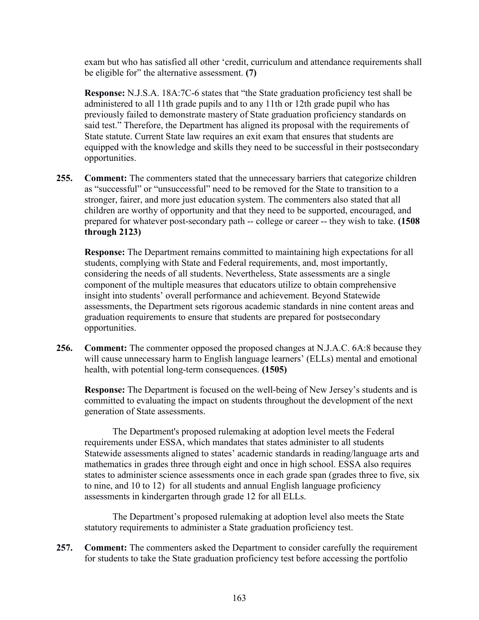exam but who has satisfied all other 'credit, curriculum and attendance requirements shall be eligible for" the alternative assessment. **(7)**

**Response:** N.J.S.A. 18A:7C-6 states that "the State graduation proficiency test shall be administered to all 11th grade pupils and to any 11th or 12th grade pupil who has previously failed to demonstrate mastery of State graduation proficiency standards on said test." Therefore, the Department has aligned its proposal with the requirements of State statute. Current State law requires an exit exam that ensures that students are equipped with the knowledge and skills they need to be successful in their postsecondary opportunities.

**255. Comment:** The commenters stated that the unnecessary barriers that categorize children as "successful" or "unsuccessful" need to be removed for the State to transition to a stronger, fairer, and more just education system. The commenters also stated that all children are worthy of opportunity and that they need to be supported, encouraged, and prepared for whatever post-secondary path -- college or career -- they wish to take. **(1508 through 2123)**

**Response:** The Department remains committed to maintaining high expectations for all students, complying with State and Federal requirements, and, most importantly, considering the needs of all students. Nevertheless, State assessments are a single component of the multiple measures that educators utilize to obtain comprehensive insight into students' overall performance and achievement. Beyond Statewide assessments, the Department sets rigorous academic standards in nine content areas and graduation requirements to ensure that students are prepared for postsecondary opportunities.

**256. Comment:** The commenter opposed the proposed changes at N.J.A.C. 6A:8 because they will cause unnecessary harm to English language learners' (ELLs) mental and emotional health, with potential long-term consequences. **(1505)**

**Response:** The Department is focused on the well-being of New Jersey's students and is committed to evaluating the impact on students throughout the development of the next generation of State assessments.

The Department's proposed rulemaking at adoption level meets the Federal requirements under ESSA, which mandates that states administer to all students Statewide assessments aligned to states' academic standards in reading/language arts and mathematics in grades three through eight and once in high school. ESSA also requires states to administer science assessments once in each grade span (grades three to five, six to nine, and 10 to 12) for all students and annual English language proficiency assessments in kindergarten through grade 12 for all ELLs.

The Department's proposed rulemaking at adoption level also meets the State statutory requirements to administer a State graduation proficiency test.

**257. Comment:** The commenters asked the Department to consider carefully the requirement for students to take the State graduation proficiency test before accessing the portfolio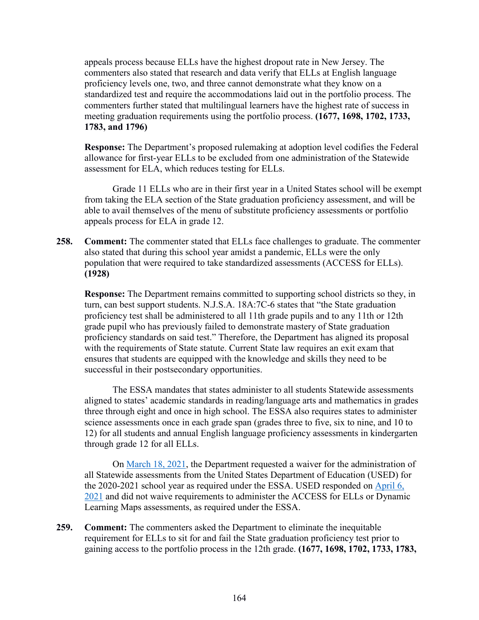appeals process because ELLs have the highest dropout rate in New Jersey. The commenters also stated that research and data verify that ELLs at English language proficiency levels one, two, and three cannot demonstrate what they know on a standardized test and require the accommodations laid out in the portfolio process. The commenters further stated that multilingual learners have the highest rate of success in meeting graduation requirements using the portfolio process. **(1677, 1698, 1702, 1733, 1783, and 1796)**

**Response:** The Department's proposed rulemaking at adoption level codifies the Federal allowance for first-year ELLs to be excluded from one administration of the Statewide assessment for ELA, which reduces testing for ELLs.

Grade 11 ELLs who are in their first year in a United States school will be exempt from taking the ELA section of the State graduation proficiency assessment, and will be able to avail themselves of the menu of substitute proficiency assessments or portfolio appeals process for ELA in grade 12.

**258. Comment:** The commenter stated that ELLs face challenges to graduate. The commenter also stated that during this school year amidst a pandemic, ELLs were the only population that were required to take standardized assessments (ACCESS for ELLs). **(1928)**

**Response:** The Department remains committed to supporting school districts so they, in turn, can best support students. N.J.S.A. 18A:7C-6 states that "the State graduation proficiency test shall be administered to all 11th grade pupils and to any 11th or 12th grade pupil who has previously failed to demonstrate mastery of State graduation proficiency standards on said test." Therefore, the Department has aligned its proposal with the requirements of State statute. Current State law requires an exit exam that ensures that students are equipped with the knowledge and skills they need to be successful in their postsecondary opportunities.

The ESSA mandates that states administer to all students Statewide assessments aligned to states' academic standards in reading/language arts and mathematics in grades three through eight and once in high school. The ESSA also requires states to administer science assessments once in each grade span (grades three to five, six to nine, and 10 to 12) for all students and annual English language proficiency assessments in kindergarten through grade 12 for all ELLs.

On [March 18, 2021,](https://www.state.nj.us/education/ESSA/NJ_WaiverRequest.pdf) the Department requested a waiver for the administration of all Statewide assessments from the United States Department of Education (USED) for the 2020-2021 school year as required under the ESSA. USED responded on [April 6,](https://oese.ed.gov/files/2021/04/NJ-assessment-response-letter.pdf)  [2021](https://oese.ed.gov/files/2021/04/NJ-assessment-response-letter.pdf) and did not waive requirements to administer the ACCESS for ELLs or Dynamic Learning Maps assessments, as required under the ESSA.

**259. Comment:** The commenters asked the Department to eliminate the inequitable requirement for ELLs to sit for and fail the State graduation proficiency test prior to gaining access to the portfolio process in the 12th grade. **(1677, 1698, 1702, 1733, 1783,**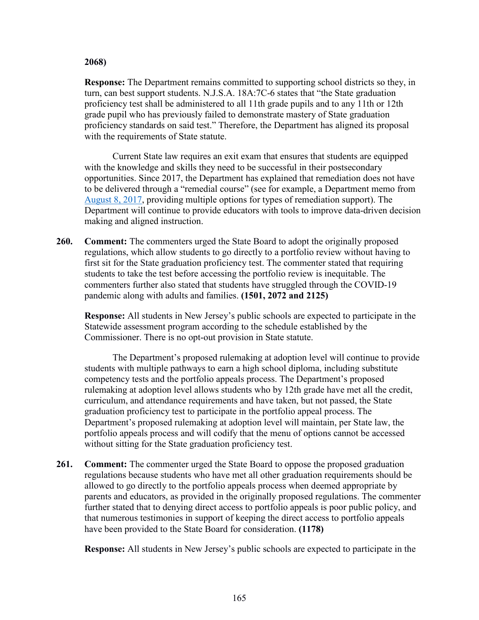## **2068)**

**Response:** The Department remains committed to supporting school districts so they, in turn, can best support students. N.J.S.A. 18A:7C-6 states that "the State graduation proficiency test shall be administered to all 11th grade pupils and to any 11th or 12th grade pupil who has previously failed to demonstrate mastery of State graduation proficiency standards on said test." Therefore, the Department has aligned its proposal with the requirements of State statute.

Current State law requires an exit exam that ensures that students are equipped with the knowledge and skills they need to be successful in their postsecondary opportunities. Since 2017, the Department has explained that remediation does not have to be delivered through a "remedial course" (see for example, a Department memo from [August 8, 2017,](https://homeroom5.doe.state.nj.us/broadcasts/2017/AUG/08/16871/FAQ%20for%20Students%20Who%20Need%20to%20Retake%20the%20PARCC%20Algebra%20I%20Assessment.pdf) providing multiple options for types of remediation support). The Department will continue to provide educators with tools to improve data-driven decision making and aligned instruction.

**260. Comment:** The commenters urged the State Board to adopt the originally proposed regulations, which allow students to go directly to a portfolio review without having to first sit for the State graduation proficiency test. The commenter stated that requiring students to take the test before accessing the portfolio review is inequitable. The commenters further also stated that students have struggled through the COVID-19 pandemic along with adults and families. **(1501, 2072 and 2125)**

**Response:** All students in New Jersey's public schools are expected to participate in the Statewide assessment program according to the schedule established by the Commissioner. There is no opt-out provision in State statute.

The Department's proposed rulemaking at adoption level will continue to provide students with multiple pathways to earn a high school diploma, including substitute competency tests and the portfolio appeals process. The Department's proposed rulemaking at adoption level allows students who by 12th grade have met all the credit, curriculum, and attendance requirements and have taken, but not passed, the State graduation proficiency test to participate in the portfolio appeal process. The Department's proposed rulemaking at adoption level will maintain, per State law, the portfolio appeals process and will codify that the menu of options cannot be accessed without sitting for the State graduation proficiency test.

**261. Comment:** The commenter urged the State Board to oppose the proposed graduation regulations because students who have met all other graduation requirements should be allowed to go directly to the portfolio appeals process when deemed appropriate by parents and educators, as provided in the originally proposed regulations. The commenter further stated that to denying direct access to portfolio appeals is poor public policy, and that numerous testimonies in support of keeping the direct access to portfolio appeals have been provided to the State Board for consideration. **(1178)**

**Response:** All students in New Jersey's public schools are expected to participate in the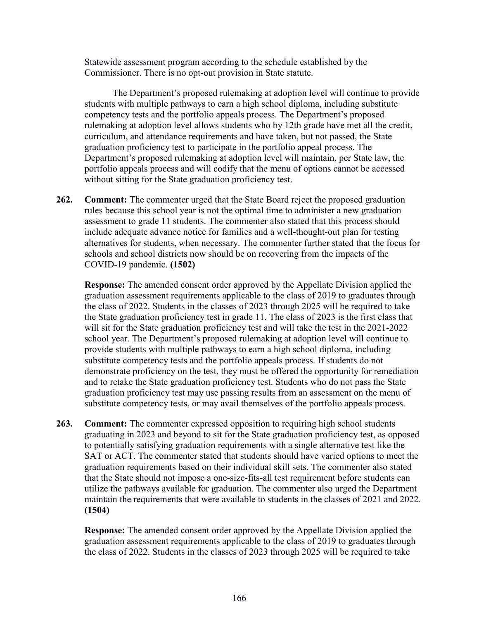Statewide assessment program according to the schedule established by the Commissioner. There is no opt-out provision in State statute.

The Department's proposed rulemaking at adoption level will continue to provide students with multiple pathways to earn a high school diploma, including substitute competency tests and the portfolio appeals process. The Department's proposed rulemaking at adoption level allows students who by 12th grade have met all the credit, curriculum, and attendance requirements and have taken, but not passed, the State graduation proficiency test to participate in the portfolio appeal process. The Department's proposed rulemaking at adoption level will maintain, per State law, the portfolio appeals process and will codify that the menu of options cannot be accessed without sitting for the State graduation proficiency test.

**262. Comment:** The commenter urged that the State Board reject the proposed graduation rules because this school year is not the optimal time to administer a new graduation assessment to grade 11 students. The commenter also stated that this process should include adequate advance notice for families and a well-thought-out plan for testing alternatives for students, when necessary. The commenter further stated that the focus for schools and school districts now should be on recovering from the impacts of the COVID-19 pandemic. **(1502)**

**Response:** The amended consent order approved by the Appellate Division applied the graduation assessment requirements applicable to the class of 2019 to graduates through the class of 2022. Students in the classes of 2023 through 2025 will be required to take the State graduation proficiency test in grade 11. The class of 2023 is the first class that will sit for the State graduation proficiency test and will take the test in the 2021-2022 school year. The Department's proposed rulemaking at adoption level will continue to provide students with multiple pathways to earn a high school diploma, including substitute competency tests and the portfolio appeals process. If students do not demonstrate proficiency on the test, they must be offered the opportunity for remediation and to retake the State graduation proficiency test. Students who do not pass the State graduation proficiency test may use passing results from an assessment on the menu of substitute competency tests, or may avail themselves of the portfolio appeals process.

**263. Comment:** The commenter expressed opposition to requiring high school students graduating in 2023 and beyond to sit for the State graduation proficiency test, as opposed to potentially satisfying graduation requirements with a single alternative test like the SAT or ACT. The commenter stated that students should have varied options to meet the graduation requirements based on their individual skill sets. The commenter also stated that the State should not impose a one-size-fits-all test requirement before students can utilize the pathways available for graduation. The commenter also urged the Department maintain the requirements that were available to students in the classes of 2021 and 2022. **(1504)**

**Response:** The amended consent order approved by the Appellate Division applied the graduation assessment requirements applicable to the class of 2019 to graduates through the class of 2022. Students in the classes of 2023 through 2025 will be required to take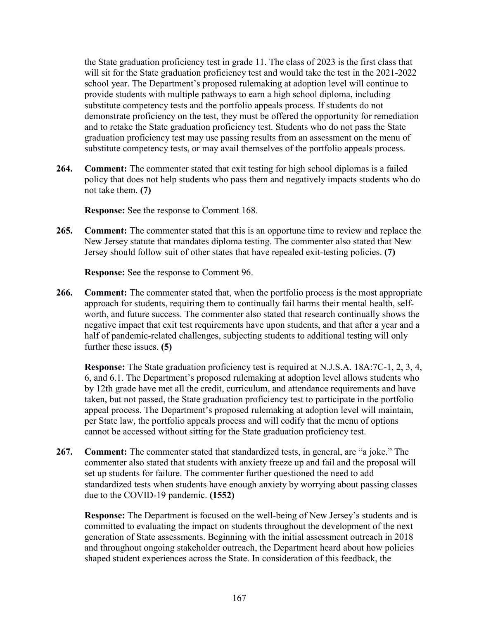the State graduation proficiency test in grade 11. The class of 2023 is the first class that will sit for the State graduation proficiency test and would take the test in the 2021-2022 school year. The Department's proposed rulemaking at adoption level will continue to provide students with multiple pathways to earn a high school diploma, including substitute competency tests and the portfolio appeals process. If students do not demonstrate proficiency on the test, they must be offered the opportunity for remediation and to retake the State graduation proficiency test. Students who do not pass the State graduation proficiency test may use passing results from an assessment on the menu of substitute competency tests, or may avail themselves of the portfolio appeals process.

**264. Comment:** The commenter stated that exit testing for high school diplomas is a failed policy that does not help students who pass them and negatively impacts students who do not take them. **(7)**

**Response:** See the response to Comment 168.

**265. Comment:** The commenter stated that this is an opportune time to review and replace the New Jersey statute that mandates diploma testing. The commenter also stated that New Jersey should follow suit of other states that have repealed exit-testing policies. **(7)**

**Response:** See the response to Comment 96.

**266. Comment:** The commenter stated that, when the portfolio process is the most appropriate approach for students, requiring them to continually fail harms their mental health, selfworth, and future success. The commenter also stated that research continually shows the negative impact that exit test requirements have upon students, and that after a year and a half of pandemic-related challenges, subjecting students to additional testing will only further these issues. **(5)**

**Response:** The State graduation proficiency test is required at N.J.S.A. 18A:7C-1, 2, 3, 4, 6, and 6.1. The Department's proposed rulemaking at adoption level allows students who by 12th grade have met all the credit, curriculum, and attendance requirements and have taken, but not passed, the State graduation proficiency test to participate in the portfolio appeal process. The Department's proposed rulemaking at adoption level will maintain, per State law, the portfolio appeals process and will codify that the menu of options cannot be accessed without sitting for the State graduation proficiency test.

**267. Comment:** The commenter stated that standardized tests, in general, are "a joke." The commenter also stated that students with anxiety freeze up and fail and the proposal will set up students for failure. The commenter further questioned the need to add standardized tests when students have enough anxiety by worrying about passing classes due to the COVID-19 pandemic. **(1552)**

**Response:** The Department is focused on the well-being of New Jersey's students and is committed to evaluating the impact on students throughout the development of the next generation of State assessments. Beginning with the initial assessment outreach in 2018 and throughout ongoing stakeholder outreach, the Department heard about how policies shaped student experiences across the State. In consideration of this feedback, the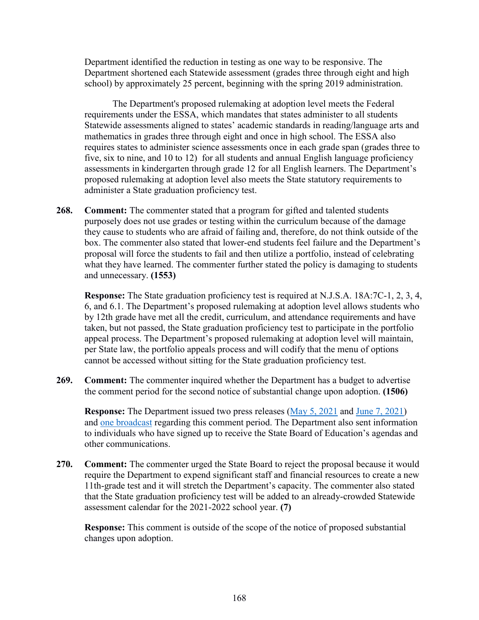Department identified the reduction in testing as one way to be responsive. The Department shortened each Statewide assessment (grades three through eight and high school) by approximately 25 percent, beginning with the spring 2019 administration.

The Department's proposed rulemaking at adoption level meets the Federal requirements under the ESSA, which mandates that states administer to all students Statewide assessments aligned to states' academic standards in reading/language arts and mathematics in grades three through eight and once in high school. The ESSA also requires states to administer science assessments once in each grade span (grades three to five, six to nine, and 10 to 12) for all students and annual English language proficiency assessments in kindergarten through grade 12 for all English learners. The Department's proposed rulemaking at adoption level also meets the State statutory requirements to administer a State graduation proficiency test.

**268. Comment:** The commenter stated that a program for gifted and talented students purposely does not use grades or testing within the curriculum because of the damage they cause to students who are afraid of failing and, therefore, do not think outside of the box. The commenter also stated that lower-end students feel failure and the Department's proposal will force the students to fail and then utilize a portfolio, instead of celebrating what they have learned. The commenter further stated the policy is damaging to students and unnecessary. **(1553)**

**Response:** The State graduation proficiency test is required at N.J.S.A. 18A:7C-1, 2, 3, 4, 6, and 6.1. The Department's proposed rulemaking at adoption level allows students who by 12th grade have met all the credit, curriculum, and attendance requirements and have taken, but not passed, the State graduation proficiency test to participate in the portfolio appeal process. The Department's proposed rulemaking at adoption level will maintain, per State law, the portfolio appeals process and will codify that the menu of options cannot be accessed without sitting for the State graduation proficiency test.

**269. Comment:** The commenter inquired whether the Department has a budget to advertise the comment period for the second notice of substantial change upon adoption. **(1506)**

**Response:** The Department issued two press releases [\(May 5, 2021](https://www.nj.gov/education/news/2021/NJ%20Department%20of%20Education%20Seeks%20Pubic%20Testimony%20on%20Changes%20to%20Proposed%20Graduation%20Requirements.pdf) and [June 7, 2021\)](https://www.nj.gov/education/news/2021/Advisory%20-%20Department%20of%20Education%20Currently%20Accepting%20Comments%20on%20Three%20Regulatory%20Proposals.pdf) and [one broadcast](https://www.nj.gov/education/broadcasts/2021/june/16/ProposalLevelCodeNJAC6A-8StandardsandAssessment.pdf) regarding this comment period. The Department also sent information to individuals who have signed up to receive the State Board of Education's agendas and other communications.

**270. Comment:** The commenter urged the State Board to reject the proposal because it would require the Department to expend significant staff and financial resources to create a new 11th-grade test and it will stretch the Department's capacity. The commenter also stated that the State graduation proficiency test will be added to an already-crowded Statewide assessment calendar for the 2021-2022 school year. **(7)**

**Response:** This comment is outside of the scope of the notice of proposed substantial changes upon adoption.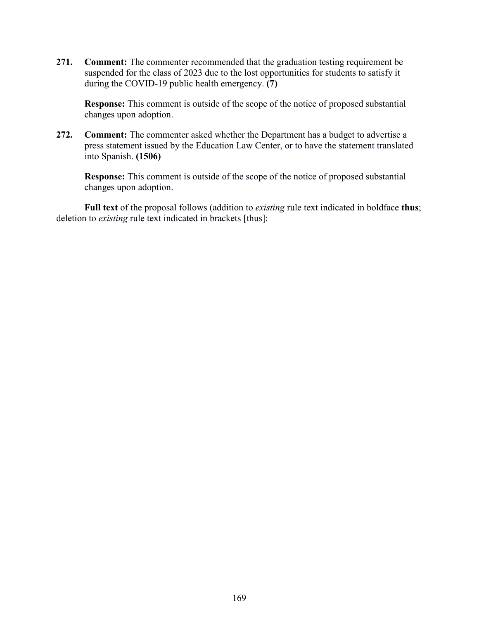**271. Comment:** The commenter recommended that the graduation testing requirement be suspended for the class of 2023 due to the lost opportunities for students to satisfy it during the COVID-19 public health emergency. **(7)**

**Response:** This comment is outside of the scope of the notice of proposed substantial changes upon adoption.

**272. Comment:** The commenter asked whether the Department has a budget to advertise a press statement issued by the Education Law Center, or to have the statement translated into Spanish. **(1506)**

**Response:** This comment is outside of the scope of the notice of proposed substantial changes upon adoption.

**Full text** of the proposal follows (addition to *existing* rule text indicated in boldface **thus**; deletion to *existing* rule text indicated in brackets [thus]: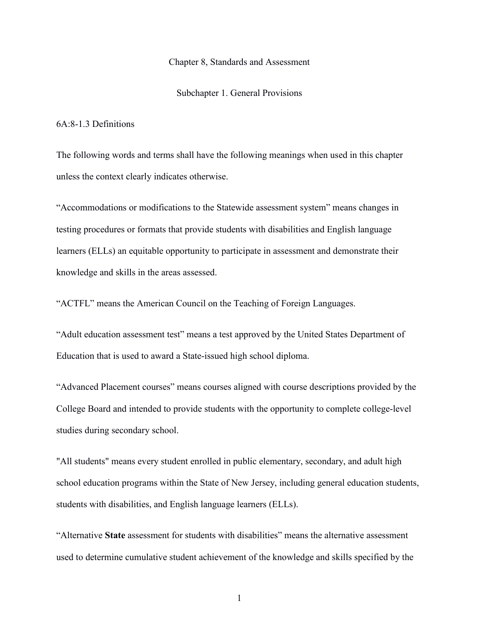## Chapter 8, Standards and Assessment

Subchapter 1. General Provisions

## 6A:8-1.3 Definitions

The following words and terms shall have the following meanings when used in this chapter unless the context clearly indicates otherwise.

"Accommodations or modifications to the Statewide assessment system" means changes in testing procedures or formats that provide students with disabilities and English language learners (ELLs) an equitable opportunity to participate in assessment and demonstrate their knowledge and skills in the areas assessed.

"ACTFL" means the American Council on the Teaching of Foreign Languages.

"Adult education assessment test" means a test approved by the United States Department of Education that is used to award a State-issued high school diploma.

"Advanced Placement courses" means courses aligned with course descriptions provided by the College Board and intended to provide students with the opportunity to complete college-level studies during secondary school.

"All students" means every student enrolled in public elementary, secondary, and adult high school education programs within the State of New Jersey, including general education students, students with disabilities, and English language learners (ELLs).

"Alternative **State** assessment for students with disabilities" means the alternative assessment used to determine cumulative student achievement of the knowledge and skills specified by the

1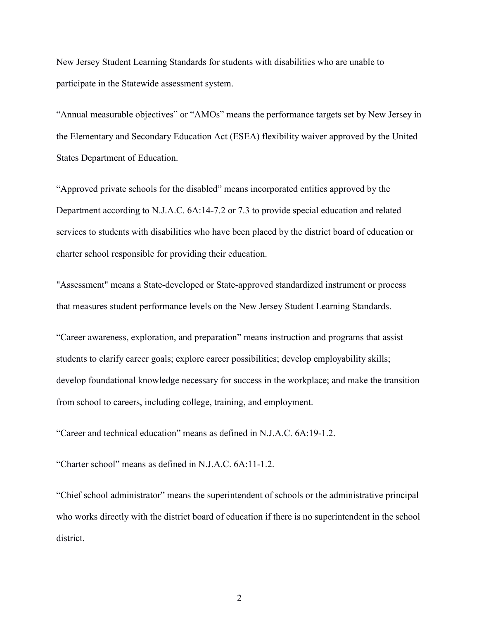New Jersey Student Learning Standards for students with disabilities who are unable to participate in the Statewide assessment system.

"Annual measurable objectives" or "AMOs" means the performance targets set by New Jersey in the Elementary and Secondary Education Act (ESEA) flexibility waiver approved by the United States Department of Education.

"Approved private schools for the disabled" means incorporated entities approved by the Department according to N.J.A.C. 6A:14-7.2 or 7.3 to provide special education and related services to students with disabilities who have been placed by the district board of education or charter school responsible for providing their education.

"Assessment" means a State-developed or State-approved standardized instrument or process that measures student performance levels on the New Jersey Student Learning Standards.

"Career awareness, exploration, and preparation" means instruction and programs that assist students to clarify career goals; explore career possibilities; develop employability skills; develop foundational knowledge necessary for success in the workplace; and make the transition from school to careers, including college, training, and employment.

"Career and technical education" means as defined in N.J.A.C. 6A:19-1.2.

"Charter school" means as defined in N.J.A.C. 6A:11-1.2.

"Chief school administrator" means the superintendent of schools or the administrative principal who works directly with the district board of education if there is no superintendent in the school district.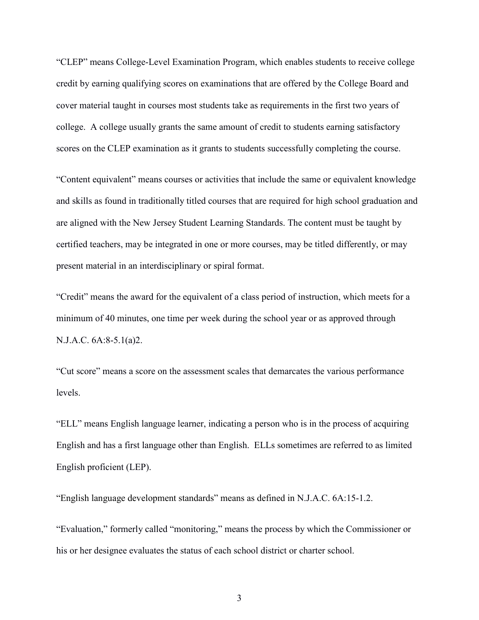"CLEP" means College-Level Examination Program, which enables students to receive college credit by earning qualifying scores on examinations that are offered by the College Board and cover material taught in courses most students take as requirements in the first two years of college. A college usually grants the same amount of credit to students earning satisfactory scores on the CLEP examination as it grants to students successfully completing the course.

"Content equivalent" means courses or activities that include the same or equivalent knowledge and skills as found in traditionally titled courses that are required for high school graduation and are aligned with the New Jersey Student Learning Standards. The content must be taught by certified teachers, may be integrated in one or more courses, may be titled differently, or may present material in an interdisciplinary or spiral format.

"Credit" means the award for the equivalent of a class period of instruction, which meets for a minimum of 40 minutes, one time per week during the school year or as approved through N.J.A.C. 6A:8-5.1(a)2.

"Cut score" means a score on the assessment scales that demarcates the various performance levels.

"ELL" means English language learner, indicating a person who is in the process of acquiring English and has a first language other than English. ELLs sometimes are referred to as limited English proficient (LEP).

"English language development standards" means as defined in N.J.A.C. 6A:15-1.2.

"Evaluation," formerly called "monitoring," means the process by which the Commissioner or his or her designee evaluates the status of each school district or charter school.

3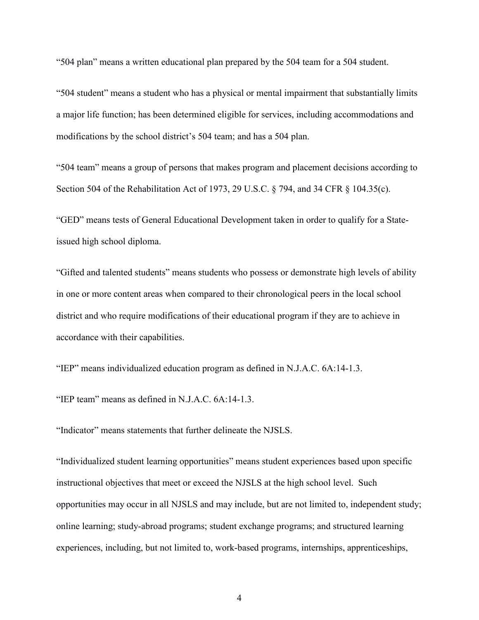"504 plan" means a written educational plan prepared by the 504 team for a 504 student.

"504 student" means a student who has a physical or mental impairment that substantially limits a major life function; has been determined eligible for services, including accommodations and modifications by the school district's 504 team; and has a 504 plan.

"504 team" means a group of persons that makes program and placement decisions according to Section 504 of the Rehabilitation Act of 1973, 29 U.S.C. § 794, and 34 CFR § 104.35(c).

"GED" means tests of General Educational Development taken in order to qualify for a Stateissued high school diploma.

"Gifted and talented students" means students who possess or demonstrate high levels of ability in one or more content areas when compared to their chronological peers in the local school district and who require modifications of their educational program if they are to achieve in accordance with their capabilities.

"IEP" means individualized education program as defined in N.J.A.C. 6A:14-1.3.

"IEP team" means as defined in N.J.A.C. 6A:14-1.3.

"Indicator" means statements that further delineate the NJSLS.

"Individualized student learning opportunities" means student experiences based upon specific instructional objectives that meet or exceed the NJSLS at the high school level. Such opportunities may occur in all NJSLS and may include, but are not limited to, independent study; online learning; study-abroad programs; student exchange programs; and structured learning experiences, including, but not limited to, work-based programs, internships, apprenticeships,

4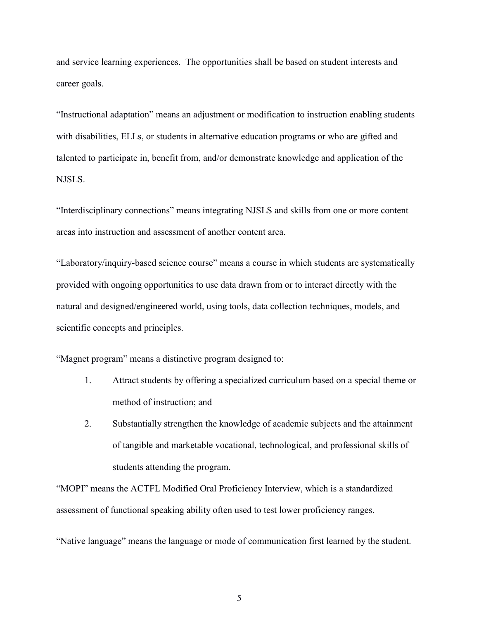and service learning experiences. The opportunities shall be based on student interests and career goals.

"Instructional adaptation" means an adjustment or modification to instruction enabling students with disabilities, ELLs, or students in alternative education programs or who are gifted and talented to participate in, benefit from, and/or demonstrate knowledge and application of the NJSLS.

"Interdisciplinary connections" means integrating NJSLS and skills from one or more content areas into instruction and assessment of another content area.

"Laboratory/inquiry-based science course" means a course in which students are systematically provided with ongoing opportunities to use data drawn from or to interact directly with the natural and designed/engineered world, using tools, data collection techniques, models, and scientific concepts and principles.

"Magnet program" means a distinctive program designed to:

- 1. Attract students by offering a specialized curriculum based on a special theme or method of instruction; and
- 2. Substantially strengthen the knowledge of academic subjects and the attainment of tangible and marketable vocational, technological, and professional skills of students attending the program.

"MOPI" means the ACTFL Modified Oral Proficiency Interview, which is a standardized assessment of functional speaking ability often used to test lower proficiency ranges.

"Native language" means the language or mode of communication first learned by the student.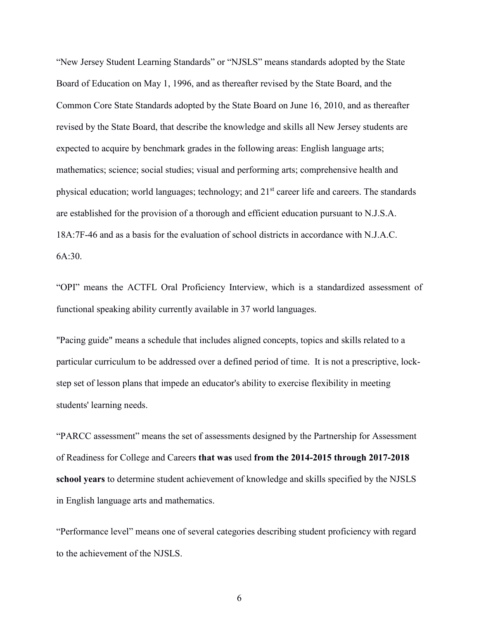"New Jersey Student Learning Standards" or "NJSLS" means standards adopted by the State Board of Education on May 1, 1996, and as thereafter revised by the State Board, and the Common Core State Standards adopted by the State Board on June 16, 2010, and as thereafter revised by the State Board, that describe the knowledge and skills all New Jersey students are expected to acquire by benchmark grades in the following areas: English language arts; mathematics; science; social studies; visual and performing arts; comprehensive health and physical education; world languages; technology; and 21<sup>st</sup> career life and careers. The standards are established for the provision of a thorough and efficient education pursuant to N.J.S.A. 18A:7F-46 and as a basis for the evaluation of school districts in accordance with N.J.A.C. 6A:30.

"OPI" means the ACTFL Oral Proficiency Interview, which is a standardized assessment of functional speaking ability currently available in 37 world languages.

"Pacing guide" means a schedule that includes aligned concepts, topics and skills related to a particular curriculum to be addressed over a defined period of time. It is not a prescriptive, lockstep set of lesson plans that impede an educator's ability to exercise flexibility in meeting students' learning needs.

"PARCC assessment" means the set of assessments designed by the Partnership for Assessment of Readiness for College and Careers **that was** used **from the 2014-2015 through 2017-2018 school years** to determine student achievement of knowledge and skills specified by the NJSLS in English language arts and mathematics.

"Performance level" means one of several categories describing student proficiency with regard to the achievement of the NJSLS.

6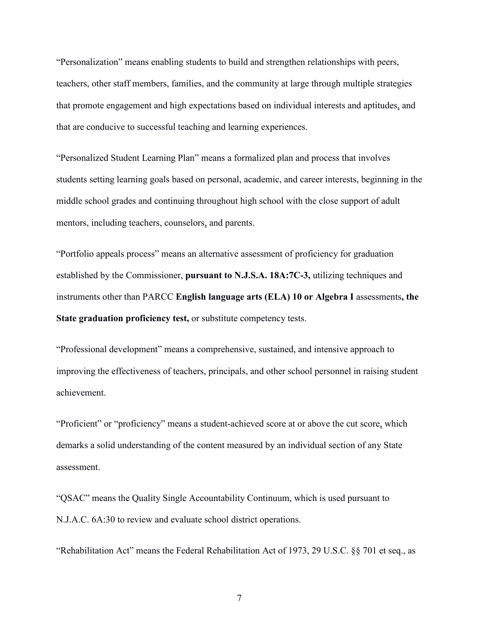"Personalization" means enabling students to build and strengthen relationships with peers, teachers, other staff members, families, and the community at large through multiple strategies that promote engagement and high expectations based on individual interests and aptitudes, and that are conducive to successful teaching and learning experiences.

"Personalized Student Learning Plan" means a formalized plan and process that involves students setting learning goals based on personal, academic, and career interests, beginning in the middle school grades and continuing throughout high school with the close support of adult mentors, including teachers, counselors, and parents.

"Portfolio appeals process" means an alternative assessment of proficiency for graduation established by the Commissioner, **pursuant to N.J.S.A. 18A:7C-3,** utilizing techniques and instruments other than PARCC **English language arts (ELA) 10 or Algebra I** assessments**, the State graduation proficiency test,** or substitute competency tests.

"Professional development" means a comprehensive, sustained, and intensive approach to improving the effectiveness of teachers, principals, and other school personnel in raising student achievement.

"Proficient" or "proficiency" means a student-achieved score at or above the cut score, which demarks a solid understanding of the content measured by an individual section of any State assessment.

"QSAC" means the Quality Single Accountability Continuum, which is used pursuant to N.J.A.C. 6A:30 to review and evaluate school district operations.

"Rehabilitation Act" means the Federal Rehabilitation Act of 1973, 29 U.S.C. §§ 701 et seq., as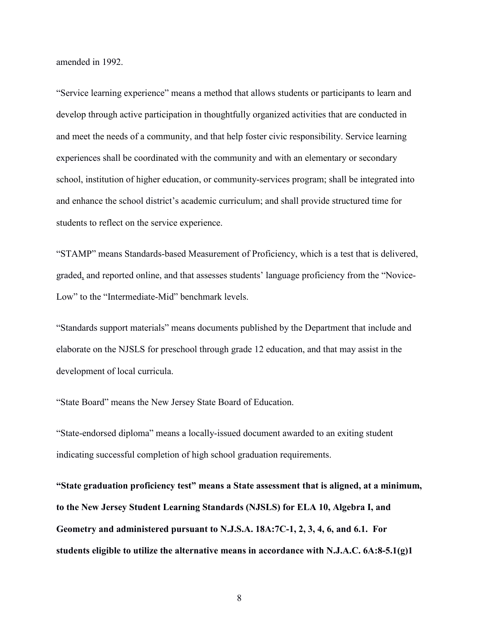amended in 1992.

"Service learning experience" means a method that allows students or participants to learn and develop through active participation in thoughtfully organized activities that are conducted in and meet the needs of a community, and that help foster civic responsibility. Service learning experiences shall be coordinated with the community and with an elementary or secondary school, institution of higher education, or community-services program; shall be integrated into and enhance the school district's academic curriculum; and shall provide structured time for students to reflect on the service experience.

"STAMP" means Standards-based Measurement of Proficiency, which is a test that is delivered, graded, and reported online, and that assesses students' language proficiency from the "Novice-Low" to the "Intermediate-Mid" benchmark levels.

"Standards support materials" means documents published by the Department that include and elaborate on the NJSLS for preschool through grade 12 education, and that may assist in the development of local curricula.

"State Board" means the New Jersey State Board of Education.

"State-endorsed diploma" means a locally-issued document awarded to an exiting student indicating successful completion of high school graduation requirements.

**"State graduation proficiency test" means a State assessment that is aligned, at a minimum, to the New Jersey Student Learning Standards (NJSLS) for ELA 10, Algebra I, and Geometry and administered pursuant to N.J.S.A. 18A:7C-1, 2, 3, 4, 6, and 6.1. For students eligible to utilize the alternative means in accordance with N.J.A.C. 6A:8-5.1(g)1**

8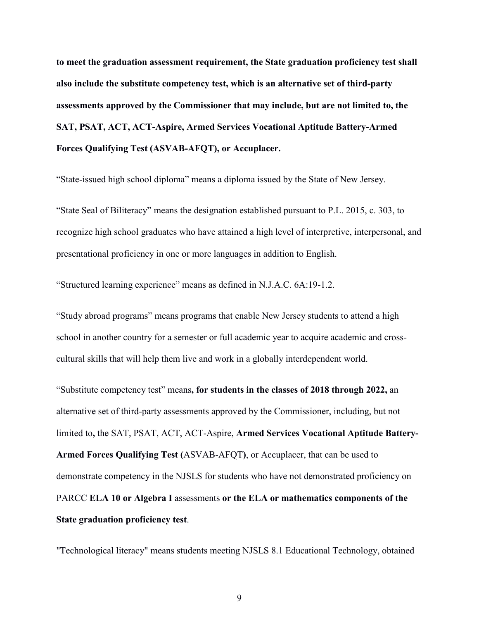**to meet the graduation assessment requirement, the State graduation proficiency test shall also include the substitute competency test, which is an alternative set of third-party assessments approved by the Commissioner that may include, but are not limited to, the SAT, PSAT, ACT, ACT-Aspire, Armed Services Vocational Aptitude Battery-Armed Forces Qualifying Test (ASVAB-AFQT), or Accuplacer.**

"State-issued high school diploma" means a diploma issued by the State of New Jersey.

"State Seal of Biliteracy" means the designation established pursuant to P.L. 2015, c. 303, to recognize high school graduates who have attained a high level of interpretive, interpersonal, and presentational proficiency in one or more languages in addition to English.

"Structured learning experience" means as defined in N.J.A.C. 6A:19-1.2.

"Study abroad programs" means programs that enable New Jersey students to attend a high school in another country for a semester or full academic year to acquire academic and crosscultural skills that will help them live and work in a globally interdependent world.

"Substitute competency test" means**, for students in the classes of 2018 through 2022,** an alternative set of third-party assessments approved by the Commissioner, including, but not limited to**,** the SAT, PSAT, ACT, ACT-Aspire, **Armed Services Vocational Aptitude Battery-Armed Forces Qualifying Test (**ASVAB-AFQT**)**, or Accuplacer, that can be used to demonstrate competency in the NJSLS for students who have not demonstrated proficiency on PARCC **ELA 10 or Algebra I** assessments **or the ELA or mathematics components of the State graduation proficiency test**.

"Technological literacy" means students meeting NJSLS 8.1 Educational Technology, obtained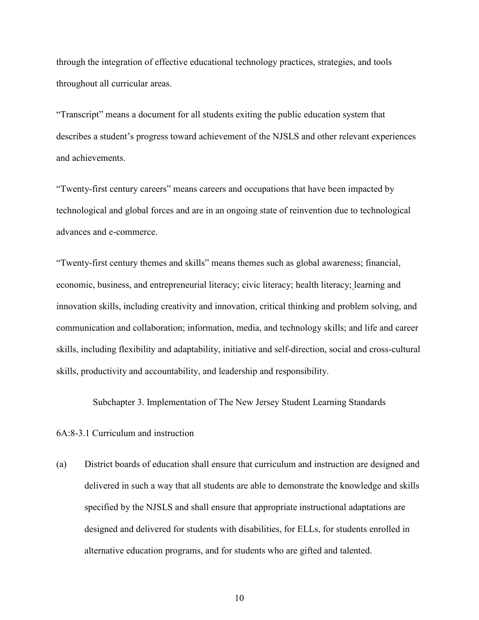through the integration of effective educational technology practices, strategies, and tools throughout all curricular areas.

"Transcript" means a document for all students exiting the public education system that describes a student's progress toward achievement of the NJSLS and other relevant experiences and achievements.

"Twenty-first century careers" means careers and occupations that have been impacted by technological and global forces and are in an ongoing state of reinvention due to technological advances and e-commerce.

"Twenty-first century themes and skills" means themes such as global awareness; financial, economic, business, and entrepreneurial literacy; civic literacy; health literacy; learning and innovation skills, including creativity and innovation, critical thinking and problem solving, and communication and collaboration; information, media, and technology skills; and life and career skills, including flexibility and adaptability, initiative and self-direction, social and cross-cultural skills, productivity and accountability, and leadership and responsibility.

Subchapter 3. Implementation of The New Jersey Student Learning Standards

## 6A:8-3.1 Curriculum and instruction

(a) District boards of education shall ensure that curriculum and instruction are designed and delivered in such a way that all students are able to demonstrate the knowledge and skills specified by the NJSLS and shall ensure that appropriate instructional adaptations are designed and delivered for students with disabilities, for ELLs, for students enrolled in alternative education programs, and for students who are gifted and talented.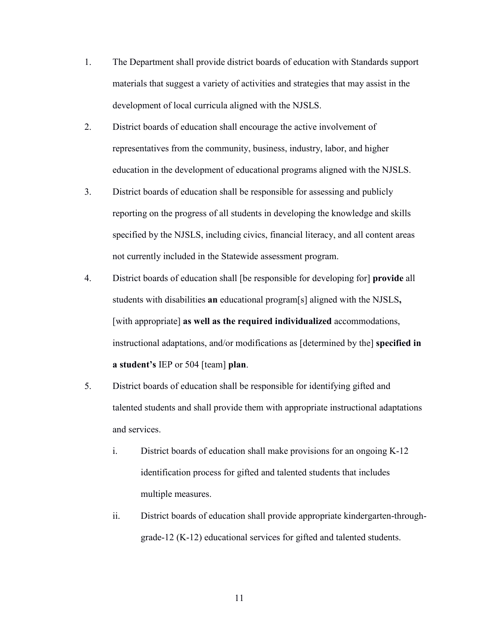- 1. The Department shall provide district boards of education with Standards support materials that suggest a variety of activities and strategies that may assist in the development of local curricula aligned with the NJSLS.
- 2. District boards of education shall encourage the active involvement of representatives from the community, business, industry, labor, and higher education in the development of educational programs aligned with the NJSLS.
- 3. District boards of education shall be responsible for assessing and publicly reporting on the progress of all students in developing the knowledge and skills specified by the NJSLS, including civics, financial literacy, and all content areas not currently included in the Statewide assessment program.
- 4. District boards of education shall [be responsible for developing for] **provide** all students with disabilities **an** educational program[s] aligned with the NJSLS**,** [with appropriate] **as well as the required individualized** accommodations, instructional adaptations, and/or modifications as [determined by the] **specified in a student's** IEP or 504 [team] **plan**.
- 5. District boards of education shall be responsible for identifying gifted and talented students and shall provide them with appropriate instructional adaptations and services.
	- i. District boards of education shall make provisions for an ongoing K-12 identification process for gifted and talented students that includes multiple measures.
	- ii. District boards of education shall provide appropriate kindergarten-throughgrade-12 (K-12) educational services for gifted and talented students.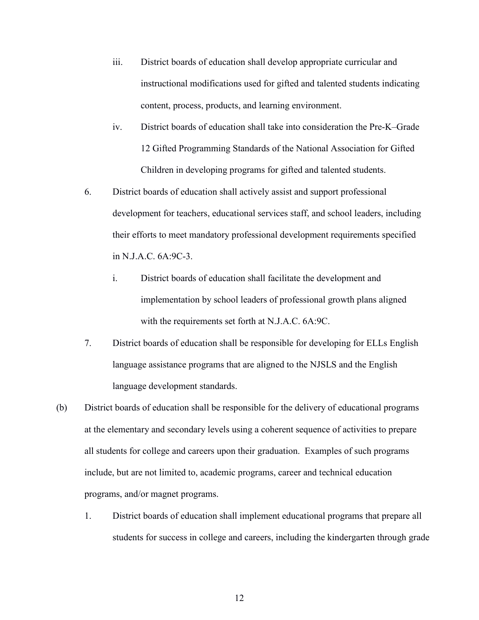- iii. District boards of education shall develop appropriate curricular and instructional modifications used for gifted and talented students indicating content, process, products, and learning environment.
- iv. District boards of education shall take into consideration the Pre-K–Grade 12 Gifted Programming Standards of the National Association for Gifted Children in developing programs for gifted and talented students.
- 6. District boards of education shall actively assist and support professional development for teachers, educational services staff, and school leaders, including their efforts to meet mandatory professional development requirements specified in N.J.A.C. 6A:9C-3.
	- i. District boards of education shall facilitate the development and implementation by school leaders of professional growth plans aligned with the requirements set forth at N.J.A.C. 6A:9C.
- 7. District boards of education shall be responsible for developing for ELLs English language assistance programs that are aligned to the NJSLS and the English language development standards.
- (b) District boards of education shall be responsible for the delivery of educational programs at the elementary and secondary levels using a coherent sequence of activities to prepare all students for college and careers upon their graduation. Examples of such programs include, but are not limited to, academic programs, career and technical education programs, and/or magnet programs.
	- 1. District boards of education shall implement educational programs that prepare all students for success in college and careers, including the kindergarten through grade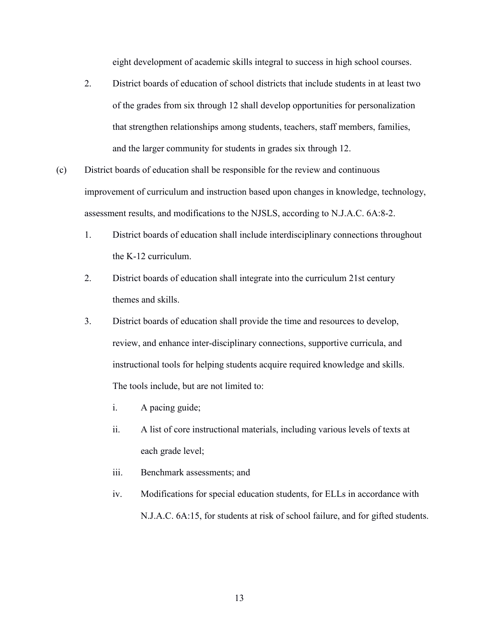eight development of academic skills integral to success in high school courses.

- 2. District boards of education of school districts that include students in at least two of the grades from six through 12 shall develop opportunities for personalization that strengthen relationships among students, teachers, staff members, families, and the larger community for students in grades six through 12.
- (c) District boards of education shall be responsible for the review and continuous improvement of curriculum and instruction based upon changes in knowledge, technology, assessment results, and modifications to the NJSLS, according to N.J.A.C. 6A:8-2.
	- 1. District boards of education shall include interdisciplinary connections throughout the K-12 curriculum.
	- 2. District boards of education shall integrate into the curriculum 21st century themes and skills.
	- 3. District boards of education shall provide the time and resources to develop, review, and enhance inter-disciplinary connections, supportive curricula, and instructional tools for helping students acquire required knowledge and skills. The tools include, but are not limited to:
		- i. A pacing guide;
		- ii. A list of core instructional materials, including various levels of texts at each grade level;
		- iii. Benchmark assessments; and
		- iv. Modifications for special education students, for ELLs in accordance with N.J.A.C. 6A:15, for students at risk of school failure, and for gifted students.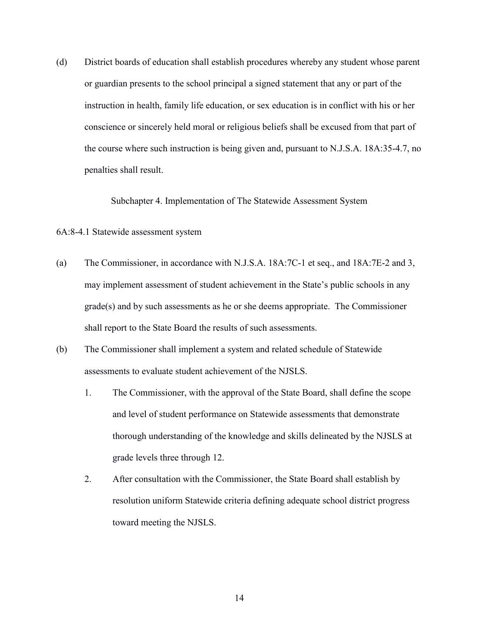(d) District boards of education shall establish procedures whereby any student whose parent or guardian presents to the school principal a signed statement that any or part of the instruction in health, family life education, or sex education is in conflict with his or her conscience or sincerely held moral or religious beliefs shall be excused from that part of the course where such instruction is being given and, pursuant to N.J.S.A. 18A:35-4.7, no penalties shall result.

Subchapter 4. Implementation of The Statewide Assessment System

## 6A:8-4.1 Statewide assessment system

- (a) The Commissioner, in accordance with N.J.S.A. 18A:7C-1 et seq., and 18A:7E-2 and 3, may implement assessment of student achievement in the State's public schools in any grade(s) and by such assessments as he or she deems appropriate. The Commissioner shall report to the State Board the results of such assessments.
- (b) The Commissioner shall implement a system and related schedule of Statewide assessments to evaluate student achievement of the NJSLS.
	- 1. The Commissioner, with the approval of the State Board, shall define the scope and level of student performance on Statewide assessments that demonstrate thorough understanding of the knowledge and skills delineated by the NJSLS at grade levels three through 12.
	- 2. After consultation with the Commissioner, the State Board shall establish by resolution uniform Statewide criteria defining adequate school district progress toward meeting the NJSLS.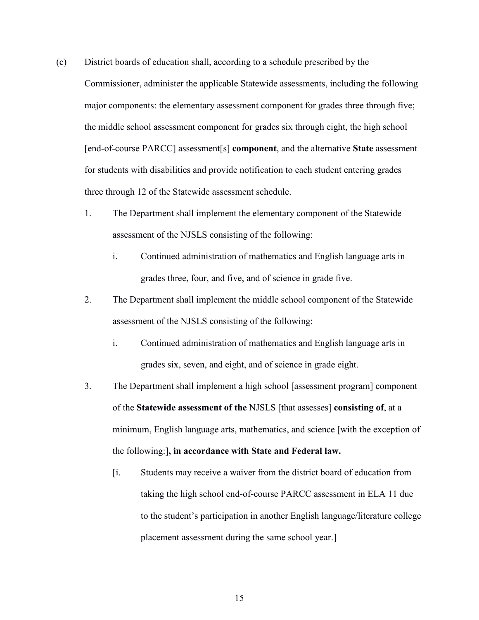- (c) District boards of education shall, according to a schedule prescribed by the Commissioner, administer the applicable Statewide assessments, including the following major components: the elementary assessment component for grades three through five; the middle school assessment component for grades six through eight, the high school [end-of-course PARCC] assessment[s] **component**, and the alternative **State** assessment for students with disabilities and provide notification to each student entering grades three through 12 of the Statewide assessment schedule.
	- 1. The Department shall implement the elementary component of the Statewide assessment of the NJSLS consisting of the following:
		- i. Continued administration of mathematics and English language arts in grades three, four, and five, and of science in grade five.
	- 2. The Department shall implement the middle school component of the Statewide assessment of the NJSLS consisting of the following:
		- i. Continued administration of mathematics and English language arts in grades six, seven, and eight, and of science in grade eight.
	- 3. The Department shall implement a high school [assessment program] component of the **Statewide assessment of the** NJSLS [that assesses] **consisting of**, at a minimum, English language arts, mathematics, and science [with the exception of the following:]**, in accordance with State and Federal law.** 
		- [i. Students may receive a waiver from the district board of education from taking the high school end-of-course PARCC assessment in ELA 11 due to the student's participation in another English language/literature college placement assessment during the same school year.]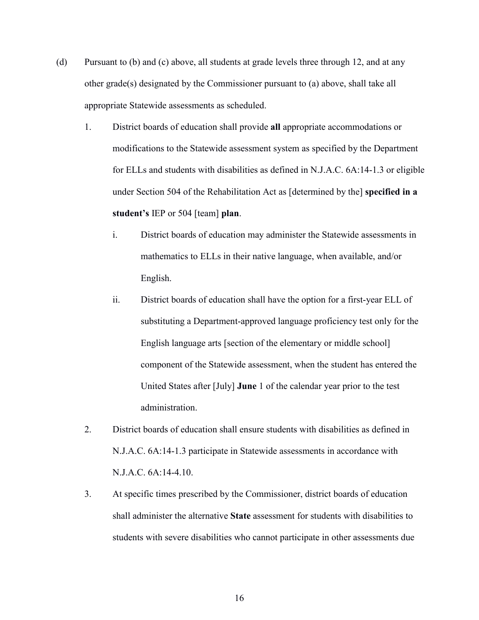- (d) Pursuant to (b) and (c) above, all students at grade levels three through 12, and at any other grade(s) designated by the Commissioner pursuant to (a) above, shall take all appropriate Statewide assessments as scheduled.
	- 1. District boards of education shall provide **all** appropriate accommodations or modifications to the Statewide assessment system as specified by the Department for ELLs and students with disabilities as defined in N.J.A.C. 6A:14-1.3 or eligible under Section 504 of the Rehabilitation Act as [determined by the] **specified in a student's** IEP or 504 [team] **plan**.
		- i. District boards of education may administer the Statewide assessments in mathematics to ELLs in their native language, when available, and/or English.
		- ii. District boards of education shall have the option for a first-year ELL of substituting a Department-approved language proficiency test only for the English language arts [section of the elementary or middle school] component of the Statewide assessment, when the student has entered the United States after [July] **June** 1 of the calendar year prior to the test administration.
	- 2. District boards of education shall ensure students with disabilities as defined in N.J.A.C. 6A:14-1.3 participate in Statewide assessments in accordance with N.J.A.C. 6A:14-4.10.
	- 3. At specific times prescribed by the Commissioner, district boards of education shall administer the alternative **State** assessment for students with disabilities to students with severe disabilities who cannot participate in other assessments due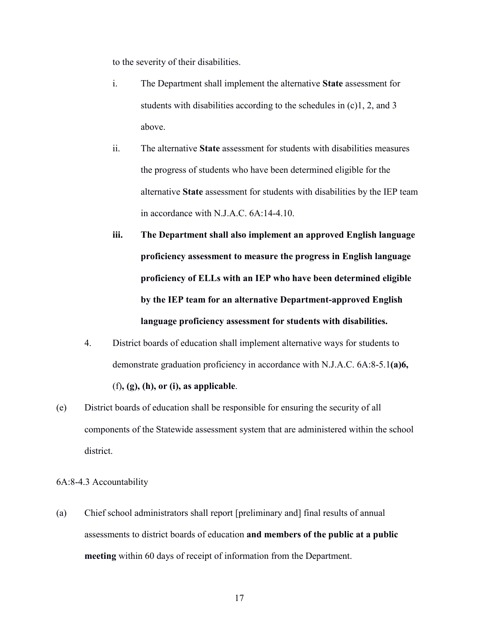to the severity of their disabilities.

- i. The Department shall implement the alternative **State** assessment for students with disabilities according to the schedules in (c)1, 2, and 3 above.
- ii. The alternative **State** assessment for students with disabilities measures the progress of students who have been determined eligible for the alternative **State** assessment for students with disabilities by the IEP team in accordance with N.J.A.C. 6A:14-4.10.
- **iii. The Department shall also implement an approved English language proficiency assessment to measure the progress in English language proficiency of ELLs with an IEP who have been determined eligible by the IEP team for an alternative Department-approved English language proficiency assessment for students with disabilities.**
- 4. District boards of education shall implement alternative ways for students to demonstrate graduation proficiency in accordance with N.J.A.C. 6A:8-5.1**(a)6,** (f)**, (g), (h), or (i), as applicable**.
- (e) District boards of education shall be responsible for ensuring the security of all components of the Statewide assessment system that are administered within the school district.

6A:8-4.3 Accountability

(a) Chief school administrators shall report [preliminary and] final results of annual assessments to district boards of education **and members of the public at a public meeting** within 60 days of receipt of information from the Department.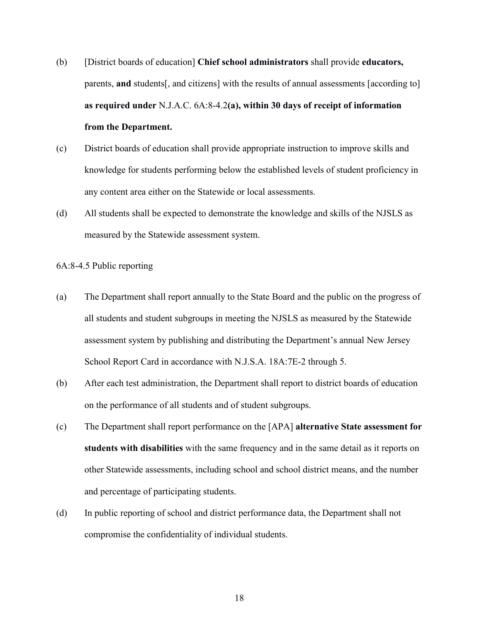- (b) [District boards of education] **Chief school administrators** shall provide **educators,** parents, **and** students[, and citizens] with the results of annual assessments [according to] **as required under** N.J.A.C. 6A:8-4.2**(a), within 30 days of receipt of information from the Department.**
- (c) District boards of education shall provide appropriate instruction to improve skills and knowledge for students performing below the established levels of student proficiency in any content area either on the Statewide or local assessments.
- (d) All students shall be expected to demonstrate the knowledge and skills of the NJSLS as measured by the Statewide assessment system.

6A:8-4.5 Public reporting

- (a) The Department shall report annually to the State Board and the public on the progress of all students and student subgroups in meeting the NJSLS as measured by the Statewide assessment system by publishing and distributing the Department's annual New Jersey School Report Card in accordance with N.J.S.A. 18A:7E-2 through 5.
- (b) After each test administration, the Department shall report to district boards of education on the performance of all students and of student subgroups.
- (c) The Department shall report performance on the [APA] **alternative State assessment for students with disabilities** with the same frequency and in the same detail as it reports on other Statewide assessments, including school and school district means, and the number and percentage of participating students.
- (d) In public reporting of school and district performance data, the Department shall not compromise the confidentiality of individual students.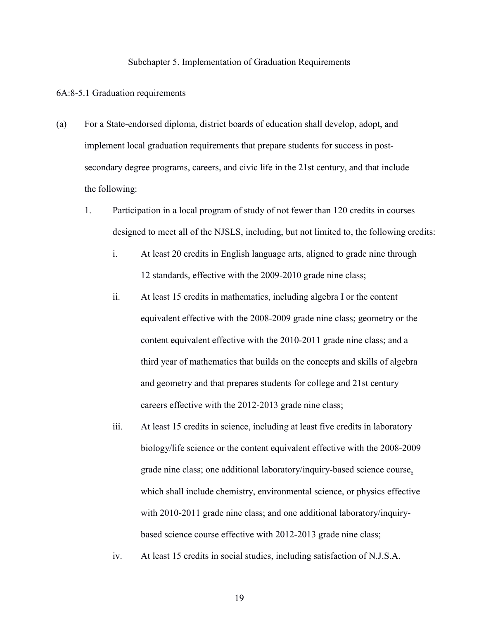## Subchapter 5. Implementation of Graduation Requirements

## 6A:8-5.1 Graduation requirements

- (a) For a State-endorsed diploma, district boards of education shall develop, adopt, and implement local graduation requirements that prepare students for success in postsecondary degree programs, careers, and civic life in the 21st century, and that include the following:
	- 1. Participation in a local program of study of not fewer than 120 credits in courses designed to meet all of the NJSLS, including, but not limited to, the following credits:
		- i. At least 20 credits in English language arts, aligned to grade nine through 12 standards, effective with the 2009-2010 grade nine class;
		- ii. At least 15 credits in mathematics, including algebra I or the content equivalent effective with the 2008-2009 grade nine class; geometry or the content equivalent effective with the 2010-2011 grade nine class; and a third year of mathematics that builds on the concepts and skills of algebra and geometry and that prepares students for college and 21st century careers effective with the 2012-2013 grade nine class;
		- iii. At least 15 credits in science, including at least five credits in laboratory biology/life science or the content equivalent effective with the 2008-2009 grade nine class; one additional laboratory/inquiry-based science course, which shall include chemistry, environmental science, or physics effective with 2010-2011 grade nine class; and one additional laboratory/inquirybased science course effective with 2012-2013 grade nine class;
		- iv. At least 15 credits in social studies, including satisfaction of N.J.S.A.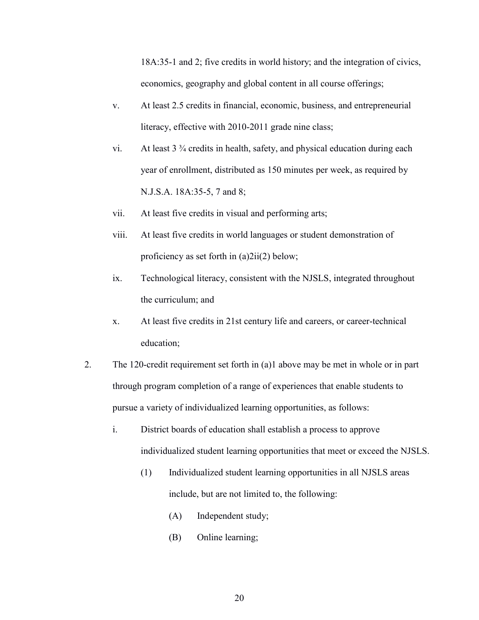18A:35-1 and 2; five credits in world history; and the integration of civics, economics, geography and global content in all course offerings;

- v. At least 2.5 credits in financial, economic, business, and entrepreneurial literacy, effective with 2010-2011 grade nine class;
- vi. At least 3 ¾ credits in health, safety, and physical education during each year of enrollment, distributed as 150 minutes per week, as required by N.J.S.A. 18A:35-5, 7 and 8;
- vii. At least five credits in visual and performing arts;
- viii. At least five credits in world languages or student demonstration of proficiency as set forth in (a)2ii(2) below;
- ix. Technological literacy, consistent with the NJSLS, integrated throughout the curriculum; and
- x. At least five credits in 21st century life and careers, or career-technical education;
- 2. The 120-credit requirement set forth in (a)1 above may be met in whole or in part through program completion of a range of experiences that enable students to pursue a variety of individualized learning opportunities, as follows:
	- i. District boards of education shall establish a process to approve individualized student learning opportunities that meet or exceed the NJSLS.
		- (1) Individualized student learning opportunities in all NJSLS areas include, but are not limited to, the following:
			- (A) Independent study;
			- (B) Online learning;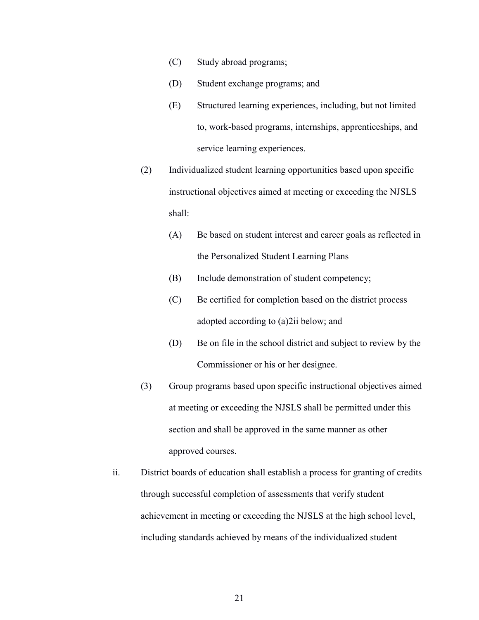- (C) Study abroad programs;
- (D) Student exchange programs; and
- (E) Structured learning experiences, including, but not limited to, work-based programs, internships, apprenticeships, and service learning experiences.
- (2) Individualized student learning opportunities based upon specific instructional objectives aimed at meeting or exceeding the NJSLS shall:
	- (A) Be based on student interest and career goals as reflected in the Personalized Student Learning Plans
	- (B) Include demonstration of student competency;
	- (C) Be certified for completion based on the district process adopted according to (a)2ii below; and
	- (D) Be on file in the school district and subject to review by the Commissioner or his or her designee.
- (3) Group programs based upon specific instructional objectives aimed at meeting or exceeding the NJSLS shall be permitted under this section and shall be approved in the same manner as other approved courses.
- ii. District boards of education shall establish a process for granting of credits through successful completion of assessments that verify student achievement in meeting or exceeding the NJSLS at the high school level, including standards achieved by means of the individualized student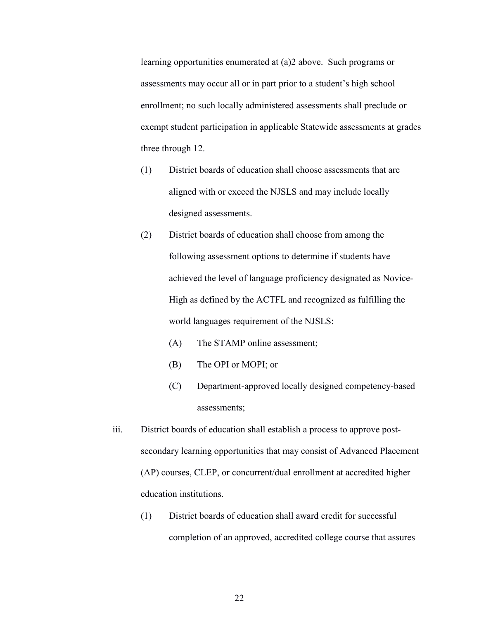learning opportunities enumerated at (a)2 above. Such programs or assessments may occur all or in part prior to a student's high school enrollment; no such locally administered assessments shall preclude or exempt student participation in applicable Statewide assessments at grades three through 12.

- (1) District boards of education shall choose assessments that are aligned with or exceed the NJSLS and may include locally designed assessments.
- (2) District boards of education shall choose from among the following assessment options to determine if students have achieved the level of language proficiency designated as Novice-High as defined by the ACTFL and recognized as fulfilling the world languages requirement of the NJSLS:
	- (A) The STAMP online assessment;
	- (B) The OPI or MOPI; or
	- (C) Department-approved locally designed competency-based assessments;
- iii. District boards of education shall establish a process to approve postsecondary learning opportunities that may consist of Advanced Placement (AP) courses, CLEP, or concurrent/dual enrollment at accredited higher education institutions.
	- (1) District boards of education shall award credit for successful completion of an approved, accredited college course that assures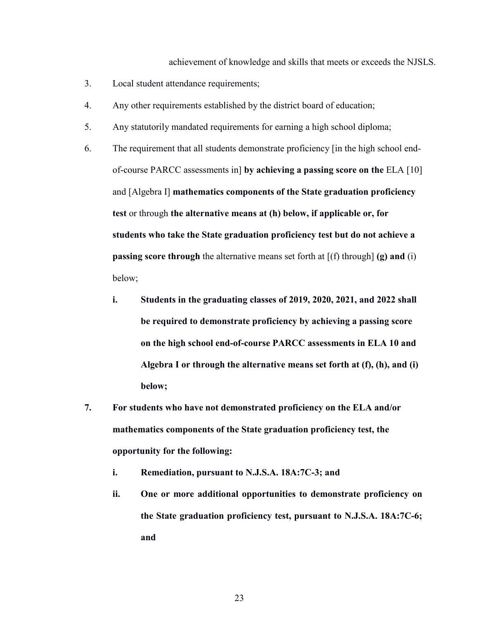achievement of knowledge and skills that meets or exceeds the NJSLS.

- 3. Local student attendance requirements;
- 4. Any other requirements established by the district board of education;
- 5. Any statutorily mandated requirements for earning a high school diploma;
- 6. The requirement that all students demonstrate proficiency [in the high school endof-course PARCC assessments in] **by achieving a passing score on the** ELA [10] and [Algebra I] **mathematics components of the State graduation proficiency test** or through **the alternative means at (h) below, if applicable or, for students who take the State graduation proficiency test but do not achieve a passing score through** the alternative means set forth at  $[(f)$  through  $(g)$  and  $(i)$ below;
	- **i. Students in the graduating classes of 2019, 2020, 2021, and 2022 shall be required to demonstrate proficiency by achieving a passing score on the high school end-of-course PARCC assessments in ELA 10 and Algebra I or through the alternative means set forth at (f), (h), and (i) below;**
- **7. For students who have not demonstrated proficiency on the ELA and/or mathematics components of the State graduation proficiency test, the opportunity for the following:**
	- **i. Remediation, pursuant to N.J.S.A. 18A:7C-3; and**
	- **ii. One or more additional opportunities to demonstrate proficiency on the State graduation proficiency test, pursuant to N.J.S.A. 18A:7C-6; and**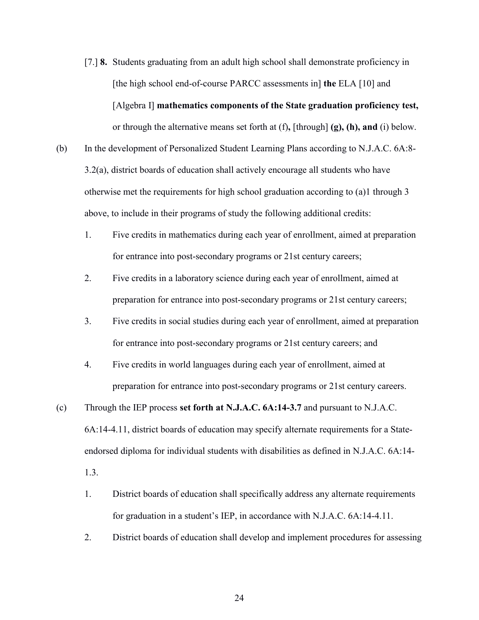- [7.] **8.** Students graduating from an adult high school shall demonstrate proficiency in [the high school end-of-course PARCC assessments in] **the** ELA [10] and [Algebra I] **mathematics components of the State graduation proficiency test,** or through the alternative means set forth at (f)**,** [through] **(g), (h), and** (i) below.
- (b) In the development of Personalized Student Learning Plans according to N.J.A.C. 6A:8- 3.2(a), district boards of education shall actively encourage all students who have otherwise met the requirements for high school graduation according to (a)1 through 3 above, to include in their programs of study the following additional credits:
	- 1. Five credits in mathematics during each year of enrollment, aimed at preparation for entrance into post-secondary programs or 21st century careers;
	- 2. Five credits in a laboratory science during each year of enrollment, aimed at preparation for entrance into post-secondary programs or 21st century careers;
	- 3. Five credits in social studies during each year of enrollment, aimed at preparation for entrance into post-secondary programs or 21st century careers; and
	- 4. Five credits in world languages during each year of enrollment, aimed at preparation for entrance into post-secondary programs or 21st century careers.
- (c) Through the IEP process **set forth at N.J.A.C. 6A:14-3.7** and pursuant to N.J.A.C. 6A:14-4.11, district boards of education may specify alternate requirements for a Stateendorsed diploma for individual students with disabilities as defined in N.J.A.C. 6A:14-

1.3.

- 1. District boards of education shall specifically address any alternate requirements for graduation in a student's IEP, in accordance with N.J.A.C. 6A:14-4.11.
- 2. District boards of education shall develop and implement procedures for assessing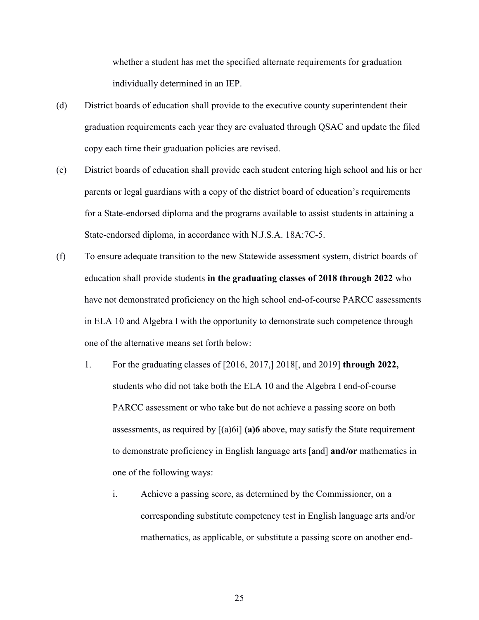whether a student has met the specified alternate requirements for graduation individually determined in an IEP.

- (d) District boards of education shall provide to the executive county superintendent their graduation requirements each year they are evaluated through QSAC and update the filed copy each time their graduation policies are revised.
- (e) District boards of education shall provide each student entering high school and his or her parents or legal guardians with a copy of the district board of education's requirements for a State-endorsed diploma and the programs available to assist students in attaining a State-endorsed diploma, in accordance with N.J.S.A. 18A:7C-5.
- (f) To ensure adequate transition to the new Statewide assessment system, district boards of education shall provide students **in the graduating classes of 2018 through 2022** who have not demonstrated proficiency on the high school end-of-course PARCC assessments in ELA 10 and Algebra I with the opportunity to demonstrate such competence through one of the alternative means set forth below:
	- 1. For the graduating classes of [2016, 2017,] 2018[, and 2019] **through 2022,** students who did not take both the ELA 10 and the Algebra I end-of-course PARCC assessment or who take but do not achieve a passing score on both assessments, as required by  $[(a)6i]$  (a) above, may satisfy the State requirement to demonstrate proficiency in English language arts [and] **and/or** mathematics in one of the following ways:
		- i. Achieve a passing score, as determined by the Commissioner, on a corresponding substitute competency test in English language arts and/or mathematics, as applicable, or substitute a passing score on another end-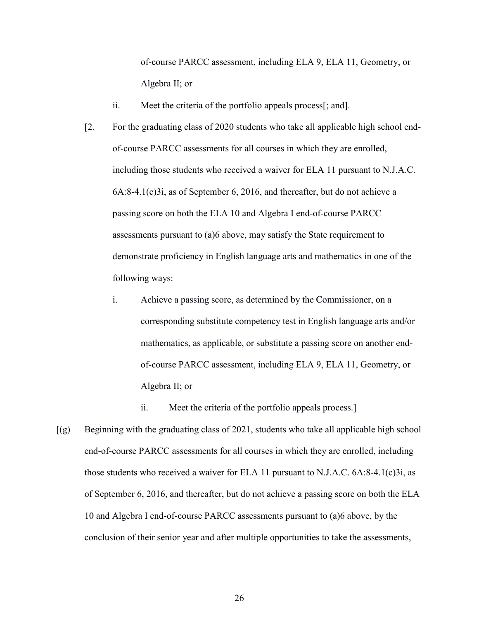of-course PARCC assessment, including ELA 9, ELA 11, Geometry, or Algebra II; or

- ii. Meet the criteria of the portfolio appeals process[; and].
- [2. For the graduating class of 2020 students who take all applicable high school endof-course PARCC assessments for all courses in which they are enrolled, including those students who received a waiver for ELA 11 pursuant to N.J.A.C. 6A:8-4.1(c)3i, as of September 6, 2016, and thereafter, but do not achieve a passing score on both the ELA 10 and Algebra I end-of-course PARCC assessments pursuant to (a)6 above, may satisfy the State requirement to demonstrate proficiency in English language arts and mathematics in one of the following ways:
	- i. Achieve a passing score, as determined by the Commissioner, on a corresponding substitute competency test in English language arts and/or mathematics, as applicable, or substitute a passing score on another endof-course PARCC assessment, including ELA 9, ELA 11, Geometry, or Algebra II; or

ii. Meet the criteria of the portfolio appeals process.]

 $[(g]$  Beginning with the graduating class of 2021, students who take all applicable high school end-of-course PARCC assessments for all courses in which they are enrolled, including those students who received a waiver for ELA 11 pursuant to N.J.A.C. 6A:8-4.1(c)3i, as of September 6, 2016, and thereafter, but do not achieve a passing score on both the ELA 10 and Algebra I end-of-course PARCC assessments pursuant to (a)6 above, by the conclusion of their senior year and after multiple opportunities to take the assessments,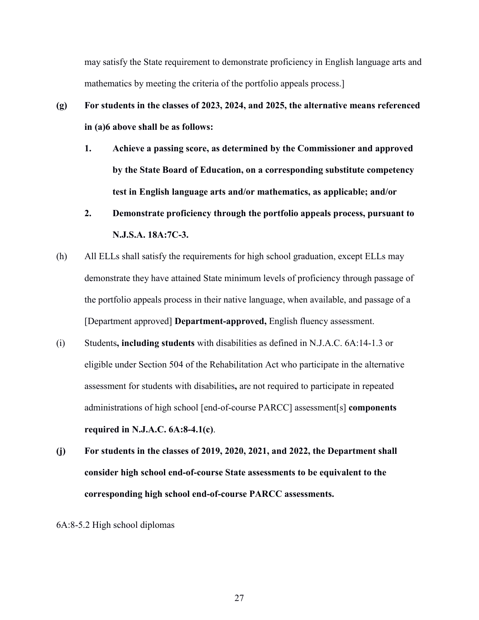may satisfy the State requirement to demonstrate proficiency in English language arts and mathematics by meeting the criteria of the portfolio appeals process.]

- **(g) For students in the classes of 2023, 2024, and 2025, the alternative means referenced in (a)6 above shall be as follows:**
	- **1. Achieve a passing score, as determined by the Commissioner and approved by the State Board of Education, on a corresponding substitute competency test in English language arts and/or mathematics, as applicable; and/or**
	- **2. Demonstrate proficiency through the portfolio appeals process, pursuant to N.J.S.A. 18A:7C-3.**
- (h) All ELLs shall satisfy the requirements for high school graduation, except ELLs may demonstrate they have attained State minimum levels of proficiency through passage of the portfolio appeals process in their native language, when available, and passage of a [Department approved] **Department-approved,** English fluency assessment.
- (i) Students**, including students** with disabilities as defined in N.J.A.C. 6A:14-1.3 or eligible under Section 504 of the Rehabilitation Act who participate in the alternative assessment for students with disabilities**,** are not required to participate in repeated administrations of high school [end-of-course PARCC] assessment[s] **components required in N.J.A.C. 6A:8-4.1(c)**.
- **(j) For students in the classes of 2019, 2020, 2021, and 2022, the Department shall consider high school end-of-course State assessments to be equivalent to the corresponding high school end-of-course PARCC assessments.**

6A:8-5.2 High school diplomas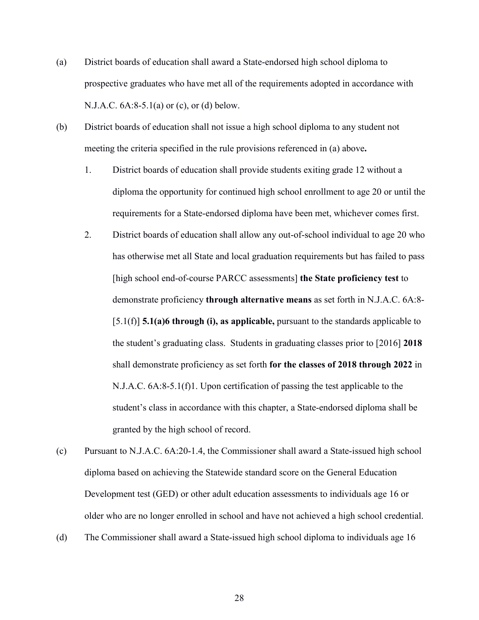- (a) District boards of education shall award a State-endorsed high school diploma to prospective graduates who have met all of the requirements adopted in accordance with N.J.A.C. 6A:8-5.1(a) or (c), or (d) below.
- (b) District boards of education shall not issue a high school diploma to any student not meeting the criteria specified in the rule provisions referenced in (a) above**.**
	- 1. District boards of education shall provide students exiting grade 12 without a diploma the opportunity for continued high school enrollment to age 20 or until the requirements for a State-endorsed diploma have been met, whichever comes first.
	- 2. District boards of education shall allow any out-of-school individual to age 20 who has otherwise met all State and local graduation requirements but has failed to pass [high school end-of-course PARCC assessments] **the State proficiency test** to demonstrate proficiency **through alternative means** as set forth in N.J.A.C. 6A:8- [5.1(f)] **5.1(a)6 through (i), as applicable,** pursuant to the standards applicable to the student's graduating class. Students in graduating classes prior to [2016] **2018** shall demonstrate proficiency as set forth **for the classes of 2018 through 2022** in N.J.A.C. 6A:8-5.1(f)1. Upon certification of passing the test applicable to the student's class in accordance with this chapter, a State-endorsed diploma shall be granted by the high school of record.
- (c) Pursuant to N.J.A.C. 6A:20-1.4, the Commissioner shall award a State-issued high school diploma based on achieving the Statewide standard score on the General Education Development test (GED) or other adult education assessments to individuals age 16 or older who are no longer enrolled in school and have not achieved a high school credential.
- (d) The Commissioner shall award a State-issued high school diploma to individuals age 16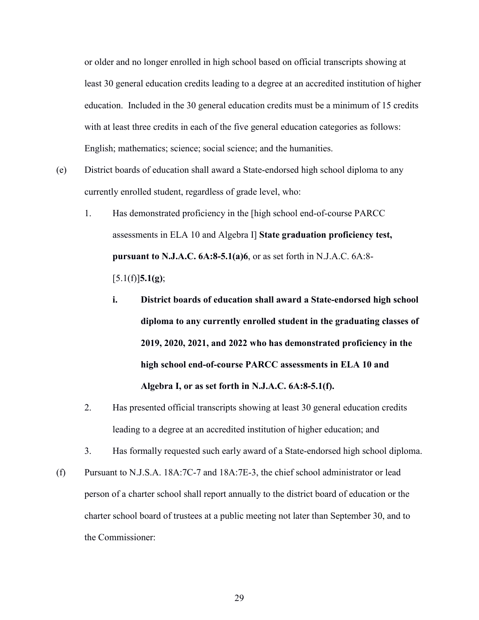or older and no longer enrolled in high school based on official transcripts showing at least 30 general education credits leading to a degree at an accredited institution of higher education. Included in the 30 general education credits must be a minimum of 15 credits with at least three credits in each of the five general education categories as follows: English; mathematics; science; social science; and the humanities.

- (e) District boards of education shall award a State-endorsed high school diploma to any currently enrolled student, regardless of grade level, who:
	- 1. Has demonstrated proficiency in the [high school end-of-course PARCC assessments in ELA 10 and Algebra I] **State graduation proficiency test, pursuant to N.J.A.C. 6A:8-5.1(a)6**, or as set forth in N.J.A.C. 6A:8- [5.1(f)]**5.1(g)**;
		- **i. District boards of education shall award a State-endorsed high school diploma to any currently enrolled student in the graduating classes of 2019, 2020, 2021, and 2022 who has demonstrated proficiency in the high school end-of-course PARCC assessments in ELA 10 and Algebra I, or as set forth in N.J.A.C. 6A:8-5.1(f).**
	- 2. Has presented official transcripts showing at least 30 general education credits leading to a degree at an accredited institution of higher education; and
	- 3. Has formally requested such early award of a State-endorsed high school diploma.
- (f) Pursuant to N.J.S.A. 18A:7C-7 and 18A:7E-3, the chief school administrator or lead person of a charter school shall report annually to the district board of education or the charter school board of trustees at a public meeting not later than September 30, and to the Commissioner: